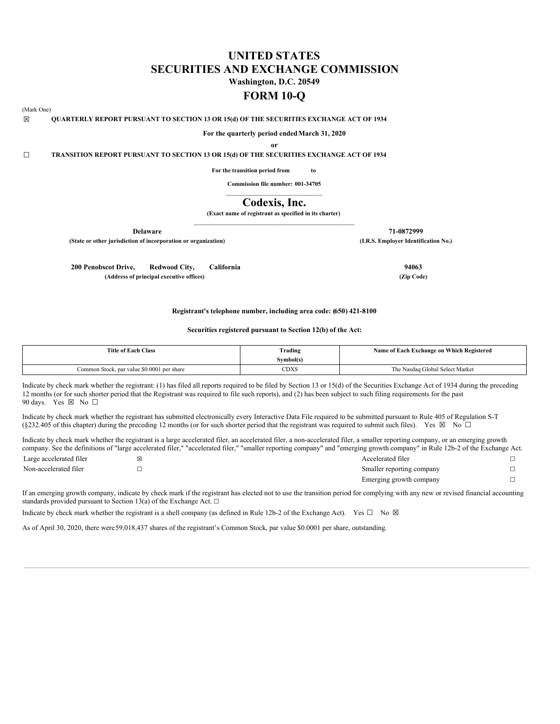# **UNITED STATES SECURITIES AND EXCHANGE COMMISSION**

**Washington, D.C. 20549**

## **FORM 10-Q**

### (Mark One)

☒ **QUARTERLY REPORT PURSUANT TO SECTION 13 OR 15(d) OF THE SECURITIES EXCHANGE ACT OF 1934**

**For the quarterly period endedMarch 31, 2020**

**or**

☐ **TRANSITION REPORT PURSUANT TO SECTION 13 OR 15(d) OF THE SECURITIES EXCHANGE ACT OF 1934**

**For the transition period from to**

**Commission file number: 001-34705**  $\mathcal{L}_\text{max}$  and  $\mathcal{L}_\text{max}$  and  $\mathcal{L}_\text{max}$  and  $\mathcal{L}_\text{max}$ 

## **Codexis, Inc.**

**(Exact name of registrant as specified in its charter)** \_\_\_\_\_\_\_\_\_\_\_\_\_\_\_\_\_\_\_\_\_\_\_\_\_\_\_\_\_\_\_\_\_\_\_\_\_\_\_\_\_\_\_\_\_

**(State or other jurisdiction of incorporation or organization) (I.R.S. Employer Identification No.)**

**200 Penobscot Drive, Redwood City, California 94063 (Address of principal executive offices) (Zip Code)**

**Delaware 71-0872999**

## **Registrant's telephone number, including area code: (650) 421-8100**

## **Securities registered pursuant to Section 12(b) of the Act:**

| <b>Title of Each Class</b>                 | Trading   | Name of Each Exchange on Which Registered |
|--------------------------------------------|-----------|-------------------------------------------|
|                                            | Symbol(s) |                                           |
| Common Stock, par value \$0.0001 per share | CDXS      | The Nasdaq Global Select Market           |

Indicate by check mark whether the registrant: (1) has filed all reports required to be filed by Section 13 or 15(d) of the Securities Exchange Act of 1934 during the preceding 12 months (or for such shorter period that the Registrant was required to file such reports), and (2) has been subject to such filing requirements for the past 90 days. Yes ⊠ No □

Indicate by check mark whether the registrant has submitted electronically every Interactive Data File required to be submitted pursuant to Rule 405 of Regulation S-T (§232.405 of this chapter) during the preceding 12 months (or for such shorter period that the registrant was required to submit such files). Yes  $\boxtimes$  No  $\Box$ 

Indicate by check mark whether the registrant is a large accelerated filer, an accelerated filer, a non-accelerated filer, a smaller reporting company, or an emerging growth company. See the definitions of "large accelerated filer," "accelerated filer," "smaller reporting company" and "emerging growth company" in Rule 12b-2 of the Exchange Act.

| Large accelerated filer | ı×ı | Accelerated filer         |  |
|-------------------------|-----|---------------------------|--|
| Non-accelerated filer   |     | Smaller reporting company |  |
|                         |     | Emerging growth company   |  |

If an emerging growth company, indicate by check mark if the registrant has elected not to use the transition period for complying with any new or revised financial accounting standards provided pursuant to Section 13(a) of the Exchange Act.  $\square$ 

Indicate by check mark whether the registrant is a shell company (as defined in Rule 12b-2 of the Exchange Act). Yes  $\square$  No  $\boxtimes$ 

As of April 30, 2020, there were59,018,437 shares of the registrant's Common Stock, par value \$0.0001 per share, outstanding.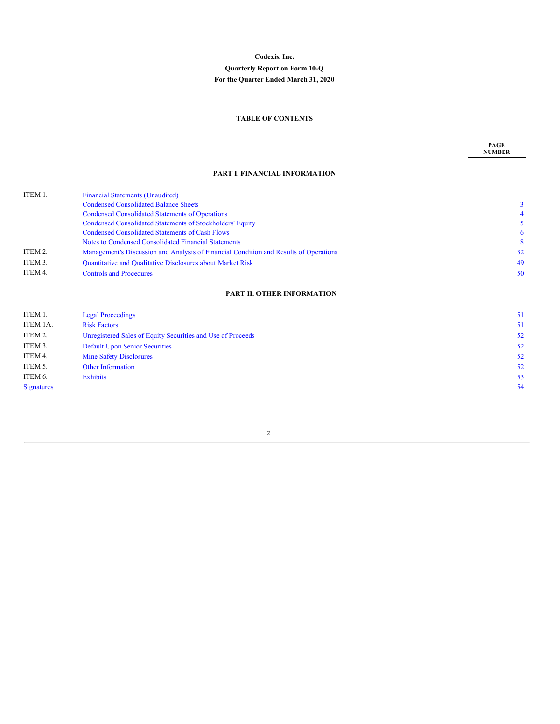## **Codexis, Inc. Quarterly Report on Form 10-Q For the Quarter Ended March 31, 2020**

## **TABLE OF CONTENTS**

**PAGE NUMBER**

## **PART I. FINANCIAL INFORMATION**

| ITEM 1. | <b>Financial Statements (Unaudited)</b>                                               |    |
|---------|---------------------------------------------------------------------------------------|----|
|         | <b>Condensed Consolidated Balance Sheets</b>                                          |    |
|         | <b>Condensed Consolidated Statements of Operations</b>                                |    |
|         | <b>Condensed Consolidated Statements of Stockholders' Equity</b>                      |    |
|         | <b>Condensed Consolidated Statements of Cash Flows</b>                                | 6  |
|         | Notes to Condensed Consolidated Financial Statements                                  | 8  |
| ITEM 2. | Management's Discussion and Analysis of Financial Condition and Results of Operations | 32 |
| ITEM 3. | Quantitative and Qualitative Disclosures about Market Risk                            | 49 |
| ITEM 4. | <b>Controls and Procedures</b>                                                        | 50 |
|         |                                                                                       |    |

## **PART II. OTHER [INFORMATION](#page-49-0)**

<span id="page-1-0"></span>

| ITEM 1.           | <b>Legal Proceedings</b>                                    | 51 |
|-------------------|-------------------------------------------------------------|----|
| ITEM 1A.          | <b>Risk Factors</b>                                         | 51 |
| ITEM 2.           | Unregistered Sales of Equity Securities and Use of Proceeds | 52 |
| ITEM 3.           | <b>Default Upon Senior Securities</b>                       | 52 |
| ITEM 4.           | <b>Mine Safety Disclosures</b>                              | 52 |
| ITEM 5.           | <b>Other Information</b>                                    | 52 |
| ITEM 6.           | <b>Exhibits</b>                                             | 53 |
| <b>Signatures</b> |                                                             | 54 |
|                   |                                                             |    |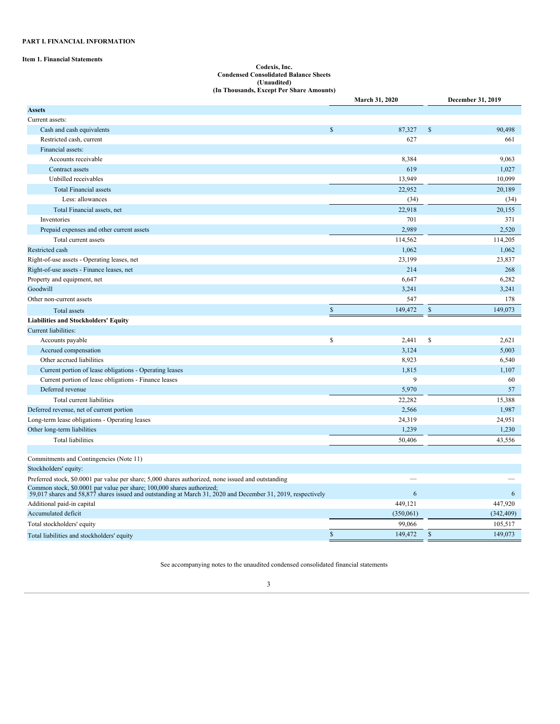## **PART I. FINANCIAL INFORMATION**

## **Item 1. Financial Statements**

#### **Codexis, Inc. Condensed Consolidated Balance Sheets (Unaudited) (In Thousands, Except Per Share Amounts)**

|                                                                                                                                                                                        |              | March 31, 2020 | December 31, 2019      |
|----------------------------------------------------------------------------------------------------------------------------------------------------------------------------------------|--------------|----------------|------------------------|
| <b>Assets</b>                                                                                                                                                                          |              |                |                        |
| Current assets:                                                                                                                                                                        |              |                |                        |
| Cash and cash equivalents                                                                                                                                                              | $\mathbb{S}$ | 87,327         | \$<br>90,498           |
| Restricted cash, current                                                                                                                                                               |              | 627            | 661                    |
| Financial assets:                                                                                                                                                                      |              |                |                        |
| Accounts receivable                                                                                                                                                                    |              | 8,384          | 9,063                  |
| Contract assets                                                                                                                                                                        |              | 619            | 1,027                  |
| Unbilled receivables                                                                                                                                                                   |              | 13,949         | 10,099                 |
| <b>Total Financial assets</b>                                                                                                                                                          |              | 22,952         | 20,189                 |
| Less: allowances                                                                                                                                                                       |              | (34)           | (34)                   |
| Total Financial assets, net                                                                                                                                                            |              | 22.918         | 20.155                 |
| Inventories                                                                                                                                                                            |              | 701            | 371                    |
| Prepaid expenses and other current assets                                                                                                                                              |              | 2,989          | 2,520                  |
| Total current assets                                                                                                                                                                   |              | 114,562        | 114,205                |
| Restricted cash                                                                                                                                                                        |              | 1,062          | 1,062                  |
| Right-of-use assets - Operating leases, net                                                                                                                                            |              | 23,199         | 23,837                 |
| Right-of-use assets - Finance leases, net                                                                                                                                              |              | 214            | 268                    |
| Property and equipment, net                                                                                                                                                            |              | 6,647          | 6,282                  |
| Goodwill                                                                                                                                                                               |              | 3,241          | 3,241                  |
| Other non-current assets                                                                                                                                                               |              | 547            | 178                    |
| Total assets                                                                                                                                                                           | $\mathbb{S}$ | 149,472        | $\$$<br>149,073        |
| <b>Liabilities and Stockholders' Equity</b>                                                                                                                                            |              |                |                        |
| Current liabilities:                                                                                                                                                                   |              |                |                        |
| Accounts payable                                                                                                                                                                       | \$           | 2,441          | \$<br>2,621            |
| Accrued compensation                                                                                                                                                                   |              | 3.124          | 5.003                  |
| Other accrued liabilities                                                                                                                                                              |              | 8,923          | 6,540                  |
| Current portion of lease obligations - Operating leases                                                                                                                                |              | 1,815          | 1,107                  |
| Current portion of lease obligations - Finance leases                                                                                                                                  |              | 9              | 60                     |
| Deferred revenue                                                                                                                                                                       |              | 5,970          | 57                     |
| Total current liabilities                                                                                                                                                              |              | 22,282         | 15,388                 |
| Deferred revenue, net of current portion                                                                                                                                               |              | 2,566          | 1,987                  |
| Long-term lease obligations - Operating leases                                                                                                                                         |              | 24,319         | 24,951                 |
| Other long-term liabilities                                                                                                                                                            |              | 1,239          | 1,230                  |
| <b>Total liabilities</b>                                                                                                                                                               |              | 50,406         | 43,556                 |
|                                                                                                                                                                                        |              |                |                        |
| Commitments and Contingencies (Note 11)                                                                                                                                                |              |                |                        |
| Stockholders' equity:                                                                                                                                                                  |              |                |                        |
| Preferred stock, \$0.0001 par value per share; 5,000 shares authorized, none issued and outstanding                                                                                    |              |                |                        |
| Common stock, \$0.0001 par value per share; 100,000 shares authorized;<br>59,017 shares and 58,877 shares issued and outstanding at March 31, 2020 and December 31, 2019, respectively |              | 6              | 6                      |
| Additional paid-in capital                                                                                                                                                             |              | 449,121        | 447,920                |
| Accumulated deficit                                                                                                                                                                    |              | (350,061)      | (342, 409)             |
| Total stockholders' equity                                                                                                                                                             |              | 99,066         | 105,517                |
| Total liabilities and stockholders' equity                                                                                                                                             | $\mathbb{S}$ | 149,472        | $\mathbb S$<br>149,073 |

<span id="page-2-0"></span>See accompanying notes to the unaudited condensed consolidated financial statements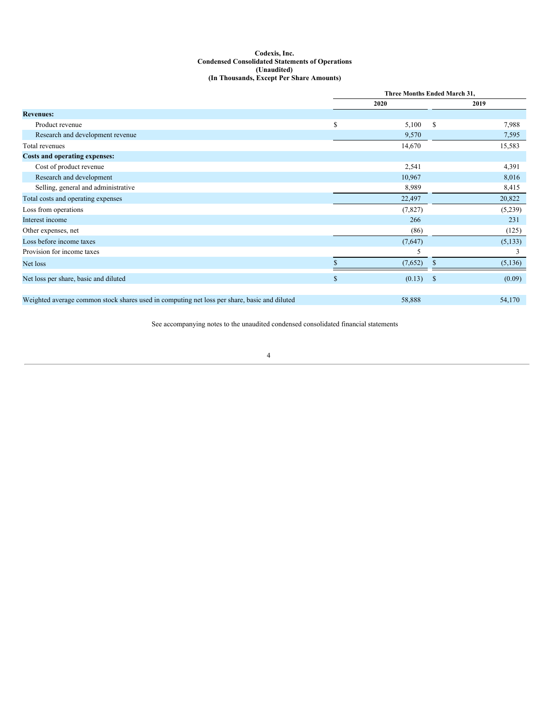## **Codexis, Inc. Condensed Consolidated Statements of Operations (Unaudited) (In Thousands, Except Per Share Amounts)**

|                                                                                              | Three Months Ended March 31, |         |               |          |  |  |  |  |
|----------------------------------------------------------------------------------------------|------------------------------|---------|---------------|----------|--|--|--|--|
|                                                                                              | 2020                         |         | 2019          |          |  |  |  |  |
| <b>Revenues:</b>                                                                             |                              |         |               |          |  |  |  |  |
| Product revenue                                                                              | \$                           | 5,100   | S.            | 7,988    |  |  |  |  |
| Research and development revenue                                                             |                              | 9,570   |               | 7,595    |  |  |  |  |
| Total revenues                                                                               |                              | 14,670  |               | 15,583   |  |  |  |  |
| Costs and operating expenses:                                                                |                              |         |               |          |  |  |  |  |
| Cost of product revenue                                                                      |                              | 2,541   |               | 4,391    |  |  |  |  |
| Research and development                                                                     |                              | 10,967  |               | 8,016    |  |  |  |  |
| Selling, general and administrative                                                          |                              | 8,989   |               | 8,415    |  |  |  |  |
| Total costs and operating expenses                                                           |                              | 22,497  |               | 20,822   |  |  |  |  |
| Loss from operations                                                                         |                              | (7,827) |               | (5,239)  |  |  |  |  |
| Interest income                                                                              |                              | 266     |               | 231      |  |  |  |  |
| Other expenses, net                                                                          |                              | (86)    |               | (125)    |  |  |  |  |
| Loss before income taxes                                                                     |                              | (7,647) |               | (5, 133) |  |  |  |  |
| Provision for income taxes                                                                   |                              | 5       |               | 3        |  |  |  |  |
| Net loss                                                                                     |                              | (7,652) | \$            | (5,136)  |  |  |  |  |
| Net loss per share, basic and diluted                                                        | $\mathbf S$                  | (0.13)  | $\mathcal{S}$ | (0.09)   |  |  |  |  |
| Weighted average common stock shares used in computing net loss per share, basic and diluted |                              | 58,888  |               | 54,170   |  |  |  |  |

<span id="page-3-0"></span>See accompanying notes to the unaudited condensed consolidated financial statements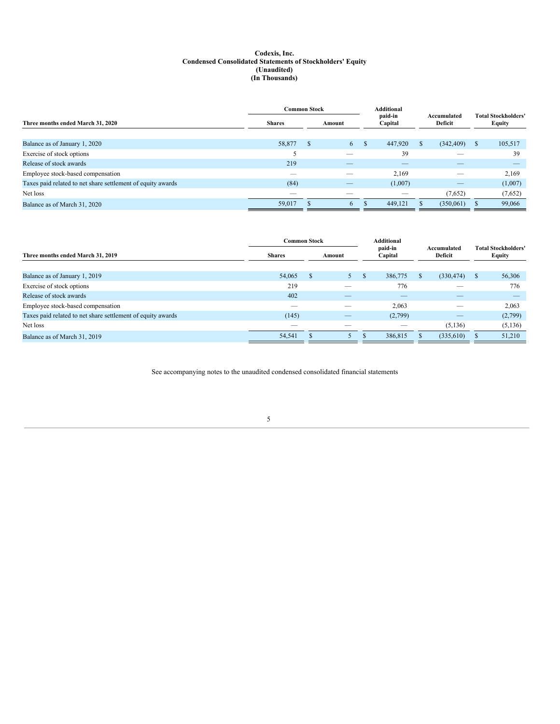## **Codexis, Inc. Condensed Consolidated Statements of Stockholders' Equity (Unaudited) (In Thousands)**

|                                                             |               | <b>Common Stock</b> |    |               |                    |                        |            |   |                                      |  |
|-------------------------------------------------------------|---------------|---------------------|----|---------------|--------------------|------------------------|------------|---|--------------------------------------|--|
| Three months ended March 31, 2020                           | <b>Shares</b> | Amount              |    |               | paid-in<br>Capital | Accumulated<br>Deficit |            |   | <b>Total Stockholders'</b><br>Equity |  |
|                                                             |               |                     |    |               |                    |                        |            |   |                                      |  |
| Balance as of January 1, 2020                               | 58,877        | -S                  | 6  | <sup>\$</sup> | 447,920            | S.                     | (342, 409) | S | 105,517                              |  |
| Exercise of stock options                                   |               |                     | __ |               | 39                 |                        |            |   | 39                                   |  |
| Release of stock awards                                     | 219           |                     |    |               |                    |                        |            |   |                                      |  |
| Employee stock-based compensation                           | --            |                     |    |               | 2,169              |                        |            |   | 2,169                                |  |
| Taxes paid related to net share settlement of equity awards | (84)          |                     | __ |               | (1,007)            |                        |            |   | (1,007)                              |  |
| Net loss                                                    |               |                     |    |               |                    |                        | (7,652)    |   | (7,652)                              |  |
| Balance as of March 31, 2020                                | 59,017        |                     | -6 |               | 449,121            |                        | (350,061)  |   | 99,066                               |  |

|                                                             | <b>Common Stock</b>      |        |    |               | <b>Additional</b>        |  |                        |   |                                      |
|-------------------------------------------------------------|--------------------------|--------|----|---------------|--------------------------|--|------------------------|---|--------------------------------------|
| Three months ended March 31, 2019                           | <b>Shares</b>            | Amount |    |               | paid-in<br>Capital       |  | Accumulated<br>Deficit |   | <b>Total Stockholders'</b><br>Equity |
| Balance as of January 1, 2019                               | 54,065                   |        | 5  | <sup>\$</sup> | 386,775                  |  | (330, 474)             | S | 56,306                               |
| Exercise of stock options                                   | 219                      |        |    |               | 776                      |  |                        |   | 776                                  |
| Release of stock awards                                     | 402                      |        |    |               | $\overline{\phantom{a}}$ |  |                        |   |                                      |
| Employee stock-based compensation                           | $\overline{\phantom{a}}$ |        |    |               | 2,063                    |  |                        |   | 2,063                                |
| Taxes paid related to net share settlement of equity awards | (145)                    |        | __ |               | (2,799)                  |  |                        |   | (2,799)                              |
| Net loss                                                    | $\sim$                   |        |    |               |                          |  | (5,136)                |   | (5,136)                              |
| Balance as of March 31, 2019                                | 54,541                   |        |    |               | 386,815                  |  | (335,610)              |   | 51,210                               |

<span id="page-4-0"></span>See accompanying notes to the unaudited condensed consolidated financial statements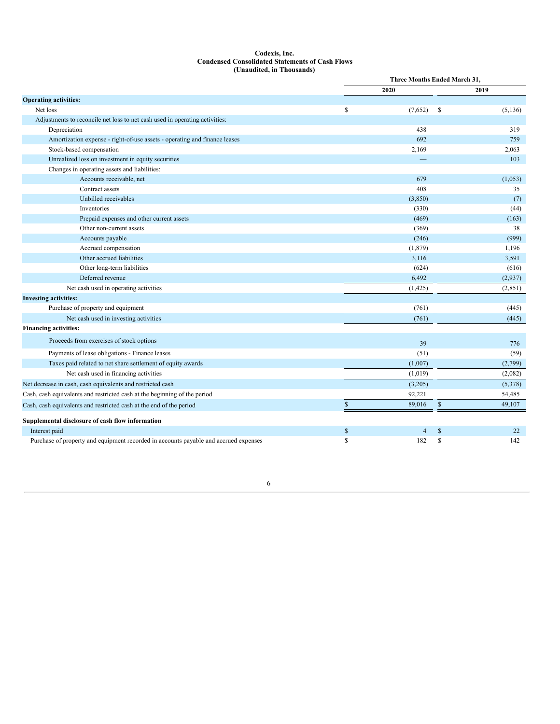## **Codexis, Inc. Condensed Consolidated Statements of Cash Flows (Unaudited, in Thousands)**

|                                                                                      |              | Three Months Ended March 31. |              |          |  |  |
|--------------------------------------------------------------------------------------|--------------|------------------------------|--------------|----------|--|--|
|                                                                                      |              | 2020                         |              | 2019     |  |  |
| <b>Operating activities:</b>                                                         |              |                              |              |          |  |  |
| Net loss                                                                             | S            | (7,652)                      | -S           | (5, 136) |  |  |
| Adjustments to reconcile net loss to net cash used in operating activities:          |              |                              |              |          |  |  |
| Depreciation                                                                         |              | 438                          |              | 319      |  |  |
| Amortization expense - right-of-use assets - operating and finance leases            |              | 692                          |              | 759      |  |  |
| Stock-based compensation                                                             |              | 2,169                        |              | 2,063    |  |  |
| Unrealized loss on investment in equity securities                                   |              |                              |              | 103      |  |  |
| Changes in operating assets and liabilities:                                         |              |                              |              |          |  |  |
| Accounts receivable, net                                                             |              | 679                          |              | (1,053)  |  |  |
| Contract assets                                                                      |              | 408                          |              | 35       |  |  |
| Unbilled receivables                                                                 |              | (3,850)                      |              | (7)      |  |  |
| Inventories                                                                          |              | (330)                        |              | (44)     |  |  |
| Prepaid expenses and other current assets                                            |              | (469)                        |              | (163)    |  |  |
| Other non-current assets                                                             |              | (369)                        |              | 38       |  |  |
| Accounts payable                                                                     |              | (246)                        |              | (999)    |  |  |
| Accrued compensation                                                                 |              | (1, 879)                     |              | 1,196    |  |  |
| Other accrued liabilities                                                            |              | 3,116                        |              | 3,591    |  |  |
| Other long-term liabilities                                                          |              | (624)                        |              | (616)    |  |  |
| Deferred revenue                                                                     |              | 6,492                        |              | (2,937)  |  |  |
| Net cash used in operating activities                                                |              | (1,425)                      |              | (2,851)  |  |  |
| <b>Investing activities:</b>                                                         |              |                              |              |          |  |  |
| Purchase of property and equipment                                                   |              | (761)                        |              | (445)    |  |  |
| Net cash used in investing activities                                                |              | (761)                        |              | (445)    |  |  |
| <b>Financing activities:</b>                                                         |              |                              |              |          |  |  |
| Proceeds from exercises of stock options                                             |              | 39                           |              | 776      |  |  |
| Payments of lease obligations - Finance leases                                       |              | (51)                         |              | (59)     |  |  |
| Taxes paid related to net share settlement of equity awards                          |              | (1,007)                      |              | (2,799)  |  |  |
| Net cash used in financing activities                                                |              | (1,019)                      |              | (2,082)  |  |  |
| Net decrease in cash, cash equivalents and restricted cash                           |              | (3,205)                      |              | (5,378)  |  |  |
| Cash, cash equivalents and restricted cash at the beginning of the period            |              | 92,221                       |              | 54,485   |  |  |
| Cash, cash equivalents and restricted cash at the end of the period                  | $\mathbb{S}$ | 89,016                       | $\mathbb{S}$ | 49,107   |  |  |
| Supplemental disclosure of cash flow information                                     |              |                              |              |          |  |  |
| Interest paid                                                                        | $\mathbb{S}$ | $\overline{4}$               | $\mathbb{S}$ | 22       |  |  |
| Purchase of property and equipment recorded in accounts payable and accrued expenses | \$           | 182                          | S            | 142      |  |  |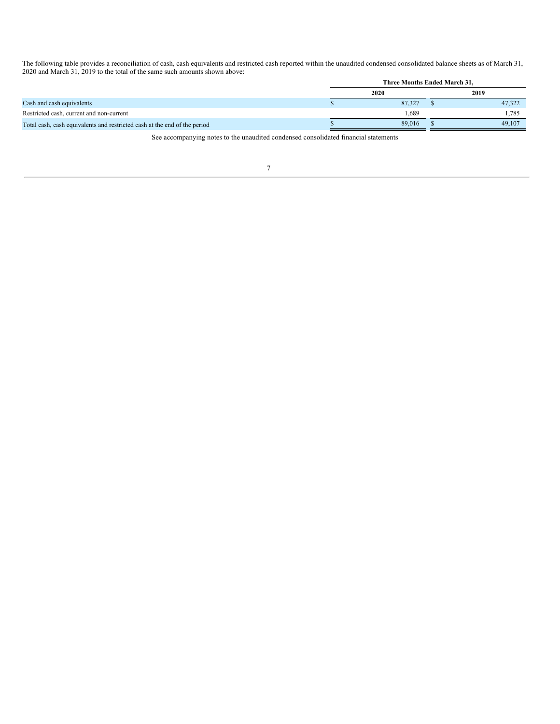The following table provides a reconciliation of cash, cash equivalents and restricted cash reported within the unaudited condensed consolidated balance sheets as of March 31, 2020 and March 31, 2019 to the total of the same such amounts shown above:

<span id="page-6-0"></span>

|                                                                           | Three Months Ended March 31. |        |      |        |  |  |
|---------------------------------------------------------------------------|------------------------------|--------|------|--------|--|--|
|                                                                           | 2020                         |        | 2019 |        |  |  |
| Cash and cash equivalents                                                 |                              | 87.327 |      | 47.322 |  |  |
| Restricted cash, current and non-current                                  |                              | 1.689  |      | 1.785  |  |  |
| Total cash, cash equivalents and restricted cash at the end of the period |                              | 89,016 |      | 49,107 |  |  |

See accompanying notes to the unaudited condensed consolidated financial statements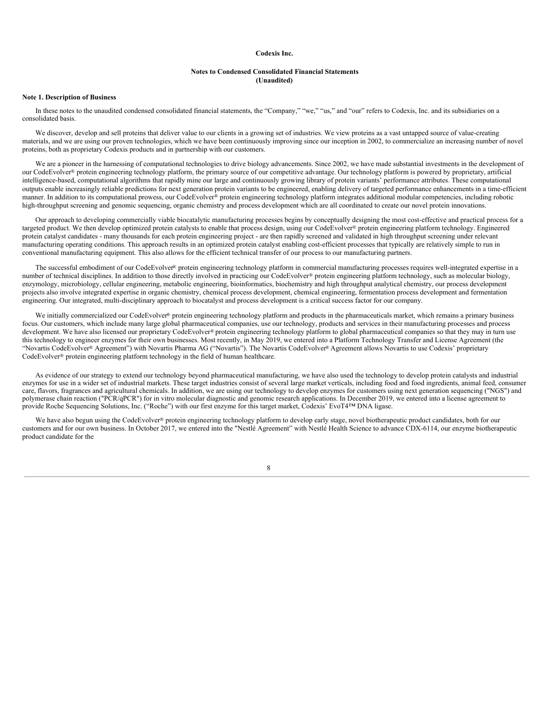## **Codexis Inc.**

### **Notes to Condensed Consolidated Financial Statements (Unaudited)**

## **Note 1. Description of Business**

In these notes to the unaudited condensed consolidated financial statements, the "Company," "we," "us," and "our" refers to Codexis, Inc. and its subsidiaries on a consolidated basis.

We discover, develop and sell proteins that deliver value to our clients in a growing set of industries. We view proteins as a vast untapped source of value-creating materials, and we are using our proven technologies, which we have been continuously improving since our inception in 2002, to commercialize an increasing number of novel proteins, both as proprietary Codexis products and in partnership with our customers.

We are a pioneer in the harnessing of computational technologies to drive biology advancements. Since 2002, we have made substantial investments in the development of our CodeEvolver® protein engineering technology platform, the primary source of our competitive advantage. Our technology platform is powered by proprietary, artificial intelligence-based, computational algorithms that rapidly mine our large and continuously growing library of protein variants' performance attributes. These computational outputs enable increasingly reliable predictions for next generation protein variants to be engineered, enabling delivery of targeted performance enhancements in a time-efficient manner. In addition to its computational prowess, our CodeEvolver® protein engineering technology platform integrates additional modular competencies, including robotic high-throughput screening and genomic sequencing, organic chemistry and process development which are all coordinated to create our novel protein innovations.

Our approach to developing commercially viable biocatalytic manufacturing processes begins by conceptually designing the most cost-effective and practical process for a targeted product. We then develop optimized protein catalysts to enable that process design, using our CodeEvolver® protein engineering platform technology. Engineered protein catalyst candidates - many thousands for each protein engineering project - are then rapidly screened and validated in high throughput screening under relevant manufacturing operating conditions. This approach results in an optimized protein catalyst enabling cost-efficient processes that typically are relatively simple to run in conventional manufacturing equipment. This also allows for the efficient technical transfer of our process to our manufacturing partners.

The successful embodiment of our CodeEvolver® protein engineering technology platform in commercial manufacturing processes requires well-integrated expertise in a number of technical disciplines. In addition to those directly involved in practicing our CodeEvolver® protein engineering platform technology, such as molecular biology, enzymology, microbiology, cellular engineering, metabolic engineering, bioinformatics, biochemistry and high throughput analytical chemistry, our process development projects also involve integrated expertise in organic chemistry, chemical process development, chemical engineering, fermentation process development and fermentation engineering. Our integrated, multi-disciplinary approach to biocatalyst and process development is a critical success factor for our company.

We initially commercialized our CodeEvolver® protein engineering technology platform and products in the pharmaceuticals market, which remains a primary business focus. Our customers, which include many large global pharmaceutical companies, use our technology, products and services in their manufacturing processes and process development. We have also licensed our proprietary CodeEvolver® protein engineering technology platform to global pharmaceutical companies so that they may in turn use this technology to engineer enzymes for their own businesses. Most recently, in May 2019, we entered into a Platform Technology Transfer and License Agreement (the "Novartis CodeEvolver® Agreement") with Novartis Pharma AG ("Novartis"). The Novartis CodeEvolver® Agreement allows Novartis to use Codexis' proprietary CodeEvolver® protein engineering platform technology in the field of human healthcare.

As evidence of our strategy to extend our technology beyond pharmaceutical manufacturing, we have also used the technology to develop protein catalysts and industrial enzymes for use in a wider set of industrial markets. These target industries consist of several large market verticals, including food and food ingredients, animal feed, consumer care, flavors, fragrances and agricultural chemicals. In addition, we are using our technology to develop enzymes for customers using next generation sequencing ("NGS") and polymerase chain reaction ("PCR/qPCR") for in vitro molecular diagnostic and genomic research applications. In December 2019, we entered into a license agreement to provide Roche Sequencing Solutions, Inc. ("Roche") with our first enzyme for this target market, Codexis' EvoT4™ DNA ligase.

We have also begun using the CodeEvolver® protein engineering technology platform to develop early stage, novel biotherapeutic product candidates, both for our customers and for our own business. In October 2017, we entered into the "Nestlé Agreement" with Nestlé Health Science to advance CDX-6114, our enzyme biotherapeutic product candidate for the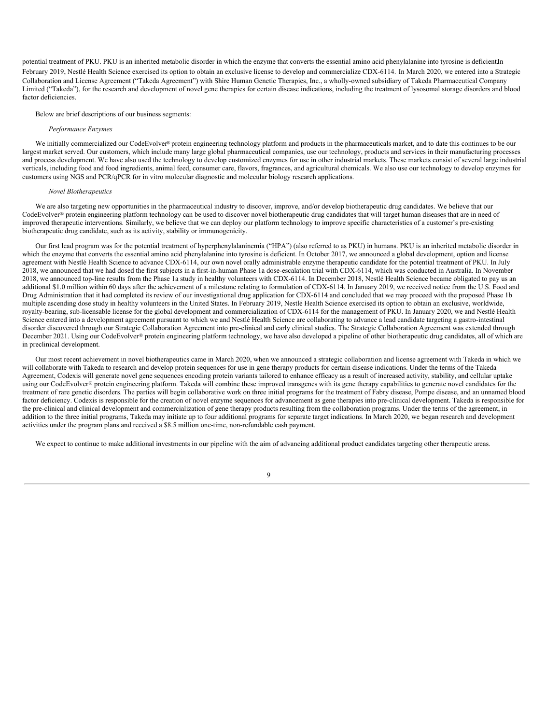potential treatment of PKU. PKU is an inherited metabolic disorder in which the enzyme that converts the essential amino acid phenylalanine into tyrosine is deficient.In February 2019, Nestlé Health Science exercised its option to obtain an exclusive license to develop and commercialize CDX-6114. In March 2020, we entered into a Strategic Collaboration and License Agreement ("Takeda Agreement") with Shire Human Genetic Therapies, Inc., a wholly-owned subsidiary of Takeda Pharmaceutical Company Limited ("Takeda"), for the research and development of novel gene therapies for certain disease indications, including the treatment of lysosomal storage disorders and blood factor deficiencies.

## Below are brief descriptions of our business segments:

#### *Performance Enzymes*

We initially commercialized our CodeEvolver® protein engineering technology platform and products in the pharmaceuticals market, and to date this continues to be our largest market served. Our customers, which include many large global pharmaceutical companies, use our technology, products and services in their manufacturing processes and process development. We have also used the technology to develop customized enzymes for use in other industrial markets. These markets consist of several large industrial verticals, including food and food ingredients, animal feed, consumer care, flavors, fragrances, and agricultural chemicals. We also use our technology to develop enzymes for customers using NGS and PCR/qPCR for in vitro molecular diagnostic and molecular biology research applications.

#### *Novel Biotherapeutics*

We are also targeting new opportunities in the pharmaceutical industry to discover, improve, and/or develop biotherapeutic drug candidates. We believe that our CodeEvolver® protein engineering platform technology can be used to discover novel biotherapeutic drug candidates that will target human diseases that are in need of improved therapeutic interventions. Similarly, we believe that we can deploy our platform technology to improve specific characteristics of a customer's pre-existing biotherapeutic drug candidate, such as its activity, stability or immunogenicity.

Our first lead program was for the potential treatment of hyperphenylalaninemia ("HPA") (also referred to as PKU) in humans. PKU is an inherited metabolic disorder in which the enzyme that converts the essential amino acid phenylalanine into tyrosine is deficient. In October 2017, we announced a global development, option and license agreement with Nestlé Health Science to advance CDX-6114, our own novel orally administrable enzyme therapeutic candidate for the potential treatment of PKU. In July 2018, we announced that we had dosed the first subjects in a first-in-human Phase 1a dose-escalation trial with CDX-6114, which was conducted in Australia. In November 2018, we announced top-line results from the Phase 1a study in healthy volunteers with CDX-6114. In December 2018, Nestlé Health Science became obligated to pay us an additional \$1.0 million within 60 days after the achievement of a milestone relating to formulation of CDX-6114. In January 2019, we received notice from the U.S. Food and Drug Administration that it had completed its review of our investigational drug application for CDX-6114 and concluded that we may proceed with the proposed Phase 1b multiple ascending dose study in healthy volunteers in the United States. In February 2019, Nestlé Health Science exercised its option to obtain an exclusive, worldwide, royalty-bearing, sub-licensable license for the global development and commercialization of CDX-6114 for the management of PKU. In January 2020, we and Nestlé Health Science entered into a development agreement pursuant to which we and Nestlé Health Science are collaborating to advance a lead candidate targeting a gastro-intestinal disorder discovered through our Strategic Collaboration Agreement into pre-clinical and early clinical studies. The Strategic Collaboration Agreement was extended through December 2021. Using our CodeEvolver® protein engineering platform technology, we have also developed a pipeline of other biotherapeutic drug candidates, all of which are in preclinical development.

Our most recent achievement in novel biotherapeutics came in March 2020, when we announced a strategic collaboration and license agreement with Takeda in which we will collaborate with Takeda to research and develop protein sequences for use in gene therapy products for certain disease indications. Under the terms of the Takeda Agreement, Codexis will generate novel gene sequences encoding protein variants tailored to enhance efficacy as a result of increased activity, stability, and cellular uptake using our CodeEvolver® protein engineering platform. Takeda will combine these improved transgenes with its gene therapy capabilities to generate novel candidates for the treatment of rare genetic disorders. The parties will begin collaborative work on three initial programs for the treatment of Fabry disease, Pompe disease, and an unnamed blood factor deficiency. Codexis is responsible for the creation of novel enzyme sequences for advancement as gene therapies into pre-clinical development. Takeda is responsible for the pre-clinical and clinical development and commercialization of gene therapy products resulting from the collaboration programs. Under the terms of the agreement, in addition to the three initial programs, Takeda may initiate up to four additional programs for separate target indications. In March 2020, we began research and development activities under the program plans and received a \$8.5 million one-time, non-refundable cash payment.

We expect to continue to make additional investments in our pipeline with the aim of advancing additional product candidates targeting other therapeutic areas.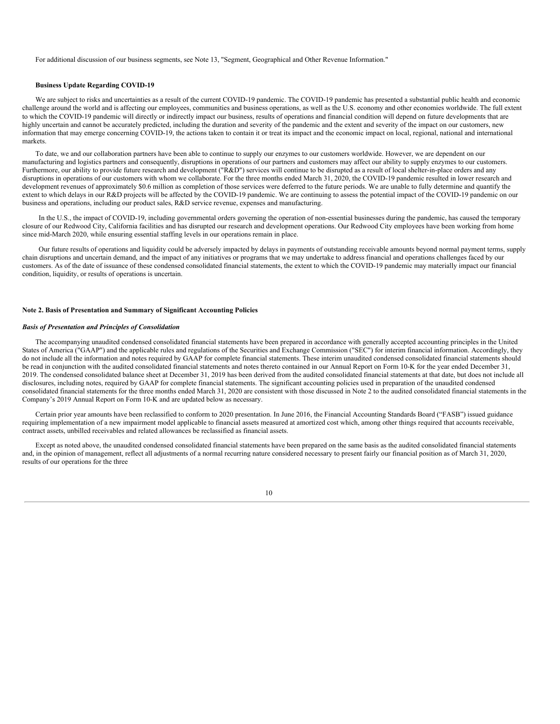For additional discussion of our business segments, see Note 13, "Segment, Geographical and Other Revenue Information."

## **Business Update Regarding COVID-19**

We are subject to risks and uncertainties as a result of the current COVID-19 pandemic. The COVID-19 pandemic has presented a substantial public health and economic challenge around the world and is affecting our employees, communities and business operations, as well as the U.S. economy and other economies worldwide. The full extent to which the COVID-19 pandemic will directly or indirectly impact our business, results of operations and financial condition will depend on future developments that are highly uncertain and cannot be accurately predicted, including the duration and severity of the pandemic and the extent and severity of the impact on our customers, new information that may emerge concerning COVID-19, the actions taken to contain it or treat its impact and the economic impact on local, regional, national and international markets.

To date, we and our collaboration partners have been able to continue to supply our enzymes to our customers worldwide. However, we are dependent on our manufacturing and logistics partners and consequently, disruptions in operations of our partners and customers may affect our ability to supply enzymes to our customers. Furthermore, our ability to provide future research and development ("R&D") services will continue to be disrupted as a result of local shelter-in-place orders and any disruptions in operations of our customers with whom we collaborate. For the three months ended March 31, 2020, the COVID-19 pandemic resulted in lower research and development revenues of approximately \$0.6 million as completion of those services were deferred to the future periods. We are unable to fully determine and quantify the extent to which delays in our R&D projects will be affected by the COVID-19 pandemic. We are continuing to assess the potential impact of the COVID-19 pandemic on our business and operations, including our product sales, R&D service revenue, expenses and manufacturing.

In the U.S., the impact of COVID-19, including governmental orders governing the operation of non-essential businesses during the pandemic, has caused the temporary closure of our Redwood City, California facilities and has disrupted our research and development operations. Our Redwood City employees have been working from home since mid-March 2020, while ensuring essential staffing levels in our operations remain in place.

Our future results of operations and liquidity could be adversely impacted by delays in payments of outstanding receivable amounts beyond normal payment terms, supply chain disruptions and uncertain demand, and the impact of any initiatives or programs that we may undertake to address financial and operations challenges faced by our customers. As of the date of issuance of these condensed consolidated financial statements, the extent to which the COVID-19 pandemic may materially impact our financial condition, liquidity, or results of operations is uncertain.

### **Note 2. Basis of Presentation and Summary of Significant Accounting Policies**

## *Basis of Presentation and Principles of Consolidation*

The accompanying unaudited condensed consolidated financial statements have been prepared in accordance with generally accepted accounting principles in the United States of America ("GAAP") and the applicable rules and regulations of the Securities and Exchange Commission ("SEC") for interim financial information. Accordingly, they do not include all the information and notes required by GAAP for complete financial statements. These interim unaudited condensed consolidated financial statements should be read in conjunction with the audited consolidated financial statements and notes thereto contained in our Annual Report on Form 10-K for the year ended December 31, 2019. The condensed consolidated balance sheet at December 31, 2019 has been derived from the audited consolidated financial statements at that date, but does not include all disclosures, including notes, required by GAAP for complete financial statements. The significant accounting policies used in preparation of the unaudited condensed consolidated financial statements for the three months ended March 31, 2020 are consistent with those discussed in Note 2 to the audited consolidated financial statements in the Company's 2019 Annual Report on Form 10-K and are updated below as necessary.

Certain prior year amounts have been reclassified to conform to 2020 presentation. In June 2016, the Financial Accounting Standards Board ("FASB") issued guidance requiring implementation of a new impairment model applicable to financial assets measured at amortized cost which, among other things required that accounts receivable, contract assets, unbilled receivables and related allowances be reclassified as financial assets.

Except as noted above, the unaudited condensed consolidated financial statements have been prepared on the same basis as the audited consolidated financial statements and, in the opinion of management, reflect all adjustments of a normal recurring nature considered necessary to present fairly our financial position as of March 31, 2020, results of our operations for the three

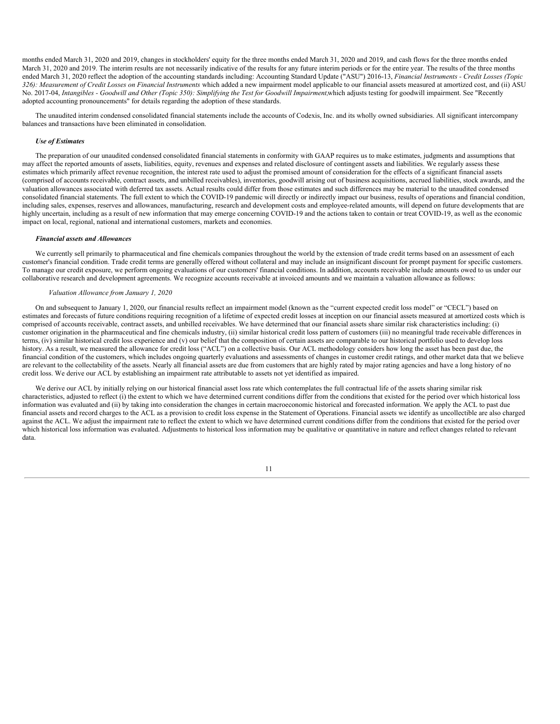months ended March 31, 2020 and 2019, changes in stockholders' equity for the three months ended March 31, 2020 and 2019, and cash flows for the three months ended March 31, 2020 and 2019. The interim results are not necessarily indicative of the results for any future interim periods or for the entire year. The results of the three months ended March 31, 2020 reflect the adoption of the accounting standards including: Accounting Standard Update ("ASU") 2016-13, *Financial Instruments - Credit Losses (Topic* 326): Measurement of Credit Losses on Financial Instruments which added a new impairment model applicable to our financial assets measured at amortized cost, and (ii) ASU No. 2017-04, Intangibles - Goodwill and Other (Topic 350): Simplifying the Test for Goodwill Impairment, which adjusts testing for goodwill impairment. See "Recently adopted accounting pronouncements" for details regarding the adoption of these standards.

The unaudited interim condensed consolidated financial statements include the accounts of Codexis, Inc. and its wholly owned subsidiaries. All significant intercompany balances and transactions have been eliminated in consolidation.

## *Use of Estimates*

The preparation of our unaudited condensed consolidated financial statements in conformity with GAAP requires us to make estimates, judgments and assumptions that may affect the reported amounts of assets, liabilities, equity, revenues and expenses and related disclosure of contingent assets and liabilities. We regularly assess these estimates which primarily affect revenue recognition, the interest rate used to adjust the promised amount of consideration for the effects of a significant financial assets (comprised of accounts receivable, contract assets, and unbilled receivables), inventories, goodwill arising out of business acquisitions, accrued liabilities, stock awards, and the valuation allowances associated with deferred tax assets. Actual results could differ from those estimates and such differences may be material to the unaudited condensed consolidated financial statements. The full extent to which the COVID-19 pandemic will directly or indirectly impact our business, results of operations and financial condition, including sales, expenses, reserves and allowances, manufacturing, research and development costs and employee-related amounts, will depend on future developments that are highly uncertain, including as a result of new information that may emerge concerning COVID-19 and the actions taken to contain or treat COVID-19, as well as the economic impact on local, regional, national and international customers, markets and economies.

## *Financial assets and Allowances*

We currently sell primarily to pharmaceutical and fine chemicals companies throughout the world by the extension of trade credit terms based on an assessment of each customer's financial condition. Trade credit terms are generally offered without collateral and may include an insignificant discount for prompt payment for specific customers. To manage our credit exposure, we perform ongoing evaluations of our customers' financial conditions. In addition, accounts receivable include amounts owed to us under our collaborative research and development agreements. We recognize accounts receivable at invoiced amounts and we maintain a valuation allowance as follows:

#### *Valuation Allowance from January 1, 2020*

On and subsequent to January 1, 2020, our financial results reflect an impairment model (known as the "current expected credit loss model" or "CECL") based on estimates and forecasts of future conditions requiring recognition of a lifetime of expected credit losses at inception on our financial assets measured at amortized costs which is comprised of accounts receivable, contract assets, and unbilled receivables. We have determined that our financial assets share similar risk characteristics including: (i) customer origination in the pharmaceutical and fine chemicals industry, (ii) similar historical credit loss pattern of customers (iii) no meaningful trade receivable differences in terms, (iv) similar historical credit loss experience and (v) our belief that the composition of certain assets are comparable to our historical portfolio used to develop loss history. As a result, we measured the allowance for credit loss ("ACL") on a collective basis. Our ACL methodology considers how long the asset has been past due, the financial condition of the customers, which includes ongoing quarterly evaluations and assessments of changes in customer credit ratings, and other market data that we believe are relevant to the collectability of the assets. Nearly all financial assets are due from customers that are highly rated by major rating agencies and have a long history of no credit loss. We derive our ACL by establishing an impairment rate attributable to assets not yet identified as impaired.

We derive our ACL by initially relying on our historical financial asset loss rate which contemplates the full contractual life of the assets sharing similar risk characteristics, adjusted to reflect (i) the extent to which we have determined current conditions differ from the conditions that existed for the period over which historical loss information was evaluated and (ii) by taking into consideration the changes in certain macroeconomic historical and forecasted information. We apply the ACL to past due financial assets and record charges to the ACL as a provision to credit loss expense in the Statement of Operations. Financial assets we identify as uncollectible are also charged against the ACL. We adjust the impairment rate to reflect the extent to which we have determined current conditions differ from the conditions that existed for the period over which historical loss information was evaluated. Adjustments to historical loss information may be qualitative or quantitative in nature and reflect changes related to relevant data.

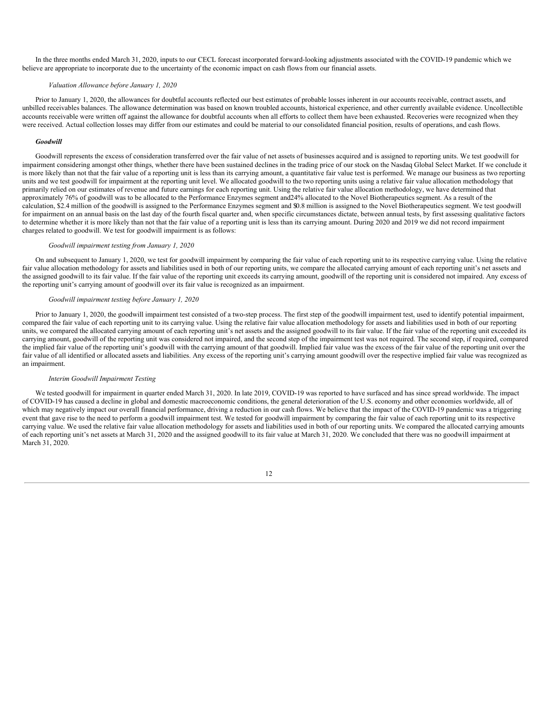In the three months ended March 31, 2020, inputs to our CECL forecast incorporated forward-looking adjustments associated with the COVID-19 pandemic which we believe are appropriate to incorporate due to the uncertainty of the economic impact on cash flows from our financial assets.

#### *Valuation Allowance before January 1, 2020*

Prior to January 1, 2020, the allowances for doubtful accounts reflected our best estimates of probable losses inherent in our accounts receivable, contract assets, and unbilled receivables balances. The allowance determination was based on known troubled accounts, historical experience, and other currently available evidence. Uncollectible accounts receivable were written off against the allowance for doubtful accounts when all efforts to collect them have been exhausted. Recoveries were recognized when they were received. Actual collection losses may differ from our estimates and could be material to our consolidated financial position, results of operations, and cash flows.

#### *Goodwill*

Goodwill represents the excess of consideration transferred over the fair value of net assets of businesses acquired and is assigned to reporting units. We test goodwill for impairment considering amongst other things, whether there have been sustained declines in the trading price of our stock on the Nasdaq Global Select Market. If we conclude it is more likely than not that the fair value of a reporting unit is less than its carrying amount, a quantitative fair value test is performed. We manage our business as two reporting units and we test goodwill for impairment at the reporting unit level. We allocated goodwill to the two reporting units using a relative fair value allocation methodology that primarily relied on our estimates of revenue and future earnings for each reporting unit. Using the relative fair value allocation methodology, we have determined that approximately 76% of goodwill was to be allocated to the Performance Enzymes segment and24% allocated to the Novel Biotherapeutics segment. As a result of the calculation, \$2.4 million of the goodwill is assigned to the Performance Enzymes segment and \$0.8 million is assigned to the Novel Biotherapeutics segment. We test goodwill for impairment on an annual basis on the last day of the fourth fiscal quarter and, when specific circumstances dictate, between annual tests, by first assessing qualitative factors to determine whether it is more likely than not that the fair value of a reporting unit is less than its carrying amount. During 2020 and 2019 we did not record impairment charges related to goodwill. We test for goodwill impairment is as follows:

## *Goodwill impairment testing from January 1, 2020*

On and subsequent to January 1, 2020, we test for goodwill impairment by comparing the fair value of each reporting unit to its respective carrying value. Using the relative fair value allocation methodology for assets and liabilities used in both of our reporting units, we compare the allocated carrying amount of each reporting unit's net assets and the assigned goodwill to its fair value. If the fair value of the reporting unit exceeds its carrying amount, goodwill of the reporting unit is considered not impaired. Any excess of the reporting unit's carrying amount of goodwill over its fair value is recognized as an impairment.

#### *Goodwill impairment testing before January 1, 2020*

Prior to January 1, 2020, the goodwill impairment test consisted of a two-step process. The first step of the goodwill impairment test, used to identify potential impairment, compared the fair value of each reporting unit to its carrying value. Using the relative fair value allocation methodology for assets and liabilities used in both of our reporting units, we compared the allocated carrying amount of each reporting unit's net assets and the assigned goodwill to its fair value. If the fair value of the reporting unit exceeded its carrying amount, goodwill of the reporting unit was considered not impaired, and the second step of the impairment test was not required. The second step, if required, compared the implied fair value of the reporting unit's goodwill with the carrying amount of that goodwill. Implied fair value was the excess of the fair value of the reporting unit over the fair value of all identified or allocated assets and liabilities. Any excess of the reporting unit's carrying amount goodwill over the respective implied fair value was recognized as an impairment.

## *Interim Goodwill Impairment Testing*

We tested goodwill for impairment in quarter ended March 31, 2020. In late 2019, COVID-19 was reported to have surfaced and has since spread worldwide. The impact of COVID-19 has caused a decline in global and domestic macroeconomic conditions, the general deterioration of the U.S. economy and other economies worldwide, all of which may negatively impact our overall financial performance, driving a reduction in our cash flows. We believe that the impact of the COVID-19 pandemic was a triggering event that gave rise to the need to perform a goodwill impairment test. We tested for goodwill impairment by comparing the fair value of each reporting unit to its respective carrying value. We used the relative fair value allocation methodology for assets and liabilities used in both of our reporting units. We compared the allocated carrying amounts of each reporting unit's net assets at March 31, 2020 and the assigned goodwill to its fair value at March 31, 2020. We concluded that there was no goodwill impairment at March 31, 2020

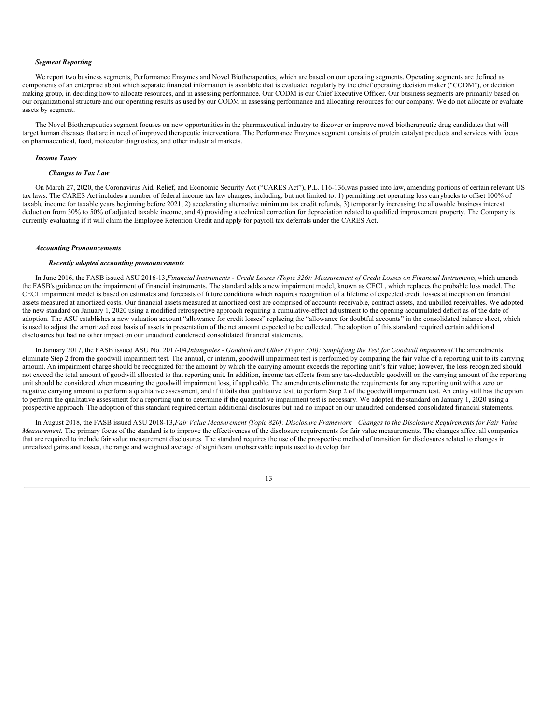## *Segment Reporting*

We report two business segments, Performance Enzymes and Novel Biotherapeutics, which are based on our operating segments. Operating segments are defined as components of an enterprise about which separate financial information is available that is evaluated regularly by the chief operating decision maker ("CODM"), or decision making group, in deciding how to allocate resources, and in assessing performance. Our CODM is our Chief Executive Officer. Our business segments are primarily based on our organizational structure and our operating results as used by our CODM in assessing performance and allocating resources for our company. We do not allocate or evaluate assets by segment.

The Novel Biotherapeutics segment focuses on new opportunities in the pharmaceutical industry to discover or improve novel biotherapeutic drug candidates that will target human diseases that are in need of improved therapeutic interventions. The Performance Enzymes segment consists of protein catalyst products and services with focus on pharmaceutical, food, molecular diagnostics, and other industrial markets.

#### *Income Taxes*

## *Changes to Tax Law*

On March 27, 2020, the Coronavirus Aid, Relief, and Economic Security Act ("CARES Act"), P.L. 116-136,was passed into law, amending portions of certain relevant US tax laws. The CARES Act includes a number of federal income tax law changes, including, but not limited to: 1) permitting net operating loss carrybacks to offset 100% of taxable income for taxable years beginning before 2021, 2) accelerating alternative minimum tax credit refunds, 3) temporarily increasing the allowable business interest deduction from 30% to 50% of adjusted taxable income, and 4) providing a technical correction for depreciation related to qualified improvement property. The Company is currently evaluating if it will claim the Employee Retention Credit and apply for payroll tax deferrals under the CARES Act.

#### *Accounting Pronouncements*

#### *Recently adopted accounting pronouncements*

In June 2016, the FASB issued ASU 2016-13, Financial Instruments - Credit Losses (Topic 326): Measurement of Credit Losses on Financial Instruments, which amends the FASB's guidance on the impairment of financial instruments. The standard adds a new impairment model, known as CECL, which replaces the probable loss model. The CECL impairment model is based on estimates and forecasts of future conditions which requires recognition of a lifetime of expected credit losses at inception on financial assets measured at amortized costs. Our financial assets measured at amortized cost are comprised of accounts receivable, contract assets, and unbilled receivables. We adopted the new standard on January 1, 2020 using a modified retrospective approach requiring a cumulative-effect adjustment to the opening accumulated deficit as of the date of adoption. The ASU establishes a new valuation account "allowance for credit losses" replacing the "allowance for doubtful accounts" in the consolidated balance sheet, which is used to adjust the amortized cost basis of assets in presentation of the net amount expected to be collected. The adoption of this standard required certain additional disclosures but had no other impact on our unaudited condensed consolidated financial statements.

In January 2017, the FASB issued ASU No. 2017-04 Intangibles - Goodwill and Other (Topic 350): Simplifying the Test for Goodwill Impairment. The amendments eliminate Step 2 from the goodwill impairment test. The annual, or interim, goodwill impairment test is performed by comparing the fair value of a reporting unit to its carrying amount. An impairment charge should be recognized for the amount by which the carrying amount exceeds the reporting unit's fair value; however, the loss recognized should not exceed the total amount of goodwill allocated to that reporting unit. In addition, income tax effects from any tax-deductible goodwill on the carrying amount of the reporting unit should be considered when measuring the goodwill impairment loss, if applicable. The amendments eliminate the requirements for any reporting unit with a zero or negative carrying amount to perform a qualitative assessment, and if it fails that qualitative test, to perform Step 2 of the goodwill impairment test. An entity still has the option to perform the qualitative assessment for a reporting unit to determine if the quantitative impairment test is necessary. We adopted the standard on January 1, 2020 using a prospective approach. The adoption of this standard required certain additional disclosures but had no impact on our unaudited condensed consolidated financial statements.

In August 2018, the FASB issued ASU 2018-13, Fair Value Measurement (Topic 820): Disclosure Framework-Changes to the Disclosure Requirements for Fair Value *Measurement.* The primary focus of the standard is to improve the effectiveness of the disclosure requirements for fair value measurements. The changes affect all companies that are required to include fair value measurement disclosures. The standard requires the use of the prospective method of transition for disclosures related to changes in unrealized gains and losses, the range and weighted average of significant unobservable inputs used to develop fair

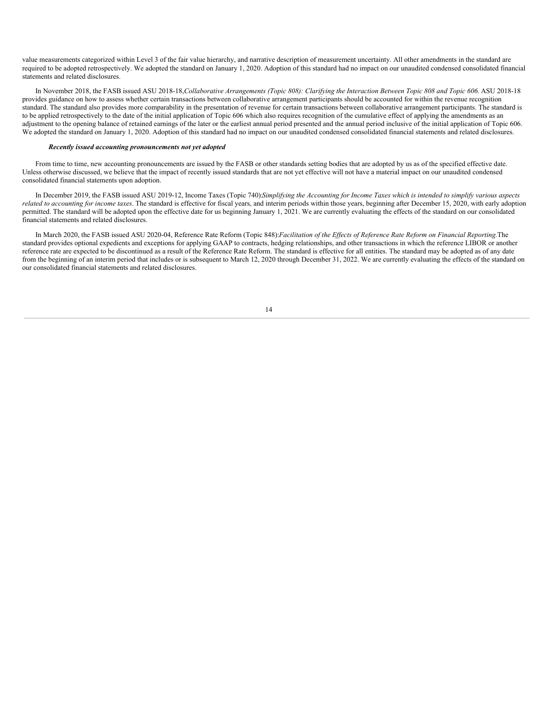value measurements categorized within Level 3 of the fair value hierarchy, and narrative description of measurement uncertainty. All other amendments in the standard are required to be adopted retrospectively. We adopted the standard on January 1, 2020. Adoption of this standard had no impact on our unaudited condensed consolidated financial statements and related disclosures.

In November 2018, the FASB issued ASU 2018-18, Collaborative Arrangements (Topic 808): Clarifying the Interaction Between Topic 808 and Topic 606. ASU 2018-18 provides guidance on how to assess whether certain transactions between collaborative arrangement participants should be accounted for within the revenue recognition standard. The standard also provides more comparability in the presentation of revenue for certain transactions between collaborative arrangement participants. The standard is to be applied retrospectively to the date of the initial application of Topic 606 which also requires recognition of the cumulative effect of applying the amendments as an adjustment to the opening balance of retained earnings of the later or the earliest annual period presented and the annual period inclusive of the initial application of Topic 606. We adopted the standard on January 1, 2020. Adoption of this standard had no impact on our unaudited condensed consolidated financial statements and related disclosures.

#### *Recently issued accounting pronouncements not yet adopted*

From time to time, new accounting pronouncements are issued by the FASB or other standards setting bodies that are adopted by us as of the specified effective date. Unless otherwise discussed, we believe that the impact of recently issued standards that are not yet effective will not have a material impact on our unaudited condensed consolidated financial statements upon adoption.

In December 2019, the FASB issued ASU 2019-12, Income Taxes (Topic 740):Simplifying the Accounting for Income Taxes which is intended to simplify various aspects *related to accounting for income <i>taxes*. The standard is effective for fiscal years, and interim periods within those years, beginning after December 15, 2020, with early adoption permitted. The standard will be adopted upon the effective date for us beginning January 1, 2021. We are currently evaluating the effects of the standard on our consolidated financial statements and related disclosures.

In March 2020, the FASB issued ASU 2020-04, Reference Rate Reform (Topic 848): Facilitation of the Effects of Reference Rate Reform on Financial Reporting. The standard provides optional expedients and exceptions for applying GAAP to contracts, hedging relationships, and other transactions in which the reference LIBOR or another reference rate are expected to be discontinued as a result of the Reference Rate Reform. The standard is effective for all entities. The standard may be adopted as of any date from the beginning of an interim period that includes or is subsequent to March 12, 2020 through December 31, 2022. We are currently evaluating the effects of the standard on our consolidated financial statements and related disclosures.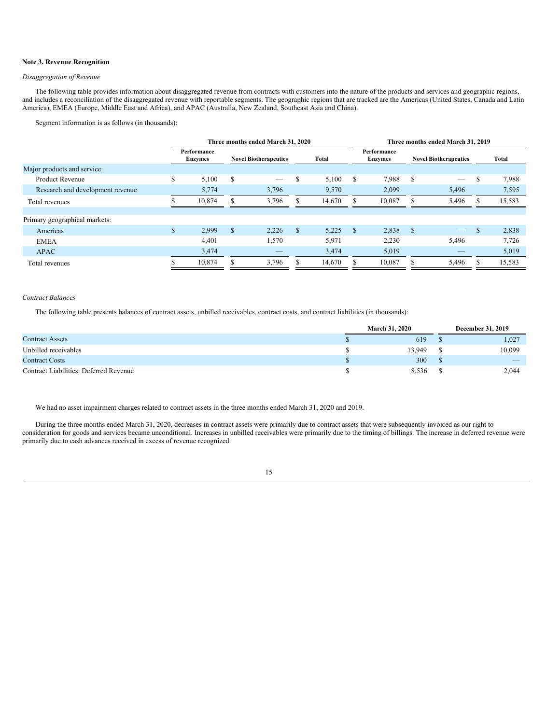## **Note 3. Revenue Recognition**

## *Disaggregation of Revenue*

The following table provides information about disaggregated revenue from contracts with customers into the nature of the products and services and geographic regions, and includes a reconciliation of the disaggregated revenue with reportable segments. The geographic regions that are tracked are the Americas (United States, Canada and Latin America), EMEA (Europe, Middle East and Africa), and APAC (Australia, New Zealand, Southeast Asia and China).

Segment information is as follows (in thousands):

|                                  |    | Three months ended March 31, 2020 |              |                              |     |        | Three months ended March 31, 2019 |                               |      |                              |    |        |  |
|----------------------------------|----|-----------------------------------|--------------|------------------------------|-----|--------|-----------------------------------|-------------------------------|------|------------------------------|----|--------|--|
|                                  |    | Performance<br>Enzymes            |              | <b>Novel Biotherapeutics</b> |     | Total  |                                   | Performance<br><b>Enzymes</b> |      | <b>Novel Biotherapeutics</b> |    | Total  |  |
| Major products and service:      |    |                                   |              |                              |     |        |                                   |                               |      |                              |    |        |  |
| <b>Product Revenue</b>           | S  | 5,100                             | S            |                              | S   | 5,100  | S                                 | 7,988                         | S    |                              | S  | 7,988  |  |
| Research and development revenue |    | 5,774                             |              | 3,796                        |     | 9,570  |                                   | 2,099                         |      | 5,496                        |    | 7,595  |  |
| Total revenues                   |    | 10.874                            |              | 3.796                        |     | 14.670 |                                   | 10.087                        |      | 5,496                        |    | 15,583 |  |
|                                  |    |                                   |              |                              |     |        |                                   |                               |      |                              |    |        |  |
| Primary geographical markets:    |    |                                   |              |                              |     |        |                                   |                               |      |                              |    |        |  |
| Americas                         | \$ | 2,999                             | $\mathbb{S}$ | 2,226                        | \$. | 5,225  | \$                                | 2,838                         | - \$ | $\overline{\phantom{a}}$     | \$ | 2,838  |  |
| <b>EMEA</b>                      |    | 4,401                             |              | 1,570                        |     | 5,971  |                                   | 2,230                         |      | 5,496                        |    | 7,726  |  |
| <b>APAC</b>                      |    | 3,474                             |              | _                            |     | 3,474  |                                   | 5,019                         |      |                              |    | 5,019  |  |
| Total revenues                   |    | 10,874                            |              | 3,796                        |     | 14,670 |                                   | 10,087                        | S    | 5,496                        |    | 15,583 |  |

## *Contract Balances*

The following table presents balances of contract assets, unbilled receivables, contract costs, and contract liabilities (in thousands):

|                                        |  | <b>March 31, 2020</b> | <b>December 31, 2019</b> |
|----------------------------------------|--|-----------------------|--------------------------|
| <b>Contract Assets</b>                 |  | 619                   | 1,027                    |
| Unbilled receivables                   |  | 13.949                | 10,099                   |
| <b>Contract Costs</b>                  |  | 300                   | $-$                      |
| Contract Liabilities: Deferred Revenue |  | 8,536                 | 2,044                    |

We had no asset impairment charges related to contract assets in the three months ended March 31, 2020 and 2019.

During the three months ended March 31, 2020, decreases in contract assets were primarily due to contract assets that were subsequently invoiced as our right to consideration for goods and services became unconditional. Increases in unbilled receivables were primarily due to the timing of billings. The increase in deferred revenue were primarily due to cash advances received in excess of revenue recognized.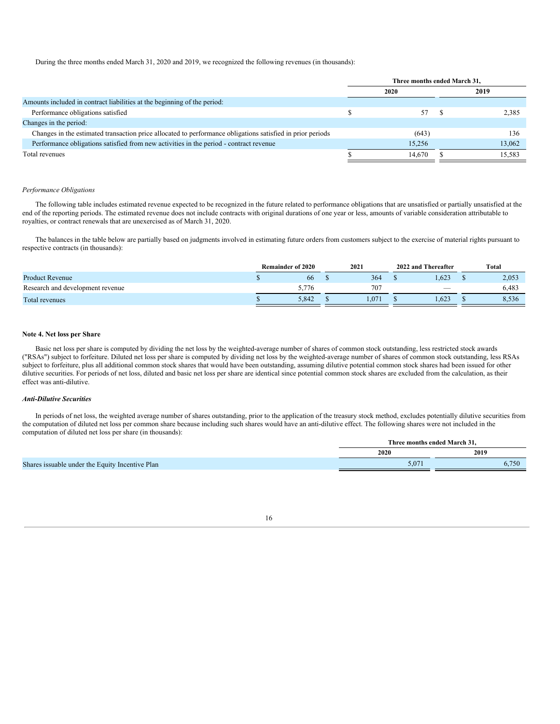During the three months ended March 31, 2020 and 2019, we recognized the following revenues (in thousands):

|                                                                                                            | Three months ended March 31, |  |        |  |  |
|------------------------------------------------------------------------------------------------------------|------------------------------|--|--------|--|--|
|                                                                                                            | 2020                         |  | 2019   |  |  |
| Amounts included in contract liabilities at the beginning of the period:                                   |                              |  |        |  |  |
| Performance obligations satisfied                                                                          | 57                           |  | 2,385  |  |  |
| Changes in the period:                                                                                     |                              |  |        |  |  |
| Changes in the estimated transaction price allocated to performance obligations satisfied in prior periods | (643)                        |  | 136    |  |  |
| Performance obligations satisfied from new activities in the period - contract revenue                     | 15.256                       |  | 13.062 |  |  |
| Total revenues                                                                                             | 14.670                       |  | 15,583 |  |  |

## *Performance Obligations*

The following table includes estimated revenue expected to be recognized in the future related to performance obligations that are unsatisfied or partially unsatisfied at the end of the reporting periods. The estimated revenue does not include contracts with original durations of one year or less, amounts of variable consideration attributable to royalties, or contract renewals that are unexercised as of March 31, 2020.

The balances in the table below are partially based on judgments involved in estimating future orders from customers subject to the exercise of material rights pursuant to respective contracts (in thousands):

|                                  | <b>Remainder of 2020</b> |       | 2021 |       |  |      |       |  |  |  |  |  | 2022 and Thereafter | Total |
|----------------------------------|--------------------------|-------|------|-------|--|------|-------|--|--|--|--|--|---------------------|-------|
| <b>Product Revenue</b>           |                          | 66    |      | 364   |  | .623 | 2,053 |  |  |  |  |  |                     |       |
| Research and development revenue |                          | 5.776 |      | 707   |  | -    | 6,483 |  |  |  |  |  |                     |       |
| Total revenues                   |                          | 5.842 |      | 1.071 |  | .623 | 8,536 |  |  |  |  |  |                     |       |

## **Note 4. Net loss per Share**

Basic net loss per share is computed by dividing the net loss by the weighted-average number of shares of common stock outstanding, less restricted stock awards ("RSAs") subject to forfeiture. Diluted net loss per share is computed by dividing net loss by the weighted-average number of shares of common stock outstanding, less RSAs subject to forfeiture, plus all additional common stock shares that would have been outstanding, assuming dilutive potential common stock shares had been issued for other dilutive securities. For periods of net loss, diluted and basic net loss per share are identical since potential common stock shares are excluded from the calculation, as their effect was anti-dilutive.

## *Anti-Dilutive Securities*

In periods of net loss, the weighted average number of shares outstanding, prior to the application of the treasury stock method, excludes potentially dilutive securities from the computation of diluted net loss per common share because including such shares would have an anti-dilutive effect. The following shares were not included in the computation of diluted net loss per share (in thousands):

|                                                 | Three months ended March 31. |       |  |  |  |
|-------------------------------------------------|------------------------------|-------|--|--|--|
|                                                 | 2020                         | 2019  |  |  |  |
| Shares issuable under the Equity Incentive Plan | $5.07^{*}$                   | 6,750 |  |  |  |

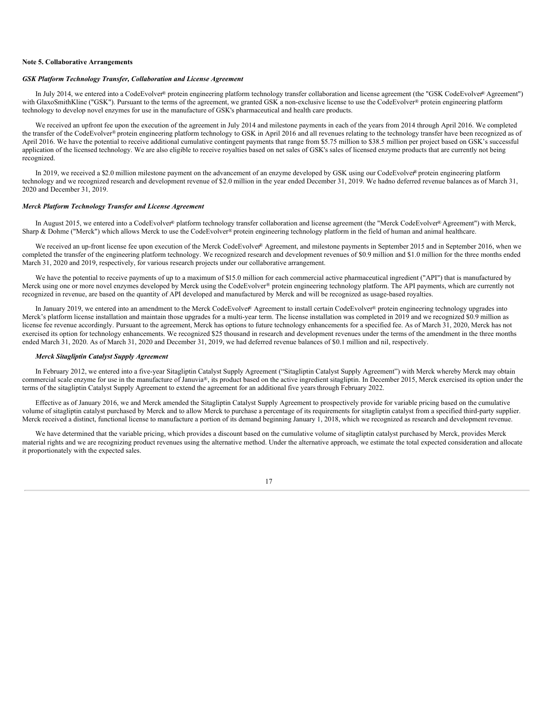#### **Note 5. Collaborative Arrangements**

## *GSK Platform Technology Transfer, Collaboration and License Agreement*

In July 2014, we entered into a CodeEvolver® protein engineering platform technology transfer collaboration and license agreement (the "GSK CodeEvolver® Agreement") with GlaxoSmithKline ("GSK"). Pursuant to the terms of the agreement, we granted GSK a non-exclusive license to use the CodeEvolver® protein engineering platform technology to develop novel enzymes for use in the manufacture of GSK's pharmaceutical and health care products.

We received an upfront fee upon the execution of the agreement in July 2014 and milestone payments in each of the years from 2014 through April 2016. We completed the transfer of the CodeEvolver® protein engineering platform technology to GSK in April 2016 and all revenues relating to the technology transfer have been recognized as of April 2016. We have the potential to receive additional cumulative contingent payments that range from \$5.75 million to \$38.5 million per project based on GSK's successful application of the licensed technology. We are also eligible to receive royalties based on net sales of GSK's sales of licensed enzyme products that are currently not being recognized.

In 2019, we received a \$2.0 million milestone payment on the advancement of an enzyme developed by GSK using our CodeEvolver® protein engineering platform technology and we recognized research and development revenue of \$2.0 million in the year ended December 31, 2019. We hadno deferred revenue balances as of March 31, 2020 and December 31, 2019.

## *Merck Platform Technology Transfer and License Agreement*

In August 2015, we entered into a CodeEvolver® platform technology transfer collaboration and license agreement (the "Merck CodeEvolver® Agreement") with Merck, Sharp & Dohme ("Merck") which allows Merck to use the CodeEvolver® protein engineering technology platform in the field of human and animal healthcare.

We received an up-front license fee upon execution of the Merck CodeEvolver® Agreement, and milestone payments in September 2015 and in September 2016, when we completed the transfer of the engineering platform technology. We recognized research and development revenues of \$0.9 million and \$1.0 million for the three months ended March 31, 2020 and 2019, respectively, for various research projects under our collaborative arrangement.

We have the potential to receive payments of up to a maximum of \$15.0 million for each commercial active pharmaceutical ingredient ("API") that is manufactured by Merck using one or more novel enzymes developed by Merck using the CodeEvolver® protein engineering technology platform. The API payments, which are currently not recognized in revenue, are based on the quantity of API developed and manufactured by Merck and will be recognized as usage-based royalties.

In January 2019, we entered into an amendment to the Merck CodeEvolver® Agreement to install certain CodeEvolver® protein engineering technology upgrades into Merck's platform license installation and maintain those upgrades for a multi-year term. The license installation was completed in 2019 and we recognized \$0.9 million as license fee revenue accordingly. Pursuant to the agreement, Merck has options to future technology enhancements for a specified fee. As of March 31, 2020, Merck has not exercised its option for technology enhancements. We recognized \$25 thousand in research and development revenues under the terms of the amendment in the three months ended March 31, 2020. As of March 31, 2020 and December 31, 2019, we had deferred revenue balances of \$0.1 million and nil, respectively.

## *Merck Sitagliptin Catalyst Supply Agreement*

In February 2012, we entered into a five-year Sitagliptin Catalyst Supply Agreement ("Sitagliptin Catalyst Supply Agreement") with Merck whereby Merck may obtain commercial scale enzyme for use in the manufacture of Januvia®, its product based on the active ingredient sitagliptin. In December 2015, Merck exercised its option under the terms of the sitagliptin Catalyst Supply Agreement to extend the agreement for an additional five yearsthrough February 2022.

Effective as of January 2016, we and Merck amended the Sitagliptin Catalyst Supply Agreement to prospectively provide for variable pricing based on the cumulative volume of sitagliptin catalyst purchased by Merck and to allow Merck to purchase a percentage of its requirements for sitagliptin catalyst from a specified third-party supplier. Merck received a distinct, functional license to manufacture a portion of its demand beginning January 1, 2018, which we recognized as research and development revenue.

We have determined that the variable pricing, which provides a discount based on the cumulative volume of sitagliptin catalyst purchased by Merck, provides Merck material rights and we are recognizing product revenues using the alternative method. Under the alternative approach, we estimate the total expected consideration and allocate it proportionately with the expected sales.

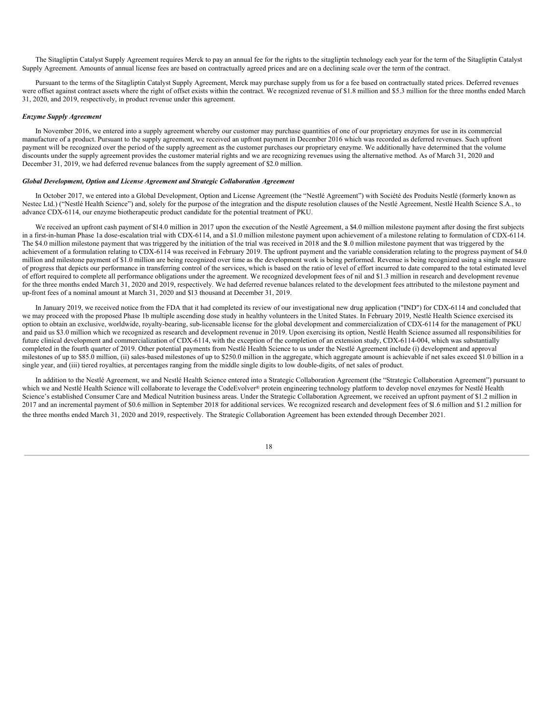The Sitagliptin Catalyst Supply Agreement requires Merck to pay an annual fee for the rights to the sitagliptin technology each year for the term of the Sitagliptin Catalyst Supply Agreement. Amounts of annual license fees are based on contractually agreed prices and are on a declining scale over the term of the contract.

Pursuant to the terms of the Sitagliptin Catalyst Supply Agreement, Merck may purchase supply from us for a fee based on contractually stated prices. Deferred revenues were offset against contract assets where the right of offset exists within the contract. We recognized revenue of \$1.8 million and \$5.3 million for the three months ended March 31, 2020, and 2019, respectively, in product revenue under this agreement.

#### *Enzyme Supply Agreement*

In November 2016, we entered into a supply agreement whereby our customer may purchase quantities of one of our proprietary enzymes for use in its commercial manufacture of a product. Pursuant to the supply agreement, we received an upfront payment in December 2016 which was recorded as deferred revenues. Such upfront payment will be recognized over the period of the supply agreement as the customer purchases our proprietary enzyme. We additionally have determined that the volume discounts under the supply agreement provides the customer material rights and we are recognizing revenues using the alternative method. As of March 31, 2020 and December 31, 2019, we had deferred revenue balances from the supply agreement of \$2.0 million.

## *Global Development, Option and License Agreement and Strategic Collaboration Agreement*

In October 2017, we entered into a Global Development, Option and License Agreement (the "Nestlé Agreement") with Société des Produits Nestlé (formerly known as Nestec Ltd.) ("Nestlé Health Science") and, solely for the purpose of the integration and the dispute resolution clauses of the Nestlé Agreement, Nestlé Health Science S.A., to advance CDX-6114, our enzyme biotherapeutic product candidate for the potential treatment of PKU.

We received an upfront cash payment of \$14.0 million in 2017 upon the execution of the Nestlé Agreement, a \$4.0 million milestone payment after dosing the first subjects in a first-in-human Phase 1a dose-escalation trial with CDX-6114, and a \$1.0 million milestone payment upon achievement of a milestone relating to formulation of CDX-6114. The \$4.0 million milestone payment that was triggered by the initiation of the trial was received in 2018 and the \$1.0 million milestone payment that was triggered by the achievement of a formulation relating to CDX-6114 was received in February 2019. The upfront payment and the variable consideration relating to the progress payment of \$4.0 million and milestone payment of \$1.0 million are being recognized over time as the development work is being performed. Revenue is being recognized using a single measure of progress that depicts our performance in transferring control of the services, which is based on the ratio of level of effort incurred to date compared to the total estimated level of effort required to complete all performance obligations under the agreement. We recognized development fees of nil and \$1.3 million in research and development revenue for the three months ended March 31, 2020 and 2019, respectively. We had deferred revenue balances related to the development fees attributed to the milestone payment and up-front fees of a nominal amount at March 31, 2020 and \$13 thousand at December 31, 2019.

In January 2019, we received notice from the FDA that it had completed its review of our investigational new drug application ("IND") for CDX-6114 and concluded that we may proceed with the proposed Phase 1b multiple ascending dose study in healthy volunteers in the United States. In February 2019, Nestlé Health Science exercised its option to obtain an exclusive, worldwide, royalty-bearing, sub-licensable license for the global development and commercialization of CDX-6114 for the management of PKU and paid us \$3.0 million which we recognized as research and development revenue in 2019. Upon exercising its option, Nestlé Health Science assumed all responsibilities for future clinical development and commercialization of CDX-6114, with the exception of the completion of an extension study, CDX-6114-004, which was substantially completed in the fourth quarter of 2019. Other potential payments from Nestlé Health Science to us under the Nestlé Agreement include (i) development and approval milestones of up to \$85.0 million, (ii) sales-based milestones of up to \$250.0 million in the aggregate, which aggregate amount is achievable if net sales exceed \$1.0 billion in a single year, and (iii) tiered royalties, at percentages ranging from the middle single digits to low double-digits, of net sales of product.

In addition to the Nestlé Agreement, we and Nestlé Health Science entered into a Strategic Collaboration Agreement (the "Strategic Collaboration Agreement") pursuant to which we and Nestlé Health Science will collaborate to leverage the CodeEvolver® protein engineering technology platform to develop novel enzymes for Nestlé Health Science's established Consumer Care and Medical Nutrition business areas. Under the Strategic Collaboration Agreement, we received an upfront payment of \$1.2 million in 2017 and an incremental payment of \$0.6 million in September 2018 for additional services. We recognized research and development fees of \$1.6 million and \$1.2 million for the three months ended March 31, 2020 and 2019, respectively. The Strategic Collaboration Agreement has been extended through December 2021.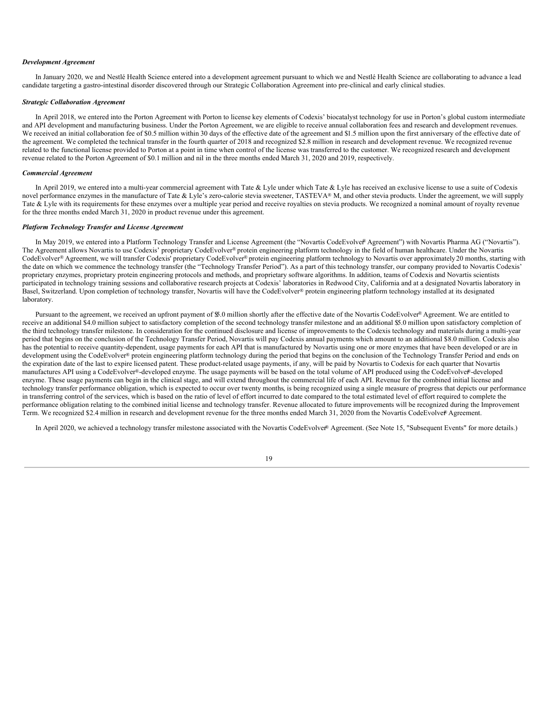## *Development Agreement*

In January 2020, we and Nestlé Health Science entered into a development agreement pursuant to which we and Nestlé Health Science are collaborating to advance a lead candidate targeting a gastro-intestinal disorder discovered through our Strategic Collaboration Agreement into pre-clinical and early clinical studies.

#### *Strategic Collaboration Agreement*

In April 2018, we entered into the Porton Agreement with Porton to license key elements of Codexis' biocatalyst technology for use in Porton's global custom intermediate and API development and manufacturing business. Under the Porton Agreement, we are eligible to receive annual collaboration fees and research and development revenues. We received an initial collaboration fee of \$0.5 million within 30 days of the effective date of the agreement and \$1.5 million upon the first anniversary of the effective date of the agreement. We completed the technical transfer in the fourth quarter of 2018 and recognized \$2.8 million in research and development revenue. We recognized revenue related to the functional license provided to Porton at a point in time when control of the license was transferred to the customer. We recognized research and development revenue related to the Porton Agreement of \$0.1 million and nil in the three months ended March 31, 2020 and 2019, respectively.

#### *Commercial Agreement*

In April 2019, we entered into a multi-year commercial agreement with Tate & Lyle under which Tate & Lyle has received an exclusive license to use a suite of Codexis novel performance enzymes in the manufacture of Tate & Lyle's zero-calorie stevia sweetener, TASTEVA® M, and other stevia products. Under the agreement, we will supply Tate & Lyle with its requirements for these enzymes over a multiple year period and receive royalties on stevia products. We recognized a nominal amount of royalty revenue for the three months ended March 31, 2020 in product revenue under this agreement.

## *Platform Technology Transfer and License Agreement*

In May 2019, we entered into a Platform Technology Transfer and License Agreement (the "Novartis CodeEvolver® Agreement") with Novartis Pharma AG ("Novartis"). The Agreement allows Novartis to use Codexis' proprietary CodeEvolver® protein engineering platform technology in the field of human healthcare. Under the Novartis CodeEvolver® Agreement, we will transfer Codexis' proprietary CodeEvolver® protein engineering platform technology to Novartis over approximately 20 months, starting with the date on which we commence the technology transfer (the "Technology Transfer Period"). As a part of this technology transfer, our company provided to Novartis Codexis' proprietary enzymes, proprietary protein engineering protocols and methods, and proprietary software algorithms. In addition, teams of Codexis and Novartis scientists participated in technology training sessions and collaborative research projects at Codexis' laboratories in Redwood City, California and at a designated Novartis laboratory in Basel, Switzerland. Upon completion of technology transfer, Novartis will have the CodeEvolver® protein engineering platform technology installed at its designated laboratory.

Pursuant to the agreement, we received an upfront payment of \$5.0 million shortly after the effective date of the Novartis CodeEvolver® Agreement. We are entitled to receive an additional \$4.0 million subject to satisfactory completion of the second technology transfer milestone and an additional \$5.0 million upon satisfactory completion of the third technology transfer milestone. In consideration for the continued disclosure and license of improvements to the Codexis technology and materials during a multi-year period that begins on the conclusion of the Technology Transfer Period, Novartis will pay Codexis annual payments which amount to an additional \$8.0 million. Codexis also has the potential to receive quantity-dependent, usage payments for each API that is manufactured by Novartis using one or more enzymes that have been developed or are in development using the CodeEvolver® protein engineering platform technology during the period that begins on the conclusion of the Technology Transfer Period and ends on the expiration date of the last to expire licensed patent. These product-related usage payments, if any, will be paid by Novartis to Codexis for each quarter that Novartis manufactures API using a CodeEvolver®-developed enzyme. The usage payments will be based on the total volume of API produced using the CodeEvolver®-developed enzyme. These usage payments can begin in the clinical stage, and will extend throughout the commercial life of each API. Revenue for the combined initial license and technology transfer performance obligation, which is expected to occur over twenty months, is being recognized using a single measure of progress that depicts our performance in transferring control of the services, which is based on the ratio of level of effort incurred to date compared to the total estimated level of effort required to complete the performance obligation relating to the combined initial license and technology transfer. Revenue allocated to future improvements will be recognized during the Improvement Term. We recognized \$2.4 million in research and development revenue for the three months ended March 31, 2020 from the Novartis CodeEvolver® Agreement.

In April 2020, we achieved a technology transfer milestone associated with the Novartis CodeEvolver® Agreement. (See Note 15, "Subsequent Events" for more details.)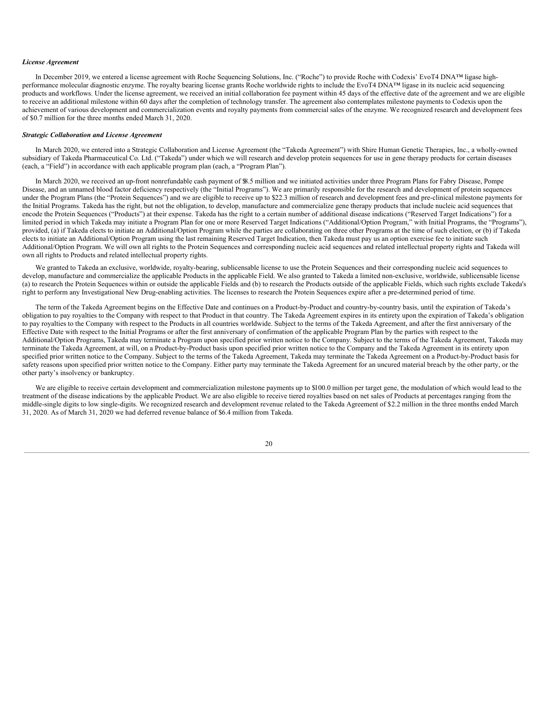## *License Agreement*

In December 2019, we entered a license agreement with Roche Sequencing Solutions, Inc. ("Roche") to provide Roche with Codexis' EvoT4 DNA™ ligase highperformance molecular diagnostic enzyme. The royalty bearing license grants Roche worldwide rights to include the EvoT4 DNA™ ligase in its nucleic acid sequencing products and workflows. Under the license agreement, we received an initial collaboration fee payment within 45 days of the effective date of the agreement and we are eligible to receive an additional milestone within 60 days after the completion of technology transfer. The agreement also contemplates milestone payments to Codexis upon the achievement of various development and commercialization events and royalty payments from commercial sales of the enzyme. We recognized research and development fees of \$0.7 million for the three months ended March 31, 2020.

## *Strategic Collaboration and License Agreement*

In March 2020, we entered into a Strategic Collaboration and License Agreement (the "Takeda Agreement") with Shire Human Genetic Therapies, Inc., a wholly-owned subsidiary of Takeda Pharmaceutical Co. Ltd. ("Takeda") under which we will research and develop protein sequences for use in gene therapy products for certain diseases (each, a "Field") in accordance with each applicable program plan (each, a "Program Plan").

In March 2020, we received an up-front nonrefundable cash payment of \$8.5 million and we initiated activities under three Program Plans for Fabry Disease, Pompe Disease, and an unnamed blood factor deficiency respectively (the "Initial Programs"). We are primarily responsible for the research and development of protein sequences under the Program Plans (the "Protein Sequences") and we are eligible to receive up to \$22.3 million of research and development fees and pre-clinical milestone payments for the Initial Programs. Takeda has the right, but not the obligation, to develop, manufacture and commercialize gene therapy products that include nucleic acid sequences that encode the Protein Sequences ("Products") at their expense. Takeda has the right to a certain number of additional disease indications ("Reserved Target Indications") for a limited period in which Takeda may initiate a Program Plan for one or more Reserved Target Indications ("Additional/Option Program," with Initial Programs, the "Programs"), provided, (a) if Takeda elects to initiate an Additional/Option Program while the parties are collaborating on three other Programs at the time of such election, or (b) if Takeda elects to initiate an Additional/Option Program using the last remaining Reserved Target Indication, then Takeda must pay us an option exercise fee to initiate such Additional/Option Program. We will own all rights to the Protein Sequences and corresponding nucleic acid sequences and related intellectual property rights and Takeda will own all rights to Products and related intellectual property rights.

We granted to Takeda an exclusive, worldwide, royalty-bearing, sublicensable license to use the Protein Sequences and their corresponding nucleic acid sequences to develop, manufacture and commercialize the applicable Products in the applicable Field. We also granted to Takeda a limited non-exclusive, worldwide, sublicensable license (a) to research the Protein Sequences within or outside the applicable Fields and (b) to research the Products outside of the applicable Fields, which such rights exclude Takeda's right to perform any Investigational New Drug-enabling activities. The licenses to research the Protein Sequences expire after a pre-determined period of time.

The term of the Takeda Agreement begins on the Effective Date and continues on a Product-by-Product and country-by-country basis, until the expiration of Takeda's obligation to pay royalties to the Company with respect to that Product in that country. The Takeda Agreement expires in its entirety upon the expiration of Takeda's obligation to pay royalties to the Company with respect to the Products in all countries worldwide. Subject to the terms of the Takeda Agreement, and after the first anniversary of the Effective Date with respect to the Initial Programs or after the first anniversary of confirmation of the applicable Program Plan by the parties with respect to the Additional/Option Programs, Takeda may terminate a Program upon specified prior written notice to the Company. Subject to the terms of the Takeda Agreement, Takeda may terminate the Takeda Agreement, at will, on a Product-by-Product basis upon specified prior written notice to the Company and the Takeda Agreement in its entirety upon specified prior written notice to the Company. Subject to the terms of the Takeda Agreement, Takeda may terminate the Takeda Agreement on a Product-by-Product basis for safety reasons upon specified prior written notice to the Company. Either party may terminate the Takeda Agreement for an uncured material breach by the other party, or the other party's insolvency or bankruptcy.

We are eligible to receive certain development and commercialization milestone payments up to \$100.0 million per target gene, the modulation of which would lead to the treatment of the disease indications by the applicable Product. We are also eligible to receive tiered royalties based on net sales of Products at percentages ranging from the middle-single digits to low single-digits. We recognized research and development revenue related to the Takeda Agreement of \$2.2 million in the three months ended March 31, 2020. As of March 31, 2020 we had deferred revenue balance of \$6.4 million from Takeda.

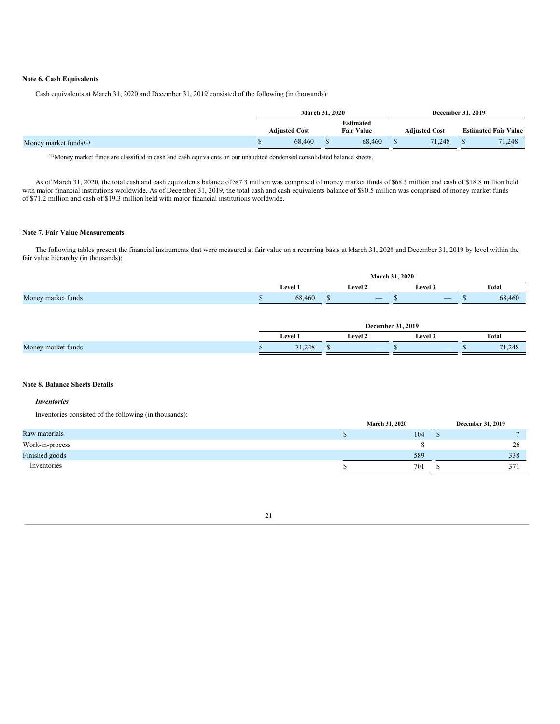## **Note 6. Cash Equivalents**

Cash equivalents at March 31, 2020 and December 31, 2019 consisted of the following (in thousands):

|                                   | <b>March 31, 2020</b> |  |                                | December 31, 2019    |                             |
|-----------------------------------|-----------------------|--|--------------------------------|----------------------|-----------------------------|
|                                   | <b>Adiusted Cost</b>  |  | Estimated<br><b>Fair Value</b> | <b>Adiusted Cost</b> | <b>Estimated Fair Value</b> |
| Money market funds <sup>(1)</sup> | 68,460                |  | 68,460                         | 71.248               | 71,248                      |

(1)Money market funds are classified in cash and cash equivalents on our unaudited condensed consolidated balance sheets.

As of March 31, 2020, the total cash and cash equivalents balance of \$87.3 million was comprised of money market funds of \$68.5 million and cash of \$18.8 million held with major financial institutions worldwide. As of December 31, 2019, the total cash and cash equivalents balance of \$90.5 million was comprised of money market funds of \$71.2 million and cash of \$19.3 million held with major financial institutions worldwide.

## **Note 7. Fair Value Measurements**

The following tables present the financial instruments that were measured at fair value on a recurring basis at March 31, 2020 and December 31, 2019 by level within the fair value hierarchy (in thousands):

|                    | 2020<br>March 31. |                |  |                |  |         |      |        |  |  |
|--------------------|-------------------|----------------|--|----------------|--|---------|------|--------|--|--|
|                    |                   | <b>Level 1</b> |  | <b>Level 2</b> |  | Level 3 |      | Total  |  |  |
| Money market funds |                   | 68,460         |  |                |  | $-$     | - 11 | 68,460 |  |  |

|                    | . 2019<br><b>December</b> |         |   |                          |    |                                                                                                                                                   |  |        |  |
|--------------------|---------------------------|---------|---|--------------------------|----|---------------------------------------------------------------------------------------------------------------------------------------------------|--|--------|--|
|                    |                           | Level 1 |   | Level 2                  |    | Level 3                                                                                                                                           |  | Total  |  |
| Money market funds |                           | 71.248  | w | $\overline{\phantom{a}}$ | кĐ | $\hspace{0.1mm}-\hspace{0.1mm}$<br>and the state of the state of the state of the state of the state of the state of the state of the state of th |  | 71,248 |  |

## **Note 8. Balance Sheets Details**

## *Inventories*

Inventories consisted of the following (in thousands):

|                 | <b>March 31, 2020</b> |  | December 31, 2019 |
|-----------------|-----------------------|--|-------------------|
| Raw materials   | 104                   |  |                   |
| Work-in-process |                       |  | 26                |
| Finished goods  | 589                   |  | 338               |
| Inventories     | 701                   |  | 37                |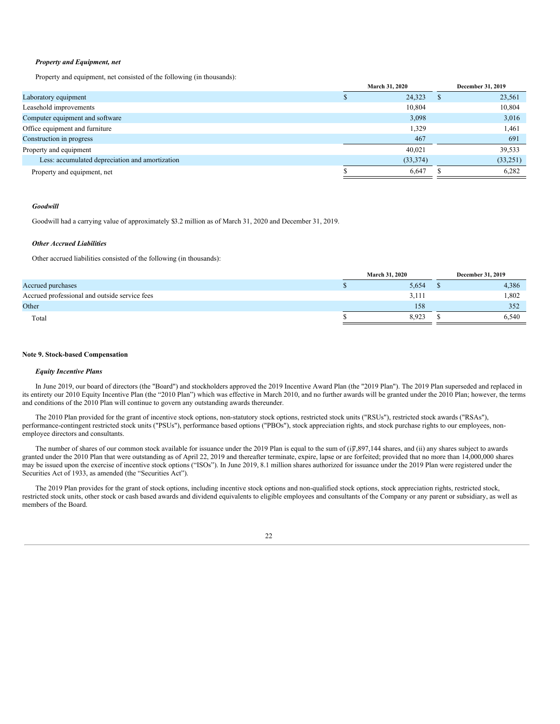## *Property and Equipment, net*

Property and equipment, net consisted of the following (in thousands):

|                                                 | March 31, 2020 |   | December 31, 2019 |
|-------------------------------------------------|----------------|---|-------------------|
| Laboratory equipment                            | 24,323         | Ъ | 23,561            |
| Leasehold improvements                          | 10,804         |   | 10.804            |
| Computer equipment and software                 | 3,098          |   | 3,016             |
| Office equipment and furniture                  | 1,329          |   | 1,461             |
| Construction in progress                        | 467            |   | 691               |
| Property and equipment                          | 40.021         |   | 39,533            |
| Less: accumulated depreciation and amortization | (33,374)       |   | (33,251)          |
| Property and equipment, net                     | 6,647          |   | 6,282             |
|                                                 |                |   |                   |

## *Goodwill*

Goodwill had a carrying value of approximately \$3.2 million as of March 31, 2020 and December 31, 2019.

## *Other Accrued Liabilities*

Other accrued liabilities consisted of the following (in thousands):

|                                               | <b>March 31, 2020</b> | December 31, 2019 |
|-----------------------------------------------|-----------------------|-------------------|
| Accrued purchases                             | 5,654                 | 4,386             |
| Accrued professional and outside service fees | 3,111                 | 1,802             |
| Other                                         | 158                   | 352               |
| Total                                         | 8,923                 | 6,540             |
|                                               |                       |                   |

#### **Note 9. Stock-based Compensation**

## *Equity Incentive Plans*

In June 2019, our board of directors (the "Board") and stockholders approved the 2019 Incentive Award Plan (the "2019 Plan"). The 2019 Plan superseded and replaced in its entirety our 2010 Equity Incentive Plan (the "2010 Plan") which was effective in March 2010, and no further awards will be granted under the 2010 Plan; however, the terms and conditions of the 2010 Plan will continue to govern any outstanding awards thereunder.

The 2010 Plan provided for the grant of incentive stock options, non-statutory stock options, restricted stock units ("RSUs"), restricted stock awards ("RSAs"), performance-contingent restricted stock units ("PSUs"), performance based options ("PBOs"), stock appreciation rights, and stock purchase rights to our employees, nonemployee directors and consultants.

The number of shares of our common stock available for issuance under the 2019 Plan is equal to the sum of  $(i)$ 7,897,144 shares, and  $(ii)$  any shares subject to awards granted under the 2010 Plan that were outstanding as of April 22, 2019 and thereafter terminate, expire, lapse or are forfeited; provided that no more than 14,000,000 shares may be issued upon the exercise of incentive stock options ("ISOs"). In June 2019, 8.1 million shares authorized for issuance under the 2019 Plan were registered under the Securities Act of 1933, as amended (the "Securities Act").

The 2019 Plan provides for the grant of stock options, including incentive stock options and non-qualified stock options, stock appreciation rights, restricted stock, restricted stock units, other stock or cash based awards and dividend equivalents to eligible employees and consultants of the Company or any parent or subsidiary, as well as members of the Board.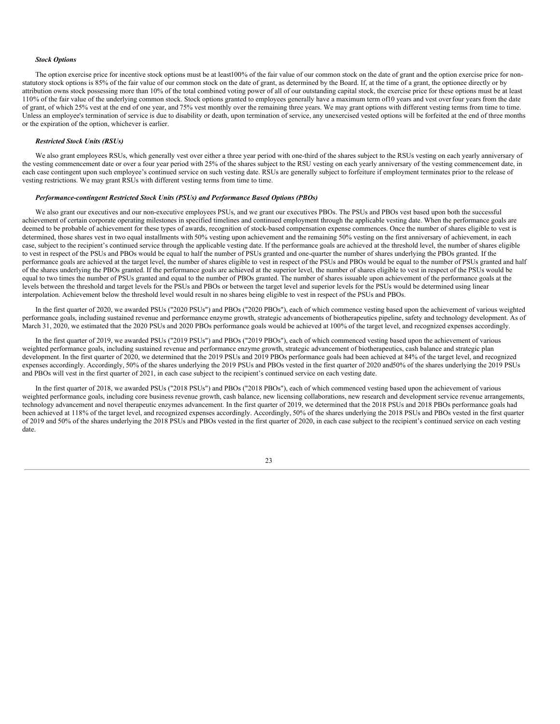## *Stock Options*

The option exercise price for incentive stock options must be at least100% of the fair value of our common stock on the date of grant and the option exercise price for nonstatutory stock options is 85% of the fair value of our common stock on the date of grant, as determined by the Board. If, at the time of a grant, the optionee directly or by attribution owns stock possessing more than 10% of the total combined voting power of all of our outstanding capital stock, the exercise price for these options must be at least 110% of the fair value of the underlying common stock. Stock options granted to employees generally have a maximum term of10 years and vest overfour years from the date of grant, of which 25% vest at the end of one year, and 75% vest monthly over the remaining three years. We may grant options with different vesting terms from time to time. Unless an employee's termination of service is due to disability or death, upon termination of service, any unexercised vested options will be forfeited at the end of three months or the expiration of the option, whichever is earlier.

## *Restricted Stock Units (RSUs)*

We also grant employees RSUs, which generally vest over either a three year period with one-third of the shares subject to the RSUs vesting on each yearly anniversary of the vesting commencement date or over a four year period with 25% of the shares subject to the RSU vesting on each yearly anniversary of the vesting commencement date, in each case contingent upon such employee's continued service on such vesting date. RSUs are generally subject to forfeiture if employment terminates prior to the release of vesting restrictions. We may grant RSUs with different vesting terms from time to time.

## *Performance-contingent Restricted Stock Units (PSUs) and Performance Based Options (PBOs)*

We also grant our executives and our non-executive employees PSUs, and we grant our executives PBOs. The PSUs and PBOs vest based upon both the successful achievement of certain corporate operating milestones in specified timelines and continued employment through the applicable vesting date. When the performance goals are deemed to be probable of achievement for these types of awards, recognition of stock-based compensation expense commences. Once the number of shares eligible to vest is determined, those shares vest in two equal installments with 50% vesting upon achievement and the remaining 50% vesting on the first anniversary of achievement, in each case, subject to the recipient's continued service through the applicable vesting date. If the performance goals are achieved at the threshold level, the number of shares eligible to vest in respect of the PSUs and PBOs would be equal to half the number of PSUs granted and one-quarter the number of shares underlying the PBOs granted. If the performance goals are achieved at the target level, the number of shares eligible to vest in respect of the PSUs and PBOs would be equal to the number of PSUs granted and half of the shares underlying the PBOs granted. If the performance goals are achieved at the superior level, the number of shares eligible to vest in respect of the PSUs would be equal to two times the number of PSUs granted and equal to the number of PBOs granted. The number of shares issuable upon achievement of the performance goals at the levels between the threshold and target levels for the PSUs and PBOs or between the target level and superior levels for the PSUs would be determined using linear interpolation. Achievement below the threshold level would result in no shares being eligible to vest in respect of the PSUs and PBOs.

In the first quarter of 2020, we awarded PSUs ("2020 PSUs") and PBOs ("2020 PBOs"), each of which commence vesting based upon the achievement of various weighted performance goals, including sustained revenue and performance enzyme growth, strategic advancements of biotherapeutics pipeline, safety and technology development. As of March 31, 2020, we estimated that the 2020 PSUs and 2020 PBOs performance goals would be achieved at 100% of the target level, and recognized expenses accordingly.

In the first quarter of 2019, we awarded PSUs ("2019 PSUs") and PBOs ("2019 PBOs"), each of which commenced vesting based upon the achievement of various weighted performance goals, including sustained revenue and performance enzyme growth, strategic advancement of biotherapeutics, cash balance and strategic plan development. In the first quarter of 2020, we determined that the 2019 PSUs and 2019 PBOs performance goals had been achieved at 84% of the target level, and recognized expenses accordingly. Accordingly, 50% of the shares underlying the 2019 PSUs and PBOs vested in the first quarter of 2020 and50% of the shares underlying the 2019 PSUs and PBOs will vest in the first quarter of 2021, in each case subject to the recipient's continued service on each vesting date.

In the first quarter of 2018, we awarded PSUs ("2018 PSUs") and PBOs ("2018 PBOs"), each of which commenced vesting based upon the achievement of various weighted performance goals, including core business revenue growth, cash balance, new licensing collaborations, new research and development service revenue arrangements, technology advancement and novel therapeutic enzymes advancement. In the first quarter of 2019, we determined that the 2018 PSUs and 2018 PBOs performance goals had been achieved at 118% of the target level, and recognized expenses accordingly. Accordingly, 50% of the shares underlying the 2018 PSUs and PBOs vested in the first quarter of 2019 and 50% of the shares underlying the 2018 PSUs and PBOs vested in the first quarter of 2020, in each case subject to the recipient's continued service on each vesting date.

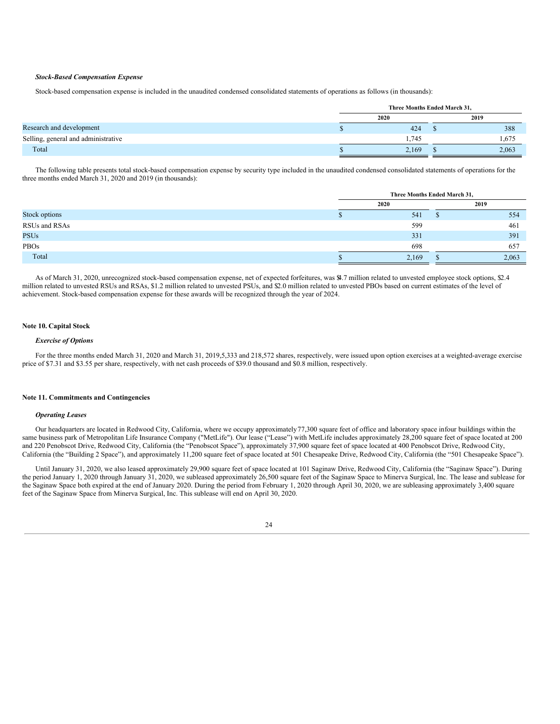## *Stock-Based Compensation Expense*

Stock-based compensation expense is included in the unaudited condensed consolidated statements of operations as follows (in thousands):

|                                     | Three Months Ended March 31, |       |  |       |  |
|-------------------------------------|------------------------------|-------|--|-------|--|
|                                     | 2020                         |       |  | 2019  |  |
| Research and development            |                              | 424   |  | 388   |  |
| Selling, general and administrative |                              | 1.745 |  | 1,675 |  |
| Total                               |                              | 2,169 |  | 2,063 |  |

The following table presents total stock-based compensation expense by security type included in the unaudited condensed consolidated statements of operations for the three months ended March 31, 2020 and 2019 (in thousands):

|               | Three Months Ended March 31, |  |       |  |  |  |
|---------------|------------------------------|--|-------|--|--|--|
|               | 2020                         |  | 2019  |  |  |  |
| Stock options | 541                          |  | 554   |  |  |  |
| RSUs and RSAs | 599                          |  | 461   |  |  |  |
| <b>PSUs</b>   | 331                          |  | 391   |  |  |  |
| PBOs          | 698                          |  | 657   |  |  |  |
| Total         | 2,169                        |  | 2,063 |  |  |  |

As of March 31, 2020, unrecognized stock-based compensation expense, net of expected forfeitures, was \$4.7 million related to unvested employee stock options, \$2.4 million related to unvested RSUs and RSAs, \$1.2 million related to unvested PSUs, and \$2.0 million related to unvested PBOs based on current estimates of the level of achievement. Stock-based compensation expense for these awards will be recognized through the year of 2024.

## **Note 10. Capital Stock**

## *Exercise of Options*

For the three months ended March 31, 2020 and March 31, 2019,5,333 and 218,572 shares, respectively, were issued upon option exercises at a weighted-average exercise price of \$7.31 and \$3.55 per share, respectively, with net cash proceeds of \$39.0 thousand and \$0.8 million, respectively.

## **Note 11. Commitments and Contingencies**

#### *Operating Leases*

Our headquarters are located in Redwood City, California, where we occupy approximately77,300 square feet of office and laboratory space infour buildings within the same business park of Metropolitan Life Insurance Company ("MetLife"). Our lease ("Lease") with MetLife includes approximately 28,200 square feet of space located at 200 and 220 Penobscot Drive, Redwood City, California (the "Penobscot Space"), approximately 37,900 square feet of space located at 400 Penobscot Drive, Redwood City, California (the "Building 2 Space"), and approximately 11,200 square feet of space located at 501 Chesapeake Drive, Redwood City, California (the "501 Chesapeake Space").

Until January 31, 2020, we also leased approximately 29,900 square feet of space located at 101 Saginaw Drive, Redwood City, California (the "Saginaw Space"). During the period January 1, 2020 through January 31, 2020, we subleased approximately 26,500 square feet of the Saginaw Space to Minerva Surgical, Inc. The lease and sublease for the Saginaw Space both expired at the end of January 2020. During the period from February 1, 2020 through April 30, 2020, we are subleasing approximately 3,400 square feet of the Saginaw Space from Minerva Surgical, Inc. This sublease will end on April 30, 2020.

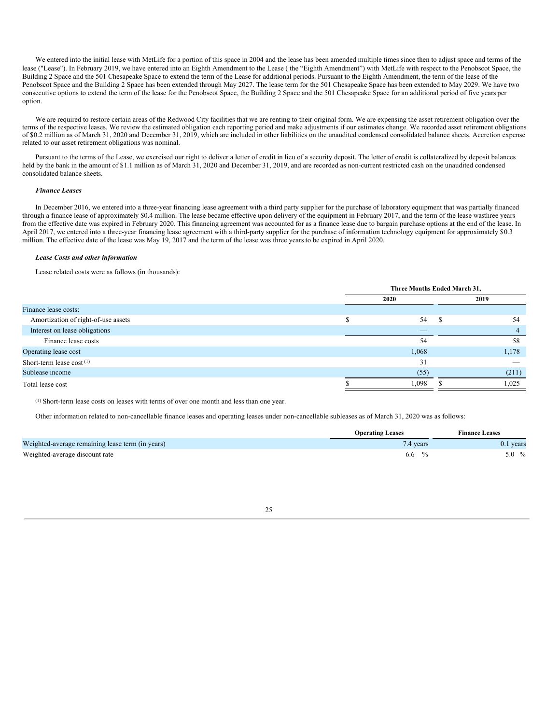We entered into the initial lease with MetLife for a portion of this space in 2004 and the lease has been amended multiple times since then to adjust space and terms of the lease ("Lease"). In February 2019, we have entered into an Eighth Amendment to the Lease ( the "Eighth Amendment") with MetLife with respect to the Penobscot Space, the Building 2 Space and the 501 Chesapeake Space to extend the term of the Lease for additional periods. Pursuant to the Eighth Amendment, the term of the lease of the Penobscot Space and the Building 2 Space has been extended through May 2027. The lease term for the 501 Chesapeake Space has been extended to May 2029. We have two consecutive options to extend the term of the lease for the Penobscot Space, the Building 2 Space and the 501 Chesapeake Space for an additional period of five years per option.

We are required to restore certain areas of the Redwood City facilities that we are renting to their original form. We are expensing the asset retirement obligation over the terms of the respective leases. We review the estimated obligation each reporting period and make adjustments if our estimates change. We recorded asset retirement obligations of \$0.2 million as of March 31, 2020 and December 31, 2019, which are included in other liabilities on the unaudited condensed consolidated balance sheets. Accretion expense related to our asset retirement obligations was nominal.

Pursuant to the terms of the Lease, we exercised our right to deliver a letter of credit in lieu of a security deposit. The letter of credit is collateralized by deposit balances held by the bank in the amount of \$1.1 million as of March 31, 2020 and December 31, 2019, and are recorded as non-current restricted cash on the unaudited condensed consolidated balance sheets.

#### *Finance Leases*

In December 2016, we entered into a three-year financing lease agreement with a third party supplier for the purchase of laboratory equipment that was partially financed through a finance lease of approximately \$0.4 million. The lease became effective upon delivery of the equipment in February 2017, and the term of the lease wasthree years from the effective date was expired in February 2020. This financing agreement was accounted for as a finance lease due to bargain purchase options at the end of the lease. In April 2017, we entered into a three-year financing lease agreement with a third-party supplier for the purchase of information technology equipment for approximately \$0.3 million. The effective date of the lease was May 19, 2017 and the term of the lease was three years to be expired in April 2020.

#### *Lease Costs and other information*

Lease related costs were as follows (in thousands):

|                                     | Three Months Ended March 31, |       |      |       |  |  |  |
|-------------------------------------|------------------------------|-------|------|-------|--|--|--|
|                                     | 2020                         |       | 2019 |       |  |  |  |
| Finance lease costs:                |                              |       |      |       |  |  |  |
| Amortization of right-of-use assets |                              | 54    | - S  | 54    |  |  |  |
| Interest on lease obligations       |                              |       |      | 4     |  |  |  |
| Finance lease costs                 |                              | 54    |      | 58    |  |  |  |
| Operating lease cost                |                              | 1,068 |      | 1,178 |  |  |  |
| Short-term lease $cost^{(1)}$       |                              | 31    |      |       |  |  |  |
| Sublease income                     |                              | (55)  |      | (211) |  |  |  |
| Total lease cost                    |                              | 1,098 |      | 1,025 |  |  |  |

(1) Short-term lease costs on leases with terms of over one month and less than one year.

Other information related to non-cancellable finance leases and operating leases under non-cancellable subleases as of March 31, 2020 was as follows:

|                                                  | <b>Operating Leases</b> | <b>Finance Leases</b> |
|--------------------------------------------------|-------------------------|-----------------------|
| Weighted-average remaining lease term (in years) | 7.4 years               | $0.1$ years           |
| Weighted-average discount rate                   | $\frac{0}{2}$<br>6.6    | $5.0\%$               |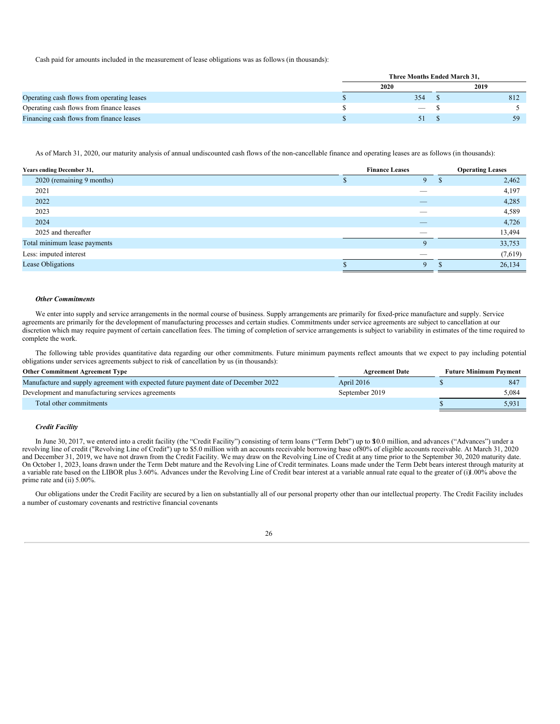Cash paid for amounts included in the measurement of lease obligations was as follows (in thousands):

|                                            | Three Months Ended March 31. |      |
|--------------------------------------------|------------------------------|------|
|                                            | 2020                         | 2019 |
| Operating cash flows from operating leases | 354                          | 812  |
| Operating cash flows from finance leases   | $\overline{\phantom{a}}$     |      |
| Financing cash flows from finance leases   |                              | ٢Ο   |

As of March 31, 2020, our maturity analysis of annual undiscounted cash flows of the non-cancellable finance and operating leases are as follows (in thousands):

| Years ending December 31,    | <b>Finance Leases</b>    | <b>Operating Leases</b> |
|------------------------------|--------------------------|-------------------------|
| 2020 (remaining 9 months)    | $\mathbf Q$              | 2,462                   |
| 2021                         |                          | 4,197                   |
| 2022                         | $\overline{\phantom{a}}$ | 4,285                   |
| 2023                         | $\overline{\phantom{a}}$ | 4,589                   |
| 2024                         | $\overline{\phantom{a}}$ | 4,726                   |
| 2025 and thereafter          | $-$                      | 13,494                  |
| Total minimum lease payments | $\mathbf Q$              | 33,753                  |
| Less: imputed interest       | -                        | (7,619)                 |
| Lease Obligations            | $\mathbf Q$              | 26,134                  |

#### *Other Commitments*

We enter into supply and service arrangements in the normal course of business. Supply arrangements are primarily for fixed-price manufacture and supply. Service agreements are primarily for the development of manufacturing processes and certain studies. Commitments under service agreements are subject to cancellation at our discretion which may require payment of certain cancellation fees. The timing of completion of service arrangements is subject to variability in estimates of the time required to complete the work.

The following table provides quantitative data regarding our other commitments. Future minimum payments reflect amounts that we expect to pay including potential obligations under services agreements subject to risk of cancellation by us (in thousands):

| <b>Other Commitment Agreement Type</b>                                              | <b>Agreement Date</b> | <b>Future Minimum Payment</b> |       |
|-------------------------------------------------------------------------------------|-----------------------|-------------------------------|-------|
| Manufacture and supply agreement with expected future payment date of December 2022 | April 2016            |                               | 84    |
| Development and manufacturing services agreements                                   | September 2019        |                               | 5.084 |
| Total other commitments                                                             |                       |                               | 5,931 |

## *Credit Facility*

In June 30, 2017, we entered into a credit facility (the "Credit Facility") consisting of term loans ("Term Debt") up to \$10.0 million, and advances ("Advances") under a revolving line of credit ("Revolving Line of Credit") up to \$5.0 million with an accounts receivable borrowing base of80% of eligible accounts receivable. At March 31, 2020 and December 31, 2019, we have not drawn from the Credit Facility. We may draw on the Revolving Line of Credit at any time prior to the September 30, 2020 maturity date. On October 1, 2023, loans drawn under the Term Debt mature and the Revolving Line of Credit terminates. Loans made under the Term Debt bears interest through maturity at a variable rate based on the LIBOR plus 3.60%. Advances under the Revolving Line of Credit bear interest at a variable annual rate equal to the greater of (i)1.00% above the prime rate and (ii) 5.00%.

Our obligations under the Credit Facility are secured by a lien on substantially all of our personal property other than our intellectual property. The Credit Facility includes a number of customary covenants and restrictive financial covenants

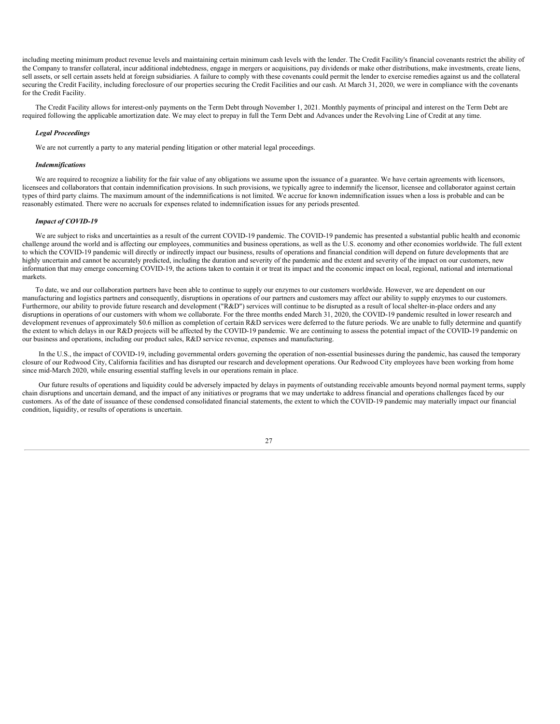including meeting minimum product revenue levels and maintaining certain minimum cash levels with the lender. The Credit Facility's financial covenants restrict the ability of the Company to transfer collateral, incur additional indebtedness, engage in mergers or acquisitions, pay dividends or make other distributions, make investments, create liens, sell assets, or sell certain assets held at foreign subsidiaries. A failure to comply with these covenants could permit the lender to exercise remedies against us and the collateral securing the Credit Facility, including foreclosure of our properties securing the Credit Facilities and our cash. At March 31, 2020, we were in compliance with the covenants for the Credit Facility.

The Credit Facility allows for interest-only payments on the Term Debt through November 1, 2021. Monthly payments of principal and interest on the Term Debt are required following the applicable amortization date. We may elect to prepay in full the Term Debt and Advances under the Revolving Line of Credit at any time.

#### *Legal Proceedings*

We are not currently a party to any material pending litigation or other material legal proceedings.

#### *Indemnifications*

We are required to recognize a liability for the fair value of any obligations we assume upon the issuance of a guarantee. We have certain agreements with licensors, licensees and collaborators that contain indemnification provisions. In such provisions, we typically agree to indemnify the licensor, licensee and collaborator against certain types of third party claims. The maximum amount of the indemnifications is not limited. We accrue for known indemnification issues when a loss is probable and can be reasonably estimated. There were no accruals for expenses related to indemnification issues for any periods presented.

## *Impact of COVID-19*

We are subject to risks and uncertainties as a result of the current COVID-19 pandemic. The COVID-19 pandemic has presented a substantial public health and economic challenge around the world and is affecting our employees, communities and business operations, as well as the U.S. economy and other economies worldwide. The full extent to which the COVID-19 pandemic will directly or indirectly impact our business, results of operations and financial condition will depend on future developments that are highly uncertain and cannot be accurately predicted, including the duration and severity of the pandemic and the extent and severity of the impact on our customers, new information that may emerge concerning COVID-19, the actions taken to contain it or treat its impact and the economic impact on local, regional, national and international markets.

To date, we and our collaboration partners have been able to continue to supply our enzymes to our customers worldwide. However, we are dependent on our manufacturing and logistics partners and consequently, disruptions in operations of our partners and customers may affect our ability to supply enzymes to our customers. Furthermore, our ability to provide future research and development ("R&D") services will continue to be disrupted as a result of local shelter-in-place orders and any disruptions in operations of our customers with whom we collaborate. For the three months ended March 31, 2020, the COVID-19 pandemic resulted in lower research and development revenues of approximately \$0.6 million as completion of certain R&D services were deferred to the future periods. We are unable to fully determine and quantify the extent to which delays in our R&D projects will be affected by the COVID-19 pandemic. We are continuing to assess the potential impact of the COVID-19 pandemic on our business and operations, including our product sales, R&D service revenue, expenses and manufacturing.

In the U.S., the impact of COVID-19, including governmental orders governing the operation of non-essential businesses during the pandemic, has caused the temporary closure of our Redwood City, California facilities and has disrupted our research and development operations. Our Redwood City employees have been working from home since mid-March 2020, while ensuring essential staffing levels in our operations remain in place.

Our future results of operations and liquidity could be adversely impacted by delays in payments of outstanding receivable amounts beyond normal payment terms, supply chain disruptions and uncertain demand, and the impact of any initiatives or programs that we may undertake to address financial and operations challenges faced by our customers. As of the date of issuance of these condensed consolidated financial statements, the extent to which the COVID-19 pandemic may materially impact our financial condition, liquidity, or results of operations is uncertain.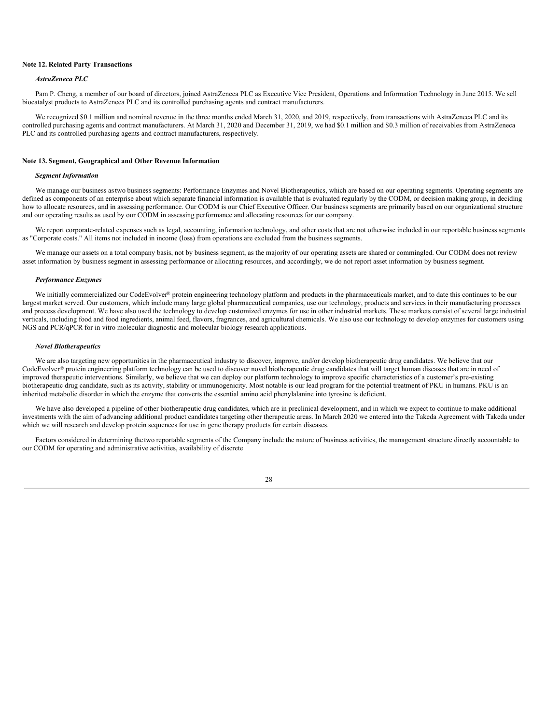## **Note 12. Related Party Transactions**

## *AstraZeneca PLC*

Pam P. Cheng, a member of our board of directors, joined AstraZeneca PLC as Executive Vice President, Operations and Information Technology in June 2015. We sell biocatalyst products to AstraZeneca PLC and its controlled purchasing agents and contract manufacturers.

We recognized \$0.1 million and nominal revenue in the three months ended March 31, 2020, and 2019, respectively, from transactions with AstraZeneca PLC and its controlled purchasing agents and contract manufacturers. At March 31, 2020 and December 31, 2019, we had \$0.1 million and \$0.3 million of receivables from AstraZeneca PLC and its controlled purchasing agents and contract manufacturers, respectively.

#### **Note 13. Segment, Geographical and Other Revenue Information**

#### *Segment Information*

We manage our business astwo business segments: Performance Enzymes and Novel Biotherapeutics, which are based on our operating segments. Operating segments are defined as components of an enterprise about which separate financial information is available that is evaluated regularly by the CODM, or decision making group, in deciding how to allocate resources, and in assessing performance. Our CODM is our Chief Executive Officer. Our business segments are primarily based on our organizational structure and our operating results as used by our CODM in assessing performance and allocating resources for our company.

We report corporate-related expenses such as legal, accounting, information technology, and other costs that are not otherwise included in our reportable business segments as "Corporate costs." All items not included in income (loss) from operations are excluded from the business segments.

We manage our assets on a total company basis, not by business segment, as the majority of our operating assets are shared or commingled. Our CODM does not review asset information by business segment in assessing performance or allocating resources, and accordingly, we do not report asset information by business segment.

## *Performance Enzymes*

We initially commercialized our CodeEvolver® protein engineering technology platform and products in the pharmaceuticals market, and to date this continues to be our largest market served. Our customers, which include many large global pharmaceutical companies, use our technology, products and services in their manufacturing processes and process development. We have also used the technology to develop customized enzymes for use in other industrial markets. These markets consist of several large industrial verticals, including food and food ingredients, animal feed, flavors, fragrances, and agricultural chemicals. We also use our technology to develop enzymes for customers using NGS and PCR/qPCR for in vitro molecular diagnostic and molecular biology research applications.

#### *Novel Biotherapeutics*

We are also targeting new opportunities in the pharmaceutical industry to discover, improve, and/or develop biotherapeutic drug candidates. We believe that our CodeEvolver<sup>®</sup> protein engineering platform technology can be used to discover novel biotherapeutic drug candidates that will target human diseases that are in need of improved therapeutic interventions. Similarly, we believe that we can deploy our platform technology to improve specific characteristics of a customer's pre-existing biotherapeutic drug candidate, such as its activity, stability or immunogenicity. Most notable is our lead program for the potential treatment of PKU in humans. PKU is an inherited metabolic disorder in which the enzyme that converts the essential amino acid phenylalanine into tyrosine is deficient.

We have also developed a pipeline of other biotherapeutic drug candidates, which are in preclinical development, and in which we expect to continue to make additional investments with the aim of advancing additional product candidates targeting other therapeutic areas. In March 2020 we entered into the Takeda Agreement with Takeda under which we will research and develop protein sequences for use in gene therapy products for certain diseases.

Factors considered in determining the two reportable segments of the Company include the nature of business activities, the management structure directly accountable to our CODM for operating and administrative activities, availability of discrete

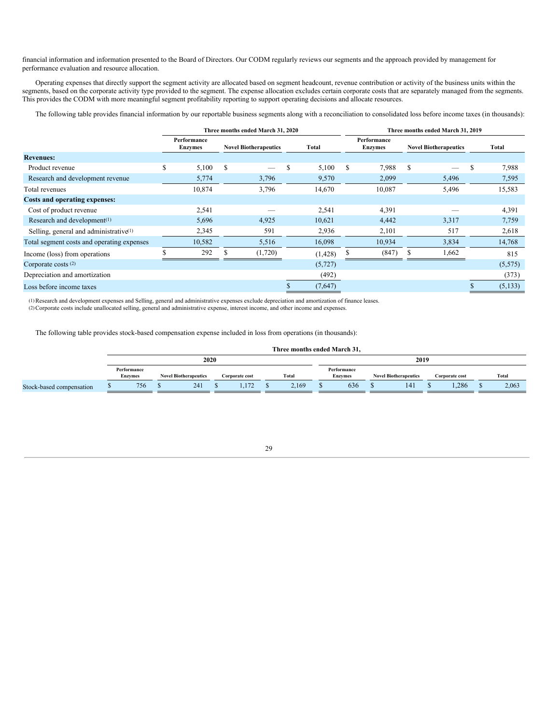financial information and information presented to the Board of Directors. Our CODM regularly reviews our segments and the approach provided by management for performance evaluation and resource allocation.

Operating expenses that directly support the segment activity are allocated based on segment headcount, revenue contribution or activity of the business units within the segments, based on the corporate activity type provided to the segment. The expense allocation excludes certain corporate costs that are separately managed from the segments. This provides the CODM with more meaningful segment profitability reporting to support operating decisions and allocate resources.

The following table provides financial information by our reportable business segments along with a reconciliation to consolidated loss before income taxes (in thousands):

|                                            |   |                               | Three months ended March 31, 2020 |   |          |   | Three months ended March 31, 2019 |   |                              |   |         |  |  |
|--------------------------------------------|---|-------------------------------|-----------------------------------|---|----------|---|-----------------------------------|---|------------------------------|---|---------|--|--|
|                                            |   | Performance<br><b>Enzymes</b> | <b>Novel Biotherapeutics</b>      |   | Total    |   | Performance<br><b>Enzymes</b>     |   | <b>Novel Biotherapeutics</b> |   | Total   |  |  |
| <b>Revenues:</b>                           |   |                               |                                   |   |          |   |                                   |   |                              |   |         |  |  |
| Product revenue                            | S | 5,100                         | \$<br>$\overline{\phantom{a}}$    | S | 5,100    | S | 7,988                             | S | --                           | S | 7,988   |  |  |
| Research and development revenue           |   | 5,774                         | 3,796                             |   | 9,570    |   | 2,099                             |   | 5,496                        |   | 7,595   |  |  |
| Total revenues                             |   | 10,874                        | 3,796                             |   | 14,670   |   | 10,087                            |   | 5,496                        |   | 15,583  |  |  |
| Costs and operating expenses:              |   |                               |                                   |   |          |   |                                   |   |                              |   |         |  |  |
| Cost of product revenue                    |   | 2,541                         |                                   |   | 2,541    |   | 4,391                             |   |                              |   | 4,391   |  |  |
| Research and development <sup>(1)</sup>    |   | 5,696                         | 4,925                             |   | 10,621   |   | 4,442                             |   | 3,317                        |   | 7,759   |  |  |
| Selling, general and administrative $(1)$  |   | 2,345                         | 591                               |   | 2,936    |   | 2,101                             |   | 517                          |   | 2,618   |  |  |
| Total segment costs and operating expenses |   | 10,582                        | 5,516                             |   | 16,098   |   | 10,934                            |   | 3,834                        |   | 14,768  |  |  |
| Income (loss) from operations              |   | 292                           | (1,720)                           |   | (1, 428) |   | (847)                             |   | 1,662                        |   | 815     |  |  |
| Corporate costs $(2)$                      |   |                               |                                   |   | (5, 727) |   |                                   |   |                              |   | (5,575) |  |  |
| Depreciation and amortization              |   |                               |                                   |   | (492)    |   |                                   |   |                              |   | (373)   |  |  |
| Loss before income taxes                   |   |                               |                                   |   | (7,647)  |   |                                   |   |                              |   | (5,133) |  |  |

(1)Research and development expenses and Selling, general and administrative expenses exclude depreciation and amortization of finance leases. (2)Corporate costs include unallocated selling, general and administrative expense, interest income, and other income and expenses.

The following table provides stock-based compensation expense included in loss from operations (in thousands):

|                          |                               |      |                              |  |                |  | Three months ended March 31, |  |                               |  |                              |  |                |  |       |
|--------------------------|-------------------------------|------|------------------------------|--|----------------|--|------------------------------|--|-------------------------------|--|------------------------------|--|----------------|--|-------|
|                          |                               | 2020 |                              |  | 2019           |  |                              |  |                               |  |                              |  |                |  |       |
|                          | Performance<br><b>Enzymes</b> |      | <b>Novel Biotherapeutics</b> |  | Corporate cost |  | Total                        |  | Performance<br><b>Enzymes</b> |  | <b>Novel Biotherapeutics</b> |  | Corporate cost |  | Total |
| Stock-based compensation | 756                           |      | 241                          |  | 1.172          |  | 2,169                        |  | 636                           |  | 141                          |  | .286           |  | 2,063 |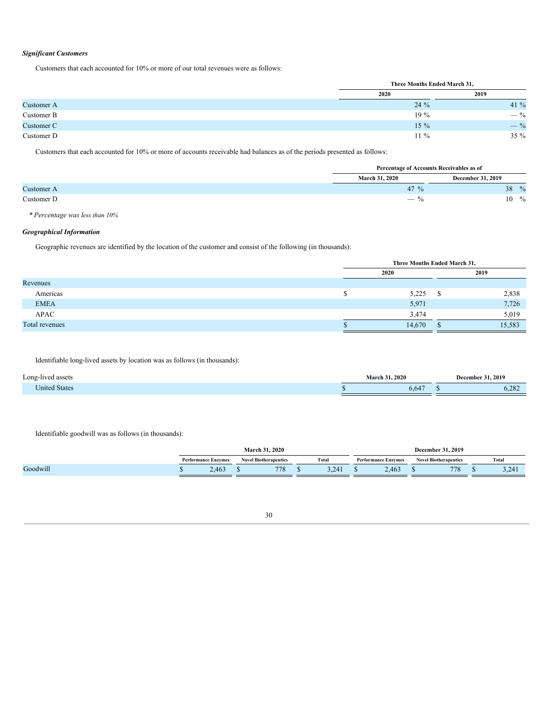## *Significant Customers*

Customers that each accounted for 10% or more of our total revenues were as follows:

|            | Three Months Ended March 31, |         |
|------------|------------------------------|---------|
|            | 2020                         | 2019    |
| Customer A | 24 %                         | 41 $\%$ |
| Customer B | $19\%$                       | $-$ %   |
| Customer C | $15\%$                       | $-$ %   |
| Customer D | $11\%$                       | $35 \%$ |

Customers that each accounted for 10% or more of accounts receivable had balances as of the periods presented as follows:

|                   | Percentage of Accounts Receivables as of |                     |
|-------------------|------------------------------------------|---------------------|
|                   | <b>March 31, 2020</b>                    | December 31, 2019   |
| <b>Customer A</b> | 47 $\%$                                  | $\frac{0}{0}$<br>38 |
| Customer D        | $-$ %                                    | $\%$<br>10          |

*\* Percentage was less than 10%*

## *Geographical Information*

Geographic revenues are identified by the location of the customer and consist of the following (in thousands):

|                | Three Months Ended March 31, |        |   |        |  |  |  |
|----------------|------------------------------|--------|---|--------|--|--|--|
|                |                              | 2020   |   | 2019   |  |  |  |
| Revenues       |                              |        |   |        |  |  |  |
| Americas       |                              | 5,225  | S | 2,838  |  |  |  |
| <b>EMEA</b>    |                              | 5,971  |   | 7,726  |  |  |  |
| APAC           |                              | 3,474  |   | 5,019  |  |  |  |
| Total revenues |                              | 14,670 |   | 15,583 |  |  |  |

Identifiable long-lived assets by location was as follows (in thousands):

| $\cdot$ $\cdot$<br>Long-lived assets |  | $\ldots$ 2020<br>March  | December 31, 2019 |  |  |
|--------------------------------------|--|-------------------------|-------------------|--|--|
| <b>United States</b>                 |  | $\sim$ 4 $\sim$<br>6.64 | 202<br>0.282      |  |  |

Identifiable goodwill was as follows (in thousands):

|          |                            | <b>March 31, 2020</b> |                              |       |       |                            |       |                              |     |       |       |
|----------|----------------------------|-----------------------|------------------------------|-------|-------|----------------------------|-------|------------------------------|-----|-------|-------|
|          | <b>Performance Enzymes</b> |                       | <b>Novel Biotherapeutics</b> | Total |       | <b>Performance Enzymes</b> |       | <b>Novel Biotherapeutics</b> |     | Total |       |
| Goodwill | 2,463                      |                       | 778                          |       | 3,241 |                            | 2,463 |                              | 778 |       | 3,241 |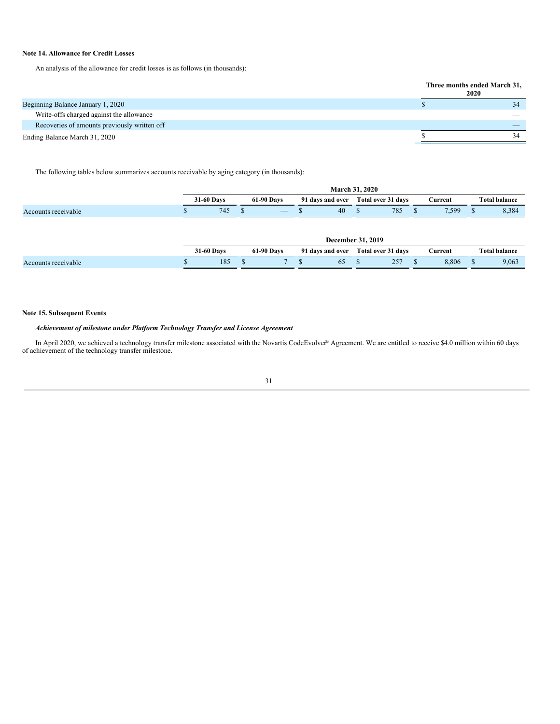## **Note 14. Allowance for Credit Losses**

An analysis of the allowance for credit losses is as follows (in thousands):

**Three months ended March 31, 2020** Beginning Balance January 1, 2020 \$ 34 Write-offs charged against the allowance — Recoveries of amounts previously written off Ending Balance March 31, 2020 34

The following tables below summarizes accounts receivable by aging category (in thousands):

|                     |                   | 2020<br>March<br>$-31$ |                   |                          |                  |    |                    |     |         |       |                      |       |  |
|---------------------|-------------------|------------------------|-------------------|--------------------------|------------------|----|--------------------|-----|---------|-------|----------------------|-------|--|
|                     | <b>31-60 Days</b> |                        | <b>61-90 Days</b> |                          | 91 days and over |    | Total over 31 days |     | Current |       | <b>Total balance</b> |       |  |
| Accounts receivable |                   | 745                    |                   | $\overline{\phantom{a}}$ |                  | 40 |                    | 785 |         | 7,599 |                      | 8,384 |  |

|                     | 2019<br>December 31. |  |                   |  |                  |  |                    |  |         |  |                      |  |
|---------------------|----------------------|--|-------------------|--|------------------|--|--------------------|--|---------|--|----------------------|--|
|                     | <b>31-60 Days</b>    |  | <b>61-90 Days</b> |  | 91 days and over |  | Total over 31 days |  | Current |  | <b>Total balance</b> |  |
| Accounts receivable | 185                  |  |                   |  | 65               |  | 257<br>ت           |  | 3.806   |  | 9,063                |  |

## **Note 15. Subsequent Events**

## *Achievement of milestone under Platform Technology Transfer and License Agreement*

<span id="page-30-0"></span>In April 2020, we achieved a technology transfer milestone associated with the Novartis CodeEvolver® Agreement. We are entitled to receive \$4.0 million within 60 days of achievement of the technology transfer milestone.

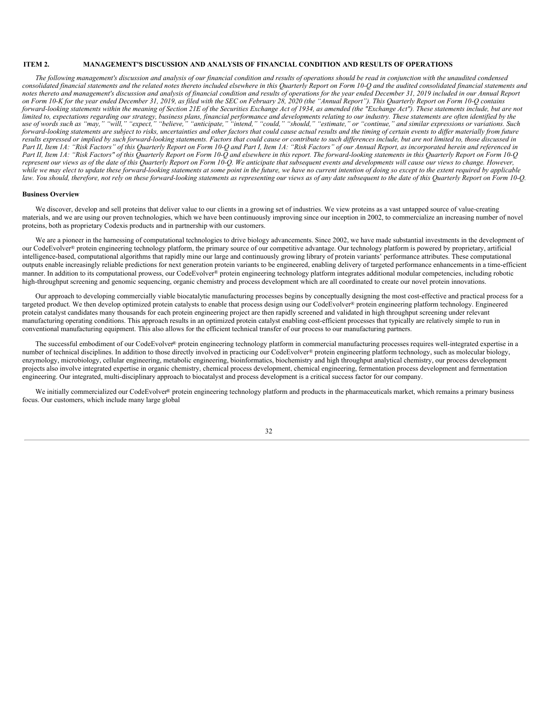## **ITEM 2. MANAGEMENT'S DISCUSSION AND ANALYSIS OF FINANCIAL CONDITION AND RESULTS OF OPERATIONS**

The following management's discussion and analysis of our financial condition and results of operations should be read in conjunction with the unaudited condensed consolidated financial statements and the related notes thereto included elsewhere in this Quarterly Report on Form 10-Q and the audited consolidated financial statements and notes thereto and management's discussion and analysis of financial condition and results of operations for the year ended December 31, 2019 included in our Annual Report on Form 10-K for the year ended December 31, 2019, as filed with the SEC on February 28, 2020 (the "Annual Report"). This Quarterly Report on Form 10-Q contains forward-looking statements within the meaning of Section 21E of the Securities Exchange Act of 1934, as amended (the "Exchange Act"). These statements include, but are not limited to, expectations regarding our strategy, business plans, financial performance and developments relating to our industry. These statements are often identified by the use of words such as "may," "will," "expect," "believe," "anticipate," "intend," "could," "should," "estimate," or "continue," and similar expressions or variations. Such forward-looking statements are subject to risks, uncertainties and other factors that could cause actual results and the timing of certain events to differ materially from future results expressed or implied by such forward-looking statements. Factors that could cause or contribute to such differences include, but are not limited to, those discussed in Part II, Item 1A: "Risk Factors" of this Quarterly Report on Form 10-Q and Part I, Item 1A: "Risk Factors" of our Annual Report, as incorporated herein and referenced in Part II, Item 1A: "Risk Factors" of this Quarterly Report on Form 10-Q and elsewhere in this report. The forward-looking statements in this Quarterly Report on Form 10-Q represent our views as of the date of this Quarterly Report on Form 10-Q. We anticipate that subsequent events and developments will cause our views to change. However, while we may elect to update these forward-looking statements at some point in the future, we have no current intention of doing so except to the extent required by applicable law. You should, therefore, not rely on these forward-looking statements as representing our views as of any date subsequent to the date of this Quarterly Report on Form 10-Q.

## **Business Overview**

We discover, develop and sell proteins that deliver value to our clients in a growing set of industries. We view proteins as a vast untapped source of value-creating materials, and we are using our proven technologies, which we have been continuously improving since our inception in 2002, to commercialize an increasing number of novel proteins, both as proprietary Codexis products and in partnership with our customers.

We are a pioneer in the harnessing of computational technologies to drive biology advancements. Since 2002, we have made substantial investments in the development of our CodeEvolver® protein engineering technology platform, the primary source of our competitive advantage. Our technology platform is powered by proprietary, artificial intelligence-based, computational algorithms that rapidly mine our large and continuously growing library of protein variants' performance attributes. These computational outputs enable increasingly reliable predictions for next generation protein variants to be engineered, enabling delivery of targeted performance enhancements in a time-efficient manner. In addition to its computational prowess, our CodeEvolver® protein engineering technology platform integrates additional modular competencies, including robotic high-throughput screening and genomic sequencing, organic chemistry and process development which are all coordinated to create our novel protein innovations.

Our approach to developing commercially viable biocatalytic manufacturing processes begins by conceptually designing the most cost-effective and practical process for a targeted product. We then develop optimized protein catalysts to enable that process design using our CodeEvolver® protein engineering platform technology. Engineered protein catalyst candidates many thousands for each protein engineering project are then rapidly screened and validated in high throughput screening under relevant manufacturing operating conditions. This approach results in an optimized protein catalyst enabling cost-efficient processes that typically are relatively simple to run in conventional manufacturing equipment. This also allows for the efficient technical transfer of our process to our manufacturing partners.

The successful embodiment of our CodeEvolver® protein engineering technology platform in commercial manufacturing processes requires well-integrated expertise in a number of technical disciplines. In addition to those directly involved in practicing our CodeEvolver® protein engineering platform technology, such as molecular biology, enzymology, microbiology, cellular engineering, metabolic engineering, bioinformatics, biochemistry and high throughput analytical chemistry, our process development projects also involve integrated expertise in organic chemistry, chemical process development, chemical engineering, fermentation process development and fermentation engineering. Our integrated, multi-disciplinary approach to biocatalyst and process development is a critical success factor for our company.

We initially commercialized our CodeEvolver® protein engineering technology platform and products in the pharmaceuticals market, which remains a primary business focus. Our customers, which include many large global

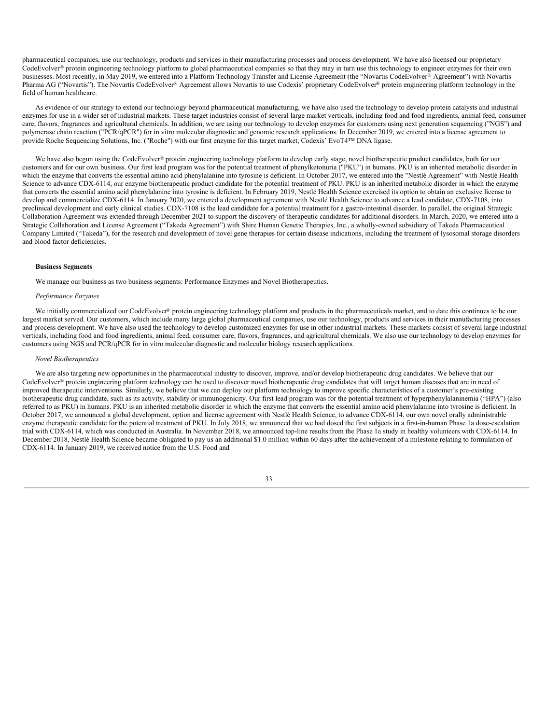pharmaceutical companies, use our technology, products and services in their manufacturing processes and process development. We have also licensed our proprietary CodeEvolver® protein engineering technology platform to global pharmaceutical companies so that they may in turn use this technology to engineer enzymes for their own businesses. Most recently, in May 2019, we entered into a Platform Technology Transfer and License Agreement (the "Novartis CodeEvolver® Agreement") with Novartis Pharma AG ("Novartis"). The Novartis CodeEvolver® Agreement allows Novartis to use Codexis' proprietary CodeEvolver® protein engineering platform technology in the field of human healthcare.

As evidence of our strategy to extend our technology beyond pharmaceutical manufacturing, we have also used the technology to develop protein catalysts and industrial enzymes for use in a wider set of industrial markets. These target industries consist of several large market verticals, including food and food ingredients, animal feed, consumer care, flavors, fragrances and agricultural chemicals. In addition, we are using our technology to develop enzymes for customers using next generation sequencing ("NGS") and polymerase chain reaction ("PCR/qPCR") for in vitro molecular diagnostic and genomic research applications. In December 2019, we entered into a license agreement to provide Roche Sequencing Solutions, Inc. ("Roche") with our first enzyme for this target market, Codexis' EvoT4™ DNA ligase.

We have also begun using the CodeEvolver® protein engineering technology platform to develop early stage, novel biotherapeutic product candidates, both for our customers and for our own business. Our first lead program was for the potential treatment of phenylketonuria ("PKU") in humans. PKU is an inherited metabolic disorder in which the enzyme that converts the essential amino acid phenylalanine into tyrosine is deficient. In October 2017, we entered into the "Nestlé Agreement" with Nestlé Health Science to advance CDX-6114, our enzyme biotherapeutic product candidate for the potential treatment of PKU. PKU is an inherited metabolic disorder in which the enzyme that converts the essential amino acid phenylalanine into tyrosine is deficient. In February 2019, Nestlé Health Science exercised its option to obtain an exclusive license to develop and commercialize CDX-6114. In January 2020, we entered a development agreement with Nestlé Health Science to advance a lead candidate, CDX-7108, into preclinical development and early clinical studies. CDX-7108 is the lead candidate for a potential treatment for a gastro-intestinal disorder. In parallel, the original Strategic Collaboration Agreement was extended through December 2021 to support the discovery of therapeutic candidates for additional disorders. In March, 2020, we entered into a Strategic Collaboration and License Agreement ("Takeda Agreement") with Shire Human Genetic Therapies, Inc., a wholly-owned subsidiary of Takeda Pharmaceutical Company Limited ("Takeda"), for the research and development of novel gene therapies for certain disease indications, including the treatment of lysosomal storage disorders and blood factor deficiencies.

## **Business Segments**

We manage our business as two business segments: Performance Enzymes and Novel Biotherapeutics.

#### *Performance Enzymes*

We initially commercialized our CodeEvolver® protein engineering technology platform and products in the pharmaceuticals market, and to date this continues to be our largest market served. Our customers, which include many large global pharmaceutical companies, use our technology, products and services in their manufacturing processes and process development. We have also used the technology to develop customized enzymes for use in other industrial markets. These markets consist of several large industrial verticals, including food and food ingredients, animal feed, consumer care, flavors, fragrances, and agricultural chemicals. We also use our technology to develop enzymes for customers using NGS and PCR/qPCR for in vitro molecular diagnostic and molecular biology research applications.

#### *Novel Biotherapeutics*

We are also targeting new opportunities in the pharmaceutical industry to discover, improve, and/or develop biotherapeutic drug candidates. We believe that our CodeEvolver® protein engineering platform technology can be used to discover novel biotherapeutic drug candidates that will target human diseases that are in need of improved therapeutic interventions. Similarly, we believe that we can deploy our platform technology to improve specific characteristics of a customer's pre-existing biotherapeutic drug candidate, such as its activity, stability or immunogenicity. Our first lead program was for the potential treatment of hyperphenylalaninemia ("HPA") (also referred to as PKU) in humans. PKU is an inherited metabolic disorder in which the enzyme that converts the essential amino acid phenylalanine into tyrosine is deficient. In October 2017, we announced a global development, option and license agreement with Nestlé Health Science, to advance CDX-6114, our own novel orally administrable enzyme therapeutic candidate for the potential treatment of PKU. In July 2018, we announced that we had dosed the first subjects in a first-in-human Phase 1a dose-escalation trial with CDX-6114, which was conducted in Australia. In November 2018, we announced top-line results from the Phase 1a study in healthy volunteers with CDX-6114. In December 2018, Nestlé Health Science became obligated to pay us an additional \$1.0 million within 60 days after the achievement of a milestone relating to formulation of CDX-6114. In January 2019, we received notice from the U.S. Food and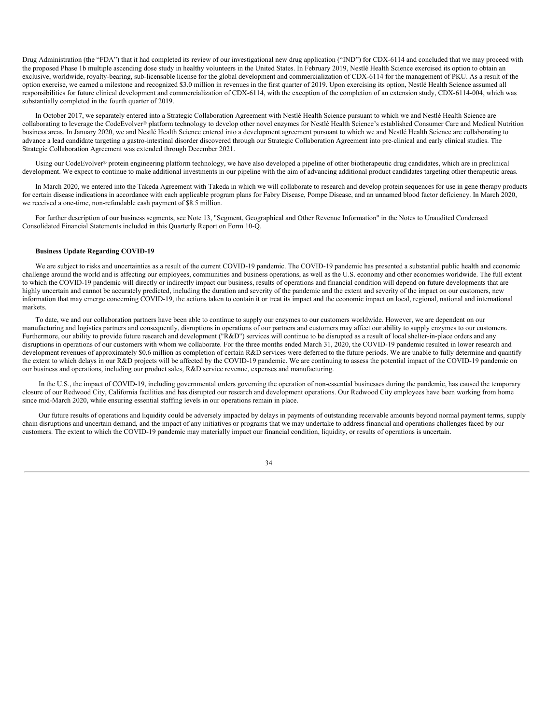Drug Administration (the "FDA") that it had completed its review of our investigational new drug application ("IND") for CDX-6114 and concluded that we may proceed with the proposed Phase 1b multiple ascending dose study in healthy volunteers in the United States. In February 2019, Nestlé Health Science exercised its option to obtain an exclusive, worldwide, royalty-bearing, sub-licensable license for the global development and commercialization of CDX-6114 for the management of PKU. As a result of the option exercise, we earned a milestone and recognized \$3.0 million in revenues in the first quarter of 2019. Upon exercising its option, Nestlé Health Science assumed all responsibilities for future clinical development and commercialization of CDX-6114, with the exception of the completion of an extension study, CDX-6114-004, which was substantially completed in the fourth quarter of 2019.

In October 2017, we separately entered into a Strategic Collaboration Agreement with Nestlé Health Science pursuant to which we and Nestlé Health Science are collaborating to leverage the CodeEvolver® platform technology to develop other novel enzymes for Nestlé Health Science's established Consumer Care and Medical Nutrition business areas. In January 2020, we and Nestlé Health Science entered into a development agreement pursuant to which we and Nestlé Health Science are collaborating to advance a lead candidate targeting a gastro-intestinal disorder discovered through our Strategic Collaboration Agreement into pre-clinical and early clinical studies. The Strategic Collaboration Agreement was extended through December 2021.

Using our CodeEvolver<sup>®</sup> protein engineering platform technology, we have also developed a pipeline of other biotherapeutic drug candidates, which are in preclinical development. We expect to continue to make additional investments in our pipeline with the aim of advancing additional product candidates targeting other therapeutic areas.

In March 2020, we entered into the Takeda Agreement with Takeda in which we will collaborate to research and develop protein sequences for use in gene therapy products for certain disease indications in accordance with each applicable program plans for Fabry Disease, Pompe Disease, and an unnamed blood factor deficiency. In March 2020, we received a one-time, non-refundable cash payment of \$8.5 million.

For further description of our business segments, see Note 13, "Segment, Geographical and Other Revenue Information" in the Notes to Unaudited Condensed Consolidated Financial Statements included in this Quarterly Report on Form 10-Q.

## **Business Update Regarding COVID-19**

We are subject to risks and uncertainties as a result of the current COVID-19 pandemic. The COVID-19 pandemic has presented a substantial public health and economic challenge around the world and is affecting our employees, communities and business operations, as well as the U.S. economy and other economies worldwide. The full extent to which the COVID-19 pandemic will directly or indirectly impact our business, results of operations and financial condition will depend on future developments that are highly uncertain and cannot be accurately predicted, including the duration and severity of the pandemic and the extent and severity of the impact on our customers, new information that may emerge concerning COVID-19, the actions taken to contain it or treat its impact and the economic impact on local, regional, national and international markets.

To date, we and our collaboration partners have been able to continue to supply our enzymes to our customers worldwide. However, we are dependent on our manufacturing and logistics partners and consequently, disruptions in operations of our partners and customers may affect our ability to supply enzymes to our customers. Furthermore, our ability to provide future research and development ("R&D") services will continue to be disrupted as a result of local shelter-in-place orders and any disruptions in operations of our customers with whom we collaborate. For the three months ended March 31, 2020, the COVID-19 pandemic resulted in lower research and development revenues of approximately \$0.6 million as completion of certain R&D services were deferred to the future periods. We are unable to fully determine and quantify the extent to which delays in our R&D projects will be affected by the COVID-19 pandemic. We are continuing to assess the potential impact of the COVID-19 pandemic on our business and operations, including our product sales, R&D service revenue, expenses and manufacturing.

In the U.S., the impact of COVID-19, including governmental orders governing the operation of non-essential businesses during the pandemic, has caused the temporary closure of our Redwood City, California facilities and has disrupted our research and development operations. Our Redwood City employees have been working from home since mid-March 2020, while ensuring essential staffing levels in our operations remain in place.

Our future results of operations and liquidity could be adversely impacted by delays in payments of outstanding receivable amounts beyond normal payment terms, supply chain disruptions and uncertain demand, and the impact of any initiatives or programs that we may undertake to address financial and operations challenges faced by our customers. The extent to which the COVID-19 pandemic may materially impact our financial condition, liquidity, or results of operations is uncertain.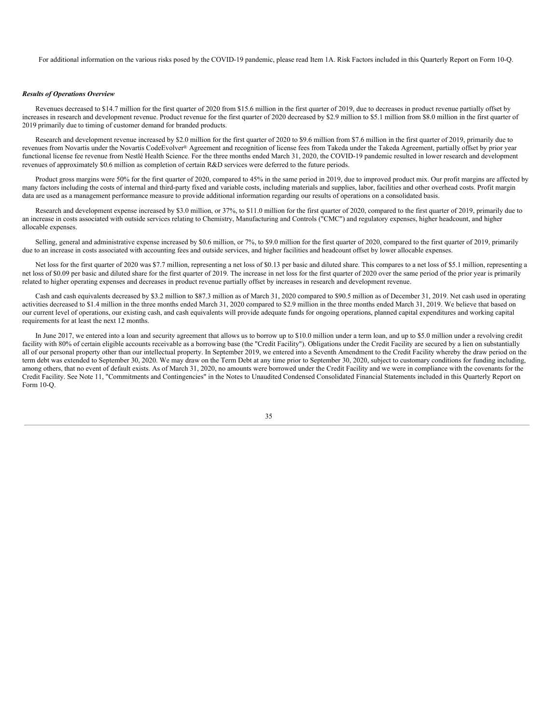For additional information on the various risks posed by the COVID-19 pandemic, please read Item 1A. Risk Factors included in this Quarterly Report on Form 10-Q.

#### *Results of Operations Overview*

Revenues decreased to \$14.7 million for the first quarter of 2020 from \$15.6 million in the first quarter of 2019, due to decreases in product revenue partially offset by increases in research and development revenue. Product revenue for the first quarter of 2020 decreased by \$2.9 million to \$5.1 million from \$8.0 million in the first quarter of 2019 primarily due to timing of customer demand for branded products.

Research and development revenue increased by \$2.0 million for the first quarter of 2020 to \$9.6 million from \$7.6 million in the first quarter of 2019, primarily due to revenues from Novartis under the Novartis CodeEvolver® Agreement and recognition of license fees from Takeda under the Takeda Agreement, partially offset by prior year functional license fee revenue from Nestlé Health Science. For the three months ended March 31, 2020, the COVID-19 pandemic resulted in lower research and development revenues of approximately \$0.6 million as completion of certain R&D services were deferred to the future periods.

Product gross margins were 50% for the first quarter of 2020, compared to 45% in the same period in 2019, due to improved product mix. Our profit margins are affected by many factors including the costs of internal and third-party fixed and variable costs, including materials and supplies, labor, facilities and other overhead costs. Profit margin data are used as a management performance measure to provide additional information regarding our results of operations on a consolidated basis.

Research and development expense increased by \$3.0 million, or 37%, to \$11.0 million for the first quarter of 2020, compared to the first quarter of 2019, primarily due to an increase in costs associated with outside services relating to Chemistry, Manufacturing and Controls ("CMC") and regulatory expenses, higher headcount, and higher allocable expenses.

Selling, general and administrative expense increased by \$0.6 million, or 7%, to \$9.0 million for the first quarter of 2020, compared to the first quarter of 2019, primarily due to an increase in costs associated with accounting fees and outside services, and higher facilities and headcount offset by lower allocable expenses.

Net loss for the first quarter of 2020 was \$7.7 million, representing a net loss of \$0.13 per basic and diluted share. This compares to a net loss of \$5.1 million, representing a net loss of \$0.09 per basic and diluted share for the first quarter of 2019. The increase in net loss for the first quarter of 2020 over the same period of the prior year is primarily related to higher operating expenses and decreases in product revenue partially offset by increases in research and development revenue.

Cash and cash equivalents decreased by \$3.2 million to \$87.3 million as of March 31, 2020 compared to \$90.5 million as of December 31, 2019. Net cash used in operating activities decreased to \$1.4 million in the three months ended March 31, 2020 compared to \$2.9 million in the three months ended March 31, 2019. We believe that based on our current level of operations, our existing cash, and cash equivalents will provide adequate funds for ongoing operations, planned capital expenditures and working capital requirements for at least the next 12 months.

In June 2017, we entered into a loan and security agreement that allows us to borrow up to \$10.0 million under a term loan, and up to \$5.0 million under a revolving credit facility with 80% of certain eligible accounts receivable as a borrowing base (the "Credit Facility"). Obligations under the Credit Facility are secured by a lien on substantially all of our personal property other than our intellectual property. In September 2019, we entered into a Seventh Amendment to the Credit Facility whereby the draw period on the term debt was extended to September 30, 2020. We may draw on the Term Debt at any time prior to September 30, 2020, subject to customary conditions for funding including, among others, that no event of default exists. As of March 31, 2020, no amounts were borrowed under the Credit Facility and we were in compliance with the covenants for the Credit Facility. See Note 11, "Commitments and Contingencies" in the Notes to Unaudited Condensed Consolidated Financial Statements included in this Quarterly Report on Form  $10-<sub>o</sub>$ 

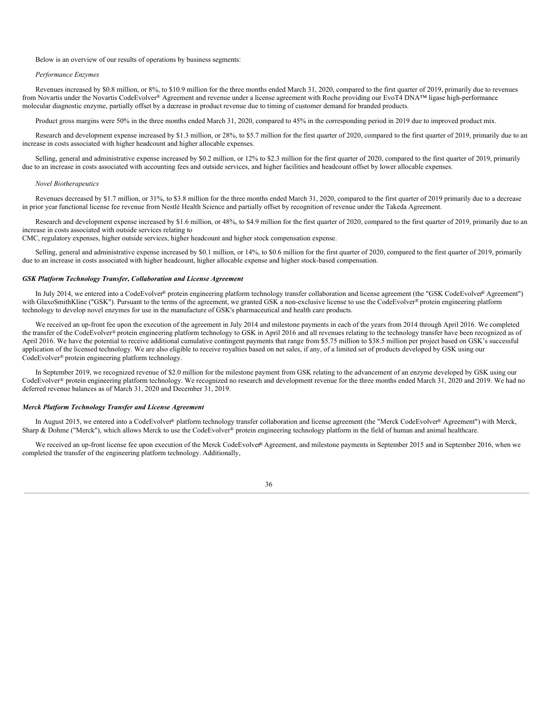## Below is an overview of our results of operations by business segments:

#### *Performance Enzymes*

Revenues increased by \$0.8 million, or 8%, to \$10.9 million for the three months ended March 31, 2020, compared to the first quarter of 2019, primarily due to revenues from Novartis under the Novartis CodeEvolver® Agreement and revenue under a license agreement with Roche providing our EvoT4 DNA™ ligase high-performance molecular diagnostic enzyme, partially offset by a decrease in product revenue due to timing of customer demand for branded products.

Product gross margins were 50% in the three months ended March 31, 2020, compared to 45% in the corresponding period in 2019 due to improved product mix.

Research and development expense increased by \$1.3 million, or 28%, to \$5.7 million for the first quarter of 2020, compared to the first quarter of 2019, primarily due to an increase in costs associated with higher headcount and higher allocable expenses.

Selling, general and administrative expense increased by \$0.2 million, or 12% to \$2.3 million for the first quarter of 2020, compared to the first quarter of 2019, primarily due to an increase in costs associated with accounting fees and outside services, and higher facilities and headcount offset by lower allocable expenses.

#### *Novel Biotherapeutics*

Revenues decreased by \$1.7 million, or 31%, to \$3.8 million for the three months ended March 31, 2020, compared to the first quarter of 2019 primarily due to a decrease in prior year functional license fee revenue from Nestlé Health Science and partially offset by recognition of revenue under the Takeda Agreement.

Research and development expense increased by \$1.6 million, or 48%, to \$4.9 million for the first quarter of 2020, compared to the first quarter of 2019, primarily due to an increase in costs associated with outside services relating to

CMC, regulatory expenses, higher outside services, higher headcount and higher stock compensation expense.

Selling, general and administrative expense increased by \$0.1 million, or 14%, to \$0.6 million for the first quarter of 2020, compared to the first quarter of 2019, primarily due to an increase in costs associated with higher headcount, higher allocable expense and higher stock-based compensation.

#### *GSK Platform Technology Transfer, Collaboration and License Agreement*

In July 2014, we entered into a CodeEvolver® protein engineering platform technology transfer collaboration and license agreement (the "GSK CodeEvolver® Agreement") with GlaxoSmithKline ("GSK"). Pursuant to the terms of the agreement, we granted GSK a non-exclusive license to use the CodeEvolver® protein engineering platform technology to develop novel enzymes for use in the manufacture of GSK's pharmaceutical and health care products.

We received an up-front fee upon the execution of the agreement in July 2014 and milestone payments in each of the years from 2014 through April 2016. We completed the transfer of the CodeEvolver® protein engineering platform technology to GSK in April 2016 and all revenues relating to the technology transfer have been recognized as of April 2016. We have the potential to receive additional cumulative contingent payments that range from \$5.75 million to \$38.5 million per project based on GSK's successful application of the licensed technology. We are also eligible to receive royalties based on net sales, if any, of a limited set of products developed by GSK using our CodeEvolver® protein engineering platform technology.

In September 2019, we recognized revenue of \$2.0 million for the milestone payment from GSK relating to the advancement of an enzyme developed by GSK using our CodeEvolver® protein engineering platform technology. We recognized no research and development revenue for the three months ended March 31, 2020 and 2019. We had no deferred revenue balances as of March 31, 2020 and December 31, 2019.

#### *Merck Platform Technology Transfer and License Agreement*

In August 2015, we entered into a CodeEvolver® platform technology transfer collaboration and license agreement (the "Merck CodeEvolver® Agreement") with Merck, Sharp & Dohme ("Merck"), which allows Merck to use the CodeEvolver® protein engineering technology platform in the field of human and animal healthcare.

We received an up-front license fee upon execution of the Merck CodeEvolver® Agreement, and milestone payments in September 2015 and in September 2016, when we completed the transfer of the engineering platform technology. Additionally,

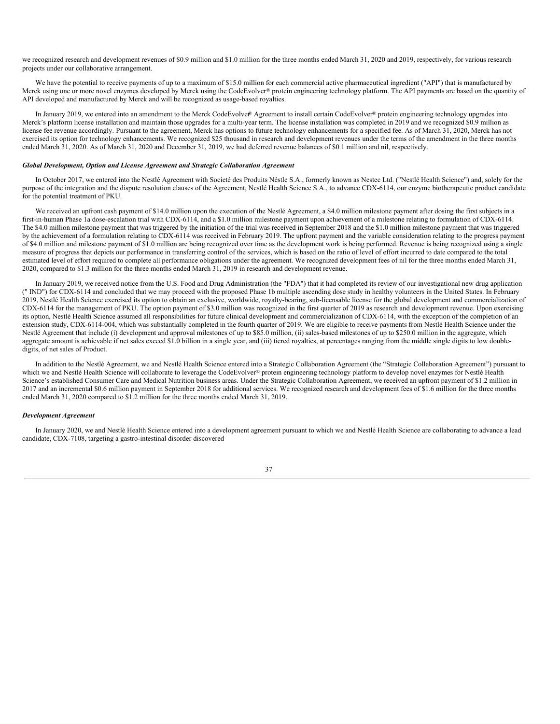we recognized research and development revenues of \$0.9 million and \$1.0 million for the three months ended March 31, 2020 and 2019, respectively, for various research projects under our collaborative arrangement.

We have the potential to receive payments of up to a maximum of \$15.0 million for each commercial active pharmaceutical ingredient ("API") that is manufactured by Merck using one or more novel enzymes developed by Merck using the CodeEvolver® protein engineering technology platform. The API payments are based on the quantity of API developed and manufactured by Merck and will be recognized as usage-based royalties.

In January 2019, we entered into an amendment to the Merck CodeEvolver® Agreement to install certain CodeEvolver® protein engineering technology upgrades into Merck's platform license installation and maintain those upgrades for a multi-year term. The license installation was completed in 2019 and we recognized \$0.9 million as license fee revenue accordingly. Pursuant to the agreement, Merck has options to future technology enhancements for a specified fee. As of March 31, 2020, Merck has not exercised its option for technology enhancements. We recognized \$25 thousand in research and development revenues under the terms of the amendment in the three months ended March 31, 2020. As of March 31, 2020 and December 31, 2019, we had deferred revenue balances of \$0.1 million and nil, respectively.

## *Global Development, Option and License Agreement and Strategic Collaboration Agreement*

In October 2017, we entered into the Nestlé Agreement with Societé des Produits Néstle S.A., formerly known as Nestec Ltd. ("Nestlé Health Science") and, solely for the purpose of the integration and the dispute resolution clauses of the Agreement, Nestlé Health Science S.A., to advance CDX-6114, our enzyme biotherapeutic product candidate for the potential treatment of PKU.

We received an upfront cash payment of \$14.0 million upon the execution of the Nestlé Agreement, a \$4.0 million milestone payment after dosing the first subjects in a first-in-human Phase 1a dose-escalation trial with CDX-6114, and a \$1.0 million milestone payment upon achievement of a milestone relating to formulation of CDX-6114. The \$4.0 million milestone payment that was triggered by the initiation of the trial was received in September 2018 and the \$1.0 million milestone payment that was triggered by the achievement of a formulation relating to CDX-6114 was received in February 2019. The upfront payment and the variable consideration relating to the progress payment of \$4.0 million and milestone payment of \$1.0 million are being recognized over time as the development work is being performed. Revenue is being recognized using a single measure of progress that depicts our performance in transferring control of the services, which is based on the ratio of level of effort incurred to date compared to the total estimated level of effort required to complete all performance obligations under the agreement. We recognized development fees of nil for the three months ended March 31, 2020, compared to \$1.3 million for the three months ended March 31, 2019 in research and development revenue.

In January 2019, we received notice from the U.S. Food and Drug Administration (the "FDA") that it had completed its review of our investigational new drug application (" IND") for CDX-6114 and concluded that we may proceed with the proposed Phase 1b multiple ascending dose study in healthy volunteers in the United States. In February 2019, Nestlé Health Science exercised its option to obtain an exclusive, worldwide, royalty-bearing, sub-licensable license for the global development and commercialization of CDX-6114 for the management of PKU. The option payment of \$3.0 million was recognized in the first quarter of 2019 as research and development revenue. Upon exercising its option, Nestlé Health Science assumed all responsibilities for future clinical development and commercialization of CDX-6114, with the exception of the completion of an extension study, CDX-6114-004, which was substantially completed in the fourth quarter of 2019. We are eligible to receive payments from Nestlé Health Science under the Nestlé Agreement that include (i) development and approval milestones of up to \$85.0 million, (ii) sales-based milestones of up to \$250.0 million in the aggregate, which aggregate amount is achievable if net sales exceed \$1.0 billion in a single year, and (iii) tiered royalties, at percentages ranging from the middle single digits to low doubledigits, of net sales of Product.

In addition to the Nestlé Agreement, we and Nestlé Health Science entered into a Strategic Collaboration Agreement (the "Strategic Collaboration Agreement") pursuant to which we and Nestlé Health Science will collaborate to leverage the CodeEvolver® protein engineering technology platform to develop novel enzymes for Nestlé Health Science's established Consumer Care and Medical Nutrition business areas. Under the Strategic Collaboration Agreement, we received an upfront payment of \$1.2 million in 2017 and an incremental \$0.6 million payment in September 2018 for additional services. We recognized research and development fees of \$1.6 million for the three months ended March 31, 2020 compared to \$1.2 million for the three months ended March 31, 2019.

### *Development Agreement*

In January 2020, we and Nestlé Health Science entered into a development agreement pursuant to which we and Nestlé Health Science are collaborating to advance a lead candidate, CDX-7108, targeting a gastro-intestinal disorder discovered

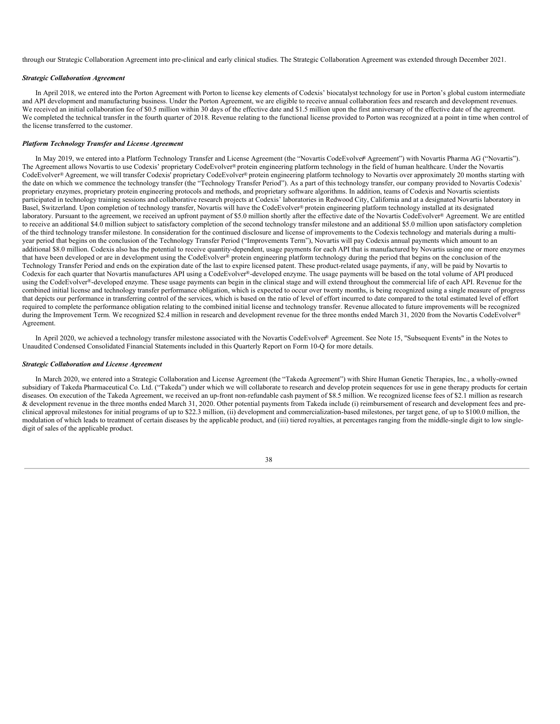through our Strategic Collaboration Agreement into pre-clinical and early clinical studies. The Strategic Collaboration Agreement was extended through December 2021.

## *Strategic Collaboration Agreement*

In April 2018, we entered into the Porton Agreement with Porton to license key elements of Codexis' biocatalyst technology for use in Porton's global custom intermediate and API development and manufacturing business. Under the Porton Agreement, we are eligible to receive annual collaboration fees and research and development revenues. We received an initial collaboration fee of \$0.5 million within 30 days of the effective date and \$1.5 million upon the first anniversary of the effective date of the agreement. We completed the technical transfer in the fourth quarter of 2018. Revenue relating to the functional license provided to Porton was recognized at a point in time when control of the license transferred to the customer.

#### *Platform Technology Transfer and License Agreement*

In May 2019, we entered into a Platform Technology Transfer and License Agreement (the "Novartis CodeEvolver® Agreement") with Novartis Pharma AG ("Novartis"). The Agreement allows Novartis to use Codexis' proprietary CodeEvolver® protein engineering platform technology in the field of human healthcare. Under the Novartis CodeEvolver® Agreement, we will transfer Codexis' proprietary CodeEvolver® protein engineering platform technology to Novartis over approximately 20 months starting with the date on which we commence the technology transfer (the "Technology Transfer Period"). As a part of this technology transfer, our company provided to Novartis Codexis' proprietary enzymes, proprietary protein engineering protocols and methods, and proprietary software algorithms. In addition, teams of Codexis and Novartis scientists participated in technology training sessions and collaborative research projects at Codexis' laboratories in Redwood City, California and at a designated Novartis laboratory in Basel, Switzerland. Upon completion of technology transfer, Novartis will have the CodeEvolver® protein engineering platform technology installed at its designated laboratory. Pursuant to the agreement, we received an upfront payment of \$5.0 million shortly after the effective date of the Novartis CodeEvolver® Agreement. We are entitled to receive an additional \$4.0 million subject to satisfactory completion of the second technology transfer milestone and an additional \$5.0 million upon satisfactory completion of the third technology transfer milestone. In consideration for the continued disclosure and license of improvements to the Codexis technology and materials during a multiyear period that begins on the conclusion of the Technology Transfer Period ("Improvements Term"), Novartis will pay Codexis annual payments which amount to an additional \$8.0 million. Codexis also has the potential to receive quantity-dependent, usage payments for each API that is manufactured by Novartis using one or more enzymes that have been developed or are in development using the CodeEvolver® protein engineering platform technology during the period that begins on the conclusion of the Technology Transfer Period and ends on the expiration date of the last to expire licensed patent. These product-related usage payments, if any, will be paid by Novartis to Codexis for each quarter that Novartis manufactures API using a CodeEvolver®-developed enzyme. The usage payments will be based on the total volume of API produced using the CodeEvolver®-developed enzyme. These usage payments can begin in the clinical stage and will extend throughout the commercial life of each API. Revenue for the combined initial license and technology transfer performance obligation, which is expected to occur over twenty months, is being recognized using a single measure of progress that depicts our performance in transferring control of the services, which is based on the ratio of level of effort incurred to date compared to the total estimated level of effort required to complete the performance obligation relating to the combined initial license and technology transfer. Revenue allocated to future improvements will be recognized during the Improvement Term. We recognized \$2.4 million in research and development revenue for the three months ended March 31, 2020 from the Novartis CodeEvolver® Agreement.

In April 2020, we achieved a technology transfer milestone associated with the Novartis CodeEvolver® Agreement. See Note 15, "Subsequent Events" in the Notes to Unaudited Condensed Consolidated Financial Statements included in this Quarterly Report on Form 10-Q for more details.

#### *Strategic Collaboration and License Agreement*

In March 2020, we entered into a Strategic Collaboration and License Agreement (the "Takeda Agreement") with Shire Human Genetic Therapies, Inc., a wholly-owned subsidiary of Takeda Pharmaceutical Co. Ltd. ("Takeda") under which we will collaborate to research and develop protein sequences for use in gene therapy products for certain diseases. On execution of the Takeda Agreement, we received an up-front non-refundable cash payment of \$8.5 million. We recognized license fees of \$2.1 million as research & development revenue in the three months ended March 31, 2020. Other potential payments from Takeda include (i) reimbursement of research and development fees and preclinical approval milestones for initial programs of up to \$22.3 million, (ii) development and commercialization-based milestones, per target gene, of up to \$100.0 million, the modulation of which leads to treatment of certain diseases by the applicable product, and (iii) tiered royalties, at percentages ranging from the middle-single digit to low singledigit of sales of the applicable product.

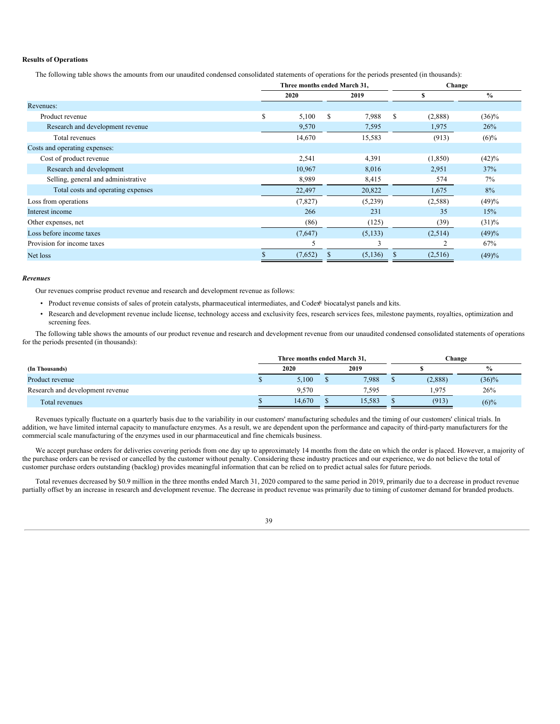## **Results of Operations**

The following table shows the amounts from our unaudited condensed consolidated statements of operations for the periods presented (in thousands):

|                                     |      |         | Three months ended March 31, |         | Change |          |               |  |
|-------------------------------------|------|---------|------------------------------|---------|--------|----------|---------------|--|
|                                     | 2020 |         |                              | 2019    | S      |          | $\frac{0}{0}$ |  |
| Revenues:                           |      |         |                              |         |        |          |               |  |
| Product revenue                     | S    | 5,100   | <sup>\$</sup>                | 7,988   | S      | (2,888)  | $(36)\%$      |  |
| Research and development revenue    |      | 9,570   |                              | 7,595   |        | 1,975    | 26%           |  |
| Total revenues                      |      | 14,670  |                              | 15,583  |        | (913)    | $(6)\%$       |  |
| Costs and operating expenses:       |      |         |                              |         |        |          |               |  |
| Cost of product revenue             |      | 2,541   |                              | 4,391   |        | (1, 850) | (42)%         |  |
| Research and development            |      | 10,967  |                              | 8,016   |        | 2,951    | 37%           |  |
| Selling, general and administrative |      | 8,989   |                              | 8,415   |        | 574      | 7%            |  |
| Total costs and operating expenses  |      | 22,497  |                              | 20,822  |        | 1,675    | 8%            |  |
| Loss from operations                |      | (7,827) |                              | (5,239) |        | (2,588)  | (49)%         |  |
| Interest income                     |      | 266     |                              | 231     |        | 35       | 15%           |  |
| Other expenses, net                 |      | (86)    |                              | (125)   |        | (39)     | $(31)\%$      |  |
| Loss before income taxes            |      | (7,647) |                              | (5,133) |        | (2,514)  | (49)%         |  |
| Provision for income taxes          |      | 5       |                              | 3       |        | 2        | 67%           |  |
| Net loss                            |      | (7,652) | <sup>\$</sup>                | (5,136) | S      | (2,516)  | (49)%         |  |

### *Revenues*

Our revenues comprise product revenue and research and development revenue as follows:

- Product revenue consists of sales of protein catalysts, pharmaceutical intermediates, and Codex® biocatalyst panels and kits.
- Research and development revenue include license, technology access and exclusivity fees, research services fees, milestone payments, royalties, optimization and screening fees.

The following table shows the amounts of our product revenue and research and development revenue from our unaudited condensed consolidated statements of operations for the periods presented (in thousands):

|                                  | Three months ended March 31. |        |  |        |  |         | Change        |
|----------------------------------|------------------------------|--------|--|--------|--|---------|---------------|
| (In Thousands)                   |                              | 2020   |  | 2019   |  |         | $\frac{9}{6}$ |
| Product revenue                  |                              | 5.100  |  | 7.988  |  | (2,888) | $(36)\%$      |
| Research and development revenue |                              | 9.570  |  | 7.595  |  | 1.975   | 26%           |
| Total revenues                   |                              | 14.670 |  | 15.583 |  | (913)   | $(6)\%$       |

Revenues typically fluctuate on a quarterly basis due to the variability in our customers' manufacturing schedules and the timing of our customers' clinical trials. In addition, we have limited internal capacity to manufacture enzymes. As a result, we are dependent upon the performance and capacity of third-party manufacturers for the commercial scale manufacturing of the enzymes used in our pharmaceutical and fine chemicals business.

We accept purchase orders for deliveries covering periods from one day up to approximately 14 months from the date on which the order is placed. However, a majority of the purchase orders can be revised or cancelled by the customer without penalty. Considering these industry practices and our experience, we do not believe the total of customer purchase orders outstanding (backlog) provides meaningful information that can be relied on to predict actual sales for future periods.

Total revenues decreased by \$0.9 million in the three months ended March 31, 2020 compared to the same period in 2019, primarily due to a decrease in product revenue partially offset by an increase in research and development revenue. The decrease in product revenue was primarily due to timing of customer demand for branded products.

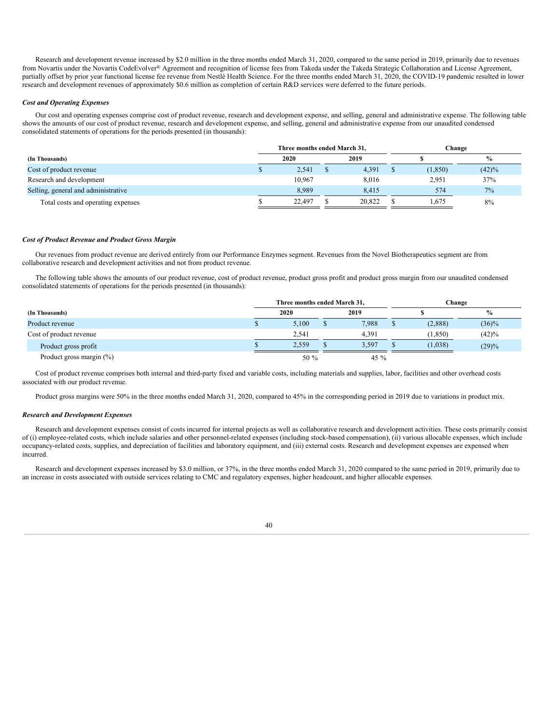Research and development revenue increased by \$2.0 million in the three months ended March 31, 2020, compared to the same period in 2019, primarily due to revenues from Novartis under the Novartis CodeEvolver® Agreement and recognition of license fees from Takeda under the Takeda Strategic Collaboration and License Agreement, partially offset by prior year functional license fee revenue from Nestlé Health Science. For the three months ended March 31, 2020, the COVID-19 pandemic resulted in lower research and development revenues of approximately \$0.6 million as completion of certain R&D services were deferred to the future periods.

### *Cost and Operating Expenses*

Our cost and operating expenses comprise cost of product revenue, research and development expense, and selling, general and administrative expense. The following table shows the amounts of our cost of product revenue, research and development expense, and selling, general and administrative expense from our unaudited condensed consolidated statements of operations for the periods presented (in thousands):

|                                     | Three months ended March 31, |        |  |        | Change   |       |  |  |
|-------------------------------------|------------------------------|--------|--|--------|----------|-------|--|--|
| (In Thousands)                      |                              | 2020   |  | 2019   |          | $\%$  |  |  |
| Cost of product revenue             |                              | 2.541  |  | 4.391  | (1, 850) | (42)% |  |  |
| Research and development            |                              | 10.967 |  | 8.016  | 2.951    | 37%   |  |  |
| Selling, general and administrative |                              | 8.989  |  | 8.415  | 574      | 7%    |  |  |
| Total costs and operating expenses  |                              | 22,497 |  | 20.822 | 1.675    | 8%    |  |  |

### *Cost of Product Revenue and Product Gross Margin*

Our revenues from product revenue are derived entirely from our Performance Enzymes segment. Revenues from the Novel Biotherapeutics segment are from collaborative research and development activities and not from product revenue.

The following table shows the amounts of our product revenue, cost of product revenue, product gross profit and product gross margin from our unaudited condensed consolidated statements of operations for the periods presented (in thousands):

|                             | Three months ended March 31, |  | Change |   |          |               |  |
|-----------------------------|------------------------------|--|--------|---|----------|---------------|--|
| (In Thousands)              | 2020                         |  | 2019   |   |          | $\frac{9}{6}$ |  |
| Product revenue             | 5,100                        |  | 7,988  | Φ | (2,888)  | $(36)\%$      |  |
| Cost of product revenue     | 2.541                        |  | 4.391  |   | (1, 850) | (42)%         |  |
| Product gross profit        | 2.559                        |  | 3.597  |   | (1,038)  | (29)%         |  |
| Product gross margin $(\%)$ | 50 %                         |  | 45 $%$ |   |          |               |  |

Cost of product revenue comprises both internal and third-party fixed and variable costs, including materials and supplies, labor, facilities and other overhead costs associated with our product revenue.

Product gross margins were 50% in the three months ended March 31, 2020, compared to 45% in the corresponding period in 2019 due to variations in product mix.

### *Research and Development Expenses*

Research and development expenses consist of costs incurred for internal projects as well as collaborative research and development activities. These costs primarily consist of (i) employee-related costs, which include salaries and other personnel-related expenses (including stock-based compensation), (ii) various allocable expenses, which include occupancy-related costs, supplies, and depreciation of facilities and laboratory equipment, and (iii) external costs. Research and development expenses are expensed when incurred.

Research and development expenses increased by \$3.0 million, or 37%, in the three months ended March 31, 2020 compared to the same period in 2019, primarily due to an increase in costs associated with outside services relating to CMC and regulatory expenses, higher headcount, and higher allocable expenses.

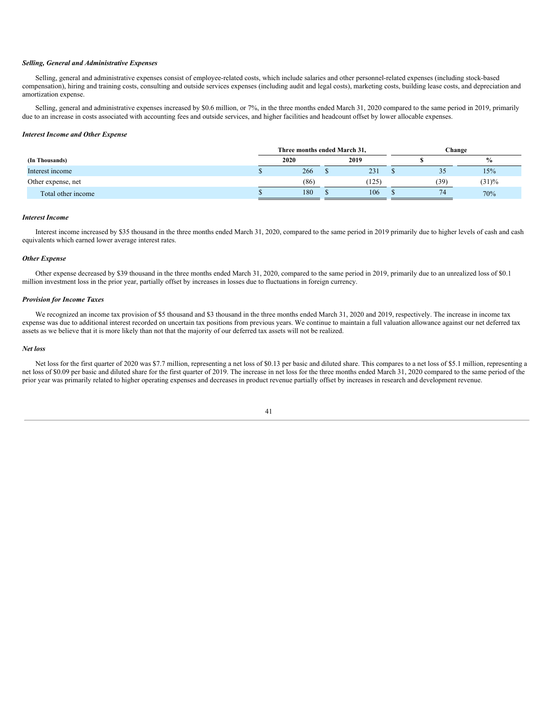### *Selling, General and Administrative Expenses*

Selling, general and administrative expenses consist of employee-related costs, which include salaries and other personnel-related expenses (including stock-based compensation), hiring and training costs, consulting and outside services expenses (including audit and legal costs), marketing costs, building lease costs, and depreciation and amortization expense.

Selling, general and administrative expenses increased by \$0.6 million, or 7%, in the three months ended March 31, 2020 compared to the same period in 2019, primarily due to an increase in costs associated with accounting fees and outside services, and higher facilities and headcount offset by lower allocable expenses.

### *Interest Income and Other Expense*

|                    | Three months ended March 31, |  |       |      | Change        |
|--------------------|------------------------------|--|-------|------|---------------|
| (In Thousands)     | 2020                         |  | 2019  |      | $\frac{0}{0}$ |
| Interest income    | 266                          |  | 231   | JJ   | 15%           |
| Other expense, net | (86)                         |  | (125) | (39) | (31)%         |
| Total other income | 180                          |  | 106   | 74   | 70%           |

### *Interest Income*

Interest income increased by \$35 thousand in the three months ended March 31, 2020, compared to the same period in 2019 primarily due to higher levels of cash and cash equivalents which earned lower average interest rates.

## *Other Expense*

Other expense decreased by \$39 thousand in the three months ended March 31, 2020, compared to the same period in 2019, primarily due to an unrealized loss of \$0.1 million investment loss in the prior year, partially offset by increases in losses due to fluctuations in foreign currency.

#### *Provision for Income Taxes*

We recognized an income tax provision of \$5 thousand and \$3 thousand in the three months ended March 31, 2020 and 2019, respectively. The increase in income tax expense was due to additional interest recorded on uncertain tax positions from previous years. We continue to maintain a full valuation allowance against our net deferred tax assets as we believe that it is more likely than not that the majority of our deferred tax assets will not be realized.

#### *Net loss*

Net loss for the first quarter of 2020 was \$7.7 million, representing a net loss of \$0.13 per basic and diluted share. This compares to a net loss of \$5.1 million, representing a net loss of \$0.09 per basic and diluted share for the first quarter of 2019. The increase in net loss for the three months ended March 31, 2020 compared to the same period of the prior year was primarily related to higher operating expenses and decreases in product revenue partially offset by increases in research and development revenue.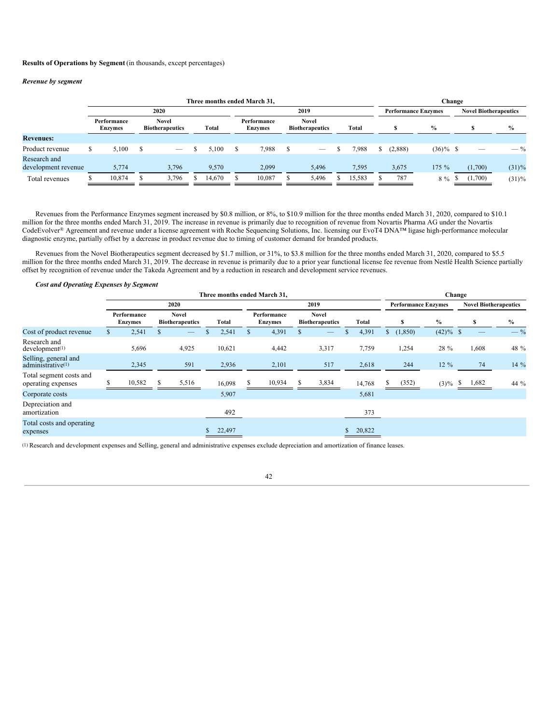## **Results of Operations by Segment** (in thousands, except percentages)

### *Revenue by segment*

|                                     | Three months ended March 31, |                        |      |                                 |  |        |      |                               |    |                                        |  |        |  |         |                              | Change |         |         |                |
|-------------------------------------|------------------------------|------------------------|------|---------------------------------|--|--------|------|-------------------------------|----|----------------------------------------|--|--------|--|---------|------------------------------|--------|---------|---------|----------------|
|                                     |                              | 2020                   |      |                                 |  |        | 2019 |                               |    | <b>Performance Enzymes</b>             |  |        |  |         | <b>Novel Biotherapeutics</b> |        |         |         |                |
|                                     |                              | Performance<br>Enzymes |      | Novel<br><b>Biotherapeutics</b> |  | Total  |      | Performance<br><b>Enzymes</b> |    | <b>Novel</b><br><b>Biotherapeutics</b> |  | Total  |  |         | $\frac{0}{0}$                |        |         |         | $\frac{0}{0}$  |
| <b>Revenues:</b>                    |                              |                        |      |                                 |  |        |      |                               |    |                                        |  |        |  |         |                              |        |         |         |                |
| Product revenue                     | У                            | 5.100                  | - \$ | $\hspace{0.05cm}$               |  | 5.100  | S    | 7,988                         | S. | $\qquad \qquad$                        |  | 7,988  |  | (2,888) | $(36)\%$ \$                  |        |         |         | $-\frac{9}{6}$ |
| Research and<br>development revenue |                              | 5,774                  |      | 3,796                           |  | 9.570  |      | 2,099                         |    | 5,496                                  |  | 7,595  |  | 3,675   | 175%                         |        |         | (1,700) | $(31)\%$       |
| Total revenues                      |                              | 10.874                 |      | 3.796                           |  | 14.670 |      | 10,087                        |    | 5,496                                  |  | 15,583 |  | 787     | $8\%$                        |        | (1,700) |         | $(31)\%$       |

Revenues from the Performance Enzymes segment increased by \$0.8 million, or 8%, to \$10.9 million for the three months ended March 31, 2020, compared to \$10.1 million for the three months ended March 31, 2019. The increase in revenue is primarily due to recognition of revenue from Novartis Pharma AG under the Novartis CodeEvolver® Agreement and revenue under a license agreement with Roche Sequencing Solutions, Inc. licensing our EvoT4 DNA™ ligase high-performance molecular diagnostic enzyme, partially offset by a decrease in product revenue due to timing of customer demand for branded products.

Revenues from the Novel Biotherapeutics segment decreased by \$1.7 million, or 31%, to \$3.8 million for the three months ended March 31, 2020, compared to \$5.5 million for the three months ended March 31, 2019. The decrease in revenue is primarily due to a prior year functional license fee revenue from Nestlé Health Science partially offset by recognition of revenue under the Takeda Agreement and by a reduction in research and development service revenues.

| <b>Cost and Operating Expenses by Segment</b>         |              |                               |          |                                        |              |     |                               |   |                                        |        |        |                            |               |         |                              |          |               |
|-------------------------------------------------------|--------------|-------------------------------|----------|----------------------------------------|--------------|-----|-------------------------------|---|----------------------------------------|--------|--------|----------------------------|---------------|---------|------------------------------|----------|---------------|
|                                                       |              |                               |          |                                        |              |     | Three months ended March 31,  |   |                                        |        | Change |                            |               |         |                              |          |               |
|                                                       |              |                               |          | 2020                                   |              |     |                               |   | 2019                                   |        |        | <b>Performance Enzymes</b> |               |         | <b>Novel Biotherapeutics</b> |          |               |
|                                                       |              | Performance<br><b>Enzymes</b> |          | <b>Novel</b><br><b>Biotherapeutics</b> | <b>Total</b> |     | Performance<br><b>Enzymes</b> |   | <b>Novel</b><br><b>Biotherapeutics</b> | Total  |        | \$                         | $\frac{0}{0}$ |         |                              | <b>S</b> | $\frac{0}{0}$ |
| Cost of product revenue                               | <sup>S</sup> | 2,541                         | <b>S</b> |                                        | 2,541        | \$. | 4,391                         |   |                                        | 4,391  | S.     | (1,850)                    | $(42)\%$ \$   |         |                              |          | $-$ %         |
| Research and<br>development <sup>(1)</sup>            |              | 5,696                         |          | 4,925                                  | 10,621       |     | 4,442                         |   | 3,317                                  | 7,759  |        | 1,254                      | 28 %          |         |                              | 1,608    | 48 %          |
| Selling, general and<br>administrative <sup>(1)</sup> |              | 2,345                         |          | 591                                    | 2,936        |     | 2,101                         |   | 517                                    | 2,618  |        | 244                        |               | $12\%$  |                              | 74       | 14 %          |
| Total segment costs and<br>operating expenses         | S            | 10,582                        | -S       | 5,516                                  | 16,098       | S.  | 10,934                        | S | 3,834                                  | 14,768 |        | (352)                      |               | $(3)\%$ | <sup>\$</sup>                | 1,682    | 44 %          |
| Corporate costs                                       |              |                               |          |                                        | 5,907        |     |                               |   |                                        | 5,681  |        |                            |               |         |                              |          |               |
| Depreciation and<br>amortization                      |              |                               |          |                                        | 492          |     |                               |   |                                        | 373    |        |                            |               |         |                              |          |               |
| Total costs and operating<br>expenses                 |              |                               |          |                                        | 22,497       |     |                               |   |                                        | 20,822 |        |                            |               |         |                              |          |               |

(1) Research and development expenses and Selling, general and administrative expenses exclude depreciation and amortization of finance leases.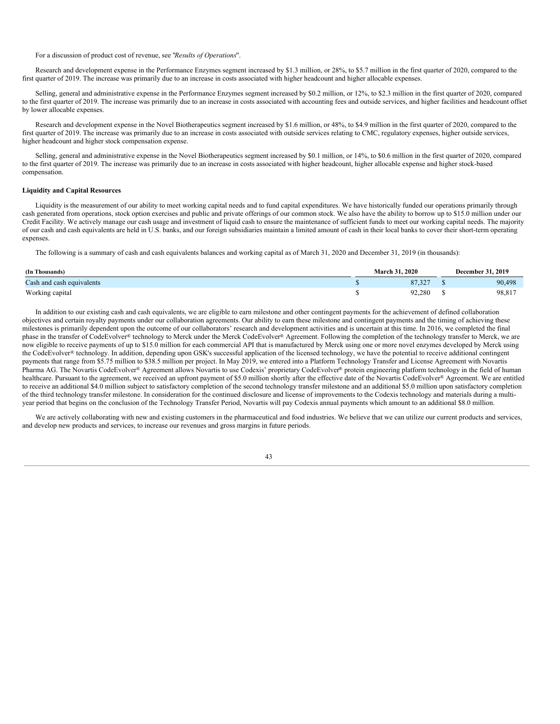For a discussion of product cost of revenue, see "*Results of Operations*".

Research and development expense in the Performance Enzymes segment increased by \$1.3 million, or 28%, to \$5.7 million in the first quarter of 2020, compared to the first quarter of 2019. The increase was primarily due to an increase in costs associated with higher headcount and higher allocable expenses.

Selling, general and administrative expense in the Performance Enzymes segment increased by \$0.2 million, or 12%, to \$2.3 million in the first quarter of 2020, compared to the first quarter of 2019. The increase was primarily due to an increase in costs associated with accounting fees and outside services, and higher facilities and headcount offset by lower allocable expenses.

Research and development expense in the Novel Biotherapeutics segment increased by \$1.6 million, or 48%, to \$4.9 million in the first quarter of 2020, compared to the first quarter of 2019. The increase was primarily due to an increase in costs associated with outside services relating to CMC, regulatory expenses, higher outside services, higher headcount and higher stock compensation expense.

Selling, general and administrative expense in the Novel Biotherapeutics segment increased by \$0.1 million, or 14%, to \$0.6 million in the first quarter of 2020, compared to the first quarter of 2019. The increase was primarily due to an increase in costs associated with higher headcount, higher allocable expense and higher stock-based compensation.

### **Liquidity and Capital Resources**

Liquidity is the measurement of our ability to meet working capital needs and to fund capital expenditures. We have historically funded our operations primarily through cash generated from operations, stock option exercises and public and private offerings of our common stock. We also have the ability to borrow up to \$15.0 million under our Credit Facility. We actively manage our cash usage and investment of liquid cash to ensure the maintenance of sufficient funds to meet our working capital needs. The majority of our cash and cash equivalents are held in U.S. banks, and our foreign subsidiaries maintain a limited amount of cash in their local banks to cover their short-term operating expenses.

The following is a summary of cash and cash equivalents balances and working capital as of March 31, 2020 and December 31, 2019 (in thousands):

| (In Thousands)            | 2020<br>March 31. | <b>December 31, 2019</b> |
|---------------------------|-------------------|--------------------------|
| Cash and cash equivalents | 87.327            | 90,498                   |
| Working capital           | 92,280            | 98,817                   |

In addition to our existing cash and cash equivalents, we are eligible to earn milestone and other contingent payments for the achievement of defined collaboration objectives and certain royalty payments under our collaboration agreements. Our ability to earn these milestone and contingent payments and the timing of achieving these milestones is primarily dependent upon the outcome of our collaborators' research and development activities and is uncertain at this time. In 2016, we completed the final phase in the transfer of CodeEvolver® technology to Merck under the Merck CodeEvolver® Agreement. Following the completion of the technology transfer to Merck, we are now eligible to receive payments of up to \$15.0 million for each commercial API that is manufactured by Merck using one or more novel enzymes developed by Merck using the CodeEvolver® technology. In addition, depending upon GSK's successful application of the licensed technology, we have the potential to receive additional contingent payments that range from \$5.75 million to \$38.5 million per project. In May 2019, we entered into a Platform Technology Transfer and License Agreement with Novartis Pharma AG. The Novartis CodeEvolver® Agreement allows Novartis to use Codexis' proprietary CodeEvolver® protein engineering platform technology in the field of human healthcare. Pursuant to the agreement, we received an upfront payment of \$5.0 million shortly after the effective date of the Novartis CodeEvolver® Agreement. We are entitled to receive an additional \$4.0 million subject to satisfactory completion of the second technology transfer milestone and an additional \$5.0 million upon satisfactory completion of the third technology transfer milestone. In consideration for the continued disclosure and license of improvements to the Codexis technology and materials during a multiyear period that begins on the conclusion of the Technology Transfer Period, Novartis will pay Codexis annual payments which amount to an additional \$8.0 million.

We are actively collaborating with new and existing customers in the pharmaceutical and food industries. We believe that we can utilize our current products and services, and develop new products and services, to increase our revenues and gross margins in future periods.

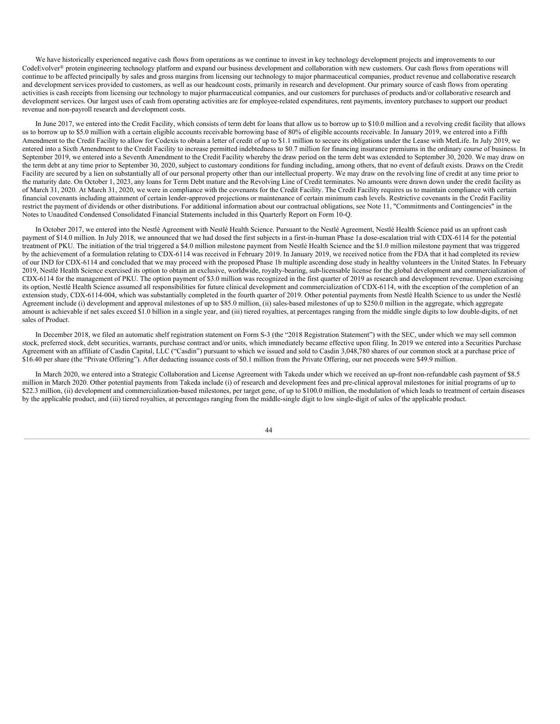We have historically experienced negative cash flows from operations as we continue to invest in key technology development projects and improvements to our CodeEvolver® protein engineering technology platform and expand our business development and collaboration with new customers. Our cash flows from operations will continue to be affected principally by sales and gross margins from licensing our technology to major pharmaceutical companies, product revenue and collaborative research and development services provided to customers, as well as our headcount costs, primarily in research and development. Our primary source of cash flows from operating activities is cash receipts from licensing our technology to major pharmaceutical companies, and our customers for purchases of products and/or collaborative research and development services. Our largest uses of cash from operating activities are for employee-related expenditures, rent payments, inventory purchases to support our product revenue and non-payroll research and development costs.

In June 2017, we entered into the Credit Facility, which consists of term debt for loans that allow us to borrow up to \$10.0 million and a revolving credit facility that allows us to borrow up to \$5.0 million with a certain eligible accounts receivable borrowing base of 80% of eligible accounts receivable. In January 2019, we entered into a Fifth Amendment to the Credit Facility to allow for Codexis to obtain a letter of credit of up to \$1.1 million to secure its obligations under the Lease with MetLife. In July 2019, we entered into a Sixth Amendment to the Credit Facility to increase permitted indebtedness to \$0.7 million for financing insurance premiums in the ordinary course of business. In September 2019, we entered into a Seventh Amendment to the Credit Facility whereby the draw period on the term debt was extended to September 30, 2020. We may draw on the term debt at any time prior to September 30, 2020, subject to customary conditions for funding including, among others, that no event of default exists. Draws on the Credit Facility are secured by a lien on substantially all of our personal property other than our intellectual property. We may draw on the revolving line of credit at any time prior to the maturity date. On October 1, 2023, any loans for Term Debt mature and the Revolving Line of Credit terminates. No amounts were drawn down under the credit facility as of March 31, 2020. At March 31, 2020, we were in compliance with the covenants for the Credit Facility. The Credit Facility requires us to maintain compliance with certain financial covenants including attainment of certain lender-approved projections or maintenance of certain minimum cash levels. Restrictive covenants in the Credit Facility restrict the payment of dividends or other distributions. For additional information about our contractual obligations, see Note 11, "Commitments and Contingencies" in the Notes to Unaudited Condensed Consolidated Financial Statements included in this Quarterly Report on Form 10-Q.

In October 2017, we entered into the Nestlé Agreement with Nestlé Health Science. Pursuant to the Nestlé Agreement, Nestlé Health Science paid us an upfront cash payment of \$14.0 million. In July 2018, we announced that we had dosed the first subjects in a first-in-human Phase 1a dose-escalation trial with CDX-6114 for the potential treatment of PKU. The initiation of the trial triggered a \$4.0 million milestone payment from Nestlé Health Science and the \$1.0 million milestone payment that was triggered by the achievement of a formulation relating to CDX-6114 was received in February 2019. In January 2019, we received notice from the FDA that it had completed its review of our IND for CDX-6114 and concluded that we may proceed with the proposed Phase 1b multiple ascending dose study in healthy volunteers in the United States. In February 2019, Nestlé Health Science exercised its option to obtain an exclusive, worldwide, royalty-bearing, sub-licensable license for the global development and commercialization of CDX-6114 for the management of PKU. The option payment of \$3.0 million was recognized in the first quarter of 2019 as research and development revenue. Upon exercising its option, Nestlé Health Science assumed all responsibilities for future clinical development and commercialization of CDX-6114, with the exception of the completion of an extension study, CDX-6114-004, which was substantially completed in the fourth quarter of 2019. Other potential payments from Nestlé Health Science to us under the Nestlé Agreement include (i) development and approval milestones of up to \$85.0 million, (ii) sales-based milestones of up to \$250.0 million in the aggregate, which aggregate amount is achievable if net sales exceed \$1.0 billion in a single year, and (iii) tiered royalties, at percentages ranging from the middle single digits to low double-digits, of net sales of Product.

In December 2018, we filed an automatic shelf registration statement on Form S-3 (the "2018 Registration Statement") with the SEC, under which we may sell common stock, preferred stock, debt securities, warrants, purchase contract and/or units, which immediately became effective upon filing. In 2019 we entered into a Securities Purchase Agreement with an affiliate of Casdin Capital, LLC ("Casdin") pursuant to which we issued and sold to Casdin 3,048,780 shares of our common stock at a purchase price of \$16.40 per share (the "Private Offering"). After deducting issuance costs of \$0.1 million from the Private Offering, our net proceeds were \$49.9 million.

In March 2020, we entered into a Strategic Collaboration and License Agreement with Takeda under which we received an up-front non-refundable cash payment of \$8.5 million in March 2020. Other potential payments from Takeda include (i) of research and development fees and pre-clinical approval milestones for initial programs of up to \$22.3 million, (ii) development and commercialization-based milestones, per target gene, of up to \$100.0 million, the modulation of which leads to treatment of certain diseases by the applicable product, and (iii) tiered royalties, at percentages ranging from the middle-single digit to low single-digit of sales of the applicable product.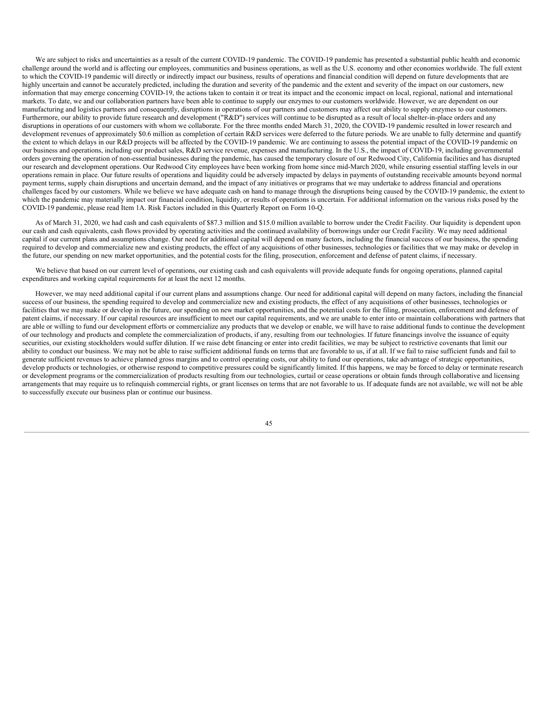We are subject to risks and uncertainties as a result of the current COVID-19 pandemic. The COVID-19 pandemic has presented a substantial public health and economic challenge around the world and is affecting our employees, communities and business operations, as well as the U.S. economy and other economies worldwide. The full extent to which the COVID-19 pandemic will directly or indirectly impact our business, results of operations and financial condition will depend on future developments that are highly uncertain and cannot be accurately predicted, including the duration and severity of the pandemic and the extent and severity of the impact on our customers, new information that may emerge concerning COVID-19, the actions taken to contain it or treat its impact and the economic impact on local, regional, national and international markets. To date, we and our collaboration partners have been able to continue to supply our enzymes to our customers worldwide. However, we are dependent on our manufacturing and logistics partners and consequently, disruptions in operations of our partners and customers may affect our ability to supply enzymes to our customers. Furthermore, our ability to provide future research and development ("R&D") services will continue to be disrupted as a result of local shelter-in-place orders and any disruptions in operations of our customers with whom we collaborate. For the three months ended March 31, 2020, the COVID-19 pandemic resulted in lower research and development revenues of approximately \$0.6 million as completion of certain R&D services were deferred to the future periods. We are unable to fully determine and quantify the extent to which delays in our R&D projects will be affected by the COVID-19 pandemic. We are continuing to assess the potential impact of the COVID-19 pandemic on our business and operations, including our product sales, R&D service revenue, expenses and manufacturing. In the U.S., the impact of COVID-19, including governmental orders governing the operation of non-essential businesses during the pandemic, has caused the temporary closure of our Redwood City, California facilities and has disrupted our research and development operations. Our Redwood City employees have been working from home since mid-March 2020, while ensuring essential staffing levels in our operations remain in place. Our future results of operations and liquidity could be adversely impacted by delays in payments of outstanding receivable amounts beyond normal payment terms, supply chain disruptions and uncertain demand, and the impact of any initiatives or programs that we may undertake to address financial and operations challenges faced by our customers. While we believe we have adequate cash on hand to manage through the disruptions being caused by the COVID-19 pandemic, the extent to which the pandemic may materially impact our financial condition, liquidity, or results of operations is uncertain. For additional information on the various risks posed by the COVID-19 pandemic, please read Item 1A. Risk Factors included in this Quarterly Report on Form 10-Q.

As of March 31, 2020, we had cash and cash equivalents of \$87.3 million and \$15.0 million available to borrow under the Credit Facility. Our liquidity is dependent upon our cash and cash equivalents, cash flows provided by operating activities and the continued availability of borrowings under our Credit Facility. We may need additional capital if our current plans and assumptions change. Our need for additional capital will depend on many factors, including the financial success of our business, the spending required to develop and commercialize new and existing products, the effect of any acquisitions of other businesses, technologies or facilities that we may make or develop in the future, our spending on new market opportunities, and the potential costs for the filing, prosecution, enforcement and defense of patent claims, if necessary.

We believe that based on our current level of operations, our existing cash and cash equivalents will provide adequate funds for ongoing operations, planned capital expenditures and working capital requirements for at least the next 12 months.

However, we may need additional capital if our current plans and assumptions change. Our need for additional capital will depend on many factors, including the financial success of our business, the spending required to develop and commercialize new and existing products, the effect of any acquisitions of other businesses, technologies or facilities that we may make or develop in the future, our spending on new market opportunities, and the potential costs for the filing, prosecution, enforcement and defense of patent claims, if necessary. If our capital resources are insufficient to meet our capital requirements, and we are unable to enter into or maintain collaborations with partners that are able or willing to fund our development efforts or commercialize any products that we develop or enable, we will have to raise additional funds to continue the development of our technology and products and complete the commercialization of products, if any, resulting from our technologies. If future financings involve the issuance of equity securities, our existing stockholders would suffer dilution. If we raise debt financing or enter into credit facilities, we may be subject to restrictive covenants that limit our ability to conduct our business. We may not be able to raise sufficient additional funds on terms that are favorable to us, if at all. If we fail to raise sufficient funds and fail to generate sufficient revenues to achieve planned gross margins and to control operating costs, our ability to fund our operations, take advantage of strategic opportunities, develop products or technologies, or otherwise respond to competitive pressures could be significantly limited. If this happens, we may be forced to delay or terminate research or development programs or the commercialization of products resulting from our technologies, curtail or cease operations or obtain funds through collaborative and licensing arrangements that may require us to relinquish commercial rights, or grant licenses on terms that are not favorable to us. If adequate funds are not available, we will not be able to successfully execute our business plan or continue our business.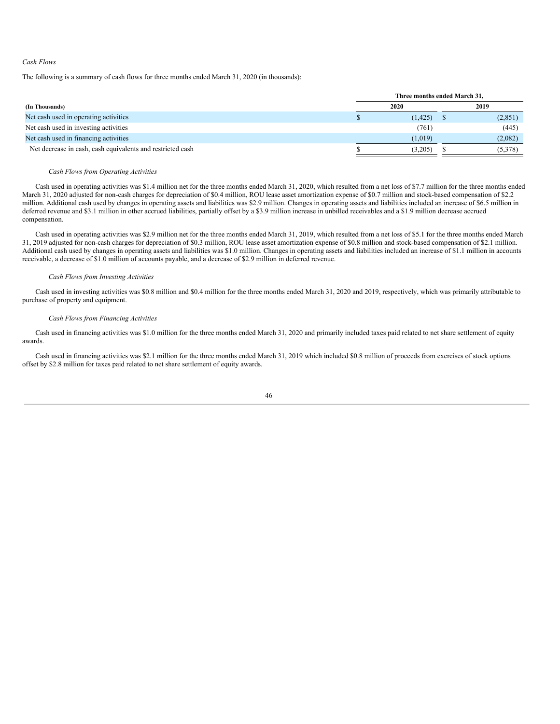### *Cash Flows*

The following is a summary of cash flows for three months ended March 31, 2020 (in thousands):

|                                                            | Three months ended March 31, |  |         |  |  |  |  |  |
|------------------------------------------------------------|------------------------------|--|---------|--|--|--|--|--|
| (In Thousands)                                             | 2020                         |  | 2019    |  |  |  |  |  |
| Net cash used in operating activities                      | (1, 425)                     |  | (2,851) |  |  |  |  |  |
| Net cash used in investing activities                      | (761)                        |  | (445)   |  |  |  |  |  |
| Net cash used in financing activities                      | (1,019)                      |  | (2,082) |  |  |  |  |  |
| Net decrease in cash, cash equivalents and restricted cash | (3,205)                      |  | (5,378) |  |  |  |  |  |

## *Cash Flows from Operating Activities*

Cash used in operating activities was \$1.4 million net for the three months ended March 31, 2020, which resulted from a net loss of \$7.7 million for the three months ended March 31, 2020 adjusted for non-cash charges for depreciation of \$0.4 million, ROU lease asset amortization expense of \$0.7 million and stock-based compensation of \$2.2 million. Additional cash used by changes in operating assets and liabilities was \$2.9 million. Changes in operating assets and liabilities included an increase of \$6.5 million in deferred revenue and \$3.1 million in other accrued liabilities, partially offset by a \$3.9 million increase in unbilled receivables and a \$1.9 million decrease accrued compensation.

Cash used in operating activities was \$2.9 million net for the three months ended March 31, 2019, which resulted from a net loss of \$5.1 for the three months ended March 31, 2019 adjusted for non-cash charges for depreciation of \$0.3 million, ROU lease asset amortization expense of \$0.8 million and stock-based compensation of \$2.1 million. Additional cash used by changes in operating assets and liabilities was \$1.0 million. Changes in operating assets and liabilities included an increase of \$1.1 million in accounts receivable, a decrease of \$1.0 million of accounts payable, and a decrease of \$2.9 million in deferred revenue.

## *Cash Flows from Investing Activities*

Cash used in investing activities was \$0.8 million and \$0.4 million for the three months ended March 31, 2020 and 2019, respectively, which was primarily attributable to purchase of property and equipment.

## *Cash Flows from Financing Activities*

Cash used in financing activities was \$1.0 million for the three months ended March 31, 2020 and primarily included taxes paid related to net share settlement of equity awards.

Cash used in financing activities was \$2.1 million for the three months ended March 31, 2019 which included \$0.8 million of proceeds from exercises of stock options offset by \$2.8 million for taxes paid related to net share settlement of equity awards.

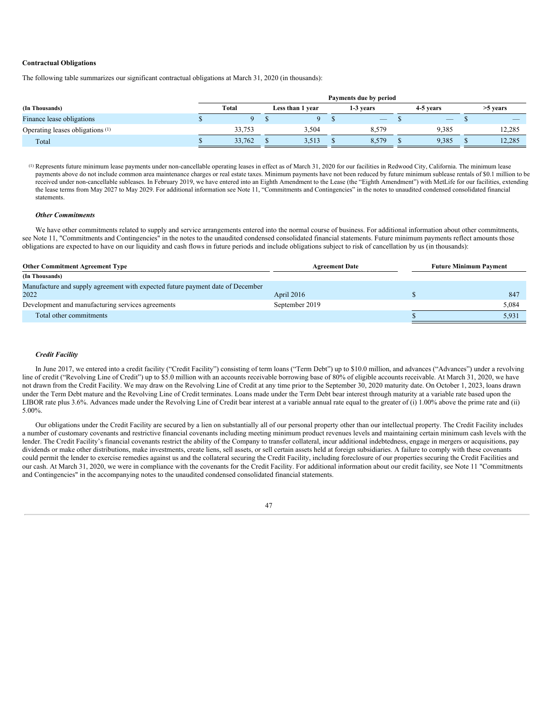## **Contractual Obligations**

The following table summarizes our significant contractual obligations at March 31, 2020 (in thousands):

|                                             | Payments due by period |        |  |                  |  |                          |  |           |  |            |
|---------------------------------------------|------------------------|--------|--|------------------|--|--------------------------|--|-----------|--|------------|
| (In Thousands)                              |                        | Total  |  | Less than 1 year |  | 1-3 years                |  | 4-5 years |  | $>5$ years |
| Finance lease obligations                   |                        |        |  |                  |  | $\overline{\phantom{a}}$ |  | $-$       |  |            |
| Operating leases obligations <sup>(1)</sup> |                        | 33.753 |  | 3,504            |  | 8,579                    |  | 9,385     |  | 12,285     |
| Total                                       |                        | 33.762 |  | 3,513            |  | 8,579                    |  | 9,385     |  | 12,285     |

(1) Represents future minimum lease payments under non-cancellable operating leases in effect as of March 31, 2020 for our facilities in Redwood City, California. The minimum lease payments above do not include common area maintenance charges or real estate taxes. Minimum payments have not been reduced by future minimum sublease rentals of \$0.1 million to be received under non-cancellable subleases. In February 2019, we have entered into an Eighth Amendment to the Lease (the "Eighth Amendment") with MetLife for our facilities, extending the lease terms from May 2027 to May 2029. For additional information see Note 11, "Commitments and Contingencies" in the notes to unaudited condensed consolidated financial statements.

## *Other Commitments*

We have other commitments related to supply and service arrangements entered into the normal course of business. For additional information about other commitments, see Note 11, "Commitments and Contingencies" in the notes to the unaudited condensed consolidated financial statements. Future minimum payments reflect amounts those obligations are expected to have on our liquidity and cash flows in future periods and include obligations subject to risk of cancellation by us (in thousands):

| <b>Other Commitment Agreement Type</b>                                                 | <b>Agreement Date</b> | <b>Future Minimum Payment</b> |  |  |  |
|----------------------------------------------------------------------------------------|-----------------------|-------------------------------|--|--|--|
| (In Thousands)                                                                         |                       |                               |  |  |  |
| Manufacture and supply agreement with expected future payment date of December<br>2022 | April 2016            | 84                            |  |  |  |
| Development and manufacturing services agreements                                      | September 2019        | 5,084                         |  |  |  |
| Total other commitments                                                                |                       | 5,931                         |  |  |  |

### *Credit Facility*

In June 2017, we entered into a credit facility ("Credit Facility") consisting of term loans ("Term Debt") up to \$10.0 million, and advances ("Advances") under a revolving line of credit ("Revolving Line of Credit") up to \$5.0 million with an accounts receivable borrowing base of 80% of eligible accounts receivable. At March 31, 2020, we have not drawn from the Credit Facility. We may draw on the Revolving Line of Credit at any time prior to the September 30, 2020 maturity date. On October 1, 2023, loans drawn under the Term Debt mature and the Revolving Line of Credit terminates. Loans made under the Term Debt bear interest through maturity at a variable rate based upon the LIBOR rate plus 3.6%. Advances made under the Revolving Line of Credit bear interest at a variable annual rate equal to the greater of (i) 1.00% above the prime rate and (ii) 5.00%.

Our obligations under the Credit Facility are secured by a lien on substantially all of our personal property other than our intellectual property. The Credit Facility includes a number of customary covenants and restrictive financial covenants including meeting minimum product revenues levels and maintaining certain minimum cash levels with the lender. The Credit Facility's financial covenants restrict the ability of the Company to transfer collateral, incur additional indebtedness, engage in mergers or acquisitions, pay dividends or make other distributions, make investments, create liens, sell assets, or sell certain assets held at foreign subsidiaries. A failure to comply with these covenants could permit the lender to exercise remedies against us and the collateral securing the Credit Facility, including foreclosure of our properties securing the Credit Facilities and our cash. At March 31, 2020, we were in compliance with the covenants for the Credit Facility. For additional information about our credit facility, see Note 11 "Commitments and Contingencies" in the accompanying notes to the unaudited condensed consolidated financial statements.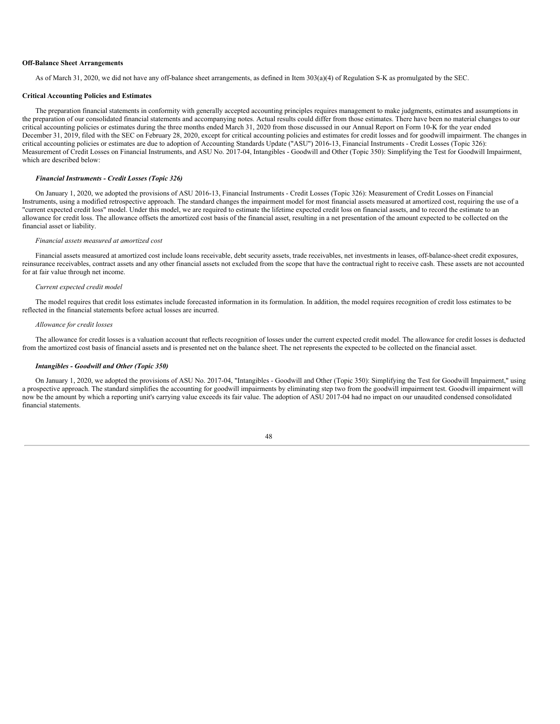### **Off-Balance Sheet Arrangements**

As of March 31, 2020, we did not have any off-balance sheet arrangements, as defined in Item 303(a)(4) of Regulation S-K as promulgated by the SEC.

#### **Critical Accounting Policies and Estimates**

The preparation financial statements in conformity with generally accepted accounting principles requires management to make judgments, estimates and assumptions in the preparation of our consolidated financial statements and accompanying notes. Actual results could differ from those estimates. There have been no material changes to our critical accounting policies or estimates during the three months ended March 31, 2020 from those discussed in our Annual Report on Form 10-K for the year ended December 31, 2019, filed with the SEC on February 28, 2020, except for critical accounting policies and estimates for credit losses and for goodwill impairment. The changes in critical accounting policies or estimates are due to adoption of Accounting Standards Update ("ASU") 2016-13, Financial Instruments - Credit Losses (Topic 326): Measurement of Credit Losses on Financial Instruments, and ASU No. 2017-04, Intangibles - Goodwill and Other (Topic 350): Simplifying the Test for Goodwill Impairment, which are described below:

#### *Financial Instruments - Credit Losses (Topic 326)*

On January 1, 2020, we adopted the provisions of ASU 2016-13, Financial Instruments - Credit Losses (Topic 326): Measurement of Credit Losses on Financial Instruments, using a modified retrospective approach. The standard changes the impairment model for most financial assets measured at amortized cost, requiring the use of a "current expected credit loss" model. Under this model, we are required to estimate the lifetime expected credit loss on financial assets, and to record the estimate to an allowance for credit loss. The allowance offsets the amortized cost basis of the financial asset, resulting in a net presentation of the amount expected to be collected on the financial asset or liability.

### *Financial assets measured at amortized cost*

Financial assets measured at amortized cost include loans receivable, debt security assets, trade receivables, net investments in leases, off-balance-sheet credit exposures, reinsurance receivables, contract assets and any other financial assets not excluded from the scope that have the contractual right to receive cash. These assets are not accounted for at fair value through net income.

#### *Current expected credit model*

The model requires that credit loss estimates include forecasted information in its formulation. In addition, the model requires recognition of credit loss estimates to be reflected in the financial statements before actual losses are incurred.

#### *Allowance for credit losses*

The allowance for credit losses is a valuation account that reflects recognition of losses under the current expected credit model. The allowance for credit losses is deducted from the amortized cost basis of financial assets and is presented net on the balance sheet. The net represents the expected to be collected on the financial asset.

### *Intangibles - Goodwill and Other (Topic 350)*

On January 1, 2020, we adopted the provisions of ASU No. 2017-04, "Intangibles - Goodwill and Other (Topic 350): Simplifying the Test for Goodwill Impairment," using a prospective approach. The standard simplifies the accounting for goodwill impairments by eliminating step two from the goodwill impairment test. Goodwill impairment will now be the amount by which a reporting unit's carrying value exceeds its fair value. The adoption of ASU 2017-04 had no impact on our unaudited condensed consolidated financial statements.

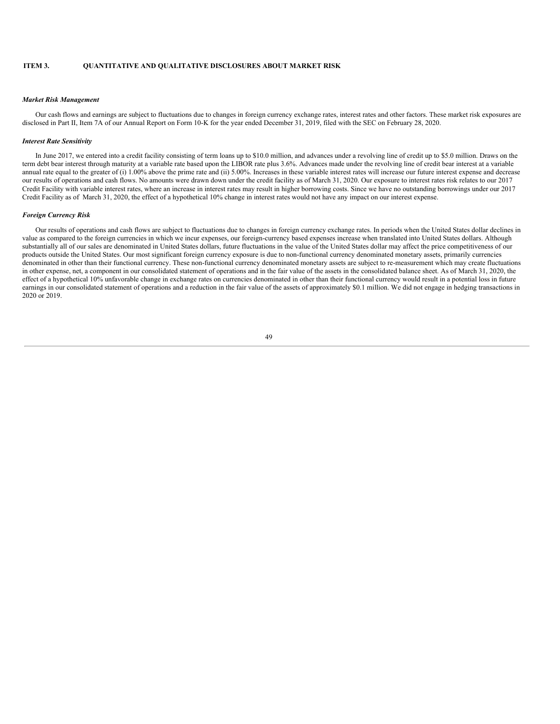## **ITEM 3. QUANTITATIVE AND QUALITATIVE DISCLOSURES ABOUT MARKET RISK**

#### *Market Risk Management*

Our cash flows and earnings are subject to fluctuations due to changes in foreign currency exchange rates, interest rates and other factors. These market risk exposures are disclosed in Part II, Item 7A of our Annual Report on Form 10-K for the year ended December 31, 2019, filed with the SEC on February 28, 2020.

### *Interest Rate Sensitivity*

In June 2017, we entered into a credit facility consisting of term loans up to \$10.0 million, and advances under a revolving line of credit up to \$5.0 million. Draws on the term debt bear interest through maturity at a variable rate based upon the LIBOR rate plus 3.6%. Advances made under the revolving line of credit bear interest at a variable annual rate equal to the greater of (i) 1.00% above the prime rate and (ii) 5.00%. Increases in these variable interest rates will increase our future interest expense and decrease our results of operations and cash flows. No amounts were drawn down under the credit facility as of March 31, 2020. Our exposure to interest rates risk relates to our 2017 Credit Facility with variable interest rates, where an increase in interest rates may result in higher borrowing costs. Since we have no outstanding borrowings under our 2017 Credit Facility as of March 31, 2020, the effect of a hypothetical 10% change in interest rates would not have any impact on our interest expense.

## *Foreign Currency Risk*

Our results of operations and cash flows are subject to fluctuations due to changes in foreign currency exchange rates. In periods when the United States dollar declines in value as compared to the foreign currencies in which we incur expenses, our foreign-currency based expenses increase when translated into United States dollars. Although substantially all of our sales are denominated in United States dollars, future fluctuations in the value of the United States dollar may affect the price competitiveness of our products outside the United States. Our most significant foreign currency exposure is due to non-functional currency denominated monetary assets, primarily currencies denominated in other than their functional currency. These non-functional currency denominated monetary assets are subject to re-measurement which may create fluctuations in other expense, net, a component in our consolidated statement of operations and in the fair value of the assets in the consolidated balance sheet. As of March 31, 2020, the effect of a hypothetical 10% unfavorable change in exchange rates on currencies denominated in other than their functional currency would result in a potential loss in future earnings in our consolidated statement of operations and a reduction in the fair value of the assets of approximately \$0.1 million. We did not engage in hedging transactions in 2020 or 2019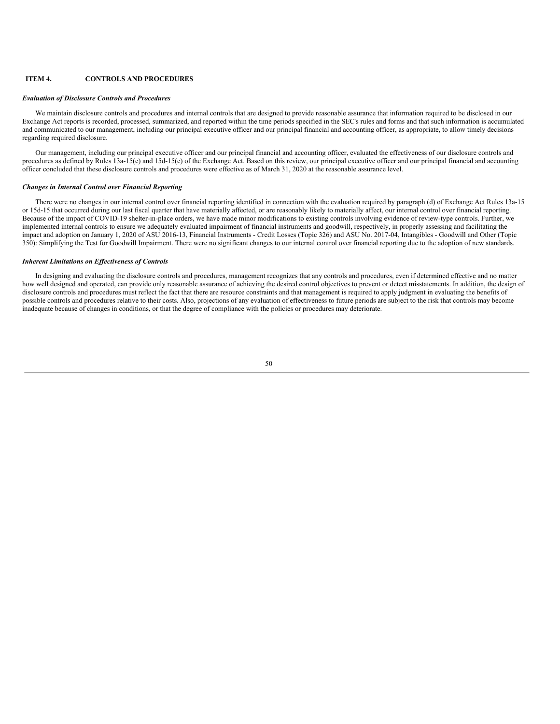### **ITEM 4. CONTROLS AND PROCEDURES**

#### *Evaluation of Disclosure Controls and Procedures*

We maintain disclosure controls and procedures and internal controls that are designed to provide reasonable assurance that information required to be disclosed in our Exchange Act reports is recorded, processed, summarized, and reported within the time periods specified in the SEC's rules and forms and that such information is accumulated and communicated to our management, including our principal executive officer and our principal financial and accounting officer, as appropriate, to allow timely decisions regarding required disclosure.

Our management, including our principal executive officer and our principal financial and accounting officer, evaluated the effectiveness of our disclosure controls and procedures as defined by Rules 13a-15(e) and 15d-15(e) of the Exchange Act. Based on this review, our principal executive officer and our principal financial and accounting officer concluded that these disclosure controls and procedures were effective as of March 31, 2020 at the reasonable assurance level.

### *Changes in Internal Control over Financial Reporting*

There were no changes in our internal control over financial reporting identified in connection with the evaluation required by paragraph (d) of Exchange Act Rules 13a-15 or 15d-15 that occurred during our last fiscal quarter that have materially affected, or are reasonably likely to materially affect, our internal control over financial reporting. Because of the impact of COVID-19 shelter-in-place orders, we have made minor modifications to existing controls involving evidence of review-type controls. Further, we implemented internal controls to ensure we adequately evaluated impairment of financial instruments and goodwill, respectively, in properly assessing and facilitating the impact and adoption on January 1, 2020 of ASU 2016-13, Financial Instruments - Credit Losses (Topic 326) and ASU No. 2017-04, Intangibles - Goodwill and Other (Topic 350): Simplifying the Test for Goodwill Impairment. There were no significant changes to our internal control over financial reporting due to the adoption of new standards.

### *Inherent Limitations on Ef ectiveness of Controls*

In designing and evaluating the disclosure controls and procedures, management recognizes that any controls and procedures, even if determined effective and no matter how well designed and operated, can provide only reasonable assurance of achieving the desired control objectives to prevent or detect misstatements. In addition, the design of disclosure controls and procedures must reflect the fact that there are resource constraints and that management is required to apply judgment in evaluating the benefits of possible controls and procedures relative to their costs. Also, projections of any evaluation of effectiveness to future periods are subject to the risk that controls may become inadequate because of changes in conditions, or that the degree of compliance with the policies or procedures may deteriorate.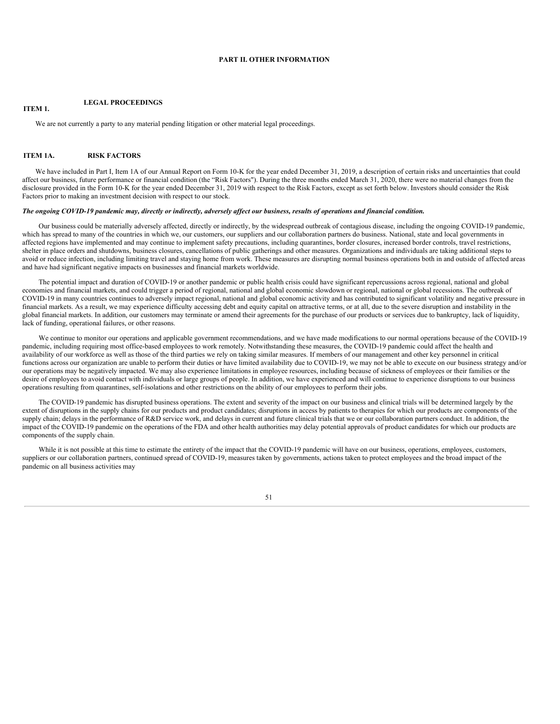### **PART II. OTHER INFORMATION**

## **LEGAL PROCEEDINGS**

We are not currently a party to any material pending litigation or other material legal proceedings.

### **ITEM 1A. RISK FACTORS**

**ITEM 1.**

We have included in Part I, Item 1A of our Annual Report on Form 10-K for the year ended December 31, 2019, a description of certain risks and uncertainties that could affect our business, future performance or financial condition (the "Risk Factors"). During the three months ended March 31, 2020, there were no material changes from the disclosure provided in the Form 10-K for the year ended December 31, 2019 with respect to the Risk Factors, except as set forth below. Investors should consider the Risk Factors prior to making an investment decision with respect to our stock.

### The ongoing COVID-19 pandemic may, directly or indirectly, adversely affect our business, results of operations and financial condition.

Our business could be materially adversely affected, directly or indirectly, by the widespread outbreak of contagious disease, including the ongoing COVID-19 pandemic, which has spread to many of the countries in which we, our customers, our suppliers and our collaboration partners do business. National, state and local governments in affected regions have implemented and may continue to implement safety precautions, including quarantines, border closures, increased border controls, travel restrictions, shelter in place orders and shutdowns, business closures, cancellations of public gatherings and other measures. Organizations and individuals are taking additional steps to avoid or reduce infection, including limiting travel and staying home from work. These measures are disrupting normal business operations both in and outside of affected areas and have had significant negative impacts on businesses and financial markets worldwide.

The potential impact and duration of COVID-19 or another pandemic or public health crisis could have significant repercussions across regional, national and global economies and financial markets, and could trigger a period of regional, national and global economic slowdown or regional, national or global recessions. The outbreak of COVID-19 in many countries continues to adversely impact regional, national and global economic activity and has contributed to significant volatility and negative pressure in financial markets. As a result, we may experience difficulty accessing debt and equity capital on attractive terms, or at all, due to the severe disruption and instability in the global financial markets. In addition, our customers may terminate or amend their agreements for the purchase of our products or services due to bankruptcy, lack of liquidity, lack of funding, operational failures, or other reasons.

We continue to monitor our operations and applicable government recommendations, and we have made modifications to our normal operations because of the COVID-19 pandemic, including requiring most office-based employees to work remotely. Notwithstanding these measures, the COVID-19 pandemic could affect the health and availability of our workforce as well as those of the third parties we rely on taking similar measures. If members of our management and other key personnel in critical functions across our organization are unable to perform their duties or have limited availability due to COVID-19, we may not be able to execute on our business strategy and/or our operations may be negatively impacted. We may also experience limitations in employee resources, including because of sickness of employees or their families or the desire of employees to avoid contact with individuals or large groups of people. In addition, we have experienced and will continue to experience disruptions to our business operations resulting from quarantines, self-isolations and other restrictions on the ability of our employees to perform their jobs.

The COVID-19 pandemic has disrupted business operations. The extent and severity of the impact on our business and clinical trials will be determined largely by the extent of disruptions in the supply chains for our products and product candidates; disruptions in access by patients to therapies for which our products are components of the supply chain; delays in the performance of R&D service work, and delays in current and future clinical trials that we or our collaboration partners conduct. In addition, the impact of the COVID-19 pandemic on the operations of the FDA and other health authorities may delay potential approvals of product candidates for which our products are components of the supply chain.

While it is not possible at this time to estimate the entirety of the impact that the COVID-19 pandemic will have on our business, operations, employees, customers, suppliers or our collaboration partners, continued spread of COVID-19, measures taken by governments, actions taken to protect employees and the broad impact of the pandemic on all business activities may

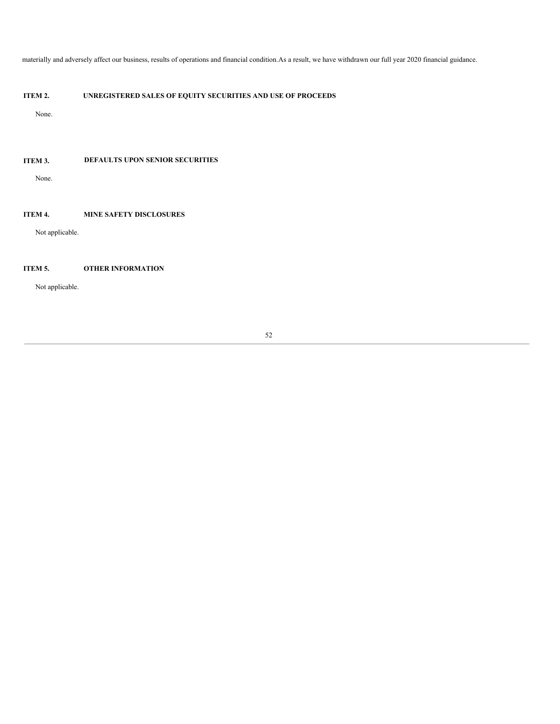materially and adversely affect our business, results of operations and financial condition.As a result, we have withdrawn our full year 2020 financial guidance.

# **ITEM 2. UNREGISTERED SALES OF EQUITY SECURITIES AND USE OF PROCEEDS**

None.

# **ITEM 3. DEFAULTS UPON SENIOR SECURITIES**

None.

# **ITEM 4. MINE SAFETY DISCLOSURES**

Not applicable.

## **ITEM 5. OTHER INFORMATION**

Not applicable.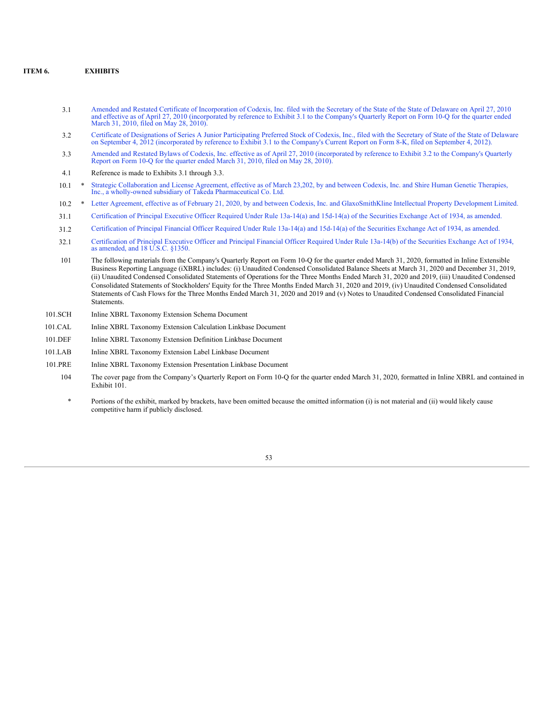## **ITEM 6. EXHIBITS**

- 3.1 Amended and Restated Certificate of [Incorporation](http://www.sec.gov/Archives/edgar/data/1200375/000095013010000138/dex31.htm) of Codexis, Inc. filed with the Secretary of the State of the State of Delaware on April 27, 2010 and effective as of April 27, 2010 (incorporated by reference to Exhib March 31, 2010, filed on May 28, 2010).
- 3.2 Certificate of [Designations](http://www.sec.gov/Archives/edgar/data/1200375/000119312512378221/d405085dex31.htm) of Series A Junior Participating Preferred Stock of Codexis, Inc., filed with the Secretary of State of the State of Delaware on September 4, 2012 (incorporated by reference to Exhibit 3.1 to the Company's Current Report on Form 8-K, filed on September 4, 2012).
- 3.3 Amended and Restated Bylaws of Codexis, Inc. effective as of April 27, 2010 [\(incorporated](http://www.sec.gov/Archives/edgar/data/1200375/000095013010000138/dex32.htm) by reference to Exhibit 3.2 to the Company's Quarterly Report on Form 10-Q for the quarter ended March 31, 2010, filed on May 28, 2010).
- 4.1 Reference is made to Exhibits 3.1 through 3.3.
- 10.1 \* Strategic Collaboration and License Agreement, effective as of March 23,202, by and between Codexis, Inc. and Shire Human Genetic Therapies, Inc., a wholly-owned subsidiary of Takeda [Pharmaceutical](#page-83-0) Co. Ltd.
- 10.2 \* Letter Agreement, effective as of February 21, 2020, by and between Codexis, Inc. and [GlaxoSmithKline](#page-113-0) Intellectual Property Development Limited.
- 31.1 [Certification](#page-115-0) of Principal Executive Officer Required Under Rule 13a-14(a) and 15d-14(a) of the Securities Exchange Act of 1934, as amended.
- 31.2 [Certification](#page-116-0) of Principal Financial Officer Required Under Rule 13a-14(a) and 15d-14(a) of the Securities Exchange Act of 1934, as amended.
- 32.1 [Certification](#page-117-0) of Principal Executive Officer and Principal Financial Officer Required Under Rule 13a-14(b) of the Securities Exchange Act of 1934, as amended, and 18 U.S.C. §1350.
- 101 The following materials from the Company's Quarterly Report on Form 10-Q for the quarter ended March 31, 2020, formatted in Inline Extensible Business Reporting Language (iXBRL) includes: (i) Unaudited Condensed Consolidated Balance Sheets at March 31, 2020 and December 31, 2019, (ii) Unaudited Condensed Consolidated Statements of Operations for the Three Months Ended March 31, 2020 and 2019, (iii) Unaudited Condensed Consolidated Statements of Stockholders' Equity for the Three Months Ended March 31, 2020 and 2019, (iv) Unaudited Condensed Consolidated Statements of Cash Flows for the Three Months Ended March 31, 2020 and 2019 and (v) Notes to Unaudited Condensed Consolidated Financial Statements.
- 101.SCH Inline XBRL Taxonomy Extension Schema Document
- 101.CAL Inline XBRL Taxonomy Extension Calculation Linkbase Document
- 101.DEF Inline XBRL Taxonomy Extension Definition Linkbase Document
- 101.LAB Inline XBRL Taxonomy Extension Label Linkbase Document
- 101.PRE Inline XBRL Taxonomy Extension Presentation Linkbase Document
	- 104 The cover page from the Company's Quarterly Report on Form 10-Q for the quarter ended March 31, 2020, formatted in Inline XBRL and contained in Exhibit 101.
	- Portions of the exhibit, marked by brackets, have been omitted because the omitted information (i) is not material and (ii) would likely cause competitive harm if publicly disclosed.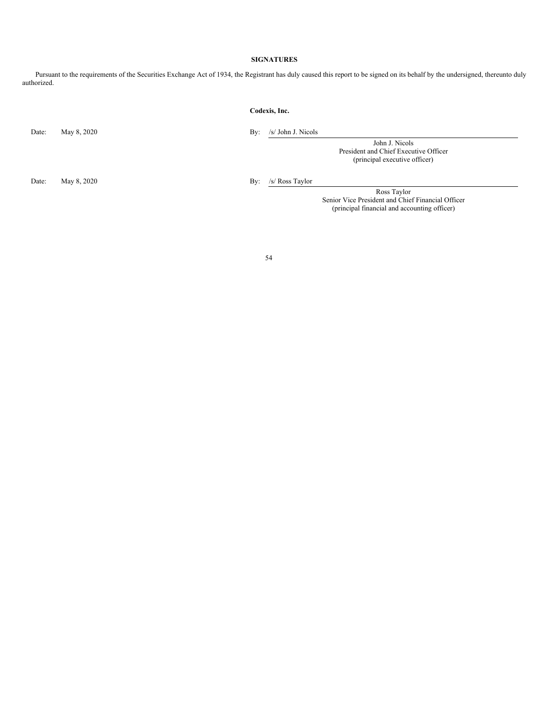## **SIGNATURES**

Pursuant to the requirements of the Securities Exchange Act of 1934, the Registrant has duly caused this report to be signed on its behalf by the undersigned, thereunto duly authorized.

## **Codexis, Inc.**

Date: May 8, 2020 By: /s/ John J. Nicols

John J. Nicols President and Chief Executive Officer (principal executive officer)

Date: May 8, 2020 By: /s/ Ross Taylor

Ross Taylor Senior Vice President and Chief Financial Officer (principal financial and accounting officer)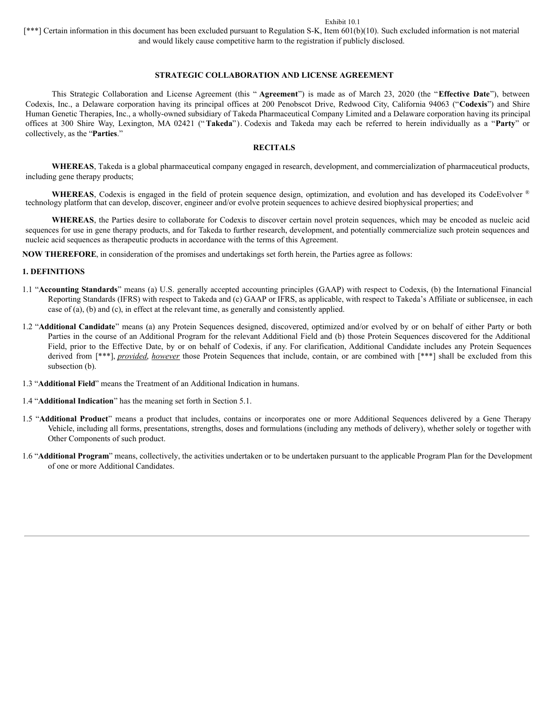### Exhibit 10.1

[\*\*\*] Certain information in this document has been excluded pursuant to Regulation S-K, Item 601(b)(10). Such excluded information is not material and would likely cause competitive harm to the registration if publicly disclosed.

# **STRATEGIC COLLABORATION AND LICENSE AGREEMENT**

This Strategic Collaboration and License Agreement (this " **Agreement**") is made as of March 23, 2020 (the "**Effective Date**"), between Codexis, Inc., a Delaware corporation having its principal offices at 200 Penobscot Drive, Redwood City, California 94063 ("**Codexis**") and Shire Human Genetic Therapies, Inc., a wholly-owned subsidiary of Takeda Pharmaceutical Company Limited and a Delaware corporation having its principal offices at 300 Shire Way, Lexington, MA 02421 (" **Takeda**"). Codexis and Takeda may each be referred to herein individually as a "**Party**" or collectively, as the "**Parties**."

## **RECITALS**

**WHEREAS**, Takeda is a global pharmaceutical company engaged in research, development, and commercialization of pharmaceutical products, including gene therapy products;

WHEREAS, Codexis is engaged in the field of protein sequence design, optimization, and evolution and has developed its CodeEvolver <sup>®</sup> technology platform that can develop, discover, engineer and/or evolve protein sequences to achieve desired biophysical properties; and

**WHEREAS**, the Parties desire to collaborate for Codexis to discover certain novel protein sequences, which may be encoded as nucleic acid sequences for use in gene therapy products, and for Takeda to further research, development, and potentially commercialize such protein sequences and nucleic acid sequences as therapeutic products in accordance with the terms of this Agreement.

**NOW THEREFORE**, in consideration of the promises and undertakings set forth herein, the Parties agree as follows:

## **1. DEFINITIONS**

- 1.1 "**Accounting Standards**" means (a) U.S. generally accepted accounting principles (GAAP) with respect to Codexis, (b) the International Financial Reporting Standards (IFRS) with respect to Takeda and (c) GAAP or IFRS, as applicable, with respect to Takeda's Affiliate or sublicensee, in each case of (a), (b) and (c), in effect at the relevant time, as generally and consistently applied.
- 1.2 "**Additional Candidate**" means (a) any Protein Sequences designed, discovered, optimized and/or evolved by or on behalf of either Party or both Parties in the course of an Additional Program for the relevant Additional Field and (b) those Protein Sequences discovered for the Additional Field, prior to the Effective Date, by or on behalf of Codexis, if any. For clarification, Additional Candidate includes any Protein Sequences derived from [\*\*\*], *provided*, *however* those Protein Sequences that include, contain, or are combined with [\*\*\*] shall be excluded from this subsection (b).
- 1.3 "**Additional Field**" means the Treatment of an Additional Indication in humans.
- 1.4 "**Additional Indication**" has the meaning set forth in Section 5.1.
- 1.5 "**Additional Product**" means a product that includes, contains or incorporates one or more Additional Sequences delivered by a Gene Therapy Vehicle, including all forms, presentations, strengths, doses and formulations (including any methods of delivery), whether solely or together with Other Components of such product.
- 1.6 "**Additional Program**" means, collectively, the activities undertaken or to be undertaken pursuant to the applicable Program Plan for the Development of one or more Additional Candidates.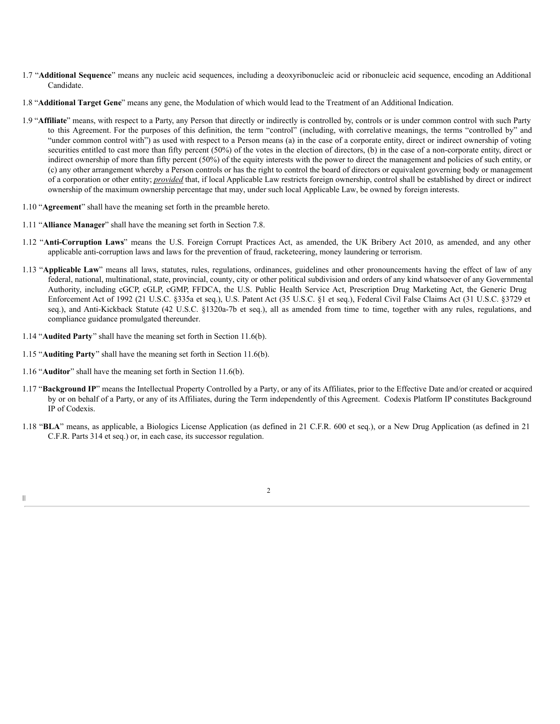- 1.7 "**Additional Sequence**" means any nucleic acid sequences, including a deoxyribonucleic acid or ribonucleic acid sequence, encoding an Additional Candidate.
- 1.8 "**Additional Target Gene**" means any gene, the Modulation of which would lead to the Treatment of an Additional Indication.
- 1.9 "**Affiliate**" means, with respect to a Party, any Person that directly or indirectly is controlled by, controls or is under common control with such Party to this Agreement. For the purposes of this definition, the term "control" (including, with correlative meanings, the terms "controlled by" and "under common control with") as used with respect to a Person means (a) in the case of a corporate entity, direct or indirect ownership of voting securities entitled to cast more than fifty percent (50%) of the votes in the election of directors, (b) in the case of a non-corporate entity, direct or indirect ownership of more than fifty percent (50%) of the equity interests with the power to direct the management and policies of such entity, or (c) any other arrangement whereby a Person controls or has the right to control the board of directors or equivalent governing body or management of a corporation or other entity; *provided* that, if local Applicable Law restricts foreign ownership, control shall be established by direct or indirect ownership of the maximum ownership percentage that may, under such local Applicable Law, be owned by foreign interests.
- 1.10 "**Agreement**" shall have the meaning set forth in the preamble hereto.
- 1.11 "**Alliance Manager**" shall have the meaning set forth in Section 7.8.
- 1.12 "**Anti-Corruption Laws**" means the U.S. Foreign Corrupt Practices Act, as amended, the UK Bribery Act 2010, as amended, and any other applicable anti-corruption laws and laws for the prevention of fraud, racketeering, money laundering or terrorism.
- 1.13 "**Applicable Law**" means all laws, statutes, rules, regulations, ordinances, guidelines and other pronouncements having the effect of law of any federal, national, multinational, state, provincial, county, city or other political subdivision and orders of any kind whatsoever of any Governmental Authority, including cGCP, cGLP, cGMP, FFDCA, the U.S. Public Health Service Act, Prescription Drug Marketing Act, the Generic Drug Enforcement Act of 1992 (21 U.S.C. §335a et seq.), U.S. Patent Act (35 U.S.C. §1 et seq.), Federal Civil False Claims Act (31 U.S.C. §3729 et seq.), and Anti-Kickback Statute (42 U.S.C. §1320a-7b et seq.), all as amended from time to time, together with any rules, regulations, and compliance guidance promulgated thereunder.
- 1.14 "**Audited Party**" shall have the meaning set forth in Section 11.6(b).
- 1.15 "**Auditing Party**" shall have the meaning set forth in Section 11.6(b).
- 1.16 "**Auditor**" shall have the meaning set forth in Section 11.6(b).
- 1.17 "**Background IP**" means the Intellectual Property Controlled by a Party, or any of its Affiliates, prior to the Effective Date and/or created or acquired by or on behalf of a Party, or any of its Affiliates, during the Term independently of this Agreement. Codexis Platform IP constitutes Background IP of Codexis.
- 1.18 "**BLA**" means, as applicable, a Biologics License Application (as defined in 21 C.F.R. 600 et seq.), or a New Drug Application (as defined in 21 C.F.R. Parts 314 et seq.) or, in each case, its successor regulation.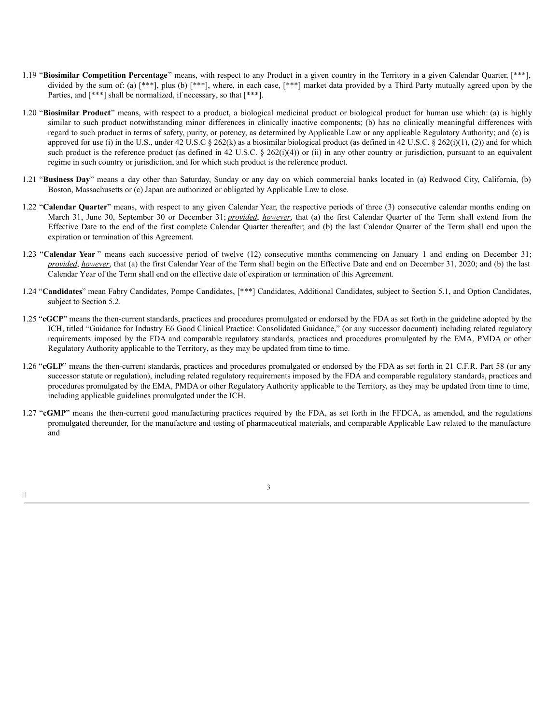- 1.19 "**Biosimilar Competition Percentage**" means, with respect to any Product in a given country in the Territory in a given Calendar Quarter, [\*\*\*], divided by the sum of: (a) [\*\*\*], plus (b) [\*\*\*], where, in each case, [\*\*\*] market data provided by a Third Party mutually agreed upon by the Parties, and  $[***]$  shall be normalized, if necessary, so that  $[***]$ .
- 1.20 "**Biosimilar Product**" means, with respect to a product, a biological medicinal product or biological product for human use which: (a) is highly similar to such product notwithstanding minor differences in clinically inactive components; (b) has no clinically meaningful differences with regard to such product in terms of safety, purity, or potency, as determined by Applicable Law or any applicable Regulatory Authority; and (c) is approved for use (i) in the U.S., under 42 U.S.C  $\S 262(k)$  as a biosimilar biological product (as defined in 42 U.S.C.  $\S 262(i)(1)$ , (2)) and for which such product is the reference product (as defined in 42 U.S.C. § 262(i)(4)) or (ii) in any other country or jurisdiction, pursuant to an equivalent regime in such country or jurisdiction, and for which such product is the reference product.
- 1.21 "**Business Day**" means a day other than Saturday, Sunday or any day on which commercial banks located in (a) Redwood City, California, (b) Boston, Massachusetts or (c) Japan are authorized or obligated by Applicable Law to close.
- 1.22 "**Calendar Quarter**" means, with respect to any given Calendar Year, the respective periods of three (3) consecutive calendar months ending on March 31, June 30, September 30 or December 31; *provided*, *however*, that (a) the first Calendar Quarter of the Term shall extend from the Effective Date to the end of the first complete Calendar Quarter thereafter; and (b) the last Calendar Quarter of the Term shall end upon the expiration or termination of this Agreement.
- 1.23 "**Calendar Year** " means each successive period of twelve (12) consecutive months commencing on January 1 and ending on December 31; *provided*, *however*, that (a) the first Calendar Year of the Term shall begin on the Effective Date and end on December 31, 2020; and (b) the last Calendar Year of the Term shall end on the effective date of expiration or termination of this Agreement.
- 1.24 "**Candidates**" mean Fabry Candidates, Pompe Candidates, [\*\*\*] Candidates, Additional Candidates, subject to Section 5.1, and Option Candidates, subject to Section 5.2.
- 1.25 "**cGCP**" means the then-current standards, practices and procedures promulgated or endorsed by the FDA as set forth in the guideline adopted by the ICH, titled "Guidance for Industry E6 Good Clinical Practice: Consolidated Guidance," (or any successor document) including related regulatory requirements imposed by the FDA and comparable regulatory standards, practices and procedures promulgated by the EMA, PMDA or other Regulatory Authority applicable to the Territory, as they may be updated from time to time.
- 1.26 "**cGLP**" means the then-current standards, practices and procedures promulgated or endorsed by the FDA as set forth in 21 C.F.R. Part 58 (or any successor statute or regulation), including related regulatory requirements imposed by the FDA and comparable regulatory standards, practices and procedures promulgated by the EMA, PMDA or other Regulatory Authority applicable to the Territory, as they may be updated from time to time, including applicable guidelines promulgated under the ICH.
- 1.27 "**cGMP**" means the then-current good manufacturing practices required by the FDA, as set forth in the FFDCA, as amended, and the regulations promulgated thereunder, for the manufacture and testing of pharmaceutical materials, and comparable Applicable Law related to the manufacture and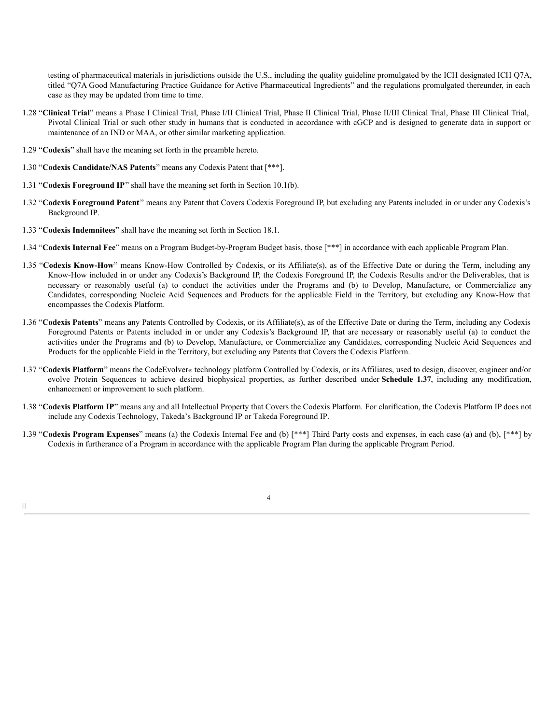testing of pharmaceutical materials in jurisdictions outside the U.S., including the quality guideline promulgated by the ICH designated ICH Q7A, titled "Q7A Good Manufacturing Practice Guidance for Active Pharmaceutical Ingredients" and the regulations promulgated thereunder, in each case as they may be updated from time to time.

- 1.28 "**Clinical Trial**" means a Phase I Clinical Trial, Phase I/II Clinical Trial, Phase II Clinical Trial, Phase II/III Clinical Trial, Phase III Clinical Trial, Pivotal Clinical Trial or such other study in humans that is conducted in accordance with cGCP and is designed to generate data in support or maintenance of an IND or MAA, or other similar marketing application.
- 1.29 "**Codexis**" shall have the meaning set forth in the preamble hereto.
- 1.30 "**Codexis Candidate/NAS Patents**" means any Codexis Patent that [\*\*\*].
- 1.31 "**Codexis Foreground IP**" shall have the meaning set forth in Section 10.1(b).
- 1.32 "**Codexis Foreground Patent**" means any Patent that Covers Codexis Foreground IP, but excluding any Patents included in or under any Codexis's Background IP.
- 1.33 "**Codexis Indemnitees**" shall have the meaning set forth in Section 18.1.
- 1.34 "**Codexis Internal Fee**" means on a Program Budget-by-Program Budget basis, those [\*\*\*] in accordance with each applicable Program Plan.
- 1.35 "**Codexis Know-How**" means Know-How Controlled by Codexis, or its Affiliate(s), as of the Effective Date or during the Term, including any Know-How included in or under any Codexis's Background IP, the Codexis Foreground IP, the Codexis Results and/or the Deliverables, that is necessary or reasonably useful (a) to conduct the activities under the Programs and (b) to Develop, Manufacture, or Commercialize any Candidates, corresponding Nucleic Acid Sequences and Products for the applicable Field in the Territory, but excluding any Know-How that encompasses the Codexis Platform.
- 1.36 "**Codexis Patents**" means any Patents Controlled by Codexis, or its Affiliate(s), as of the Effective Date or during the Term, including any Codexis Foreground Patents or Patents included in or under any Codexis's Background IP, that are necessary or reasonably useful (a) to conduct the activities under the Programs and (b) to Develop, Manufacture, or Commercialize any Candidates, corresponding Nucleic Acid Sequences and Products for the applicable Field in the Territory, but excluding any Patents that Covers the Codexis Platform.
- 1.37 "**Codexis Platform**" means the CodeEvolver® technology platform Controlled by Codexis, or its Affiliates, used to design, discover, engineer and/or evolve Protein Sequences to achieve desired biophysical properties, as further described under **Schedule 1.37**, including any modification, enhancement or improvement to such platform.
- 1.38 "**Codexis Platform IP**" means any and all Intellectual Property that Covers the Codexis Platform. For clarification, the Codexis Platform IP does not include any Codexis Technology, Takeda's Background IP or Takeda Foreground IP.
- 1.39 "**Codexis Program Expenses**" means (a) the Codexis Internal Fee and (b) [\*\*\*] Third Party costs and expenses, in each case (a) and (b), [\*\*\*] by Codexis in furtherance of a Program in accordance with the applicable Program Plan during the applicable Program Period.

4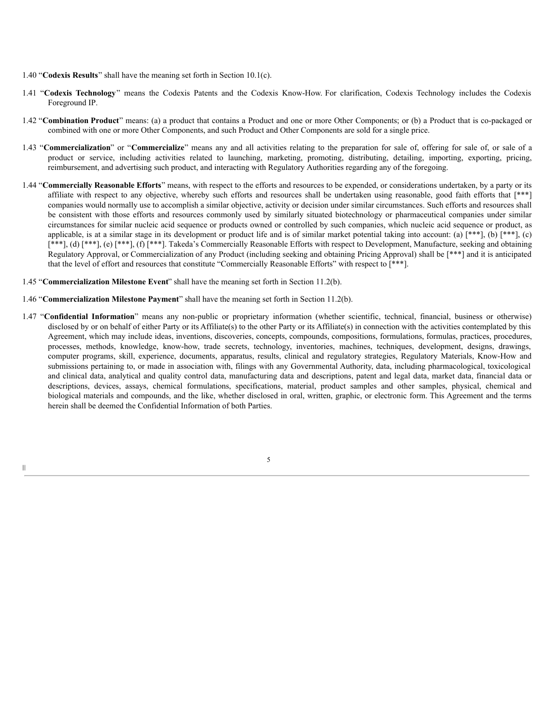- 1.40 "**Codexis Results**" shall have the meaning set forth in Section 10.1(c).
- 1.41 "**Codexis Technology**" means the Codexis Patents and the Codexis Know-How. For clarification, Codexis Technology includes the Codexis Foreground IP.
- 1.42 "**Combination Product**" means: (a) a product that contains a Product and one or more Other Components; or (b) a Product that is co-packaged or combined with one or more Other Components, and such Product and Other Components are sold for a single price.
- 1.43 "**Commercialization**" or "**Commercialize**" means any and all activities relating to the preparation for sale of, offering for sale of, or sale of a product or service, including activities related to launching, marketing, promoting, distributing, detailing, importing, exporting, pricing, reimbursement, and advertising such product, and interacting with Regulatory Authorities regarding any of the foregoing.
- 1.44 "**Commercially Reasonable Efforts**" means, with respect to the efforts and resources to be expended, or considerations undertaken, by a party or its affiliate with respect to any objective, whereby such efforts and resources shall be undertaken using reasonable, good faith efforts that [\*\*\*] companies would normally use to accomplish a similar objective, activity or decision under similar circumstances. Such efforts and resources shall be consistent with those efforts and resources commonly used by similarly situated biotechnology or pharmaceutical companies under similar circumstances for similar nucleic acid sequence or products owned or controlled by such companies, which nucleic acid sequence or product, as applicable, is at a similar stage in its development or product life and is of similar market potential taking into account: (a)  $[***]$ , (b)  $[***]$ , (c) [\*\*\*], (d) [\*\*\*], (e) [\*\*\*], (f) [\*\*\*]. Takeda's Commercially Reasonable Efforts with respect to Development, Manufacture, seeking and obtaining Regulatory Approval, or Commercialization of any Product (including seeking and obtaining Pricing Approval) shall be [\*\*\*] and it is anticipated that the level of effort and resources that constitute "Commercially Reasonable Efforts" with respect to [\*\*\*].
- 1.45 "**Commercialization Milestone Event**" shall have the meaning set forth in Section 11.2(b).
- 1.46 "**Commercialization Milestone Payment**" shall have the meaning set forth in Section 11.2(b).
- 1.47 "**Confidential Information**" means any non-public or proprietary information (whether scientific, technical, financial, business or otherwise) disclosed by or on behalf of either Party or its Affiliate(s) to the other Party or its Affiliate(s) in connection with the activities contemplated by this Agreement, which may include ideas, inventions, discoveries, concepts, compounds, compositions, formulations, formulas, practices, procedures, processes, methods, knowledge, know-how, trade secrets, technology, inventories, machines, techniques, development, designs, drawings, computer programs, skill, experience, documents, apparatus, results, clinical and regulatory strategies, Regulatory Materials, Know-How and submissions pertaining to, or made in association with, filings with any Governmental Authority, data, including pharmacological, toxicological and clinical data, analytical and quality control data, manufacturing data and descriptions, patent and legal data, market data, financial data or descriptions, devices, assays, chemical formulations, specifications, material, product samples and other samples, physical, chemical and biological materials and compounds, and the like, whether disclosed in oral, written, graphic, or electronic form. This Agreement and the terms herein shall be deemed the Confidential Information of both Parties.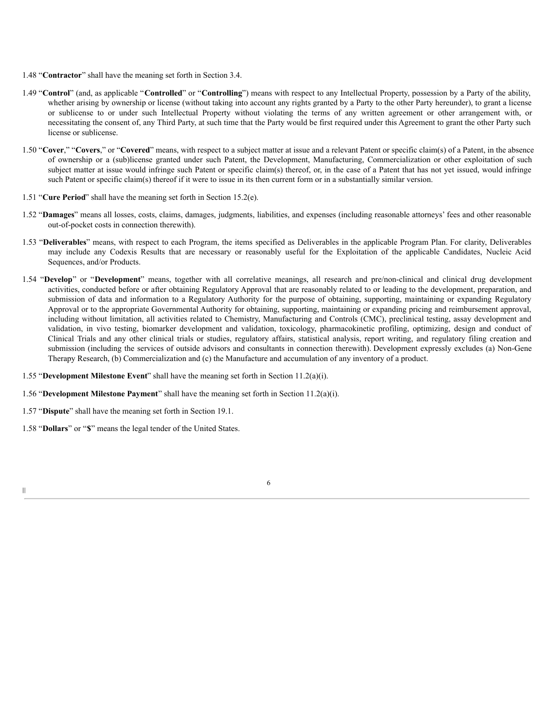- 1.48 "**Contractor**" shall have the meaning set forth in Section 3.4.
- 1.49 "**Control**" (and, as applicable "**Controlled**" or "**Controlling**") means with respect to any Intellectual Property, possession by a Party of the ability, whether arising by ownership or license (without taking into account any rights granted by a Party to the other Party hereunder), to grant a license or sublicense to or under such Intellectual Property without violating the terms of any written agreement or other arrangement with, or necessitating the consent of, any Third Party, at such time that the Party would be first required under this Agreement to grant the other Party such license or sublicense.
- 1.50 "**Cover**," "**Covers**," or "**Covered**" means, with respect to a subject matter at issue and a relevant Patent or specific claim(s) of a Patent, in the absence of ownership or a (sub)license granted under such Patent, the Development, Manufacturing, Commercialization or other exploitation of such subject matter at issue would infringe such Patent or specific claim(s) thereof, or, in the case of a Patent that has not yet issued, would infringe such Patent or specific claim(s) thereof if it were to issue in its then current form or in a substantially similar version.
- 1.51 "**Cure Period**" shall have the meaning set forth in Section 15.2(e).
- 1.52 "**Damages**" means all losses, costs, claims, damages, judgments, liabilities, and expenses (including reasonable attorneys' fees and other reasonable out-of-pocket costs in connection therewith).
- 1.53 "**Deliverables**" means, with respect to each Program, the items specified as Deliverables in the applicable Program Plan. For clarity, Deliverables may include any Codexis Results that are necessary or reasonably useful for the Exploitation of the applicable Candidates, Nucleic Acid Sequences, and/or Products.
- 1.54 "**Develop**" or "**Development**" means, together with all correlative meanings, all research and pre/non-clinical and clinical drug development activities, conducted before or after obtaining Regulatory Approval that are reasonably related to or leading to the development, preparation, and submission of data and information to a Regulatory Authority for the purpose of obtaining, supporting, maintaining or expanding Regulatory Approval or to the appropriate Governmental Authority for obtaining, supporting, maintaining or expanding pricing and reimbursement approval, including without limitation, all activities related to Chemistry, Manufacturing and Controls (CMC), preclinical testing, assay development and validation, in vivo testing, biomarker development and validation, toxicology, pharmacokinetic profiling, optimizing, design and conduct of Clinical Trials and any other clinical trials or studies, regulatory affairs, statistical analysis, report writing, and regulatory filing creation and submission (including the services of outside advisors and consultants in connection therewith). Development expressly excludes (a) Non-Gene Therapy Research, (b) Commercialization and (c) the Manufacture and accumulation of any inventory of a product.

- 1.55 "**Development Milestone Event**" shall have the meaning set forth in Section 11.2(a)(i).
- 1.56 "**Development Milestone Payment**" shall have the meaning set forth in Section 11.2(a)(i).
- 1.57 "**Dispute**" shall have the meaning set forth in Section 19.1.
- 1.58 "**Dollars**" or "**\$**" means the legal tender of the United States.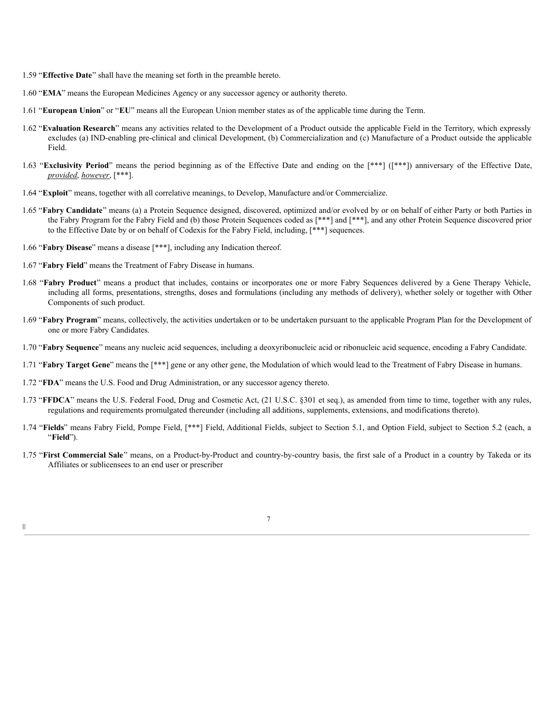- 1.59 "**Effective Date**" shall have the meaning set forth in the preamble hereto.
- 1.60 "**EMA**" means the European Medicines Agency or any successor agency or authority thereto.
- 1.61 "**European Union**" or "**EU**" means all the European Union member states as of the applicable time during the Term.
- 1.62 "**Evaluation Research**" means any activities related to the Development of a Product outside the applicable Field in the Territory, which expressly excludes (a) IND-enabling pre-clinical and clinical Development, (b) Commercialization and (c) Manufacture of a Product outside the applicable Field.
- 1.63 "**Exclusivity Period**" means the period beginning as of the Effective Date and ending on the [\*\*\*] ([\*\*\*]) anniversary of the Effective Date, *provided*, *however*, [\*\*\*].
- 1.64 "**Exploit**" means, together with all correlative meanings, to Develop, Manufacture and/or Commercialize.
- 1.65 "**Fabry Candidate**" means (a) a Protein Sequence designed, discovered, optimized and/or evolved by or on behalf of either Party or both Parties in the Fabry Program for the Fabry Field and (b) those Protein Sequences coded as [\*\*\*] and [\*\*\*], and any other Protein Sequence discovered prior to the Effective Date by or on behalf of Codexis for the Fabry Field, including, [\*\*\*] sequences.
- 1.66 "**Fabry Disease**" means a disease [\*\*\*], including any Indication thereof.
- 1.67 "**Fabry Field**" means the Treatment of Fabry Disease in humans.
- 1.68 "**Fabry Product**" means a product that includes, contains or incorporates one or more Fabry Sequences delivered by a Gene Therapy Vehicle, including all forms, presentations, strengths, doses and formulations (including any methods of delivery), whether solely or together with Other Components of such product.
- 1.69 "**Fabry Program**" means, collectively, the activities undertaken or to be undertaken pursuant to the applicable Program Plan for the Development of one or more Fabry Candidates.
- 1.70 "**Fabry Sequence**" means any nucleic acid sequences, including a deoxyribonucleic acid or ribonucleic acid sequence, encoding a Fabry Candidate.
- 1.71 "**Fabry Target Gene**" means the [\*\*\*] gene or any other gene, the Modulation of which would lead to the Treatment of Fabry Disease in humans.
- 1.72 "**FDA**" means the U.S. Food and Drug Administration, or any successor agency thereto.
- 1.73 "**FFDCA**" means the U.S. Federal Food, Drug and Cosmetic Act, (21 U.S.C. §301 et seq.), as amended from time to time, together with any rules, regulations and requirements promulgated thereunder (including all additions, supplements, extensions, and modifications thereto).
- 1.74 "**Fields**" means Fabry Field, Pompe Field, [\*\*\*] Field, Additional Fields, subject to Section 5.1, and Option Field, subject to Section 5.2 (each, a "**Field**").
- 1.75 "**First Commercial Sale**" means, on a Product-by-Product and country-by-country basis, the first sale of a Product in a country by Takeda or its Affiliates or sublicensees to an end user or prescriber

| I |  |
|---|--|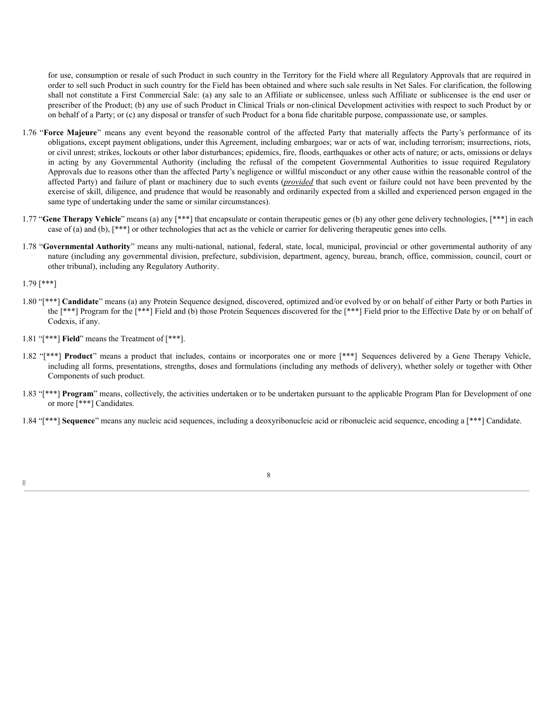for use, consumption or resale of such Product in such country in the Territory for the Field where all Regulatory Approvals that are required in order to sell such Product in such country for the Field has been obtained and where such sale results in Net Sales. For clarification, the following shall not constitute a First Commercial Sale: (a) any sale to an Affiliate or sublicensee, unless such Affiliate or sublicensee is the end user or prescriber of the Product; (b) any use of such Product in Clinical Trials or non-clinical Development activities with respect to such Product by or on behalf of a Party; or (c) any disposal or transfer of such Product for a bona fide charitable purpose, compassionate use, or samples.

- 1.76 "**Force Majeure**" means any event beyond the reasonable control of the affected Party that materially affects the Party's performance of its obligations, except payment obligations, under this Agreement, including embargoes; war or acts of war, including terrorism; insurrections, riots, or civil unrest; strikes, lockouts or other labor disturbances; epidemics, fire, floods, earthquakes or other acts of nature; or acts, omissions or delays in acting by any Governmental Authority (including the refusal of the competent Governmental Authorities to issue required Regulatory Approvals due to reasons other than the affected Party's negligence or willful misconduct or any other cause within the reasonable control of the affected Party) and failure of plant or machinery due to such events (*provided* that such event or failure could not have been prevented by the exercise of skill, diligence, and prudence that would be reasonably and ordinarily expected from a skilled and experienced person engaged in the same type of undertaking under the same or similar circumstances).
- 1.77 "**Gene Therapy Vehicle**" means (a) any [\*\*\*] that encapsulate or contain therapeutic genes or (b) any other gene delivery technologies, [\*\*\*] in each case of (a) and (b), [\*\*\*] or other technologies that act as the vehicle or carrier for delivering therapeutic genes into cells.
- 1.78 "**Governmental Authority**" means any multi-national, national, federal, state, local, municipal, provincial or other governmental authority of any nature (including any governmental division, prefecture, subdivision, department, agency, bureau, branch, office, commission, council, court or other tribunal), including any Regulatory Authority.

1.79 [\*\*\*]

|||

- 1.80 "[\*\*\*] **Candidate**" means (a) any Protein Sequence designed, discovered, optimized and/or evolved by or on behalf of either Party or both Parties in the [\*\*\*] Program for the [\*\*\*] Field and (b) those Protein Sequences discovered for the [\*\*\*] Field prior to the Effective Date by or on behalf of Codexis, if any.
- 1.81 "[\*\*\*] **Field**" means the Treatment of [\*\*\*].
- 1.82 "[\*\*\*] **Product**" means a product that includes, contains or incorporates one or more [\*\*\*] Sequences delivered by a Gene Therapy Vehicle, including all forms, presentations, strengths, doses and formulations (including any methods of delivery), whether solely or together with Other Components of such product.
- 1.83 "[\*\*\*] **Program**" means, collectively, the activities undertaken or to be undertaken pursuant to the applicable Program Plan for Development of one or more [\*\*\*] Candidates.
- 1.84 "[\*\*\*] **Sequence**" means any nucleic acid sequences, including a deoxyribonucleic acid or ribonucleic acid sequence, encoding a [\*\*\*] Candidate.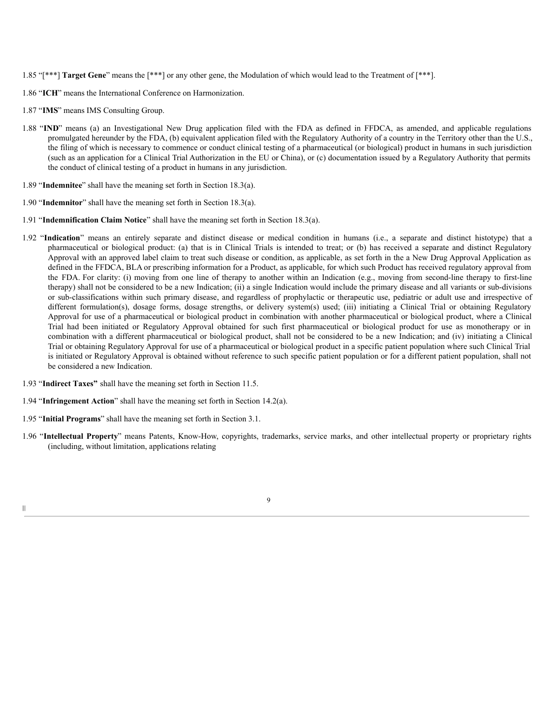- 1.85 "[\*\*\*] **Target Gene**" means the [\*\*\*] or any other gene, the Modulation of which would lead to the Treatment of [\*\*\*].
- 1.86 "**ICH**" means the International Conference on Harmonization.
- 1.87 "**IMS**" means IMS Consulting Group.
- 1.88 "**IND**" means (a) an Investigational New Drug application filed with the FDA as defined in FFDCA, as amended, and applicable regulations promulgated hereunder by the FDA, (b) equivalent application filed with the Regulatory Authority of a country in the Territory other than the U.S., the filing of which is necessary to commence or conduct clinical testing of a pharmaceutical (or biological) product in humans in such jurisdiction (such as an application for a Clinical Trial Authorization in the EU or China), or (c) documentation issued by a Regulatory Authority that permits the conduct of clinical testing of a product in humans in any jurisdiction.
- 1.89 "**Indemnitee**" shall have the meaning set forth in Section 18.3(a).
- 1.90 "**Indemnitor**" shall have the meaning set forth in Section 18.3(a).
- 1.91 "**Indemnification Claim Notice**" shall have the meaning set forth in Section 18.3(a).
- 1.92 "**Indication**" means an entirely separate and distinct disease or medical condition in humans (i.e., a separate and distinct histotype) that a pharmaceutical or biological product: (a) that is in Clinical Trials is intended to treat; or (b) has received a separate and distinct Regulatory Approval with an approved label claim to treat such disease or condition, as applicable, as set forth in the a New Drug Approval Application as defined in the FFDCA, BLA or prescribing information for a Product, as applicable, for which such Product has received regulatory approval from the FDA. For clarity: (i) moving from one line of therapy to another within an Indication (e.g., moving from second-line therapy to first-line therapy) shall not be considered to be a new Indication; (ii) a single Indication would include the primary disease and all variants or sub-divisions or sub-classifications within such primary disease, and regardless of prophylactic or therapeutic use, pediatric or adult use and irrespective of different formulation(s), dosage forms, dosage strengths, or delivery system(s) used; (iii) initiating a Clinical Trial or obtaining Regulatory Approval for use of a pharmaceutical or biological product in combination with another pharmaceutical or biological product, where a Clinical Trial had been initiated or Regulatory Approval obtained for such first pharmaceutical or biological product for use as monotherapy or in combination with a different pharmaceutical or biological product, shall not be considered to be a new Indication; and (iv) initiating a Clinical Trial or obtaining Regulatory Approval for use of a pharmaceutical or biological product in a specific patient population where such Clinical Trial is initiated or Regulatory Approval is obtained without reference to such specific patient population or for a different patient population, shall not be considered a new Indication.
- 1.93 "**Indirect Taxes"** shall have the meaning set forth in Section 11.5.
- 1.94 "**Infringement Action**" shall have the meaning set forth in Section 14.2(a).
- 1.95 "**Initial Programs**" shall have the meaning set forth in Section 3.1.
- 1.96 "**Intellectual Property**" means Patents, Know-How, copyrights, trademarks, service marks, and other intellectual property or proprietary rights (including, without limitation, applications relating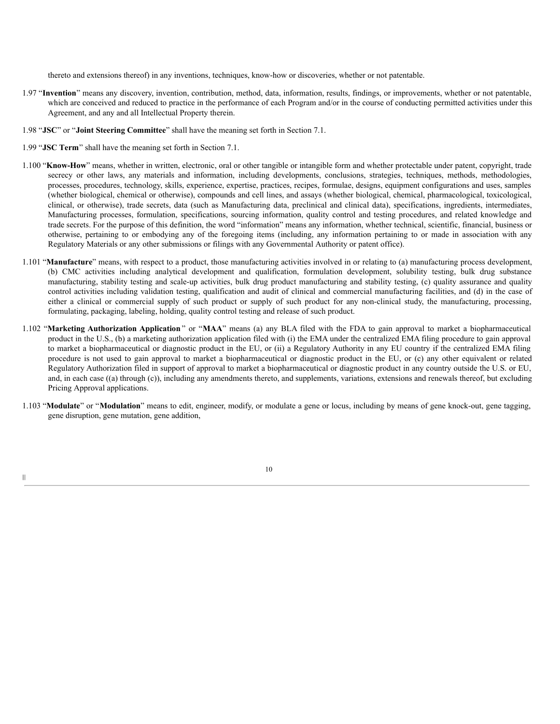thereto and extensions thereof) in any inventions, techniques, know-how or discoveries, whether or not patentable.

- 1.97 "**Invention**" means any discovery, invention, contribution, method, data, information, results, findings, or improvements, whether or not patentable, which are conceived and reduced to practice in the performance of each Program and/or in the course of conducting permitted activities under this Agreement, and any and all Intellectual Property therein.
- 1.98 "**JSC**" or "**Joint Steering Committee**" shall have the meaning set forth in Section 7.1.
- 1.99 "**JSC Term**" shall have the meaning set forth in Section 7.1.

|||

- 1.100 "**Know-How**" means, whether in written, electronic, oral or other tangible or intangible form and whether protectable under patent, copyright, trade secrecy or other laws, any materials and information, including developments, conclusions, strategies, techniques, methods, methodologies, processes, procedures, technology, skills, experience, expertise, practices, recipes, formulae, designs, equipment configurations and uses, samples (whether biological, chemical or otherwise), compounds and cell lines, and assays (whether biological, chemical, pharmacological, toxicological, clinical, or otherwise), trade secrets, data (such as Manufacturing data, preclinical and clinical data), specifications, ingredients, intermediates, Manufacturing processes, formulation, specifications, sourcing information, quality control and testing procedures, and related knowledge and trade secrets. For the purpose of this definition, the word "information" means any information, whether technical, scientific, financial, business or otherwise, pertaining to or embodying any of the foregoing items (including, any information pertaining to or made in association with any Regulatory Materials or any other submissions or filings with any Governmental Authority or patent office).
- 1.101 "**Manufacture**" means, with respect to a product, those manufacturing activities involved in or relating to (a) manufacturing process development, (b) CMC activities including analytical development and qualification, formulation development, solubility testing, bulk drug substance manufacturing, stability testing and scale-up activities, bulk drug product manufacturing and stability testing, (c) quality assurance and quality control activities including validation testing, qualification and audit of clinical and commercial manufacturing facilities, and (d) in the case of either a clinical or commercial supply of such product or supply of such product for any non-clinical study, the manufacturing, processing, formulating, packaging, labeling, holding, quality control testing and release of such product.
- 1.102 "**Marketing Authorization Application** " or "**MAA**" means (a) any BLA filed with the FDA to gain approval to market a biopharmaceutical product in the U.S., (b) a marketing authorization application filed with (i) the EMA under the centralized EMA filing procedure to gain approval to market a biopharmaceutical or diagnostic product in the EU, or (ii) a Regulatory Authority in any EU country if the centralized EMA filing procedure is not used to gain approval to market a biopharmaceutical or diagnostic product in the EU, or (c) any other equivalent or related Regulatory Authorization filed in support of approval to market a biopharmaceutical or diagnostic product in any country outside the U.S. or EU, and, in each case ((a) through (c)), including any amendments thereto, and supplements, variations, extensions and renewals thereof, but excluding Pricing Approval applications.
- 1.103 "**Modulate**" or "**Modulation**" means to edit, engineer, modify, or modulate a gene or locus, including by means of gene knock-out, gene tagging, gene disruption, gene mutation, gene addition,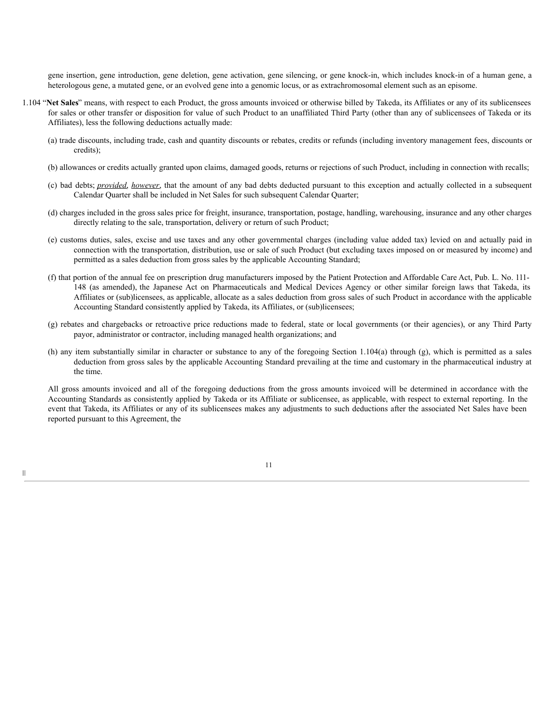gene insertion, gene introduction, gene deletion, gene activation, gene silencing, or gene knock-in, which includes knock-in of a human gene, a heterologous gene, a mutated gene, or an evolved gene into a genomic locus, or as extrachromosomal element such as an episome.

- 1.104 "**Net Sales**" means, with respect to each Product, the gross amounts invoiced or otherwise billed by Takeda, its Affiliates or any of its sublicensees for sales or other transfer or disposition for value of such Product to an unaffiliated Third Party (other than any of sublicensees of Takeda or its Affiliates), less the following deductions actually made:
	- (a) trade discounts, including trade, cash and quantity discounts or rebates, credits or refunds (including inventory management fees, discounts or credits);
	- (b) allowances or credits actually granted upon claims, damaged goods, returns or rejections of such Product, including in connection with recalls;
	- (c) bad debts; *provided*, *however*, that the amount of any bad debts deducted pursuant to this exception and actually collected in a subsequent Calendar Quarter shall be included in Net Sales for such subsequent Calendar Quarter;
	- (d) charges included in the gross sales price for freight, insurance, transportation, postage, handling, warehousing, insurance and any other charges directly relating to the sale, transportation, delivery or return of such Product;
	- (e) customs duties, sales, excise and use taxes and any other governmental charges (including value added tax) levied on and actually paid in connection with the transportation, distribution, use or sale of such Product (but excluding taxes imposed on or measured by income) and permitted as a sales deduction from gross sales by the applicable Accounting Standard;
	- (f) that portion of the annual fee on prescription drug manufacturers imposed by the Patient Protection and Affordable Care Act, Pub. L. No. 111- 148 (as amended), the Japanese Act on Pharmaceuticals and Medical Devices Agency or other similar foreign laws that Takeda, its Affiliates or (sub)licensees, as applicable, allocate as a sales deduction from gross sales of such Product in accordance with the applicable Accounting Standard consistently applied by Takeda, its Affiliates, or (sub)licensees;
	- (g) rebates and chargebacks or retroactive price reductions made to federal, state or local governments (or their agencies), or any Third Party payor, administrator or contractor, including managed health organizations; and
	- (h) any item substantially similar in character or substance to any of the foregoing Section 1.104(a) through (g), which is permitted as a sales deduction from gross sales by the applicable Accounting Standard prevailing at the time and customary in the pharmaceutical industry at the time.

All gross amounts invoiced and all of the foregoing deductions from the gross amounts invoiced will be determined in accordance with the Accounting Standards as consistently applied by Takeda or its Affiliate or sublicensee, as applicable, with respect to external reporting. In the event that Takeda, its Affiliates or any of its sublicensees makes any adjustments to such deductions after the associated Net Sales have been reported pursuant to this Agreement, the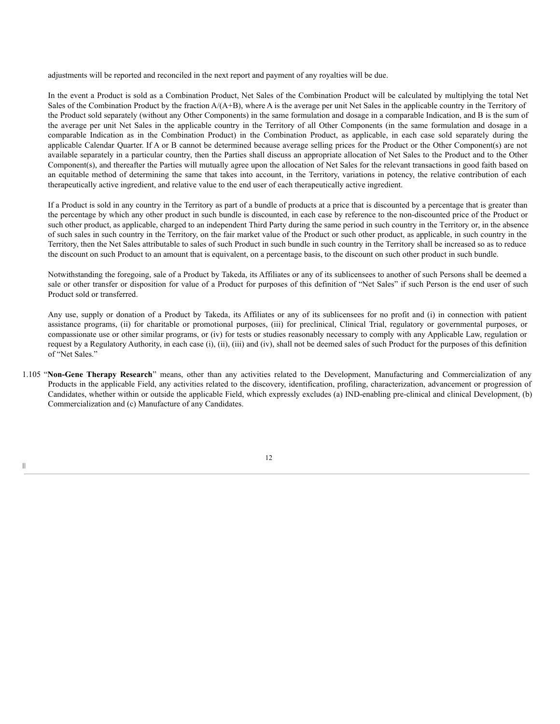adjustments will be reported and reconciled in the next report and payment of any royalties will be due.

In the event a Product is sold as a Combination Product, Net Sales of the Combination Product will be calculated by multiplying the total Net Sales of the Combination Product by the fraction  $A/(A+B)$ , where A is the average per unit Net Sales in the applicable country in the Territory of the Product sold separately (without any Other Components) in the same formulation and dosage in a comparable Indication, and B is the sum of the average per unit Net Sales in the applicable country in the Territory of all Other Components (in the same formulation and dosage in a comparable Indication as in the Combination Product) in the Combination Product, as applicable, in each case sold separately during the applicable Calendar Quarter. If A or B cannot be determined because average selling prices for the Product or the Other Component(s) are not available separately in a particular country, then the Parties shall discuss an appropriate allocation of Net Sales to the Product and to the Other Component(s), and thereafter the Parties will mutually agree upon the allocation of Net Sales for the relevant transactions in good faith based on an equitable method of determining the same that takes into account, in the Territory, variations in potency, the relative contribution of each therapeutically active ingredient, and relative value to the end user of each therapeutically active ingredient.

If a Product is sold in any country in the Territory as part of a bundle of products at a price that is discounted by a percentage that is greater than the percentage by which any other product in such bundle is discounted, in each case by reference to the non-discounted price of the Product or such other product, as applicable, charged to an independent Third Party during the same period in such country in the Territory or, in the absence of such sales in such country in the Territory, on the fair market value of the Product or such other product, as applicable, in such country in the Territory, then the Net Sales attributable to sales of such Product in such bundle in such country in the Territory shall be increased so as to reduce the discount on such Product to an amount that is equivalent, on a percentage basis, to the discount on such other product in such bundle.

Notwithstanding the foregoing, sale of a Product by Takeda, its Affiliates or any of its sublicensees to another of such Persons shall be deemed a sale or other transfer or disposition for value of a Product for purposes of this definition of "Net Sales" if such Person is the end user of such Product sold or transferred.

Any use, supply or donation of a Product by Takeda, its Affiliates or any of its sublicensees for no profit and (i) in connection with patient assistance programs, (ii) for charitable or promotional purposes, (iii) for preclinical, Clinical Trial, regulatory or governmental purposes, or compassionate use or other similar programs, or (iv) for tests or studies reasonably necessary to comply with any Applicable Law, regulation or request by a Regulatory Authority, in each case (i), (ii), (iii) and (iv), shall not be deemed sales of such Product for the purposes of this definition of "Net Sales."

1.105 "**Non-Gene Therapy Research**" means, other than any activities related to the Development, Manufacturing and Commercialization of any Products in the applicable Field, any activities related to the discovery, identification, profiling, characterization, advancement or progression of Candidates, whether within or outside the applicable Field, which expressly excludes (a) IND-enabling pre-clinical and clinical Development, (b) Commercialization and (c) Manufacture of any Candidates.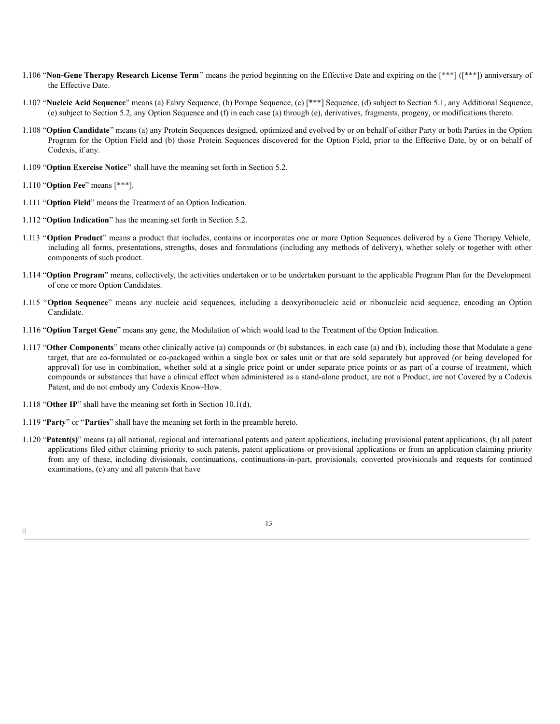- 1.106 "**Non-Gene Therapy Research License Term**" means the period beginning on the Effective Date and expiring on the [\*\*\*] ([\*\*\*]) anniversary of the Effective Date.
- 1.107 "**Nucleic Acid Sequence**" means (a) Fabry Sequence, (b) Pompe Sequence, (c) [\*\*\*] Sequence, (d) subject to Section 5.1, any Additional Sequence, (e) subject to Section 5.2, any Option Sequence and (f) in each case (a) through (e), derivatives, fragments, progeny, or modifications thereto.
- 1.108 "**Option Candidate**" means (a) any Protein Sequences designed, optimized and evolved by or on behalf of either Party or both Parties in the Option Program for the Option Field and (b) those Protein Sequences discovered for the Option Field, prior to the Effective Date, by or on behalf of Codexis, if any.
- 1.109 "**Option Exercise Notice**" shall have the meaning set forth in Section 5.2.
- 1.110 "**Option Fee**" means [\*\*\*].
- 1.111 "**Option Field**" means the Treatment of an Option Indication.
- 1.112 "**Option Indication**" has the meaning set forth in Section 5.2.
- 1.113 "**Option Product**" means a product that includes, contains or incorporates one or more Option Sequences delivered by a Gene Therapy Vehicle, including all forms, presentations, strengths, doses and formulations (including any methods of delivery), whether solely or together with other components of such product.
- 1.114 "**Option Program**" means, collectively, the activities undertaken or to be undertaken pursuant to the applicable Program Plan for the Development of one or more Option Candidates.
- 1.115 "**Option Sequence**" means any nucleic acid sequences, including a deoxyribonucleic acid or ribonucleic acid sequence, encoding an Option Candidate.
- 1.116 "**Option Target Gene**" means any gene, the Modulation of which would lead to the Treatment of the Option Indication.
- 1.117 "**Other Components**" means other clinically active (a) compounds or (b) substances, in each case (a) and (b), including those that Modulate a gene target, that are co-formulated or co-packaged within a single box or sales unit or that are sold separately but approved (or being developed for approval) for use in combination, whether sold at a single price point or under separate price points or as part of a course of treatment, which compounds or substances that have a clinical effect when administered as a stand-alone product, are not a Product, are not Covered by a Codexis Patent, and do not embody any Codexis Know-How.
- 1.118 "**Other IP**" shall have the meaning set forth in Section 10.1(d).
- 1.119 "**Party**" or "**Parties**" shall have the meaning set forth in the preamble hereto.
- 1.120 "**Patent(s)**" means (a) all national, regional and international patents and patent applications, including provisional patent applications, (b) all patent applications filed either claiming priority to such patents, patent applications or provisional applications or from an application claiming priority from any of these, including divisionals, continuations, continuations-in-part, provisionals, converted provisionals and requests for continued examinations, (c) any and all patents that have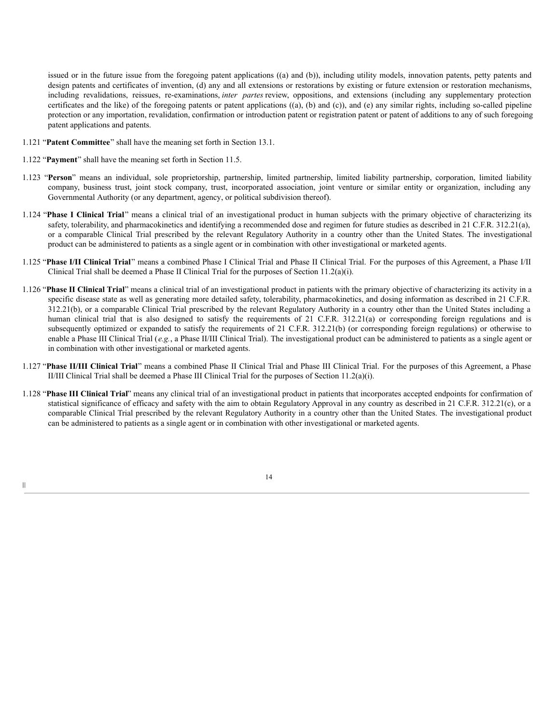issued or in the future issue from the foregoing patent applications ((a) and (b)), including utility models, innovation patents, petty patents and design patents and certificates of invention, (d) any and all extensions or restorations by existing or future extension or restoration mechanisms, including revalidations, reissues, re-examinations, *inter partes* review, oppositions, and extensions (including any supplementary protection certificates and the like) of the foregoing patents or patent applications ((a), (b) and (c)), and (e) any similar rights, including so-called pipeline protection or any importation, revalidation, confirmation or introduction patent or registration patent or patent of additions to any of such foregoing patent applications and patents.

- 1.121 "**Patent Committee**" shall have the meaning set forth in Section 13.1.
- 1.122 "**Payment**" shall have the meaning set forth in Section 11.5.

|||

- 1.123 "**Person**" means an individual, sole proprietorship, partnership, limited partnership, limited liability partnership, corporation, limited liability company, business trust, joint stock company, trust, incorporated association, joint venture or similar entity or organization, including any Governmental Authority (or any department, agency, or political subdivision thereof).
- 1.124 "**Phase I Clinical Trial**" means a clinical trial of an investigational product in human subjects with the primary objective of characterizing its safety, tolerability, and pharmacokinetics and identifying a recommended dose and regimen for future studies as described in 21 C.F.R. 312.21(a), or a comparable Clinical Trial prescribed by the relevant Regulatory Authority in a country other than the United States. The investigational product can be administered to patients as a single agent or in combination with other investigational or marketed agents.
- 1.125 "**Phase I/II Clinical Trial**" means a combined Phase I Clinical Trial and Phase II Clinical Trial. For the purposes of this Agreement, a Phase I/II Clinical Trial shall be deemed a Phase II Clinical Trial for the purposes of Section 11.2(a)(i).
- 1.126 "**Phase II Clinical Trial**" means a clinical trial of an investigational product in patients with the primary objective of characterizing its activity in a specific disease state as well as generating more detailed safety, tolerability, pharmacokinetics, and dosing information as described in 21 C.F.R. 312.21(b), or a comparable Clinical Trial prescribed by the relevant Regulatory Authority in a country other than the United States including a human clinical trial that is also designed to satisfy the requirements of 21 C.F.R. 312.21(a) or corresponding foreign regulations and is subsequently optimized or expanded to satisfy the requirements of 21 C.F.R. 312.21(b) (or corresponding foreign regulations) or otherwise to enable a Phase III Clinical Trial (*e.g.*, a Phase II/III Clinical Trial). The investigational product can be administered to patients as a single agent or in combination with other investigational or marketed agents.
- 1.127 "**Phase II/III Clinical Trial**" means a combined Phase II Clinical Trial and Phase III Clinical Trial. For the purposes of this Agreement, a Phase II/III Clinical Trial shall be deemed a Phase III Clinical Trial for the purposes of Section 11.2(a)(i).
- 1.128 "**Phase III Clinical Trial**" means any clinical trial of an investigational product in patients that incorporates accepted endpoints for confirmation of statistical significance of efficacy and safety with the aim to obtain Regulatory Approval in any country as described in 21 C.F.R. 312.21(c), or a comparable Clinical Trial prescribed by the relevant Regulatory Authority in a country other than the United States. The investigational product can be administered to patients as a single agent or in combination with other investigational or marketed agents.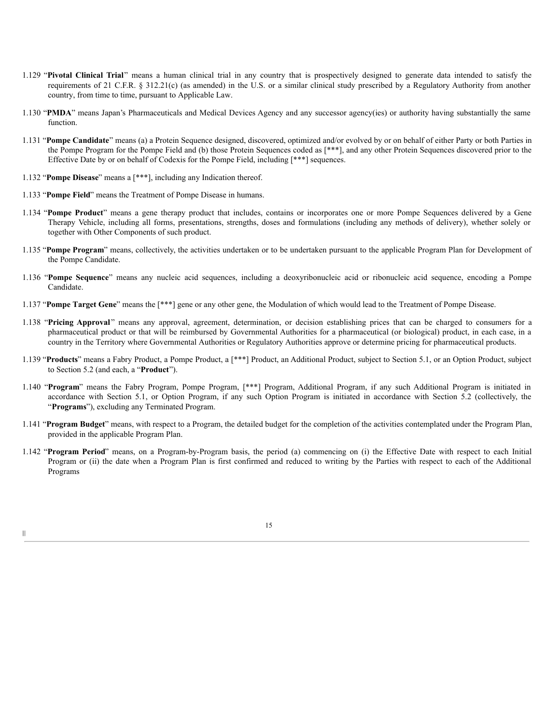- 1.129 "**Pivotal Clinical Trial**" means a human clinical trial in any country that is prospectively designed to generate data intended to satisfy the requirements of 21 C.F.R. § 312.21(c) (as amended) in the U.S. or a similar clinical study prescribed by a Regulatory Authority from another country, from time to time, pursuant to Applicable Law.
- 1.130 "**PMDA**" means Japan's Pharmaceuticals and Medical Devices Agency and any successor agency(ies) or authority having substantially the same function.
- 1.131 "**Pompe Candidate**" means (a) a Protein Sequence designed, discovered, optimized and/or evolved by or on behalf of either Party or both Parties in the Pompe Program for the Pompe Field and (b) those Protein Sequences coded as [\*\*\*], and any other Protein Sequences discovered prior to the Effective Date by or on behalf of Codexis for the Pompe Field, including [\*\*\*] sequences.
- 1.132 "**Pompe Disease**" means a [\*\*\*], including any Indication thereof.
- 1.133 "**Pompe Field**" means the Treatment of Pompe Disease in humans.
- 1.134 "**Pompe Product**" means a gene therapy product that includes, contains or incorporates one or more Pompe Sequences delivered by a Gene Therapy Vehicle, including all forms, presentations, strengths, doses and formulations (including any methods of delivery), whether solely or together with Other Components of such product.
- 1.135 "**Pompe Program**" means, collectively, the activities undertaken or to be undertaken pursuant to the applicable Program Plan for Development of the Pompe Candidate.
- 1.136 "**Pompe Sequence**" means any nucleic acid sequences, including a deoxyribonucleic acid or ribonucleic acid sequence, encoding a Pompe Candidate.
- 1.137 "**Pompe Target Gene**" means the [\*\*\*] gene or any other gene, the Modulation of which would lead to the Treatment of Pompe Disease.
- 1.138 "**Pricing Approval** " means any approval, agreement, determination, or decision establishing prices that can be charged to consumers for a pharmaceutical product or that will be reimbursed by Governmental Authorities for a pharmaceutical (or biological) product, in each case, in a country in the Territory where Governmental Authorities or Regulatory Authorities approve or determine pricing for pharmaceutical products.
- 1.139 "**Products**" means a Fabry Product, a Pompe Product, a [\*\*\*] Product, an Additional Product, subject to Section 5.1, or an Option Product, subject to Section 5.2 (and each, a "**Product**").
- 1.140 "**Program**" means the Fabry Program, Pompe Program, [\*\*\*] Program, Additional Program, if any such Additional Program is initiated in accordance with Section 5.1, or Option Program, if any such Option Program is initiated in accordance with Section 5.2 (collectively, the "**Programs**"), excluding any Terminated Program.
- 1.141 "**Program Budget**" means, with respect to a Program, the detailed budget for the completion of the activities contemplated under the Program Plan, provided in the applicable Program Plan.
- 1.142 "**Program Period**" means, on a Program-by-Program basis, the period (a) commencing on (i) the Effective Date with respect to each Initial Program or (ii) the date when a Program Plan is first confirmed and reduced to writing by the Parties with respect to each of the Additional Programs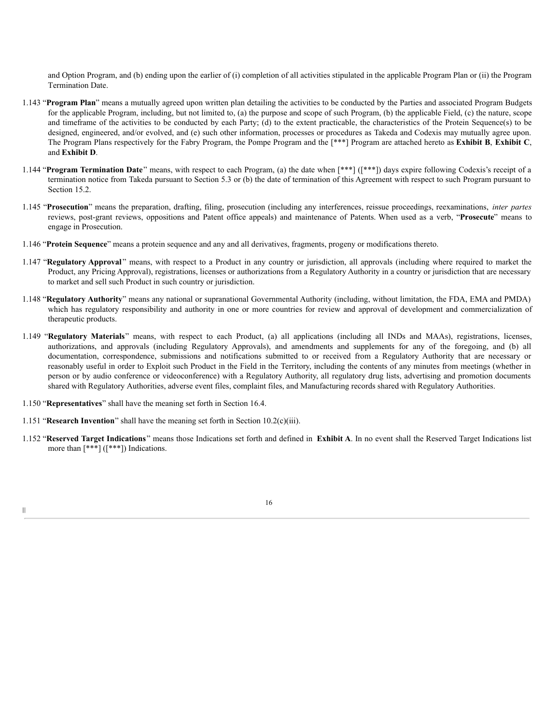and Option Program, and (b) ending upon the earlier of (i) completion of all activities stipulated in the applicable Program Plan or (ii) the Program Termination Date.

- 1.143 "**Program Plan**" means a mutually agreed upon written plan detailing the activities to be conducted by the Parties and associated Program Budgets for the applicable Program, including, but not limited to, (a) the purpose and scope of such Program, (b) the applicable Field, (c) the nature, scope and timeframe of the activities to be conducted by each Party; (d) to the extent practicable, the characteristics of the Protein Sequence(s) to be designed, engineered, and/or evolved, and (e) such other information, processes or procedures as Takeda and Codexis may mutually agree upon. The Program Plans respectively for the Fabry Program, the Pompe Program and the [\*\*\*] Program are attached hereto as **Exhibit B**, **Exhibit C**, and **Exhibit D**.
- 1.144 "**Program Termination Date**" means, with respect to each Program, (a) the date when [\*\*\*] ([\*\*\*]) days expire following Codexis's receipt of a termination notice from Takeda pursuant to Section 5.3 or (b) the date of termination of this Agreement with respect to such Program pursuant to Section 15.2.
- 1.145 "**Prosecution**" means the preparation, drafting, filing, prosecution (including any interferences, reissue proceedings, reexaminations, *inter partes* reviews, post-grant reviews, oppositions and Patent office appeals) and maintenance of Patents. When used as a verb, "**Prosecute**" means to engage in Prosecution.
- 1.146 "**Protein Sequence**" means a protein sequence and any and all derivatives, fragments, progeny or modifications thereto.
- 1.147 "**Regulatory Approval** " means, with respect to a Product in any country or jurisdiction, all approvals (including where required to market the Product, any Pricing Approval), registrations, licenses or authorizations from a Regulatory Authority in a country or jurisdiction that are necessary to market and sell such Product in such country or jurisdiction.
- 1.148 "**Regulatory Authority**" means any national or supranational Governmental Authority (including, without limitation, the FDA, EMA and PMDA) which has regulatory responsibility and authority in one or more countries for review and approval of development and commercialization of therapeutic products.
- 1.149 "**Regulatory Materials**" means, with respect to each Product, (a) all applications (including all INDs and MAAs), registrations, licenses, authorizations, and approvals (including Regulatory Approvals), and amendments and supplements for any of the foregoing, and (b) all documentation, correspondence, submissions and notifications submitted to or received from a Regulatory Authority that are necessary or reasonably useful in order to Exploit such Product in the Field in the Territory, including the contents of any minutes from meetings (whether in person or by audio conference or videoconference) with a Regulatory Authority, all regulatory drug lists, advertising and promotion documents shared with Regulatory Authorities, adverse event files, complaint files, and Manufacturing records shared with Regulatory Authorities.
- 1.150 "**Representatives**" shall have the meaning set forth in Section 16.4.
- 1.151 "**Research Invention**" shall have the meaning set forth in Section 10.2(c)(iii).
- 1.152 "**Reserved Target Indications**" means those Indications set forth and defined in **Exhibit A**. In no event shall the Reserved Target Indications list more than [\*\*\*] ([\*\*\*]) Indications.

16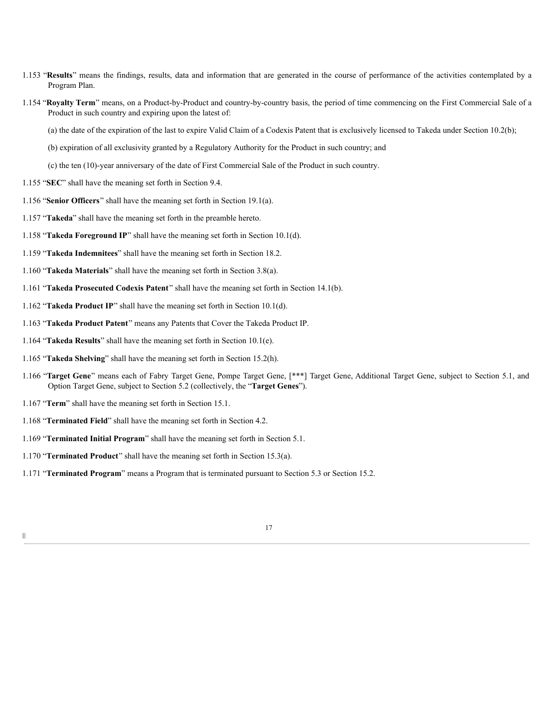- 1.153 "**Results**" means the findings, results, data and information that are generated in the course of performance of the activities contemplated by a Program Plan.
- 1.154 "**Royalty Term**" means, on a Product-by-Product and country-by-country basis, the period of time commencing on the First Commercial Sale of a Product in such country and expiring upon the latest of:
	- (a) the date of the expiration of the last to expire Valid Claim of a Codexis Patent that is exclusively licensed to Takeda under Section 10.2(b);
	- (b) expiration of all exclusivity granted by a Regulatory Authority for the Product in such country; and
	- (c) the ten (10)-year anniversary of the date of First Commercial Sale of the Product in such country.
- 1.155 "**SEC**" shall have the meaning set forth in Section 9.4.
- 1.156 "**Senior Officers**" shall have the meaning set forth in Section 19.1(a).
- 1.157 "**Takeda**" shall have the meaning set forth in the preamble hereto.
- 1.158 "**Takeda Foreground IP**" shall have the meaning set forth in Section 10.1(d).
- 1.159 "**Takeda Indemnitees**" shall have the meaning set forth in Section 18.2.
- 1.160 "**Takeda Materials**" shall have the meaning set forth in Section 3.8(a).
- 1.161 "**Takeda Prosecuted Codexis Patent**" shall have the meaning set forth in Section 14.1(b).
- 1.162 "**Takeda Product IP**" shall have the meaning set forth in Section 10.1(d).
- 1.163 "**Takeda Product Patent**" means any Patents that Cover the Takeda Product IP.
- 1.164 "**Takeda Results**" shall have the meaning set forth in Section 10.1(e).
- 1.165 "**Takeda Shelving**" shall have the meaning set forth in Section 15.2(h).
- 1.166 "**Target Gene**" means each of Fabry Target Gene, Pompe Target Gene, [\*\*\*] Target Gene, Additional Target Gene, subject to Section 5.1, and Option Target Gene, subject to Section 5.2 (collectively, the "**Target Genes**").
- 1.167 "**Term**" shall have the meaning set forth in Section 15.1.
- 1.168 "**Terminated Field**" shall have the meaning set forth in Section 4.2.
- 1.169 "**Terminated Initial Program**" shall have the meaning set forth in Section 5.1.
- 1.170 "**Terminated Product**" shall have the meaning set forth in Section 15.3(a).
- 1.171 "**Terminated Program**" means a Program that is terminated pursuant to Section 5.3 or Section 15.2.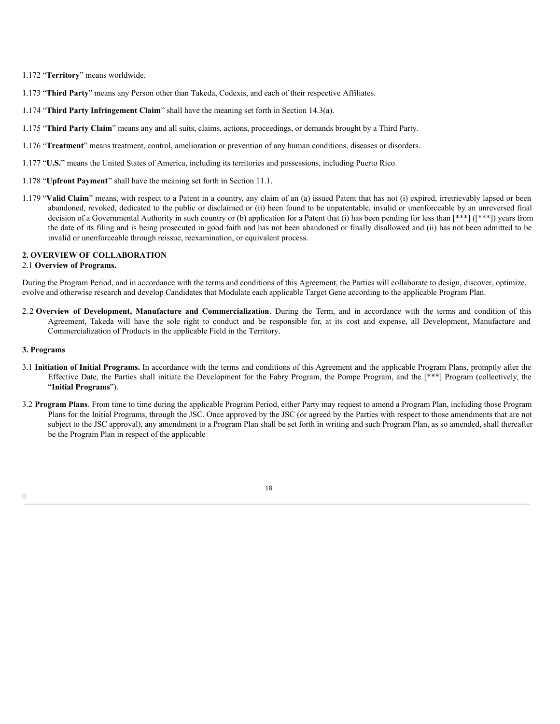1.172 "**Territory**" means worldwide.

1.173 "**Third Party**" means any Person other than Takeda, Codexis, and each of their respective Affiliates.

- 1.174 "**Third Party Infringement Claim**" shall have the meaning set forth in Section 14.3(a).
- 1.175 "**Third Party Claim**" means any and all suits, claims, actions, proceedings, or demands brought by a Third Party.
- 1.176 "**Treatment**" means treatment, control, amelioration or prevention of any human conditions, diseases or disorders.
- 1.177 "**U.S.**" means the United States of America, including its territories and possessions, including Puerto Rico.
- 1.178 "**Upfront Payment**" shall have the meaning set forth in Section 11.1.
- 1.179 "**Valid Claim**" means, with respect to a Patent in a country, any claim of an (a) issued Patent that has not (i) expired, irretrievably lapsed or been abandoned, revoked, dedicated to the public or disclaimed or (ii) been found to be unpatentable, invalid or unenforceable by an unreversed final decision of a Governmental Authority in such country or (b) application for a Patent that (i) has been pending for less than [\*\*\*] ([\*\*\*]) years from the date of its filing and is being prosecuted in good faith and has not been abandoned or finally disallowed and (ii) has not been admitted to be invalid or unenforceable through reissue, reexamination, or equivalent process.

# **2. OVERVIEW OF COLLABORATION**

# 2.1 **Overview of Programs.**

During the Program Period, and in accordance with the terms and conditions of this Agreement, the Parties will collaborate to design, discover, optimize, evolve and otherwise research and develop Candidates that Modulate each applicable Target Gene according to the applicable Program Plan.

2.2 **Overview of Development, Manufacture and Commercialization**. During the Term, and in accordance with the terms and condition of this Agreement, Takeda will have the sole right to conduct and be responsible for, at its cost and expense, all Development, Manufacture and Commercialization of Products in the applicable Field in the Territory.

## **3. Programs**

|||

- 3.1 **Initiation of Initial Programs.** In accordance with the terms and conditions of this Agreement and the applicable Program Plans, promptly after the Effective Date, the Parties shall initiate the Development for the Fabry Program, the Pompe Program, and the [\*\*\*] Program (collectively, the "**Initial Programs**").
- 3.2 **Program Plans**. From time to time during the applicable Program Period, either Party may request to amend a Program Plan, including those Program Plans for the Initial Programs, through the JSC. Once approved by the JSC (or agreed by the Parties with respect to those amendments that are not subject to the JSC approval), any amendment to a Program Plan shall be set forth in writing and such Program Plan, as so amended, shall thereafter be the Program Plan in respect of the applicable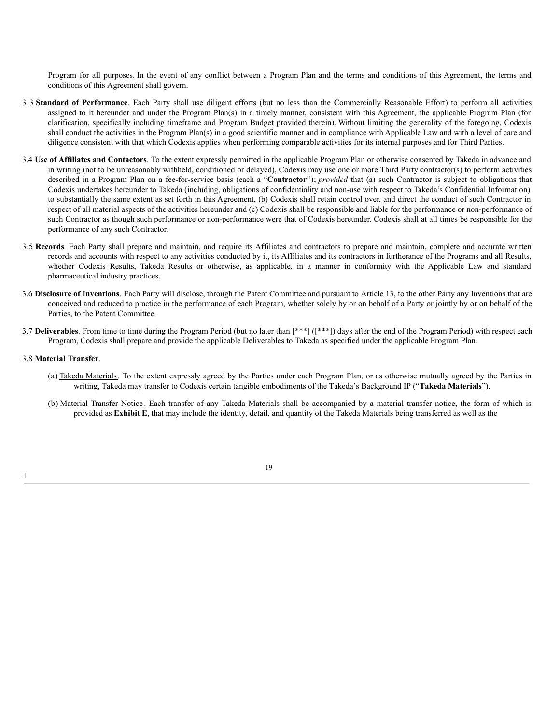Program for all purposes. In the event of any conflict between a Program Plan and the terms and conditions of this Agreement, the terms and conditions of this Agreement shall govern.

- 3.3 **Standard of Performance**. Each Party shall use diligent efforts (but no less than the Commercially Reasonable Effort) to perform all activities assigned to it hereunder and under the Program Plan(s) in a timely manner, consistent with this Agreement, the applicable Program Plan (for clarification, specifically including timeframe and Program Budget provided therein). Without limiting the generality of the foregoing, Codexis shall conduct the activities in the Program Plan(s) in a good scientific manner and in compliance with Applicable Law and with a level of care and diligence consistent with that which Codexis applies when performing comparable activities for its internal purposes and for Third Parties.
- 3.4 **Use of Affiliates and Contactors**. To the extent expressly permitted in the applicable Program Plan or otherwise consented by Takeda in advance and in writing (not to be unreasonably withheld, conditioned or delayed), Codexis may use one or more Third Party contractor(s) to perform activities described in a Program Plan on a fee-for-service basis (each a "**Contractor**"); *provided* that (a) such Contractor is subject to obligations that Codexis undertakes hereunder to Takeda (including, obligations of confidentiality and non-use with respect to Takeda's Confidential Information) to substantially the same extent as set forth in this Agreement, (b) Codexis shall retain control over, and direct the conduct of such Contractor in respect of all material aspects of the activities hereunder and (c) Codexis shall be responsible and liable for the performance or non-performance of such Contractor as though such performance or non-performance were that of Codexis hereunder. Codexis shall at all times be responsible for the performance of any such Contractor.
- 3.5 **Records**. Each Party shall prepare and maintain, and require its Affiliates and contractors to prepare and maintain, complete and accurate written records and accounts with respect to any activities conducted by it, its Affiliates and its contractors in furtherance of the Programs and all Results, whether Codexis Results, Takeda Results or otherwise, as applicable, in a manner in conformity with the Applicable Law and standard pharmaceutical industry practices.
- 3.6 **Disclosure of Inventions**. Each Party will disclose, through the Patent Committee and pursuant to Article 13, to the other Party any Inventions that are conceived and reduced to practice in the performance of each Program, whether solely by or on behalf of a Party or jointly by or on behalf of the Parties, to the Patent Committee.
- 3.7 **Deliverables**. From time to time during the Program Period (but no later than [\*\*\*] ([\*\*\*]) days after the end of the Program Period) with respect each Program, Codexis shall prepare and provide the applicable Deliverables to Takeda as specified under the applicable Program Plan.

#### 3.8 **Material Transfer**.

- (a) Takeda Materials. To the extent expressly agreed by the Parties under each Program Plan, or as otherwise mutually agreed by the Parties in writing, Takeda may transfer to Codexis certain tangible embodiments of the Takeda's Background IP ("**Takeda Materials**").
- (b) Material Transfer Notice . Each transfer of any Takeda Materials shall be accompanied by a material transfer notice, the form of which is provided as **Exhibit E**, that may include the identity, detail, and quantity of the Takeda Materials being transferred as well as the

19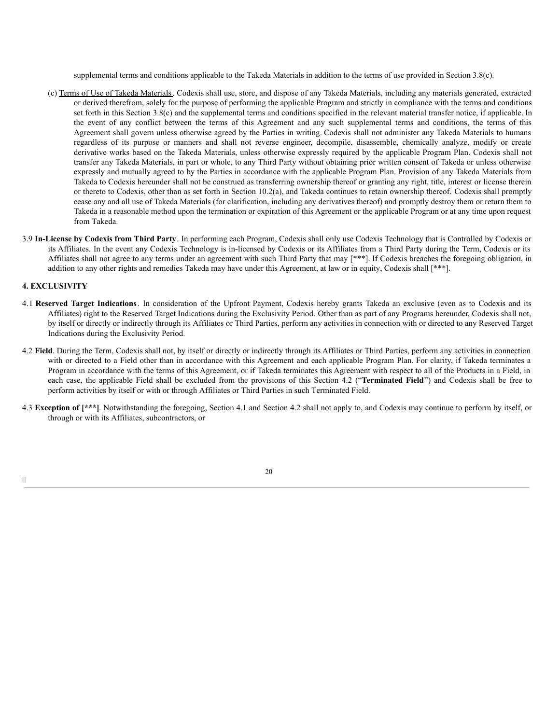supplemental terms and conditions applicable to the Takeda Materials in addition to the terms of use provided in Section 3.8(c).

- (c) Terms of Use of Takeda Materials. Codexis shall use, store, and dispose of any Takeda Materials, including any materials generated, extracted or derived therefrom, solely for the purpose of performing the applicable Program and strictly in compliance with the terms and conditions set forth in this Section 3.8(c) and the supplemental terms and conditions specified in the relevant material transfer notice, if applicable. In the event of any conflict between the terms of this Agreement and any such supplemental terms and conditions, the terms of this Agreement shall govern unless otherwise agreed by the Parties in writing. Codexis shall not administer any Takeda Materials to humans regardless of its purpose or manners and shall not reverse engineer, decompile, disassemble, chemically analyze, modify or create derivative works based on the Takeda Materials, unless otherwise expressly required by the applicable Program Plan. Codexis shall not transfer any Takeda Materials, in part or whole, to any Third Party without obtaining prior written consent of Takeda or unless otherwise expressly and mutually agreed to by the Parties in accordance with the applicable Program Plan. Provision of any Takeda Materials from Takeda to Codexis hereunder shall not be construed as transferring ownership thereof or granting any right, title, interest or license therein or thereto to Codexis, other than as set forth in Section 10.2(a), and Takeda continues to retain ownership thereof. Codexis shall promptly cease any and all use of Takeda Materials (for clarification, including any derivatives thereof) and promptly destroy them or return them to Takeda in a reasonable method upon the termination or expiration of this Agreement or the applicable Program or at any time upon request from Takeda.
- 3.9 **In-License by Codexis from Third Party**. In performing each Program, Codexis shall only use Codexis Technology that is Controlled by Codexis or its Affiliates. In the event any Codexis Technology is in-licensed by Codexis or its Affiliates from a Third Party during the Term, Codexis or its Affiliates shall not agree to any terms under an agreement with such Third Party that may [\*\*\*]. If Codexis breaches the foregoing obligation, in addition to any other rights and remedies Takeda may have under this Agreement, at law or in equity, Codexis shall [\*\*\*].

## **4. EXCLUSIVITY**

|||

- 4.1 **Reserved Target Indications**. In consideration of the Upfront Payment, Codexis hereby grants Takeda an exclusive (even as to Codexis and its Affiliates) right to the Reserved Target Indications during the Exclusivity Period. Other than as part of any Programs hereunder, Codexis shall not, by itself or directly or indirectly through its Affiliates or Third Parties, perform any activities in connection with or directed to any Reserved Target Indications during the Exclusivity Period.
- 4.2 **Field**. During the Term, Codexis shall not, by itself or directly or indirectly through its Affiliates or Third Parties, perform any activities in connection with or directed to a Field other than in accordance with this Agreement and each applicable Program Plan. For clarity, if Takeda terminates a Program in accordance with the terms of this Agreement, or if Takeda terminates this Agreement with respect to all of the Products in a Field, in each case, the applicable Field shall be excluded from the provisions of this Section 4.2 ("**Terminated Field**") and Codexis shall be free to perform activities by itself or with or through Affiliates or Third Parties in such Terminated Field.
- 4.3 **Exception of [\*\*\*]**. Notwithstanding the foregoing, Section 4.1 and Section 4.2 shall not apply to, and Codexis may continue to perform by itself, or through or with its Affiliates, subcontractors, or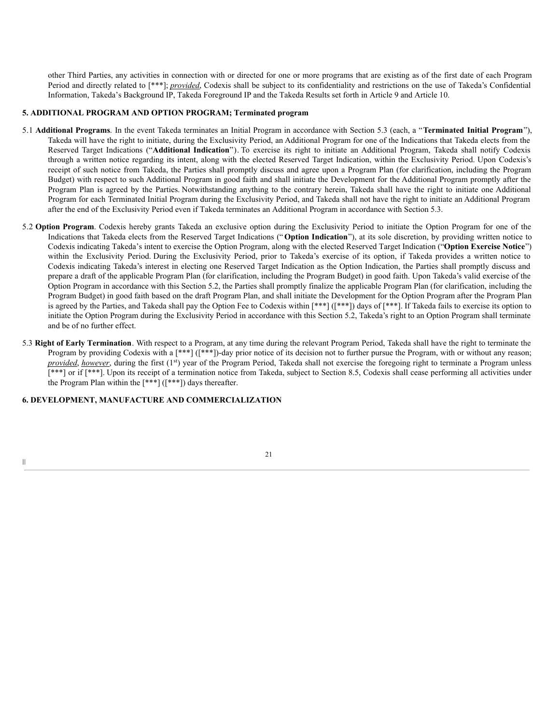other Third Parties, any activities in connection with or directed for one or more programs that are existing as of the first date of each Program Period and directly related to [\*\*\*]; *provided*, Codexis shall be subject to its confidentiality and restrictions on the use of Takeda's Confidential Information, Takeda's Background IP, Takeda Foreground IP and the Takeda Results set forth in Article 9 and Article 10.

## **5. ADDITIONAL PROGRAM AND OPTION PROGRAM; Terminated program**

- 5.1 **Additional Programs**. In the event Takeda terminates an Initial Program in accordance with Section 5.3 (each, a "**Terminated Initial Program**"), Takeda will have the right to initiate, during the Exclusivity Period, an Additional Program for one of the Indications that Takeda elects from the Reserved Target Indications ("**Additional Indication**"). To exercise its right to initiate an Additional Program, Takeda shall notify Codexis through a written notice regarding its intent, along with the elected Reserved Target Indication, within the Exclusivity Period. Upon Codexis's receipt of such notice from Takeda, the Parties shall promptly discuss and agree upon a Program Plan (for clarification, including the Program Budget) with respect to such Additional Program in good faith and shall initiate the Development for the Additional Program promptly after the Program Plan is agreed by the Parties. Notwithstanding anything to the contrary herein, Takeda shall have the right to initiate one Additional Program for each Terminated Initial Program during the Exclusivity Period, and Takeda shall not have the right to initiate an Additional Program after the end of the Exclusivity Period even if Takeda terminates an Additional Program in accordance with Section 5.3.
- 5.2 **Option Program**. Codexis hereby grants Takeda an exclusive option during the Exclusivity Period to initiate the Option Program for one of the Indications that Takeda elects from the Reserved Target Indications (" **Option Indication**"), at its sole discretion, by providing written notice to Codexis indicating Takeda's intent to exercise the Option Program, along with the elected Reserved Target Indication ("**Option Exercise Notice**") within the Exclusivity Period. During the Exclusivity Period, prior to Takeda's exercise of its option, if Takeda provides a written notice to Codexis indicating Takeda's interest in electing one Reserved Target Indication as the Option Indication, the Parties shall promptly discuss and prepare a draft of the applicable Program Plan (for clarification, including the Program Budget) in good faith. Upon Takeda's valid exercise of the Option Program in accordance with this Section 5.2, the Parties shall promptly finalize the applicable Program Plan (for clarification, including the Program Budget) in good faith based on the draft Program Plan, and shall initiate the Development for the Option Program after the Program Plan is agreed by the Parties, and Takeda shall pay the Option Fee to Codexis within [\*\*\*] ([\*\*\*]) days of [\*\*\*]. If Takeda fails to exercise its option to initiate the Option Program during the Exclusivity Period in accordance with this Section 5.2, Takeda's right to an Option Program shall terminate and be of no further effect.
- 5.3 **Right of Early Termination**. With respect to a Program, at any time during the relevant Program Period, Takeda shall have the right to terminate the Program by providing Codexis with a [\*\*\*] ([\*\*\*])-day prior notice of its decision not to further pursue the Program, with or without any reason; *provided*, *however*, during the first (1 st) year of the Program Period, Takeda shall not exercise the foregoing right to terminate a Program unless [\*\*\*] or if [\*\*\*]. Upon its receipt of a termination notice from Takeda, subject to Section 8.5, Codexis shall cease performing all activities under the Program Plan within the [\*\*\*] ([\*\*\*]) days thereafter.

## **6. DEVELOPMENT, MANUFACTURE AND COMMERCIALIZATION**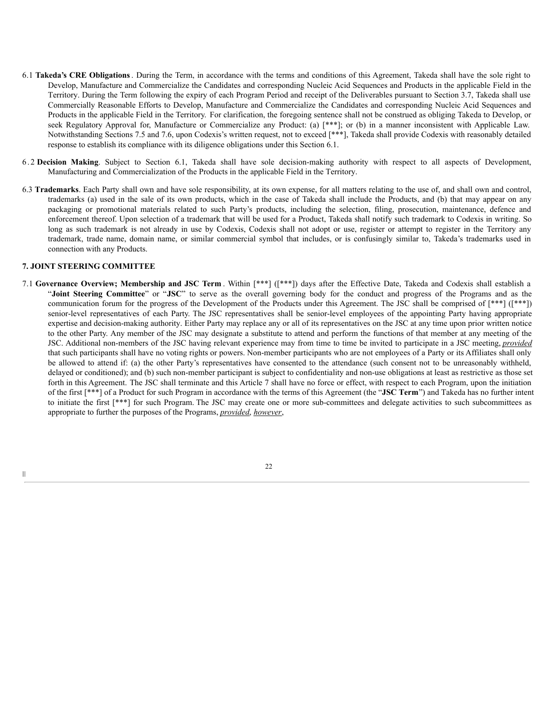- 6.1 **Takeda's CRE Obligations**. During the Term, in accordance with the terms and conditions of this Agreement, Takeda shall have the sole right to Develop, Manufacture and Commercialize the Candidates and corresponding Nucleic Acid Sequences and Products in the applicable Field in the Territory. During the Term following the expiry of each Program Period and receipt of the Deliverables pursuant to Section 3.7, Takeda shall use Commercially Reasonable Efforts to Develop, Manufacture and Commercialize the Candidates and corresponding Nucleic Acid Sequences and Products in the applicable Field in the Territory. For clarification, the foregoing sentence shall not be construed as obliging Takeda to Develop, or seek Regulatory Approval for, Manufacture or Commercialize any Product: (a) [\*\*\*]; or (b) in a manner inconsistent with Applicable Law. Notwithstanding Sections 7.5 and 7.6, upon Codexis's written request, not to exceed [\*\*\*], Takeda shall provide Codexis with reasonably detailed response to establish its compliance with its diligence obligations under this Section 6.1.
- 6 . 2 **Decision Making**. Subject to Section 6.1, Takeda shall have sole decision-making authority with respect to all aspects of Development, Manufacturing and Commercialization of the Products in the applicable Field in the Territory.
- 6.3 **Trademarks**. Each Party shall own and have sole responsibility, at its own expense, for all matters relating to the use of, and shall own and control, trademarks (a) used in the sale of its own products, which in the case of Takeda shall include the Products, and (b) that may appear on any packaging or promotional materials related to such Party's products, including the selection, filing, prosecution, maintenance, defence and enforcement thereof. Upon selection of a trademark that will be used for a Product, Takeda shall notify such trademark to Codexis in writing. So long as such trademark is not already in use by Codexis, Codexis shall not adopt or use, register or attempt to register in the Territory any trademark, trade name, domain name, or similar commercial symbol that includes, or is confusingly similar to, Takeda's trademarks used in connection with any Products.

## **7. JOINT STEERING COMMITTEE**

7.1 **Governance Overview; Membership and JSC Term** . Within [\*\*\*] ([\*\*\*]) days after the Effective Date, Takeda and Codexis shall establish a "**Joint Steering Committee**" or "**JSC**" to serve as the overall governing body for the conduct and progress of the Programs and as the communication forum for the progress of the Development of the Products under this Agreement. The JSC shall be comprised of [\*\*\*] ([\*\*\*]) senior-level representatives of each Party. The JSC representatives shall be senior-level employees of the appointing Party having appropriate expertise and decision-making authority. Either Party may replace any or all of its representatives on the JSC at any time upon prior written notice to the other Party. Any member of the JSC may designate a substitute to attend and perform the functions of that member at any meeting of the JSC. Additional non-members of the JSC having relevant experience may from time to time be invited to participate in a JSC meeting, *provided* that such participants shall have no voting rights or powers. Non-member participants who are not employees of a Party or its Affiliates shall only be allowed to attend if: (a) the other Party's representatives have consented to the attendance (such consent not to be unreasonably withheld, delayed or conditioned); and (b) such non-member participant is subject to confidentiality and non-use obligations at least as restrictive as those set forth in this Agreement. The JSC shall terminate and this Article 7 shall have no force or effect, with respect to each Program, upon the initiation of the first [\*\*\*] of a Product for such Program in accordance with the terms of this Agreement (the "**JSC Term**") and Takeda has no further intent to initiate the first [\*\*\*] for such Program. The JSC may create one or more sub-committees and delegate activities to such subcommittees as appropriate to further the purposes of the Programs, *provided*, *however*,

22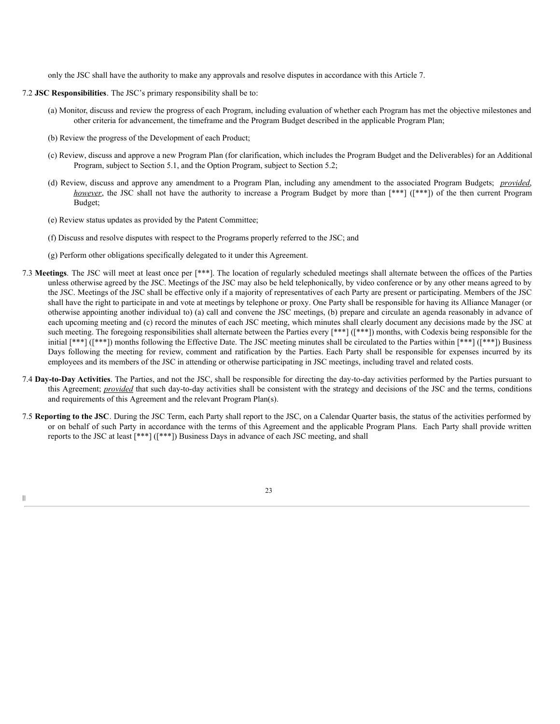only the JSC shall have the authority to make any approvals and resolve disputes in accordance with this Article 7.

#### 7.2 **JSC Responsibilities**. The JSC's primary responsibility shall be to:

- (a) Monitor, discuss and review the progress of each Program, including evaluation of whether each Program has met the objective milestones and other criteria for advancement, the timeframe and the Program Budget described in the applicable Program Plan;
- (b) Review the progress of the Development of each Product;
- (c) Review, discuss and approve a new Program Plan (for clarification, which includes the Program Budget and the Deliverables) for an Additional Program, subject to Section 5.1, and the Option Program, subject to Section 5.2;
- (d) Review, discuss and approve any amendment to a Program Plan, including any amendment to the associated Program Budgets; *provided*, *however*, the JSC shall not have the authority to increase a Program Budget by more than  $[***]$  ( $[***]$ ) of the then current Program Budget;
- (e) Review status updates as provided by the Patent Committee;

|||

- (f) Discuss and resolve disputes with respect to the Programs properly referred to the JSC; and
- (g) Perform other obligations specifically delegated to it under this Agreement.
- 7.3 **Meetings**. The JSC will meet at least once per [\*\*\*]. The location of regularly scheduled meetings shall alternate between the offices of the Parties unless otherwise agreed by the JSC. Meetings of the JSC may also be held telephonically, by video conference or by any other means agreed to by the JSC. Meetings of the JSC shall be effective only if a majority of representatives of each Party are present or participating. Members of the JSC shall have the right to participate in and vote at meetings by telephone or proxy. One Party shall be responsible for having its Alliance Manager (or otherwise appointing another individual to) (a) call and convene the JSC meetings, (b) prepare and circulate an agenda reasonably in advance of each upcoming meeting and (c) record the minutes of each JSC meeting, which minutes shall clearly document any decisions made by the JSC at such meeting. The foregoing responsibilities shall alternate between the Parties every [\*\*\*] ([\*\*\*]) months, with Codexis being responsible for the initial [\*\*\*] ([\*\*\*]) months following the Effective Date. The JSC meeting minutes shall be circulated to the Parties within [\*\*\*] ([\*\*\*]) Business Days following the meeting for review, comment and ratification by the Parties. Each Party shall be responsible for expenses incurred by its employees and its members of the JSC in attending or otherwise participating in JSC meetings, including travel and related costs.
- 7.4 **Day-to-Day Activities**. The Parties, and not the JSC, shall be responsible for directing the day-to-day activities performed by the Parties pursuant to this Agreement; *provided* that such day-to-day activities shall be consistent with the strategy and decisions of the JSC and the terms, conditions and requirements of this Agreement and the relevant Program Plan(s).
- 7.5 **Reporting to the JSC**. During the JSC Term, each Party shall report to the JSC, on a Calendar Quarter basis, the status of the activities performed by or on behalf of such Party in accordance with the terms of this Agreement and the applicable Program Plans. Each Party shall provide written reports to the JSC at least [\*\*\*] ([\*\*\*]) Business Days in advance of each JSC meeting, and shall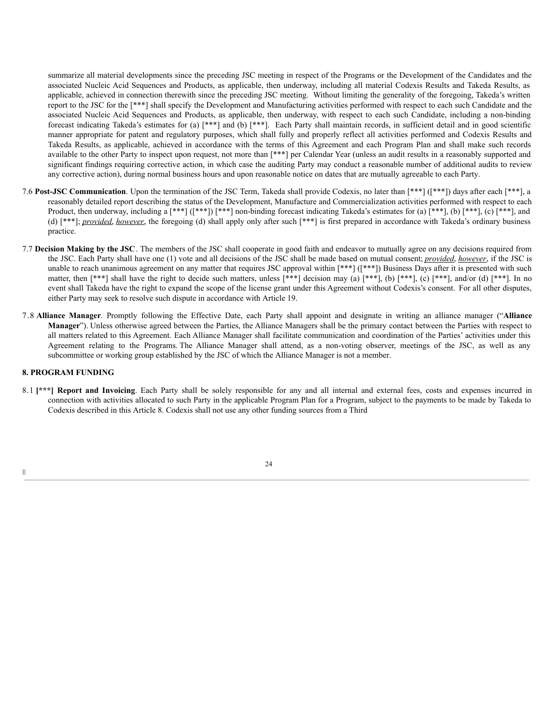summarize all material developments since the preceding JSC meeting in respect of the Programs or the Development of the Candidates and the associated Nucleic Acid Sequences and Products, as applicable, then underway, including all material Codexis Results and Takeda Results, as applicable, achieved in connection therewith since the preceding JSC meeting. Without limiting the generality of the foregoing, Takeda's written report to the JSC for the [\*\*\*] shall specify the Development and Manufacturing activities performed with respect to each such Candidate and the associated Nucleic Acid Sequences and Products, as applicable, then underway, with respect to each such Candidate, including a non-binding forecast indicating Takeda's estimates for (a) [\*\*\*] and (b) [\*\*\*]. Each Party shall maintain records, in sufficient detail and in good scientific manner appropriate for patent and regulatory purposes, which shall fully and properly reflect all activities performed and Codexis Results and Takeda Results, as applicable, achieved in accordance with the terms of this Agreement and each Program Plan and shall make such records available to the other Party to inspect upon request, not more than [\*\*\*] per Calendar Year (unless an audit results in a reasonably supported and significant findings requiring corrective action, in which case the auditing Party may conduct a reasonable number of additional audits to review any corrective action), during normal business hours and upon reasonable notice on dates that are mutually agreeable to each Party.

- 7.6 **Post-JSC Communication**. Upon the termination of the JSC Term, Takeda shall provide Codexis, no later than [\*\*\*] ([\*\*\*]) days after each [\*\*\*], a reasonably detailed report describing the status of the Development, Manufacture and Commercialization activities performed with respect to each Product, then underway, including a  $[***]$   $[***]$   $[***]$  non-binding forecast indicating Takeda's estimates for (a)  $[***]$ , (b)  $[***]$ , (c)  $[***]$ , and (d) [\*\*\*]; *provided*, *however*, the foregoing (d) shall apply only after such [\*\*\*] is first prepared in accordance with Takeda's ordinary business practice.
- 7.7 **Decision Making by the JSC**. The members of the JSC shall cooperate in good faith and endeavor to mutually agree on any decisions required from the JSC. Each Party shall have one (1) vote and all decisions of the JSC shall be made based on mutual consent; *provided*, *however*, if the JSC is unable to reach unanimous agreement on any matter that requires JSC approval within [\*\*\*] ([\*\*\*]) Business Days after it is presented with such matter, then [\*\*\*] shall have the right to decide such matters, unless [\*\*\*] decision may (a) [\*\*\*], (b) [\*\*\*], (c) [\*\*\*], and/or (d) [\*\*\*]. In no event shall Takeda have the right to expand the scope of the license grant under this Agreement without Codexis's consent. For all other disputes, either Party may seek to resolve such dispute in accordance with Article 19.
- 7.8 **Alliance Manager**. Promptly following the Effective Date, each Party shall appoint and designate in writing an alliance manager ("**Alliance Manager**"). Unless otherwise agreed between the Parties, the Alliance Managers shall be the primary contact between the Parties with respect to all matters related to this Agreement. Each Alliance Manager shall facilitate communication and coordination of the Parties' activities under this Agreement relating to the Programs. The Alliance Manager shall attend, as a non-voting observer, meetings of the JSC, as well as any subcommittee or working group established by the JSC of which the Alliance Manager is not a member.

# **8. PROGRAM FUNDING**

8.1 **[\*\*\*] Report and Invoicing**. Each Party shall be solely responsible for any and all internal and external fees, costs and expenses incurred in connection with activities allocated to such Party in the applicable Program Plan for a Program, subject to the payments to be made by Takeda to Codexis described in this Article 8. Codexis shall not use any other funding sources from a Third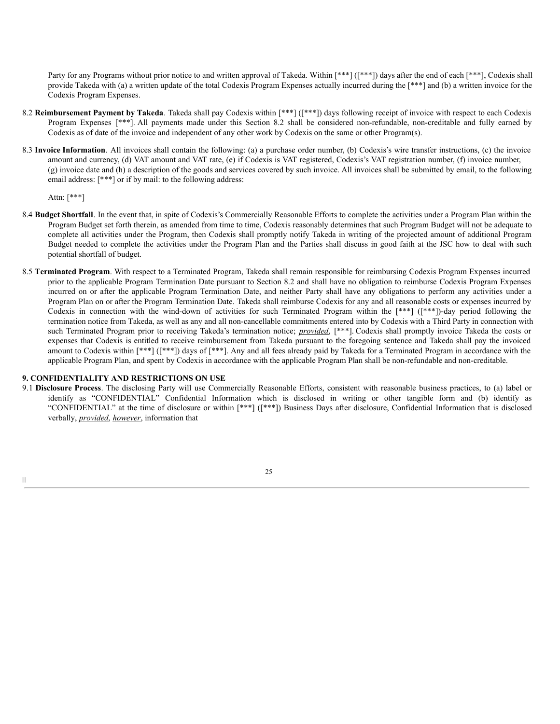Party for any Programs without prior notice to and written approval of Takeda. Within [\*\*\*] ([\*\*\*]) days after the end of each [\*\*\*], Codexis shall provide Takeda with (a) a written update of the total Codexis Program Expenses actually incurred during the [\*\*\*] and (b) a written invoice for the Codexis Program Expenses.

- 8.2 **Reimbursement Payment by Takeda**. Takeda shall pay Codexis within [\*\*\*] ([\*\*\*]) days following receipt of invoice with respect to each Codexis Program Expenses [\*\*\*]. All payments made under this Section 8.2 shall be considered non-refundable, non-creditable and fully earned by Codexis as of date of the invoice and independent of any other work by Codexis on the same or other Program(s).
- 8.3 **Invoice Information**. All invoices shall contain the following: (a) a purchase order number, (b) Codexis's wire transfer instructions, (c) the invoice amount and currency, (d) VAT amount and VAT rate, (e) if Codexis is VAT registered, Codexis's VAT registration number, (f) invoice number, (g) invoice date and (h) a description of the goods and services covered by such invoice. All invoices shall be submitted by email, to the following email address: [\*\*\*] or if by mail: to the following address:

Attn: [\*\*\*]

|||

- 8.4 **Budget Shortfall**. In the event that, in spite of Codexis's Commercially Reasonable Efforts to complete the activities under a Program Plan within the Program Budget set forth therein, as amended from time to time, Codexis reasonably determines that such Program Budget will not be adequate to complete all activities under the Program, then Codexis shall promptly notify Takeda in writing of the projected amount of additional Program Budget needed to complete the activities under the Program Plan and the Parties shall discuss in good faith at the JSC how to deal with such potential shortfall of budget.
- 8.5 **Terminated Program**. With respect to a Terminated Program, Takeda shall remain responsible for reimbursing Codexis Program Expenses incurred prior to the applicable Program Termination Date pursuant to Section 8.2 and shall have no obligation to reimburse Codexis Program Expenses incurred on or after the applicable Program Termination Date, and neither Party shall have any obligations to perform any activities under a Program Plan on or after the Program Termination Date. Takeda shall reimburse Codexis for any and all reasonable costs or expenses incurred by Codexis in connection with the wind-down of activities for such Terminated Program within the [\*\*\*] ([\*\*\*])-day period following the termination notice from Takeda, as well as any and all non-cancellable commitments entered into by Codexis with a Third Party in connection with such Terminated Program prior to receiving Takeda's termination notice; *provided*, [\*\*\*]. Codexis shall promptly invoice Takeda the costs or expenses that Codexis is entitled to receive reimbursement from Takeda pursuant to the foregoing sentence and Takeda shall pay the invoiced amount to Codexis within [\*\*\*] ([\*\*\*]) days of [\*\*\*]. Any and all fees already paid by Takeda for a Terminated Program in accordance with the applicable Program Plan, and spent by Codexis in accordance with the applicable Program Plan shall be non-refundable and non-creditable.

### **9. CONFIDENTIALITY AND RESTRICTIONS ON USE**

9.1 **Disclosure Process**. The disclosing Party will use Commercially Reasonable Efforts, consistent with reasonable business practices, to (a) label or identify as "CONFIDENTIAL" Confidential Information which is disclosed in writing or other tangible form and (b) identify as "CONFIDENTIAL" at the time of disclosure or within [\*\*\*] ([\*\*\*]) Business Days after disclosure, Confidential Information that is disclosed verbally, *provided*, *however*, information that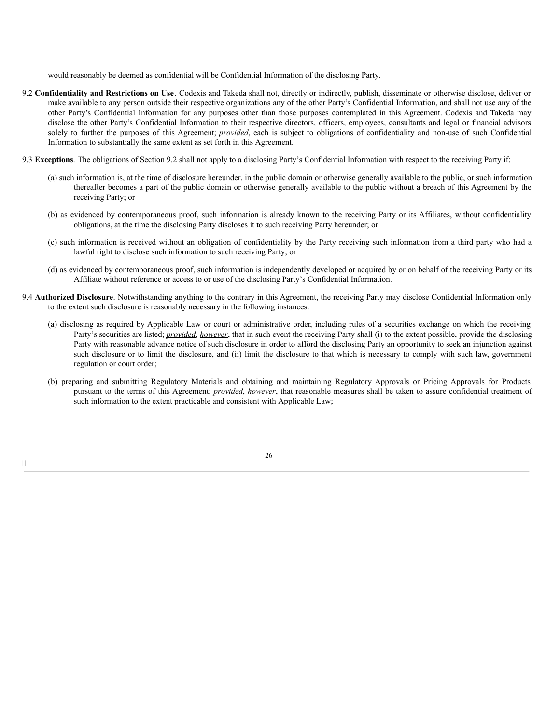would reasonably be deemed as confidential will be Confidential Information of the disclosing Party.

- 9.2 **Confidentiality and Restrictions on Use**. Codexis and Takeda shall not, directly or indirectly, publish, disseminate or otherwise disclose, deliver or make available to any person outside their respective organizations any of the other Party's Confidential Information, and shall not use any of the other Party's Confidential Information for any purposes other than those purposes contemplated in this Agreement. Codexis and Takeda may disclose the other Party's Confidential Information to their respective directors, officers, employees, consultants and legal or financial advisors solely to further the purposes of this Agreement; *provided*, each is subject to obligations of confidentiality and non-use of such Confidential Information to substantially the same extent as set forth in this Agreement.
- 9.3 **Exceptions**. The obligations of Section 9.2 shall not apply to a disclosing Party's Confidential Information with respect to the receiving Party if:
	- (a) such information is, at the time of disclosure hereunder, in the public domain or otherwise generally available to the public, or such information thereafter becomes a part of the public domain or otherwise generally available to the public without a breach of this Agreement by the receiving Party; or
	- (b) as evidenced by contemporaneous proof, such information is already known to the receiving Party or its Affiliates, without confidentiality obligations, at the time the disclosing Party discloses it to such receiving Party hereunder; or
	- (c) such information is received without an obligation of confidentiality by the Party receiving such information from a third party who had a lawful right to disclose such information to such receiving Party; or
	- (d) as evidenced by contemporaneous proof, such information is independently developed or acquired by or on behalf of the receiving Party or its Affiliate without reference or access to or use of the disclosing Party's Confidential Information.
- 9.4 **Authorized Disclosure**. Notwithstanding anything to the contrary in this Agreement, the receiving Party may disclose Confidential Information only to the extent such disclosure is reasonably necessary in the following instances:
	- (a) disclosing as required by Applicable Law or court or administrative order, including rules of a securities exchange on which the receiving Party's securities are listed; *provided*, *however*, that in such event the receiving Party shall (i) to the extent possible, provide the disclosing Party with reasonable advance notice of such disclosure in order to afford the disclosing Party an opportunity to seek an injunction against such disclosure or to limit the disclosure, and (ii) limit the disclosure to that which is necessary to comply with such law, government regulation or court order;
	- (b) preparing and submitting Regulatory Materials and obtaining and maintaining Regulatory Approvals or Pricing Approvals for Products pursuant to the terms of this Agreement; *provided*, *however*, that reasonable measures shall be taken to assure confidential treatment of such information to the extent practicable and consistent with Applicable Law;

|||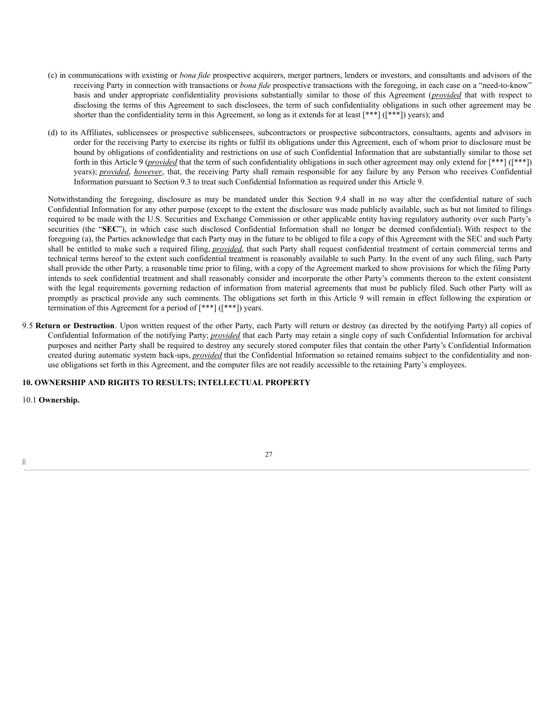- (c) in communications with existing or *bona fide* prospective acquirers, merger partners, lenders or investors, and consultants and advisors of the receiving Party in connection with transactions or *bona fide* prospective transactions with the foregoing, in each case on a "need-to-know" basis and under appropriate confidentiality provisions substantially similar to those of this Agreement (*provided* that with respect to disclosing the terms of this Agreement to such disclosees, the term of such confidentiality obligations in such other agreement may be shorter than the confidentiality term in this Agreement, so long as it extends for at least [\*\*\*] ([\*\*\*]) years); and
- (d) to its Affiliates, sublicensees or prospective sublicensees, subcontractors or prospective subcontractors, consultants, agents and advisors in order for the receiving Party to exercise its rights or fulfil its obligations under this Agreement, each of whom prior to disclosure must be bound by obligations of confidentiality and restrictions on use of such Confidential Information that are substantially similar to those set forth in this Article 9 (*provided* that the term of such confidentiality obligations in such other agreement may only extend for [\*\*\*] ([\*\*\*]) years); *provided*, *however*, that, the receiving Party shall remain responsible for any failure by any Person who receives Confidential Information pursuant to Section 9.3 to treat such Confidential Information as required under this Article 9.

Notwithstanding the foregoing, disclosure as may be mandated under this Section 9.4 shall in no way alter the confidential nature of such Confidential Information for any other purpose (except to the extent the disclosure was made publicly available, such as but not limited to filings required to be made with the U.S. Securities and Exchange Commission or other applicable entity having regulatory authority over such Party's securities (the "**SEC**"), in which case such disclosed Confidential Information shall no longer be deemed confidential). With respect to the foregoing (a), the Parties acknowledge that each Party may in the future to be obliged to file a copy of this Agreement with the SEC and such Party shall be entitled to make such a required filing, *provided*, that such Party shall request confidential treatment of certain commercial terms and technical terms hereof to the extent such confidential treatment is reasonably available to such Party. In the event of any such filing, such Party shall provide the other Party, a reasonable time prior to filing, with a copy of the Agreement marked to show provisions for which the filing Party intends to seek confidential treatment and shall reasonably consider and incorporate the other Party's comments thereon to the extent consistent with the legal requirements governing redaction of information from material agreements that must be publicly filed. Such other Party will as promptly as practical provide any such comments. The obligations set forth in this Article 9 will remain in effect following the expiration or termination of this Agreement for a period of [\*\*\*] ([\*\*\*]) years.

9.5 **Return or Destruction**. Upon written request of the other Party, each Party will return or destroy (as directed by the notifying Party) all copies of Confidential Information of the notifying Party; *provided* that each Party may retain a single copy of such Confidential Information for archival purposes and neither Party shall be required to destroy any securely stored computer files that contain the other Party's Confidential Information created during automatic system back-ups, *provided* that the Confidential Information so retained remains subject to the confidentiality and nonuse obligations set forth in this Agreement, and the computer files are not readily accessible to the retaining Party's employees.

# **10. OWNERSHIP AND RIGHTS TO RESULTS; INTELLECTUAL PROPERTY**

10.1 **Ownership.**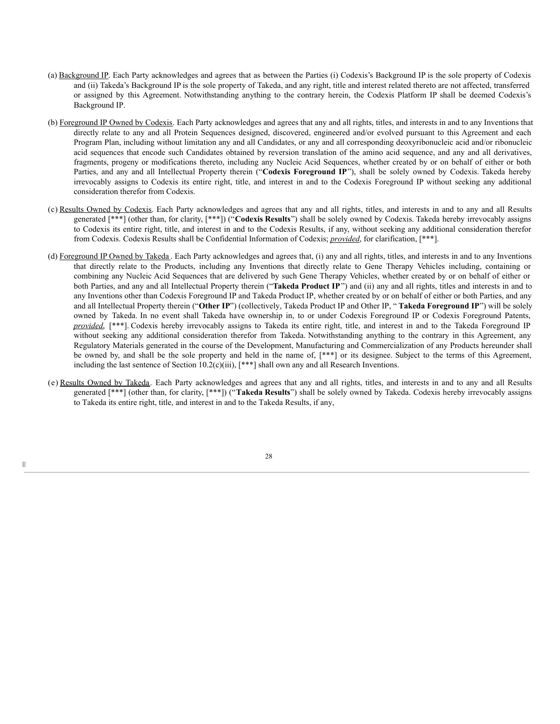- (a) Background IP. Each Party acknowledges and agrees that as between the Parties (i) Codexis's Background IP is the sole property of Codexis and (ii) Takeda's Background IP is the sole property of Takeda, and any right, title and interest related thereto are not affected, transferred or assigned by this Agreement. Notwithstanding anything to the contrary herein, the Codexis Platform IP shall be deemed Codexis's Background IP.
- (b) Foreground IP Owned by Codexis. Each Party acknowledges and agrees that any and all rights, titles, and interests in and to any Inventions that directly relate to any and all Protein Sequences designed, discovered, engineered and/or evolved pursuant to this Agreement and each Program Plan, including without limitation any and all Candidates, or any and all corresponding deoxyribonucleic acid and/or ribonucleic acid sequences that encode such Candidates obtained by reversion translation of the amino acid sequence, and any and all derivatives, fragments, progeny or modifications thereto, including any Nucleic Acid Sequences, whether created by or on behalf of either or both Parties, and any and all Intellectual Property therein ("**Codexis Foreground IP**"), shall be solely owned by Codexis. Takeda hereby irrevocably assigns to Codexis its entire right, title, and interest in and to the Codexis Foreground IP without seeking any additional consideration therefor from Codexis.
- (c) Results Owned by Codexis. Each Party acknowledges and agrees that any and all rights, titles, and interests in and to any and all Results generated [\*\*\*] (other than, for clarity, [\*\*\*]) ("**Codexis Results**") shall be solely owned by Codexis. Takeda hereby irrevocably assigns to Codexis its entire right, title, and interest in and to the Codexis Results, if any, without seeking any additional consideration therefor from Codexis. Codexis Results shall be Confidential Information of Codexis; *provided*, for clarification, [\*\*\*].
- (d) Foreground IP Owned by Takeda. Each Party acknowledges and agrees that, (i) any and all rights, titles, and interests in and to any Inventions that directly relate to the Products, including any Inventions that directly relate to Gene Therapy Vehicles including, containing or combining any Nucleic Acid Sequences that are delivered by such Gene Therapy Vehicles, whether created by or on behalf of either or both Parties, and any and all Intellectual Property therein ("**Takeda Product IP**") and (ii) any and all rights, titles and interests in and to any Inventions other than Codexis Foreground IP and Takeda Product IP, whether created by or on behalf of either or both Parties, and any and all Intellectual Property therein ("**Other IP**") (collectively, Takeda Product IP and Other IP, " **Takeda Foreground IP**") will be solely owned by Takeda. In no event shall Takeda have ownership in, to or under Codexis Foreground IP or Codexis Foreground Patents, *provided*, [\*\*\*]. Codexis hereby irrevocably assigns to Takeda its entire right, title, and interest in and to the Takeda Foreground IP without seeking any additional consideration therefor from Takeda. Notwithstanding anything to the contrary in this Agreement, any Regulatory Materials generated in the course of the Development, Manufacturing and Commercialization of any Products hereunder shall be owned by, and shall be the sole property and held in the name of, [\*\*\*] or its designee. Subject to the terms of this Agreement, including the last sentence of Section 10.2(c)(iii), [\*\*\*] shall own any and all Research Inventions.
- (e) Results Owned by Takeda. Each Party acknowledges and agrees that any and all rights, titles, and interests in and to any and all Results generated [\*\*\*] (other than, for clarity, [\*\*\*]) ("**Takeda Results**") shall be solely owned by Takeda. Codexis hereby irrevocably assigns to Takeda its entire right, title, and interest in and to the Takeda Results, if any,

28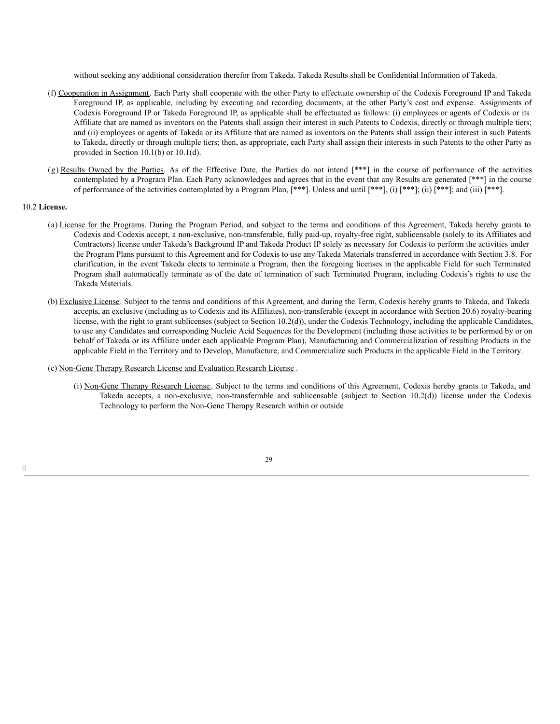without seeking any additional consideration therefor from Takeda. Takeda Results shall be Confidential Information of Takeda.

- (f) Cooperation in Assignment. Each Party shall cooperate with the other Party to effectuate ownership of the Codexis Foreground IP and Takeda Foreground IP, as applicable, including by executing and recording documents, at the other Party's cost and expense. Assignments of Codexis Foreground IP or Takeda Foreground IP, as applicable shall be effectuated as follows: (i) employees or agents of Codexis or its Affiliate that are named as inventors on the Patents shall assign their interest in such Patents to Codexis, directly or through multiple tiers; and (ii) employees or agents of Takeda or its Affiliate that are named as inventors on the Patents shall assign their interest in such Patents to Takeda, directly or through multiple tiers; then, as appropriate, each Party shall assign their interests in such Patents to the other Party as provided in Section 10.1(b) or 10.1(d).
- (g) Results Owned by the Parties. As of the Effective Date, the Parties do not intend [\*\*\*] in the course of performance of the activities contemplated by a Program Plan. Each Party acknowledges and agrees that in the event that any Results are generated [\*\*\*] in the course of performance of the activities contemplated by a Program Plan,  $[***]$ . Unless and until  $[***]$ , (i)  $[***]$ ; (ii)  $[***]$ ; and (iii)  $[***]$ .

#### 10.2 **License.**

- (a) License for the Programs. During the Program Period, and subject to the terms and conditions of this Agreement, Takeda hereby grants to Codexis and Codexis accept, a non-exclusive, non-transferable, fully paid-up, royalty-free right, sublicensable (solely to its Affiliates and Contractors) license under Takeda's Background IP and Takeda Product IP solely as necessary for Codexis to perform the activities under the Program Plans pursuant to this Agreement and for Codexis to use any Takeda Materials transferred in accordance with Section 3.8. For clarification, in the event Takeda elects to terminate a Program, then the foregoing licenses in the applicable Field for such Terminated Program shall automatically terminate as of the date of termination of such Terminated Program, including Codexis's rights to use the Takeda Materials.
- (b) Exclusive License. Subject to the terms and conditions of this Agreement, and during the Term, Codexis hereby grants to Takeda, and Takeda accepts, an exclusive (including as to Codexis and its Affiliates), non-transferable (except in accordance with Section 20.6) royalty-bearing license, with the right to grant sublicenses (subject to Section 10.2(d)), under the Codexis Technology, including the applicable Candidates, to use any Candidates and corresponding Nucleic Acid Sequences for the Development (including those activities to be performed by or on behalf of Takeda or its Affiliate under each applicable Program Plan), Manufacturing and Commercialization of resulting Products in the applicable Field in the Territory and to Develop, Manufacture, and Commercialize such Products in the applicable Field in the Territory.

#### (c) Non-Gene Therapy Research License and Evaluation Research License .

(i) Non-Gene Therapy Research License. Subject to the terms and conditions of this Agreement, Codexis hereby grants to Takeda, and Takeda accepts, a non-exclusive, non-transferrable and sublicensable (subject to Section 10.2(d)) license under the Codexis Technology to perform the Non-Gene Therapy Research within or outside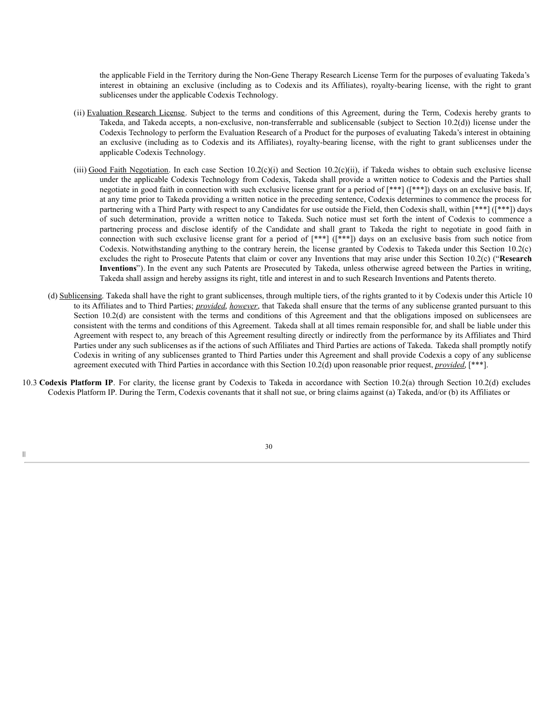the applicable Field in the Territory during the Non-Gene Therapy Research License Term for the purposes of evaluating Takeda's interest in obtaining an exclusive (including as to Codexis and its Affiliates), royalty-bearing license, with the right to grant sublicenses under the applicable Codexis Technology.

- (ii) Evaluation Research License. Subject to the terms and conditions of this Agreement, during the Term, Codexis hereby grants to Takeda, and Takeda accepts, a non-exclusive, non-transferrable and sublicensable (subject to Section 10.2(d)) license under the Codexis Technology to perform the Evaluation Research of a Product for the purposes of evaluating Takeda's interest in obtaining an exclusive (including as to Codexis and its Affiliates), royalty-bearing license, with the right to grant sublicenses under the applicable Codexis Technology.
- (iii) Good Faith Negotiation. In each case Section 10.2(c)(i) and Section 10.2(c)(ii), if Takeda wishes to obtain such exclusive license under the applicable Codexis Technology from Codexis, Takeda shall provide a written notice to Codexis and the Parties shall negotiate in good faith in connection with such exclusive license grant for a period of [\*\*\*] ([\*\*\*]) days on an exclusive basis. If, at any time prior to Takeda providing a written notice in the preceding sentence, Codexis determines to commence the process for partnering with a Third Party with respect to any Candidates for use outside the Field, then Codexis shall, within [\*\*\*] ([\*\*\*]) days of such determination, provide a written notice to Takeda. Such notice must set forth the intent of Codexis to commence a partnering process and disclose identify of the Candidate and shall grant to Takeda the right to negotiate in good faith in connection with such exclusive license grant for a period of  $[***]$   $(***]$  days on an exclusive basis from such notice from Codexis. Notwithstanding anything to the contrary herein, the license granted by Codexis to Takeda under this Section 10.2(c) excludes the right to Prosecute Patents that claim or cover any Inventions that may arise under this Section 10.2(c) ("**Research Inventions**"). In the event any such Patents are Prosecuted by Takeda, unless otherwise agreed between the Parties in writing, Takeda shall assign and hereby assigns its right, title and interest in and to such Research Inventions and Patents thereto.
- (d) Sublicensing. Takeda shall have the right to grant sublicenses, through multiple tiers, of the rights granted to it by Codexis under this Article 10 to its Affiliates and to Third Parties; *provided*, *however*, that Takeda shall ensure that the terms of any sublicense granted pursuant to this Section 10.2(d) are consistent with the terms and conditions of this Agreement and that the obligations imposed on sublicensees are consistent with the terms and conditions of this Agreement. Takeda shall at all times remain responsible for, and shall be liable under this Agreement with respect to, any breach of this Agreement resulting directly or indirectly from the performance by its Affiliates and Third Parties under any such sublicenses as if the actions of such Affiliates and Third Parties are actions of Takeda. Takeda shall promptly notify Codexis in writing of any sublicenses granted to Third Parties under this Agreement and shall provide Codexis a copy of any sublicense agreement executed with Third Parties in accordance with this Section 10.2(d) upon reasonable prior request, *provided*, [\*\*\*].
- 10.3 **Codexis Platform IP**. For clarity, the license grant by Codexis to Takeda in accordance with Section 10.2(a) through Section 10.2(d) excludes Codexis Platform IP. During the Term, Codexis covenants that it shall not sue, or bring claims against (a) Takeda, and/or (b) its Affiliates or

|||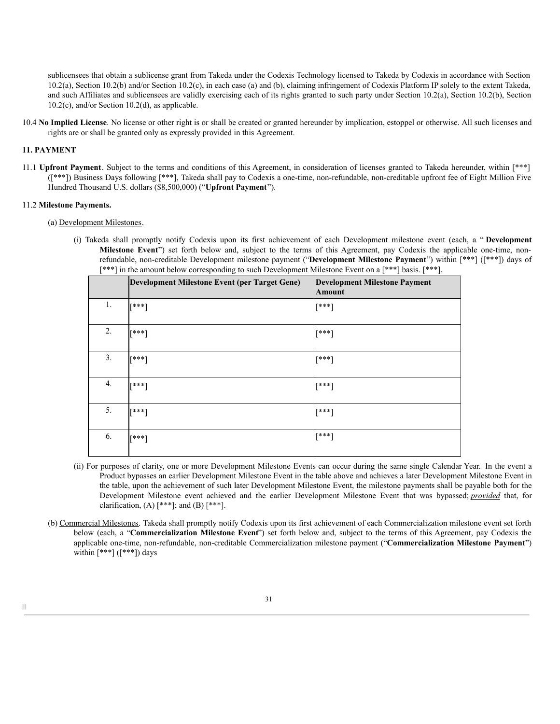sublicensees that obtain a sublicense grant from Takeda under the Codexis Technology licensed to Takeda by Codexis in accordance with Section 10.2(a), Section 10.2(b) and/or Section 10.2(c), in each case (a) and (b), claiming infringement of Codexis Platform IP solely to the extent Takeda, and such Affiliates and sublicensees are validly exercising each of its rights granted to such party under Section 10.2(a), Section 10.2(b), Section 10.2(c), and/or Section 10.2(d), as applicable.

10.4 **No Implied License**. No license or other right is or shall be created or granted hereunder by implication, estoppel or otherwise. All such licenses and rights are or shall be granted only as expressly provided in this Agreement.

### **11. PAYMENT**

|||

11.1 **Upfront Payment**. Subject to the terms and conditions of this Agreement, in consideration of licenses granted to Takeda hereunder, within [\*\*\*] ([\*\*\*]) Business Days following [\*\*\*], Takeda shall pay to Codexis a one-time, non-refundable, non-creditable upfront fee of Eight Million Five Hundred Thousand U.S. dollars (\$8,500,000) ("**Upfront Payment**").

### 11.2 **Milestone Payments.**

### (a) Development Milestones.

(i) Takeda shall promptly notify Codexis upon its first achievement of each Development milestone event (each, a " **Development Milestone Event**") set forth below and, subject to the terms of this Agreement, pay Codexis the applicable one-time, nonrefundable, non-creditable Development milestone payment ("**Development Milestone Payment**") within [\*\*\*] ([\*\*\*]) days of [\*\*\*] in the amount below corresponding to such Development Milestone Event on a [\*\*\*] basis. [\*\*\*].

| $\mathbf{r}$ , $\mathbf{r}$ | $\mathbf{r}$<br>$\overline{\phantom{a}}$<br>$\mathbf{r}$ | . .                                                   |
|-----------------------------|----------------------------------------------------------|-------------------------------------------------------|
|                             | Development Milestone Event (per Target Gene)            | <b>Development Milestone Payment</b><br><b>Amount</b> |
| 1.                          | [***]                                                    | [***]                                                 |
| 2.                          | [***]                                                    | $[***]$                                               |
| 3.                          | $[***]$                                                  | $[***]$                                               |
| 4.                          | [***]                                                    | $[***]$                                               |
| 5.                          | [***]                                                    | [***]                                                 |
| 6.                          | [***]                                                    | [***]                                                 |

- (ii) For purposes of clarity, one or more Development Milestone Events can occur during the same single Calendar Year. In the event a Product bypasses an earlier Development Milestone Event in the table above and achieves a later Development Milestone Event in the table, upon the achievement of such later Development Milestone Event, the milestone payments shall be payable both for the Development Milestone event achieved and the earlier Development Milestone Event that was bypassed; *provided* that, for clarification,  $(A)$  [\*\*\*]; and  $(B)$  [\*\*\*].
- (b) Commercial Milestones. Takeda shall promptly notify Codexis upon its first achievement of each Commercialization milestone event set forth below (each, a "**Commercialization Milestone Event**") set forth below and, subject to the terms of this Agreement, pay Codexis the applicable one-time, non-refundable, non-creditable Commercialization milestone payment ("**Commercialization Milestone Payment**") within  $[***]$  ( $[***]$ ) days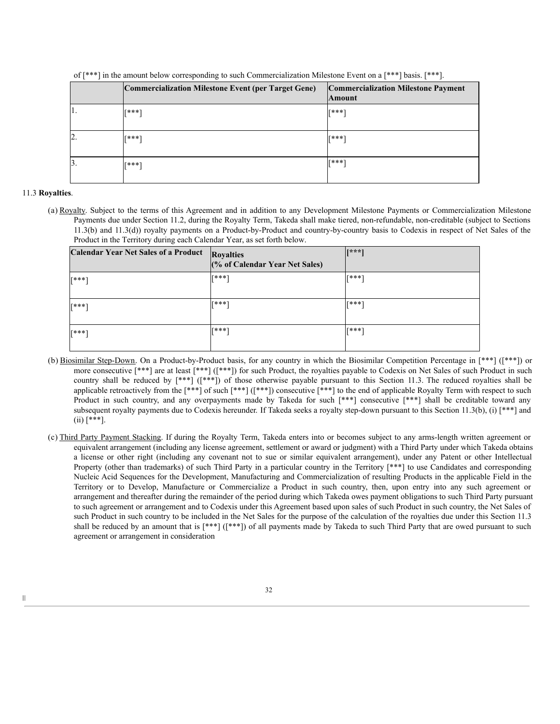|    | Commercialization Milestone Event (per Target Gene) | <b>Commercialization Milestone Payment</b><br><b>Amount</b> |
|----|-----------------------------------------------------|-------------------------------------------------------------|
|    | <b>T***1</b>                                        | <b>T***1</b>                                                |
| ∠  | <b>T***1</b>                                        | <b>T***1</b>                                                |
| 3. | <b>T***1</b>                                        | <b>T***1</b>                                                |

of [\*\*\*] in the amount below corresponding to such Commercialization Milestone Event on a [\*\*\*] basis. [\*\*\*].

#### 11.3 **Royalties**.

|||

(a) Royalty. Subject to the terms of this Agreement and in addition to any Development Milestone Payments or Commercialization Milestone Payments due under Section 11.2, during the Royalty Term, Takeda shall make tiered, non-refundable, non-creditable (subject to Sections 11.3(b) and 11.3(d)) royalty payments on a Product-by-Product and country-by-country basis to Codexis in respect of Net Sales of the Product in the Territory during each Calendar Year, as set forth below.

| <b>Calendar Year Net Sales of a Product</b> | <b>Royalties</b><br>(% of Calendar Year Net Sales) | $[x***]$     |
|---------------------------------------------|----------------------------------------------------|--------------|
| <b>T***1</b>                                | <b>T***1</b>                                       | <b>[***]</b> |
| <b>[***]</b>                                | <b>T***1</b>                                       | [***]        |
| <b>T***1</b>                                | <b>T***1</b>                                       | [***]        |

- (b) Biosimilar Step-Down. On a Product-by-Product basis, for any country in which the Biosimilar Competition Percentage in [\*\*\*] ([\*\*\*]) or more consecutive [\*\*\*] are at least [\*\*\*] ([\*\*\*]) for such Product, the royalties payable to Codexis on Net Sales of such Product in such country shall be reduced by [\*\*\*] ([\*\*\*]) of those otherwise payable pursuant to this Section 11.3. The reduced royalties shall be applicable retroactively from the [\*\*\*] of such [\*\*\*] ([\*\*\*]) consecutive [\*\*\*] to the end of applicable Royalty Term with respect to such Product in such country, and any overpayments made by Takeda for such [\*\*\*] consecutive [\*\*\*] shall be creditable toward any subsequent royalty payments due to Codexis hereunder. If Takeda seeks a royalty step-down pursuant to this Section 11.3(b), (i) [\*\*\*] and  $(ii)$  [\*\*\*].
- (c) Third Party Payment Stacking. If during the Royalty Term, Takeda enters into or becomes subject to any arms-length written agreement or equivalent arrangement (including any license agreement, settlement or award or judgment) with a Third Party under which Takeda obtains a license or other right (including any covenant not to sue or similar equivalent arrangement), under any Patent or other Intellectual Property (other than trademarks) of such Third Party in a particular country in the Territory [\*\*\*] to use Candidates and corresponding Nucleic Acid Sequences for the Development, Manufacturing and Commercialization of resulting Products in the applicable Field in the Territory or to Develop, Manufacture or Commercialize a Product in such country, then, upon entry into any such agreement or arrangement and thereafter during the remainder of the period during which Takeda owes payment obligations to such Third Party pursuant to such agreement or arrangement and to Codexis under this Agreement based upon sales of such Product in such country, the Net Sales of such Product in such country to be included in the Net Sales for the purpose of the calculation of the royalties due under this Section 11.3 shall be reduced by an amount that is [\*\*\*] ([\*\*\*]) of all payments made by Takeda to such Third Party that are owed pursuant to such agreement or arrangement in consideration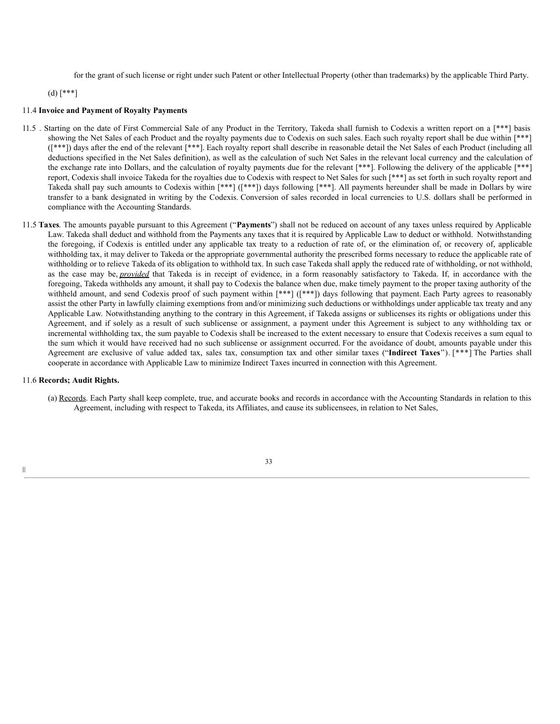for the grant of such license or right under such Patent or other Intellectual Property (other than trademarks) by the applicable Third Party.

(d) [\*\*\*]

#### 11.4 **Invoice and Payment of Royalty Payments**

- 11.5 . Starting on the date of First Commercial Sale of any Product in the Territory, Takeda shall furnish to Codexis a written report on a [\*\*\*] basis showing the Net Sales of each Product and the royalty payments due to Codexis on such sales. Each such royalty report shall be due within [\*\*\*] ([\*\*\*]) days after the end of the relevant [\*\*\*]. Each royalty report shall describe in reasonable detail the Net Sales of each Product (including all deductions specified in the Net Sales definition), as well as the calculation of such Net Sales in the relevant local currency and the calculation of the exchange rate into Dollars, and the calculation of royalty payments due for the relevant [\*\*\*]. Following the delivery of the applicable [\*\*\*] report, Codexis shall invoice Takeda for the royalties due to Codexis with respect to Net Sales for such [\*\*\*] as set forth in such royalty report and Takeda shall pay such amounts to Codexis within [\*\*\*] ([\*\*\*]) days following [\*\*\*]. All payments hereunder shall be made in Dollars by wire transfer to a bank designated in writing by the Codexis. Conversion of sales recorded in local currencies to U.S. dollars shall be performed in compliance with the Accounting Standards.
- 11.5 **Taxes**. The amounts payable pursuant to this Agreement ("**Payments**") shall not be reduced on account of any taxes unless required by Applicable Law. Takeda shall deduct and withhold from the Payments any taxes that it is required by Applicable Law to deduct or withhold. Notwithstanding the foregoing, if Codexis is entitled under any applicable tax treaty to a reduction of rate of, or the elimination of, or recovery of, applicable withholding tax, it may deliver to Takeda or the appropriate governmental authority the prescribed forms necessary to reduce the applicable rate of withholding or to relieve Takeda of its obligation to withhold tax. In such case Takeda shall apply the reduced rate of withholding, or not withhold, as the case may be, *provided* that Takeda is in receipt of evidence, in a form reasonably satisfactory to Takeda. If, in accordance with the foregoing, Takeda withholds any amount, it shall pay to Codexis the balance when due, make timely payment to the proper taxing authority of the withheld amount, and send Codexis proof of such payment within [\*\*\*] ([\*\*\*]) days following that payment. Each Party agrees to reasonably assist the other Party in lawfully claiming exemptions from and/or minimizing such deductions or withholdings under applicable tax treaty and any Applicable Law. Notwithstanding anything to the contrary in this Agreement, if Takeda assigns or sublicenses its rights or obligations under this Agreement, and if solely as a result of such sublicense or assignment, a payment under this Agreement is subject to any withholding tax or incremental withholding tax, the sum payable to Codexis shall be increased to the extent necessary to ensure that Codexis receives a sum equal to the sum which it would have received had no such sublicense or assignment occurred. For the avoidance of doubt, amounts payable under this Agreement are exclusive of value added tax, sales tax, consumption tax and other similar taxes ("**Indirect Taxes**"). [\*\*\*] The Parties shall cooperate in accordance with Applicable Law to minimize Indirect Taxes incurred in connection with this Agreement.

## 11.6 **Records; Audit Rights.**

|||

(a) Records. Each Party shall keep complete, true, and accurate books and records in accordance with the Accounting Standards in relation to this Agreement, including with respect to Takeda, its Affiliates, and cause its sublicensees, in relation to Net Sales,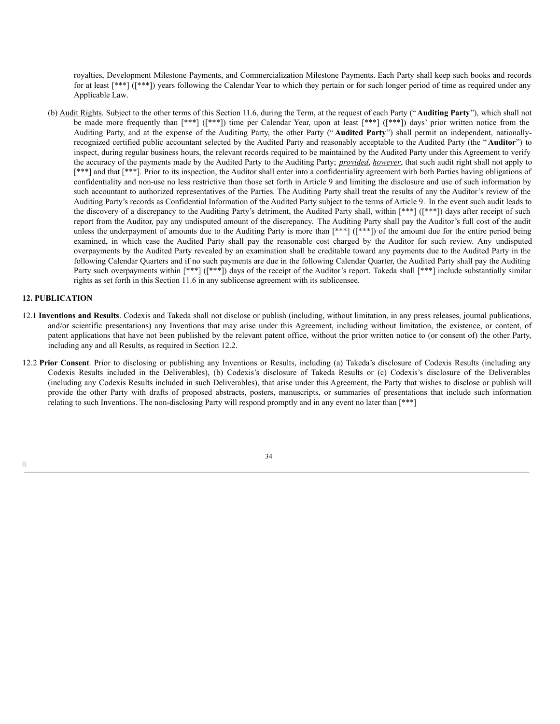royalties, Development Milestone Payments, and Commercialization Milestone Payments. Each Party shall keep such books and records for at least [\*\*\*] ([\*\*\*]) years following the Calendar Year to which they pertain or for such longer period of time as required under any Applicable Law.

(b) Audit Rights. Subject to the other terms of this Section 11.6, during the Term, at the request of each Party (" **Auditing Party**"), which shall not be made more frequently than [\*\*\*] ([\*\*\*]) time per Calendar Year, upon at least [\*\*\*] ([\*\*\*]) days' prior written notice from the Auditing Party, and at the expense of the Auditing Party, the other Party (" **Audited Party**") shall permit an independent, nationallyrecognized certified public accountant selected by the Audited Party and reasonably acceptable to the Audited Party (the "**Auditor**") to inspect, during regular business hours, the relevant records required to be maintained by the Audited Party under this Agreement to verify the accuracy of the payments made by the Audited Party to the Auditing Party; *provided*, *however*, that such audit right shall not apply to [\*\*\*] and that [\*\*\*]. Prior to its inspection, the Auditor shall enter into a confidentiality agreement with both Parties having obligations of confidentiality and non-use no less restrictive than those set forth in Article 9 and limiting the disclosure and use of such information by such accountant to authorized representatives of the Parties. The Auditing Party shall treat the results of any the Auditor's review of the Auditing Party's records as Confidential Information of the Audited Party subject to the terms of Article 9. In the event such audit leads to the discovery of a discrepancy to the Auditing Party's detriment, the Audited Party shall, within [\*\*\*] ([\*\*\*]) days after receipt of such report from the Auditor, pay any undisputed amount of the discrepancy. The Auditing Party shall pay the Auditor's full cost of the audit unless the underpayment of amounts due to the Auditing Party is more than [\*\*\*] ([\*\*\*]) of the amount due for the entire period being examined, in which case the Audited Party shall pay the reasonable cost charged by the Auditor for such review. Any undisputed overpayments by the Audited Party revealed by an examination shall be creditable toward any payments due to the Audited Party in the following Calendar Quarters and if no such payments are due in the following Calendar Quarter, the Audited Party shall pay the Auditing Party such overpayments within [\*\*\*] ([\*\*\*]) days of the receipt of the Auditor's report. Takeda shall [\*\*\*] include substantially similar rights as set forth in this Section 11.6 in any sublicense agreement with its sublicensee.

### **12. PUBLICATION**

- 12.1 **Inventions and Results**. Codexis and Takeda shall not disclose or publish (including, without limitation, in any press releases, journal publications, and/or scientific presentations) any Inventions that may arise under this Agreement, including without limitation, the existence, or content, of patent applications that have not been published by the relevant patent office, without the prior written notice to (or consent of) the other Party, including any and all Results, as required in Section 12.2.
- 12.2 **Prior Consent**. Prior to disclosing or publishing any Inventions or Results, including (a) Takeda's disclosure of Codexis Results (including any Codexis Results included in the Deliverables), (b) Codexis's disclosure of Takeda Results or (c) Codexis's disclosure of the Deliverables (including any Codexis Results included in such Deliverables), that arise under this Agreement, the Party that wishes to disclose or publish will provide the other Party with drafts of proposed abstracts, posters, manuscripts, or summaries of presentations that include such information relating to such Inventions. The non-disclosing Party will respond promptly and in any event no later than [\*\*\*]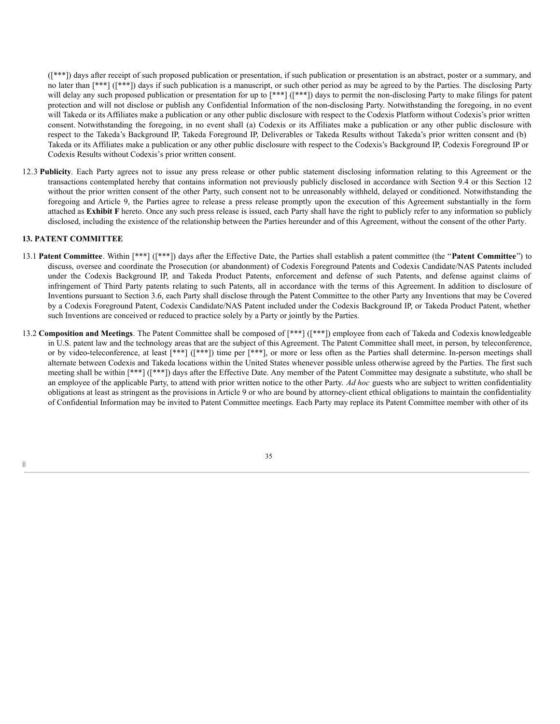([\*\*\*]) days after receipt of such proposed publication or presentation, if such publication or presentation is an abstract, poster or a summary, and no later than [\*\*\*] ([\*\*\*]) days if such publication is a manuscript, or such other period as may be agreed to by the Parties. The disclosing Party will delay any such proposed publication or presentation for up to [\*\*\*] ([\*\*\*]) days to permit the non-disclosing Party to make filings for patent protection and will not disclose or publish any Confidential Information of the non-disclosing Party. Notwithstanding the foregoing, in no event will Takeda or its Affiliates make a publication or any other public disclosure with respect to the Codexis Platform without Codexis's prior written consent. Notwithstanding the foregoing, in no event shall (a) Codexis or its Affiliates make a publication or any other public disclosure with respect to the Takeda's Background IP, Takeda Foreground IP, Deliverables or Takeda Results without Takeda's prior written consent and (b) Takeda or its Affiliates make a publication or any other public disclosure with respect to the Codexis's Background IP, Codexis Foreground IP or Codexis Results without Codexis's prior written consent.

12.3 **Publicity**. Each Party agrees not to issue any press release or other public statement disclosing information relating to this Agreement or the transactions contemplated hereby that contains information not previously publicly disclosed in accordance with Section 9.4 or this Section 12 without the prior written consent of the other Party, such consent not to be unreasonably withheld, delayed or conditioned. Notwithstanding the foregoing and Article 9, the Parties agree to release a press release promptly upon the execution of this Agreement substantially in the form attached as **Exhibit F** hereto. Once any such press release is issued, each Party shall have the right to publicly refer to any information so publicly disclosed, including the existence of the relationship between the Parties hereunder and of this Agreement, without the consent of the other Party.

## **13. PATENT COMMITTEE**

- 13.1 **Patent Committee**. Within [\*\*\*] ([\*\*\*]) days after the Effective Date, the Parties shall establish a patent committee (the "**Patent Committee**") to discuss, oversee and coordinate the Prosecution (or abandonment) of Codexis Foreground Patents and Codexis Candidate/NAS Patents included under the Codexis Background IP, and Takeda Product Patents, enforcement and defense of such Patents, and defense against claims of infringement of Third Party patents relating to such Patents, all in accordance with the terms of this Agreement. In addition to disclosure of Inventions pursuant to Section 3.6, each Party shall disclose through the Patent Committee to the other Party any Inventions that may be Covered by a Codexis Foreground Patent, Codexis Candidate/NAS Patent included under the Codexis Background IP, or Takeda Product Patent, whether such Inventions are conceived or reduced to practice solely by a Party or jointly by the Parties.
- 13.2 **Composition and Meetings**. The Patent Committee shall be composed of [\*\*\*] ([\*\*\*]) employee from each of Takeda and Codexis knowledgeable in U.S. patent law and the technology areas that are the subject of this Agreement. The Patent Committee shall meet, in person, by teleconference, or by video-teleconference, at least [\*\*\*] ([\*\*\*]) time per [\*\*\*], or more or less often as the Parties shall determine. In-person meetings shall alternate between Codexis and Takeda locations within the United States whenever possible unless otherwise agreed by the Parties. The first such meeting shall be within [\*\*\*] ([\*\*\*]) days after the Effective Date. Any member of the Patent Committee may designate a substitute, who shall be an employee of the applicable Party, to attend with prior written notice to the other Party. *Ad hoc* guests who are subject to written confidentiality obligations at least as stringent as the provisions in Article 9 or who are bound by attorney-client ethical obligations to maintain the confidentiality of Confidential Information may be invited to Patent Committee meetings. Each Party may replace its Patent Committee member with other of its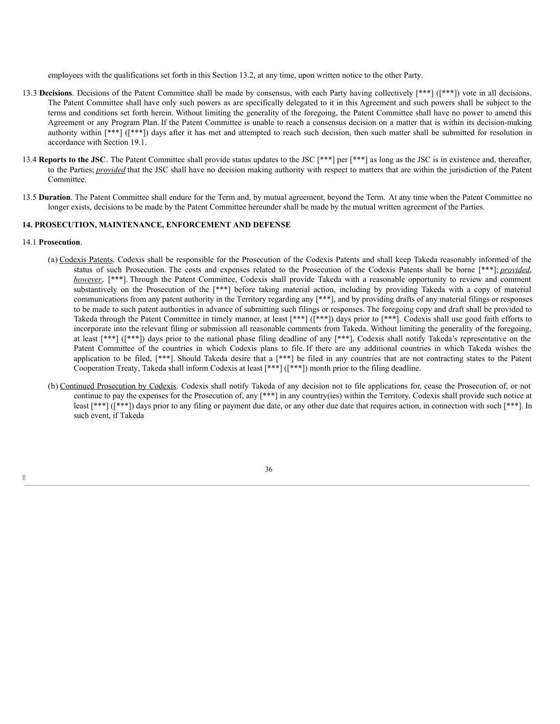employees with the qualifications set forth in this Section 13.2, at any time, upon written notice to the other Party.

- 13.3 **Decisions**. Decisions of the Patent Committee shall be made by consensus, with each Party having collectively [\*\*\*] ([\*\*\*]) vote in all decisions. The Patent Committee shall have only such powers as are specifically delegated to it in this Agreement and such powers shall be subject to the terms and conditions set forth herein. Without limiting the generality of the foregoing, the Patent Committee shall have no power to amend this Agreement or any Program Plan. If the Patent Committee is unable to reach a consensus decision on a matter that is within its decision-making authority within [\*\*\*] ([\*\*\*]) days after it has met and attempted to reach such decision, then such matter shall be submitted for resolution in accordance with Section 19.1.
- 13.4 **Reports to the JSC**. The Patent Committee shall provide status updates to the JSC [\*\*\*] per [\*\*\*] as long as the JSC is in existence and, thereafter, to the Parties; *provided* that the JSC shall have no decision making authority with respect to matters that are within the jurisdiction of the Patent Committee.
- 13.5 **Duration**. The Patent Committee shall endure for the Term and, by mutual agreement, beyond the Term. At any time when the Patent Committee no longer exists, decisions to be made by the Patent Committee hereunder shall be made by the mutual written agreement of the Parties.

## **14. PROSECUTION, MAINTENANCE, ENFORCEMENT AND DEFENSE**

## 14.1 **Prosecution**.

|||

- (a) Codexis Patents. Codexis shall be responsible for the Prosecution of the Codexis Patents and shall keep Takeda reasonably informed of the status of such Prosecution. The costs and expenses related to the Prosecution of the Codexis Patents shall be borne [\*\*\*]; *provided*, *however*, [\*\*\*]. Through the Patent Committee, Codexis shall provide Takeda with a reasonable opportunity to review and comment substantively on the Prosecution of the [\*\*\*] before taking material action, including by providing Takeda with a copy of material communications from any patent authority in the Territory regarding any [\*\*\*], and by providing drafts of any material filings or responses to be made to such patent authorities in advance of submitting such filings or responses. The foregoing copy and draft shall be provided to Takeda through the Patent Committee in timely manner, at least [\*\*\*] ([\*\*\*]) days prior to [\*\*\*]. Codexis shall use good faith efforts to incorporate into the relevant filing or submission all reasonable comments from Takeda. Without limiting the generality of the foregoing, at least [\*\*\*] ([\*\*\*]) days prior to the national phase filing deadline of any [\*\*\*], Codexis shall notify Takeda's representative on the Patent Committee of the countries in which Codexis plans to file. If there are any additional countries in which Takeda wishes the application to be filed, [\*\*\*]. Should Takeda desire that a [\*\*\*] be filed in any countries that are not contracting states to the Patent Cooperation Treaty, Takeda shall inform Codexis at least [\*\*\*] ([\*\*\*]) month prior to the filing deadline.
- (b) Continued Prosecution by Codexis. Codexis shall notify Takeda of any decision not to file applications for, cease the Prosecution of, or not continue to pay the expenses for the Prosecution of, any [\*\*\*] in any country(ies) within the Territory. Codexis shall provide such notice at least [\*\*\*] ([\*\*\*]) days prior to any filing or payment due date, or any other due date that requires action, in connection with such [\*\*\*]. In such event, if Takeda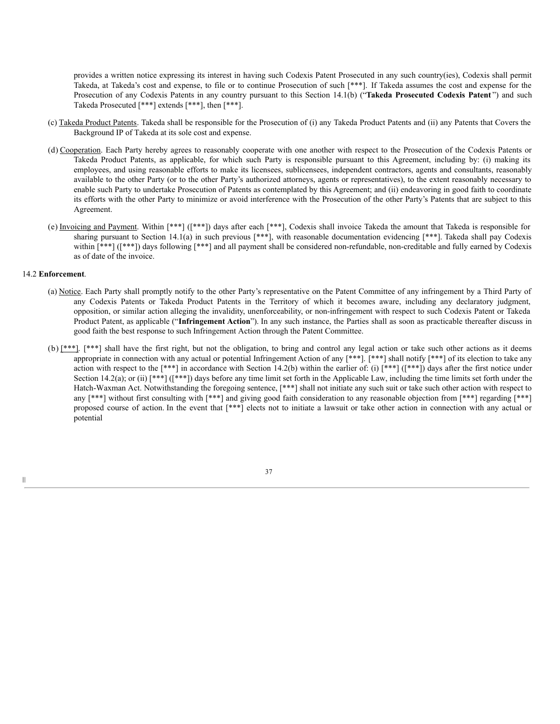provides a written notice expressing its interest in having such Codexis Patent Prosecuted in any such country(ies), Codexis shall permit Takeda, at Takeda's cost and expense, to file or to continue Prosecution of such [\*\*\*]. If Takeda assumes the cost and expense for the Prosecution of any Codexis Patents in any country pursuant to this Section 14.1(b) ("**Takeda Prosecuted Codexis Patent** ") and such Takeda Prosecuted [\*\*\*] extends [\*\*\*], then [\*\*\*].

- (c) Takeda Product Patents. Takeda shall be responsible for the Prosecution of (i) any Takeda Product Patents and (ii) any Patents that Covers the Background IP of Takeda at its sole cost and expense.
- (d) Cooperation. Each Party hereby agrees to reasonably cooperate with one another with respect to the Prosecution of the Codexis Patents or Takeda Product Patents, as applicable, for which such Party is responsible pursuant to this Agreement, including by: (i) making its employees, and using reasonable efforts to make its licensees, sublicensees, independent contractors, agents and consultants, reasonably available to the other Party (or to the other Party's authorized attorneys, agents or representatives), to the extent reasonably necessary to enable such Party to undertake Prosecution of Patents as contemplated by this Agreement; and (ii) endeavoring in good faith to coordinate its efforts with the other Party to minimize or avoid interference with the Prosecution of the other Party's Patents that are subject to this Agreement.
- (e) Invoicing and Payment. Within [\*\*\*] ([\*\*\*]) days after each [\*\*\*], Codexis shall invoice Takeda the amount that Takeda is responsible for sharing pursuant to Section 14.1(a) in such previous [\*\*\*], with reasonable documentation evidencing [\*\*\*]. Takeda shall pay Codexis within [\*\*\*] ([\*\*\*]) days following [\*\*\*] and all payment shall be considered non-refundable, non-creditable and fully earned by Codexis as of date of the invoice.

#### 14.2 **Enforcement**.

- (a) Notice. Each Party shall promptly notify to the other Party's representative on the Patent Committee of any infringement by a Third Party of any Codexis Patents or Takeda Product Patents in the Territory of which it becomes aware, including any declaratory judgment, opposition, or similar action alleging the invalidity, unenforceability, or non-infringement with respect to such Codexis Patent or Takeda Product Patent, as applicable ("**Infringement Action**"). In any such instance, the Parties shall as soon as practicable thereafter discuss in good faith the best response to such Infringement Action through the Patent Committee.
- (b)  $[***]$ . [\*\*\*] shall have the first right, but not the obligation, to bring and control any legal action or take such other actions as it deems appropriate in connection with any actual or potential Infringement Action of any [\*\*\*]. [\*\*\*] shall notify [\*\*\*] of its election to take any action with respect to the  $[***]$  in accordance with Section 14.2(b) within the earlier of: (i)  $[***]$  ( $[***]$ ) days after the first notice under Section 14.2(a); or (ii)  $[***]$  ( $[***]$ ) days before any time limit set forth in the Applicable Law, including the time limits set forth under the Hatch-Waxman Act. Notwithstanding the foregoing sentence, [\*\*\*] shall not initiate any such suit or take such other action with respect to any [\*\*\*] without first consulting with [\*\*\*] and giving good faith consideration to any reasonable objection from [\*\*\*] regarding [\*\*\*] proposed course of action. In the event that [\*\*\*] elects not to initiate a lawsuit or take other action in connection with any actual or potential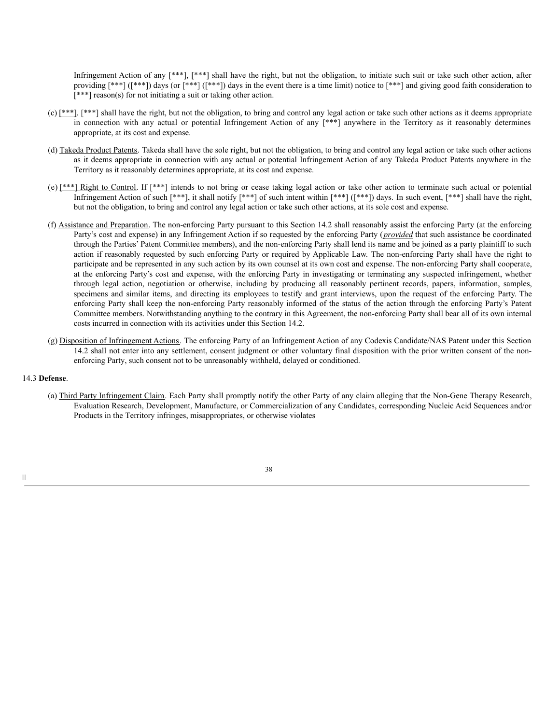Infringement Action of any [\*\*\*], [\*\*\*] shall have the right, but not the obligation, to initiate such suit or take such other action, after providing [\*\*\*] ([\*\*\*]) days (or [\*\*\*] ([\*\*\*]) days in the event there is a time limit) notice to [\*\*\*] and giving good faith consideration to [\*\*\*] reason(s) for not initiating a suit or taking other action.

- $(c)$  [\*\*\*]. [\*\*\*] shall have the right, but not the obligation, to bring and control any legal action or take such other actions as it deems appropriate in connection with any actual or potential Infringement Action of any [\*\*\*] anywhere in the Territory as it reasonably determines appropriate, at its cost and expense.
- (d) Takeda Product Patents. Takeda shall have the sole right, but not the obligation, to bring and control any legal action or take such other actions as it deems appropriate in connection with any actual or potential Infringement Action of any Takeda Product Patents anywhere in the Territory as it reasonably determines appropriate, at its cost and expense.
- (e) [\*\*\*] Right to Control. If [\*\*\*] intends to not bring or cease taking legal action or take other action to terminate such actual or potential Infringement Action of such [\*\*\*], it shall notify [\*\*\*] of such intent within [\*\*\*] ([\*\*\*]) days. In such event, [\*\*\*] shall have the right, but not the obligation, to bring and control any legal action or take such other actions, at its sole cost and expense.
- (f) Assistance and Preparation. The non-enforcing Party pursuant to this Section 14.2 shall reasonably assist the enforcing Party (at the enforcing Party's cost and expense) in any Infringement Action if so requested by the enforcing Party (*provided* that such assistance be coordinated through the Parties' Patent Committee members), and the non-enforcing Party shall lend its name and be joined as a party plaintiff to such action if reasonably requested by such enforcing Party or required by Applicable Law. The non-enforcing Party shall have the right to participate and be represented in any such action by its own counsel at its own cost and expense. The non-enforcing Party shall cooperate, at the enforcing Party's cost and expense, with the enforcing Party in investigating or terminating any suspected infringement, whether through legal action, negotiation or otherwise, including by producing all reasonably pertinent records, papers, information, samples, specimens and similar items, and directing its employees to testify and grant interviews, upon the request of the enforcing Party. The enforcing Party shall keep the non-enforcing Party reasonably informed of the status of the action through the enforcing Party's Patent Committee members. Notwithstanding anything to the contrary in this Agreement, the non-enforcing Party shall bear all of its own internal costs incurred in connection with its activities under this Section 14.2.
- (g) Disposition of Infringement Actions. The enforcing Party of an Infringement Action of any Codexis Candidate/NAS Patent under this Section 14.2 shall not enter into any settlement, consent judgment or other voluntary final disposition with the prior written consent of the nonenforcing Party, such consent not to be unreasonably withheld, delayed or conditioned.

### 14.3 **Defense**.

(a) Third Party Infringement Claim. Each Party shall promptly notify the other Party of any claim alleging that the Non-Gene Therapy Research, Evaluation Research, Development, Manufacture, or Commercialization of any Candidates, corresponding Nucleic Acid Sequences and/or Products in the Territory infringes, misappropriates, or otherwise violates

38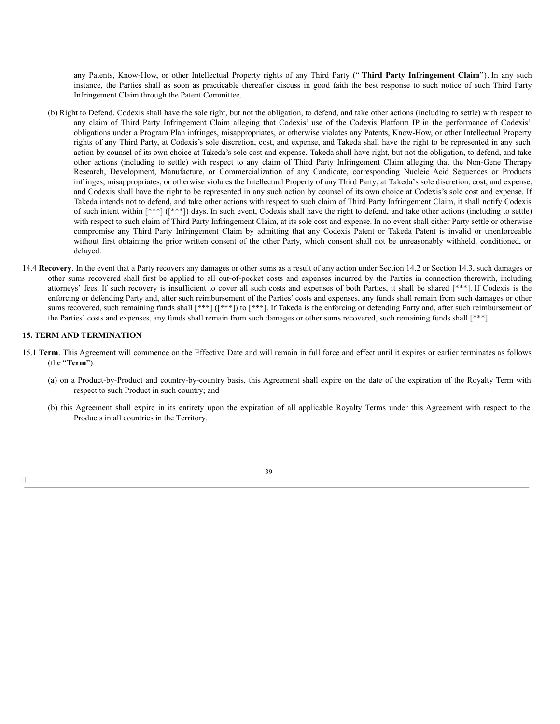any Patents, Know-How, or other Intellectual Property rights of any Third Party (" **Third Party Infringement Claim**"). In any such instance, the Parties shall as soon as practicable thereafter discuss in good faith the best response to such notice of such Third Party Infringement Claim through the Patent Committee.

- (b) Right to Defend. Codexis shall have the sole right, but not the obligation, to defend, and take other actions (including to settle) with respect to any claim of Third Party Infringement Claim alleging that Codexis' use of the Codexis Platform IP in the performance of Codexis' obligations under a Program Plan infringes, misappropriates, or otherwise violates any Patents, Know-How, or other Intellectual Property rights of any Third Party, at Codexis's sole discretion, cost, and expense, and Takeda shall have the right to be represented in any such action by counsel of its own choice at Takeda's sole cost and expense. Takeda shall have right, but not the obligation, to defend, and take other actions (including to settle) with respect to any claim of Third Party Infringement Claim alleging that the Non-Gene Therapy Research, Development, Manufacture, or Commercialization of any Candidate, corresponding Nucleic Acid Sequences or Products infringes, misappropriates, or otherwise violates the Intellectual Property of any Third Party, at Takeda's sole discretion, cost, and expense, and Codexis shall have the right to be represented in any such action by counsel of its own choice at Codexis's sole cost and expense. If Takeda intends not to defend, and take other actions with respect to such claim of Third Party Infringement Claim, it shall notify Codexis of such intent within [\*\*\*] ([\*\*\*]) days. In such event, Codexis shall have the right to defend, and take other actions (including to settle) with respect to such claim of Third Party Infringement Claim, at its sole cost and expense. In no event shall either Party settle or otherwise compromise any Third Party Infringement Claim by admitting that any Codexis Patent or Takeda Patent is invalid or unenforceable without first obtaining the prior written consent of the other Party, which consent shall not be unreasonably withheld, conditioned, or delayed.
- 14.4 **Recovery**. In the event that a Party recovers any damages or other sums as a result of any action under Section 14.2 or Section 14.3, such damages or other sums recovered shall first be applied to all out-of-pocket costs and expenses incurred by the Parties in connection therewith, including attorneys' fees. If such recovery is insufficient to cover all such costs and expenses of both Parties, it shall be shared [\*\*\*]. If Codexis is the enforcing or defending Party and, after such reimbursement of the Parties' costs and expenses, any funds shall remain from such damages or other sums recovered, such remaining funds shall [\*\*\*] ([\*\*\*]) to [\*\*\*]. If Takeda is the enforcing or defending Party and, after such reimbursement of the Parties' costs and expenses, any funds shall remain from such damages or other sums recovered, such remaining funds shall [\*\*\*].

# **15. TERM AND TERMINATION**

- 15.1 **Term**. This Agreement will commence on the Effective Date and will remain in full force and effect until it expires or earlier terminates as follows (the "**Term**"):
	- (a) on a Product-by-Product and country-by-country basis, this Agreement shall expire on the date of the expiration of the Royalty Term with respect to such Product in such country; and
	- (b) this Agreement shall expire in its entirety upon the expiration of all applicable Royalty Terms under this Agreement with respect to the Products in all countries in the Territory.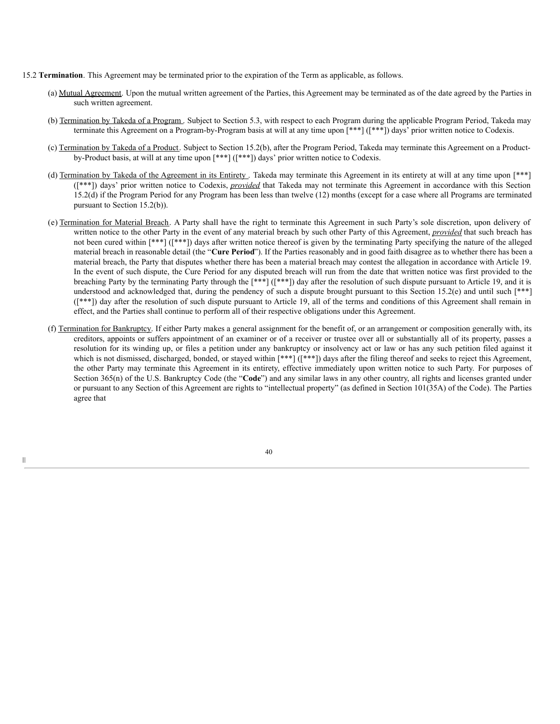- 15.2 **Termination**. This Agreement may be terminated prior to the expiration of the Term as applicable, as follows.
	- (a) Mutual Agreement. Upon the mutual written agreement of the Parties, this Agreement may be terminated as of the date agreed by the Parties in such written agreement.
	- (b) Termination by Takeda of a Program . Subject to Section 5.3, with respect to each Program during the applicable Program Period, Takeda may terminate this Agreement on a Program-by-Program basis at will at any time upon [\*\*\*] ([\*\*\*]) days' prior written notice to Codexis.
	- (c) Termination by Takeda of a Product. Subject to Section 15.2(b), after the Program Period, Takeda may terminate this Agreement on a Productby-Product basis, at will at any time upon [\*\*\*] ([\*\*\*]) days' prior written notice to Codexis.
	- (d) Termination by Takeda of the Agreement in its Entirety . Takeda may terminate this Agreement in its entirety at will at any time upon [\*\*\*] ([\*\*\*]) days' prior written notice to Codexis, *provided* that Takeda may not terminate this Agreement in accordance with this Section 15.2(d) if the Program Period for any Program has been less than twelve (12) months (except for a case where all Programs are terminated pursuant to Section 15.2(b)).
	- (e) Termination for Material Breach. A Party shall have the right to terminate this Agreement in such Party's sole discretion, upon delivery of written notice to the other Party in the event of any material breach by such other Party of this Agreement, *provided* that such breach has not been cured within [\*\*\*] ([\*\*\*]) days after written notice thereof is given by the terminating Party specifying the nature of the alleged material breach in reasonable detail (the "**Cure Period**"). If the Parties reasonably and in good faith disagree as to whether there has been a material breach, the Party that disputes whether there has been a material breach may contest the allegation in accordance with Article 19. In the event of such dispute, the Cure Period for any disputed breach will run from the date that written notice was first provided to the breaching Party by the terminating Party through the [\*\*\*] ([\*\*\*]) day after the resolution of such dispute pursuant to Article 19, and it is understood and acknowledged that, during the pendency of such a dispute brought pursuant to this Section 15.2(e) and until such [\*\*\*] ([\*\*\*]) day after the resolution of such dispute pursuant to Article 19, all of the terms and conditions of this Agreement shall remain in effect, and the Parties shall continue to perform all of their respective obligations under this Agreement.
	- (f) Termination for Bankruptcy. If either Party makes a general assignment for the benefit of, or an arrangement or composition generally with, its creditors, appoints or suffers appointment of an examiner or of a receiver or trustee over all or substantially all of its property, passes a resolution for its winding up, or files a petition under any bankruptcy or insolvency act or law or has any such petition filed against it which is not dismissed, discharged, bonded, or stayed within [\*\*\*] ([\*\*\*]) days after the filing thereof and seeks to reject this Agreement, the other Party may terminate this Agreement in its entirety, effective immediately upon written notice to such Party. For purposes of Section 365(n) of the U.S. Bankruptcy Code (the "Code") and any similar laws in any other country, all rights and licenses granted under or pursuant to any Section of this Agreement are rights to "intellectual property" (as defined in Section 101(35A) of the Code). The Parties agree that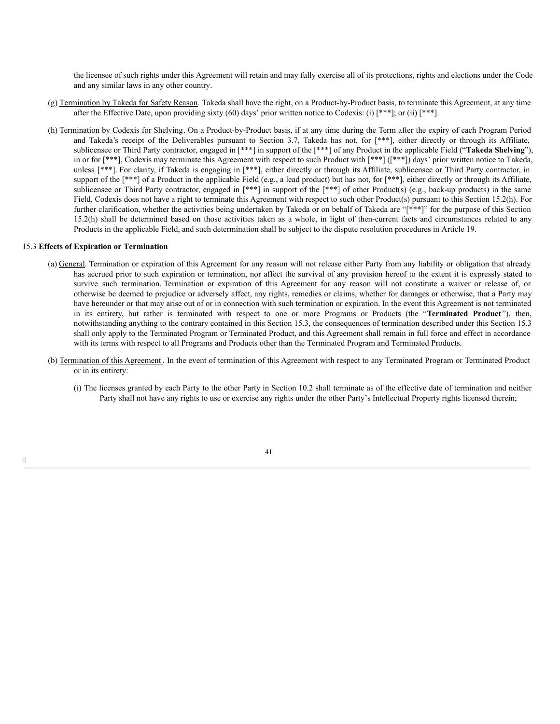the licensee of such rights under this Agreement will retain and may fully exercise all of its protections, rights and elections under the Code and any similar laws in any other country.

- (g) Termination by Takeda for Safety Reason. Takeda shall have the right, on a Product-by-Product basis, to terminate this Agreement, at any time after the Effective Date, upon providing sixty (60) days' prior written notice to Codexis: (i)  $[***]$ ; or (ii)  $[***]$ .
- (h) Termination by Codexis for Shelving. On a Product-by-Product basis, if at any time during the Term after the expiry of each Program Period and Takeda's receipt of the Deliverables pursuant to Section 3.7, Takeda has not, for [\*\*\*], either directly or through its Affiliate, sublicensee or Third Party contractor, engaged in [\*\*\*] in support of the [\*\*\*] of any Product in the applicable Field ("**Takeda Shelving**"), in or for [\*\*\*], Codexis may terminate this Agreement with respect to such Product with [\*\*\*] ([\*\*\*]) days' prior written notice to Takeda, unless [\*\*\*]. For clarity, if Takeda is engaging in [\*\*\*], either directly or through its Affiliate, sublicensee or Third Party contractor, in support of the [\*\*\*] of a Product in the applicable Field (e.g., a lead product) but has not, for [\*\*\*], either directly or through its Affiliate, sublicensee or Third Party contractor, engaged in [\*\*\*] in support of the [\*\*\*] of other Product(s) (e.g., back-up products) in the same Field, Codexis does not have a right to terminate this Agreement with respect to such other Product(s) pursuant to this Section 15.2(h). For further clarification, whether the activities being undertaken by Takeda or on behalf of Takeda are "[\*\*\*]" for the purpose of this Section 15.2(h) shall be determined based on those activities taken as a whole, in light of then-current facts and circumstances related to any Products in the applicable Field, and such determination shall be subject to the dispute resolution procedures in Article 19.

### 15.3 **Effects of Expiration or Termination**

- (a) General. Termination or expiration of this Agreement for any reason will not release either Party from any liability or obligation that already has accrued prior to such expiration or termination, nor affect the survival of any provision hereof to the extent it is expressly stated to survive such termination. Termination or expiration of this Agreement for any reason will not constitute a waiver or release of, or otherwise be deemed to prejudice or adversely affect, any rights, remedies or claims, whether for damages or otherwise, that a Party may have hereunder or that may arise out of or in connection with such termination or expiration. In the event this Agreement is not terminated in its entirety, but rather is terminated with respect to one or more Programs or Products (the "**Terminated Product** "), then, notwithstanding anything to the contrary contained in this Section 15.3, the consequences of termination described under this Section 15.3 shall only apply to the Terminated Program or Terminated Product, and this Agreement shall remain in full force and effect in accordance with its terms with respect to all Programs and Products other than the Terminated Program and Terminated Products.
- (b) Termination of this Agreement . In the event of termination of this Agreement with respect to any Terminated Program or Terminated Product or in its entirety:
	- (i) The licenses granted by each Party to the other Party in Section 10.2 shall terminate as of the effective date of termination and neither Party shall not have any rights to use or exercise any rights under the other Party's Intellectual Property rights licensed therein;

|||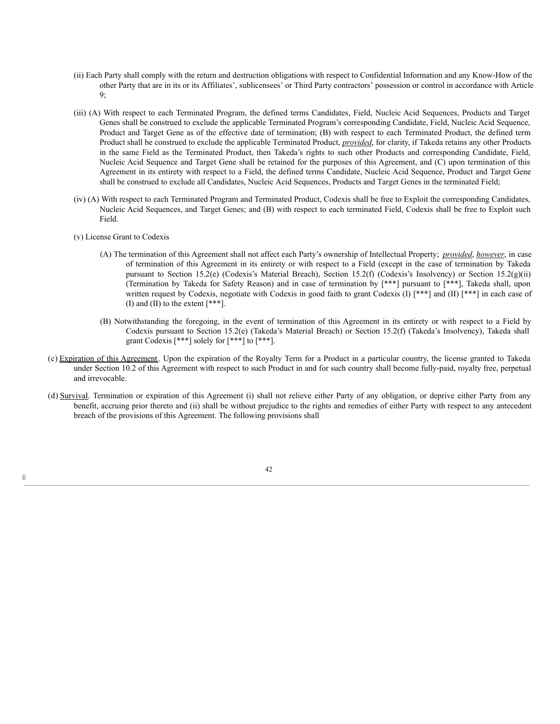- (ii) Each Party shall comply with the return and destruction obligations with respect to Confidential Information and any Know-How of the other Party that are in its or its Affiliates', sublicensees' or Third Party contractors' possession or control in accordance with Article 9;
- (iii) (A) With respect to each Terminated Program, the defined terms Candidates, Field, Nucleic Acid Sequences, Products and Target Genes shall be construed to exclude the applicable Terminated Program's corresponding Candidate, Field, Nucleic Acid Sequence, Product and Target Gene as of the effective date of termination; (B) with respect to each Terminated Product, the defined term Product shall be construed to exclude the applicable Terminated Product, *provided*, for clarity, if Takeda retains any other Products in the same Field as the Terminated Product, then Takeda's rights to such other Products and corresponding Candidate, Field, Nucleic Acid Sequence and Target Gene shall be retained for the purposes of this Agreement, and (C) upon termination of this Agreement in its entirety with respect to a Field, the defined terms Candidate, Nucleic Acid Sequence, Product and Target Gene shall be construed to exclude all Candidates, Nucleic Acid Sequences, Products and Target Genes in the terminated Field;
- (iv) (A) With respect to each Terminated Program and Terminated Product, Codexis shall be free to Exploit the corresponding Candidates, Nucleic Acid Sequences, and Target Genes; and (B) with respect to each terminated Field, Codexis shall be free to Exploit such Field.
- (v) License Grant to Codexis

- (A) The termination of this Agreement shall not affect each Party's ownership of Intellectual Property; *provided*, *however*, in case of termination of this Agreement in its entirety or with respect to a Field (except in the case of termination by Takeda pursuant to Section 15.2(e) (Codexis's Material Breach), Section 15.2(f) (Codexis's Insolvency) or Section 15.2(g)(ii) (Termination by Takeda for Safety Reason) and in case of termination by [\*\*\*] pursuant to [\*\*\*], Takeda shall, upon written request by Codexis, negotiate with Codexis in good faith to grant Codexis (I) [\*\*\*] and (II) [\*\*\*] in each case of (I) and (II) to the extent [\*\*\*].
- (B) Notwithstanding the foregoing, in the event of termination of this Agreement in its entirety or with respect to a Field by Codexis pursuant to Section 15.2(e) (Takeda's Material Breach) or Section 15.2(f) (Takeda's Insolvency), Takeda shall grant Codexis [\*\*\*] solely for [\*\*\*] to [\*\*\*].
- (c) Expiration of this Agreement. Upon the expiration of the Royalty Term for a Product in a particular country, the license granted to Takeda under Section 10.2 of this Agreement with respect to such Product in and for such country shall become fully-paid, royalty free, perpetual and irrevocable.
- (d) Survival. Termination or expiration of this Agreement (i) shall not relieve either Party of any obligation, or deprive either Party from any benefit, accruing prior thereto and (ii) shall be without prejudice to the rights and remedies of either Party with respect to any antecedent breach of the provisions of this Agreement. The following provisions shall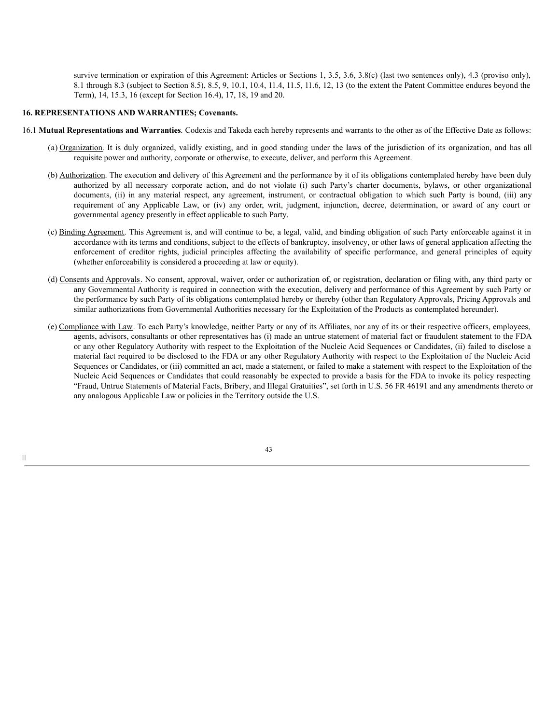survive termination or expiration of this Agreement: Articles or Sections 1, 3.5, 3.6, 3.8(c) (last two sentences only), 4.3 (proviso only), 8.1 through 8.3 (subject to Section 8.5), 8.5, 9, 10.1, 10.4, 11.4, 11.5, 11.6, 12, 13 (to the extent the Patent Committee endures beyond the Term), 14, 15.3, 16 (except for Section 16.4), 17, 18, 19 and 20.

## **16. REPRESENTATIONS AND WARRANTIES; Covenants.**

- 16.1 **Mutual Representations and Warranties**. Codexis and Takeda each hereby represents and warrants to the other as of the Effective Date as follows:
	- (a) Organization. It is duly organized, validly existing, and in good standing under the laws of the jurisdiction of its organization, and has all requisite power and authority, corporate or otherwise, to execute, deliver, and perform this Agreement.
	- (b) Authorization. The execution and delivery of this Agreement and the performance by it of its obligations contemplated hereby have been duly authorized by all necessary corporate action, and do not violate (i) such Party's charter documents, bylaws, or other organizational documents, (ii) in any material respect, any agreement, instrument, or contractual obligation to which such Party is bound, (iii) any requirement of any Applicable Law, or (iv) any order, writ, judgment, injunction, decree, determination, or award of any court or governmental agency presently in effect applicable to such Party.
	- (c) Binding Agreement. This Agreement is, and will continue to be, a legal, valid, and binding obligation of such Party enforceable against it in accordance with its terms and conditions, subject to the effects of bankruptcy, insolvency, or other laws of general application affecting the enforcement of creditor rights, judicial principles affecting the availability of specific performance, and general principles of equity (whether enforceability is considered a proceeding at law or equity).
	- (d) Consents and Approvals. No consent, approval, waiver, order or authorization of, or registration, declaration or filing with, any third party or any Governmental Authority is required in connection with the execution, delivery and performance of this Agreement by such Party or the performance by such Party of its obligations contemplated hereby or thereby (other than Regulatory Approvals, Pricing Approvals and similar authorizations from Governmental Authorities necessary for the Exploitation of the Products as contemplated hereunder).
	- (e) Compliance with Law. To each Party's knowledge, neither Party or any of its Affiliates, nor any of its or their respective officers, employees, agents, advisors, consultants or other representatives has (i) made an untrue statement of material fact or fraudulent statement to the FDA or any other Regulatory Authority with respect to the Exploitation of the Nucleic Acid Sequences or Candidates, (ii) failed to disclose a material fact required to be disclosed to the FDA or any other Regulatory Authority with respect to the Exploitation of the Nucleic Acid Sequences or Candidates, or (iii) committed an act, made a statement, or failed to make a statement with respect to the Exploitation of the Nucleic Acid Sequences or Candidates that could reasonably be expected to provide a basis for the FDA to invoke its policy respecting "Fraud, Untrue Statements of Material Facts, Bribery, and Illegal Gratuities", set forth in U.S. 56 FR 46191 and any amendments thereto or any analogous Applicable Law or policies in the Territory outside the U.S.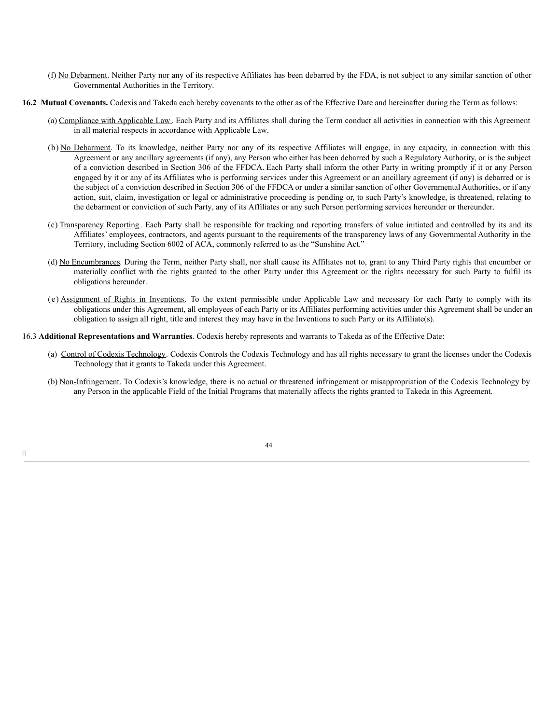- (f) No Debarment. Neither Party nor any of its respective Affiliates has been debarred by the FDA, is not subject to any similar sanction of other Governmental Authorities in the Territory.
- **16.2 Mutual Covenants.** Codexis and Takeda each hereby covenants to the other as of the Effective Date and hereinafter during the Term as follows:
	- (a) Compliance with Applicable Law . Each Party and its Affiliates shall during the Term conduct all activities in connection with this Agreement in all material respects in accordance with Applicable Law.
	- (b) No Debarment. To its knowledge, neither Party nor any of its respective Affiliates will engage, in any capacity, in connection with this Agreement or any ancillary agreements (if any), any Person who either has been debarred by such a Regulatory Authority, or is the subject of a conviction described in Section 306 of the FFDCA. Each Party shall inform the other Party in writing promptly if it or any Person engaged by it or any of its Affiliates who is performing services under this Agreement or an ancillary agreement (if any) is debarred or is the subject of a conviction described in Section 306 of the FFDCA or under a similar sanction of other Governmental Authorities, or if any action, suit, claim, investigation or legal or administrative proceeding is pending or, to such Party's knowledge, is threatened, relating to the debarment or conviction of such Party, any of its Affiliates or any such Person performing services hereunder or thereunder.
	- (c) Transparency Reporting. Each Party shall be responsible for tracking and reporting transfers of value initiated and controlled by its and its Affiliates' employees, contractors, and agents pursuant to the requirements of the transparency laws of any Governmental Authority in the Territory, including Section 6002 of ACA, commonly referred to as the "Sunshine Act."
	- (d) No Encumbrances. During the Term, neither Party shall, nor shall cause its Affiliates not to, grant to any Third Party rights that encumber or materially conflict with the rights granted to the other Party under this Agreement or the rights necessary for such Party to fulfil its obligations hereunder.
	- (e) Assignment of Rights in Inventions. To the extent permissible under Applicable Law and necessary for each Party to comply with its obligations under this Agreement, all employees of each Party or its Affiliates performing activities under this Agreement shall be under an obligation to assign all right, title and interest they may have in the Inventions to such Party or its Affiliate(s).
- 16.3 **Additional Representations and Warranties**. Codexis hereby represents and warrants to Takeda as of the Effective Date:
	- (a) Control of Codexis Technology. Codexis Controls the Codexis Technology and has all rights necessary to grant the licenses under the Codexis Technology that it grants to Takeda under this Agreement.
	- (b) Non-Infringement. To Codexis's knowledge, there is no actual or threatened infringement or misappropriation of the Codexis Technology by any Person in the applicable Field of the Initial Programs that materially affects the rights granted to Takeda in this Agreement.

|||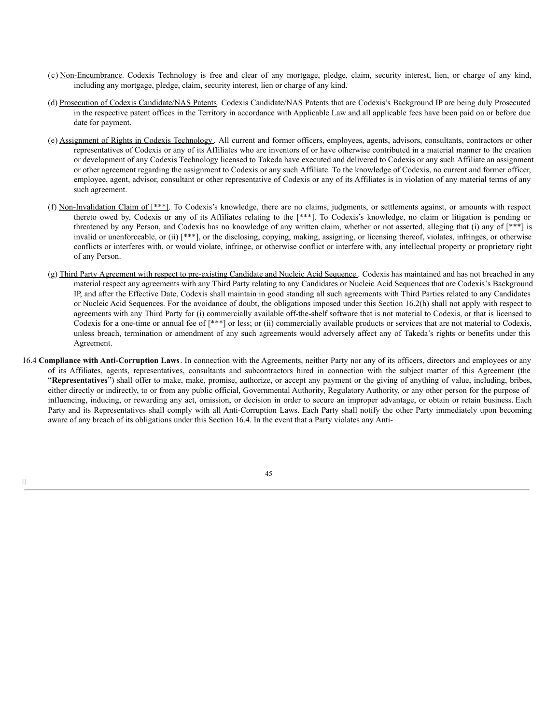- (c) Non-Encumbrance. Codexis Technology is free and clear of any mortgage, pledge, claim, security interest, lien, or charge of any kind, including any mortgage, pledge, claim, security interest, lien or charge of any kind.
- (d) Prosecution of Codexis Candidate/NAS Patents. Codexis Candidate/NAS Patents that are Codexis's Background IP are being duly Prosecuted in the respective patent offices in the Territory in accordance with Applicable Law and all applicable fees have been paid on or before due date for payment.
- (e) Assignment of Rights in Codexis Technology . All current and former officers, employees, agents, advisors, consultants, contractors or other representatives of Codexis or any of its Affiliates who are inventors of or have otherwise contributed in a material manner to the creation or development of any Codexis Technology licensed to Takeda have executed and delivered to Codexis or any such Affiliate an assignment or other agreement regarding the assignment to Codexis or any such Affiliate. To the knowledge of Codexis, no current and former officer, employee, agent, advisor, consultant or other representative of Codexis or any of its Affiliates is in violation of any material terms of any such agreement.
- (f) Non-Invalidation Claim of [\*\*\*]. To Codexis's knowledge, there are no claims, judgments, or settlements against, or amounts with respect thereto owed by, Codexis or any of its Affiliates relating to the [\*\*\*]. To Codexis's knowledge, no claim or litigation is pending or threatened by any Person, and Codexis has no knowledge of any written claim, whether or not asserted, alleging that (i) any of [\*\*\*] is invalid or unenforceable, or (ii) [\*\*\*], or the disclosing, copying, making, assigning, or licensing thereof, violates, infringes, or otherwise conflicts or interferes with, or would violate, infringe, or otherwise conflict or interfere with, any intellectual property or proprietary right of any Person.
- (g) Third Party Agreement with respect to pre-existing Candidate and Nucleic Acid Sequence . Codexis has maintained and has not breached in any material respect any agreements with any Third Party relating to any Candidates or Nucleic Acid Sequences that are Codexis's Background IP, and after the Effective Date, Codexis shall maintain in good standing all such agreements with Third Parties related to any Candidates or Nucleic Acid Sequences. For the avoidance of doubt, the obligations imposed under this Section 16.2(h) shall not apply with respect to agreements with any Third Party for (i) commercially available off-the-shelf software that is not material to Codexis, or that is licensed to Codexis for a one-time or annual fee of [\*\*\*] or less; or (ii) commercially available products or services that are not material to Codexis, unless breach, termination or amendment of any such agreements would adversely affect any of Takeda's rights or benefits under this Agreement.
- 16.4 **Compliance with Anti-Corruption Laws**. In connection with the Agreements, neither Party nor any of its officers, directors and employees or any of its Affiliates, agents, representatives, consultants and subcontractors hired in connection with the subject matter of this Agreement (the "**Representatives**") shall offer to make, make, promise, authorize, or accept any payment or the giving of anything of value, including, bribes, either directly or indirectly, to or from any public official, Governmental Authority, Regulatory Authority, or any other person for the purpose of influencing, inducing, or rewarding any act, omission, or decision in order to secure an improper advantage, or obtain or retain business. Each Party and its Representatives shall comply with all Anti-Corruption Laws. Each Party shall notify the other Party immediately upon becoming aware of any breach of its obligations under this Section 16.4. In the event that a Party violates any Anti-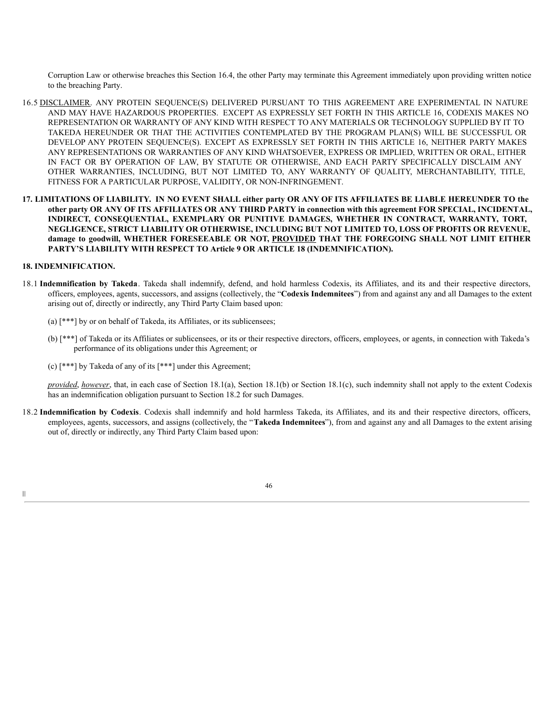Corruption Law or otherwise breaches this Section 16.4, the other Party may terminate this Agreement immediately upon providing written notice to the breaching Party.

- 16.5 DISCLAIMER. ANY PROTEIN SEQUENCE(S) DELIVERED PURSUANT TO THIS AGREEMENT ARE EXPERIMENTAL IN NATURE AND MAY HAVE HAZARDOUS PROPERTIES. EXCEPT AS EXPRESSLY SET FORTH IN THIS ARTICLE 16, CODEXIS MAKES NO REPRESENTATION OR WARRANTY OF ANY KIND WITH RESPECT TO ANY MATERIALS OR TECHNOLOGY SUPPLIED BY IT TO TAKEDA HEREUNDER OR THAT THE ACTIVITIES CONTEMPLATED BY THE PROGRAM PLAN(S) WILL BE SUCCESSFUL OR DEVELOP ANY PROTEIN SEQUENCE(S). EXCEPT AS EXPRESSLY SET FORTH IN THIS ARTICLE 16, NEITHER PARTY MAKES ANY REPRESENTATIONS OR WARRANTIES OF ANY KIND WHATSOEVER, EXPRESS OR IMPLIED, WRITTEN OR ORAL, EITHER IN FACT OR BY OPERATION OF LAW, BY STATUTE OR OTHERWISE, AND EACH PARTY SPECIFICALLY DISCLAIM ANY OTHER WARRANTIES, INCLUDING, BUT NOT LIMITED TO, ANY WARRANTY OF QUALITY, MERCHANTABILITY, TITLE, FITNESS FOR A PARTICULAR PURPOSE, VALIDITY, OR NON-INFRINGEMENT.
- 17. LIMITATIONS OF LIABILITY. IN NO EVENT SHALL either party OR ANY OF ITS AFFILIATES BE LIABLE HEREUNDER TO the other party OR ANY OF ITS AFFILIATES OR ANY THIRD PARTY in connection with this agreement FOR SPECIAL, INCIDENTAL, **INDIRECT, CONSEQUENTIAL, EXEMPLARY OR PUNITIVE DAMAGES, WHETHER IN CONTRACT, WARRANTY, TORT, NEGLIGENCE, STRICT LIABILITY OR OTHERWISE, INCLUDING BUT NOT LIMITED TO, LOSS OF PROFITS OR REVENUE, damage to goodwill, WHETHER FORESEEABLE OR NOT, PROVIDED THAT THE FOREGOING SHALL NOT LIMIT EITHER PARTY'S LIABILITY WITH RESPECT TO Article 9 OR ARTICLE 18 (INDEMNIFICATION).**

### **18. INDEMNIFICATION.**

- 18.1 **Indemnification by Takeda**. Takeda shall indemnify, defend, and hold harmless Codexis, its Affiliates, and its and their respective directors, officers, employees, agents, successors, and assigns (collectively, the "**Codexis Indemnitees**") from and against any and all Damages to the extent arising out of, directly or indirectly, any Third Party Claim based upon:
	- (a) [\*\*\*] by or on behalf of Takeda, its Affiliates, or its sublicensees;
	- (b) [\*\*\*] of Takeda or its Affiliates or sublicensees, or its or their respective directors, officers, employees, or agents, in connection with Takeda's performance of its obligations under this Agreement; or
	- (c) [\*\*\*] by Takeda of any of its [\*\*\*] under this Agreement;

*provided*, *however*, that, in each case of Section 18.1(a), Section 18.1(b) or Section 18.1(c), such indemnity shall not apply to the extent Codexis has an indemnification obligation pursuant to Section 18.2 for such Damages.

18.2 **Indemnification by Codexis**. Codexis shall indemnify and hold harmless Takeda, its Affiliates, and its and their respective directors, officers, employees, agents, successors, and assigns (collectively, the "**Takeda Indemnitees**"), from and against any and all Damages to the extent arising out of, directly or indirectly, any Third Party Claim based upon:

46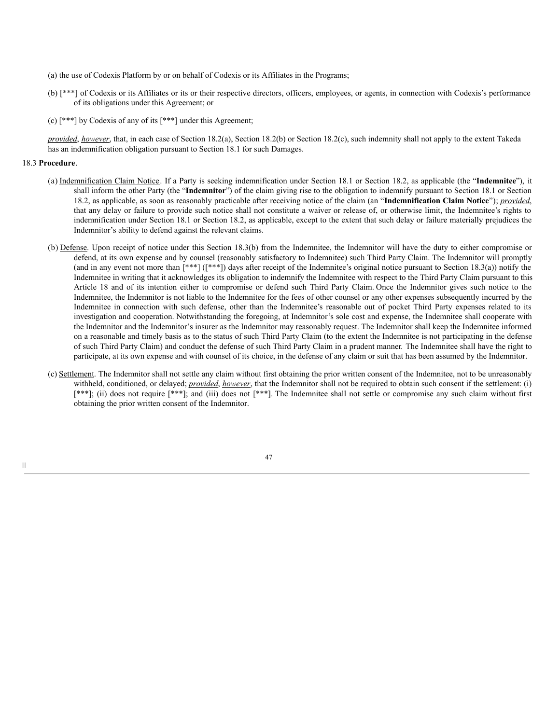- (a) the use of Codexis Platform by or on behalf of Codexis or its Affiliates in the Programs;
- (b) [\*\*\*] of Codexis or its Affiliates or its or their respective directors, officers, employees, or agents, in connection with Codexis's performance of its obligations under this Agreement; or
- (c) [\*\*\*] by Codexis of any of its [\*\*\*] under this Agreement;

*provided, however*, that, in each case of Section 18.2(a), Section 18.2(b) or Section 18.2(c), such indemnity shall not apply to the extent Takeda has an indemnification obligation pursuant to Section 18.1 for such Damages.

#### 18.3 **Procedure**.

- (a) Indemnification Claim Notice. If a Party is seeking indemnification under Section 18.1 or Section 18.2, as applicable (the "**Indemnitee**"), it shall inform the other Party (the "**Indemnitor**") of the claim giving rise to the obligation to indemnify pursuant to Section 18.1 or Section 18.2, as applicable, as soon as reasonably practicable after receiving notice of the claim (an "**Indemnification Claim Notice**"); *provided*, that any delay or failure to provide such notice shall not constitute a waiver or release of, or otherwise limit, the Indemnitee's rights to indemnification under Section 18.1 or Section 18.2, as applicable, except to the extent that such delay or failure materially prejudices the Indemnitor's ability to defend against the relevant claims.
- (b) Defense. Upon receipt of notice under this Section 18.3(b) from the Indemnitee, the Indemnitor will have the duty to either compromise or defend, at its own expense and by counsel (reasonably satisfactory to Indemnitee) such Third Party Claim. The Indemnitor will promptly (and in any event not more than [\*\*\*] ([\*\*\*]) days after receipt of the Indemnitee's original notice pursuant to Section 18.3(a)) notify the Indemnitee in writing that it acknowledges its obligation to indemnify the Indemnitee with respect to the Third Party Claim pursuant to this Article 18 and of its intention either to compromise or defend such Third Party Claim. Once the Indemnitor gives such notice to the Indemnitee, the Indemnitor is not liable to the Indemnitee for the fees of other counsel or any other expenses subsequently incurred by the Indemnitee in connection with such defense, other than the Indemnitee's reasonable out of pocket Third Party expenses related to its investigation and cooperation. Notwithstanding the foregoing, at Indemnitor's sole cost and expense, the Indemnitee shall cooperate with the Indemnitor and the Indemnitor's insurer as the Indemnitor may reasonably request. The Indemnitor shall keep the Indemnitee informed on a reasonable and timely basis as to the status of such Third Party Claim (to the extent the Indemnitee is not participating in the defense of such Third Party Claim) and conduct the defense of such Third Party Claim in a prudent manner. The Indemnitee shall have the right to participate, at its own expense and with counsel of its choice, in the defense of any claim or suit that has been assumed by the Indemnitor.
- (c) Settlement. The Indemnitor shall not settle any claim without first obtaining the prior written consent of the Indemnitee, not to be unreasonably withheld, conditioned, or delayed; *provided*, *however*, that the Indemnitor shall not be required to obtain such consent if the settlement: (i) [\*\*\*]; (ii) does not require [\*\*\*]; and (iii) does not [\*\*\*]. The Indemnitee shall not settle or compromise any such claim without first obtaining the prior written consent of the Indemnitor.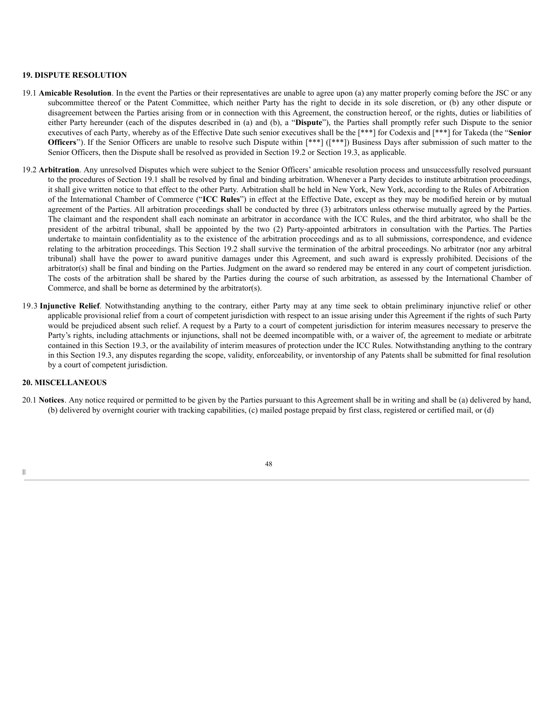### **19. DISPUTE RESOLUTION**

- 19.1 **Amicable Resolution**. In the event the Parties or their representatives are unable to agree upon (a) any matter properly coming before the JSC or any subcommittee thereof or the Patent Committee, which neither Party has the right to decide in its sole discretion, or (b) any other dispute or disagreement between the Parties arising from or in connection with this Agreement, the construction hereof, or the rights, duties or liabilities of either Party hereunder (each of the disputes described in (a) and (b), a "**Dispute**"), the Parties shall promptly refer such Dispute to the senior executives of each Party, whereby as of the Effective Date such senior executives shall be the [\*\*\*] for Codexis and [\*\*\*] for Takeda (the "**Senior Officers**"). If the Senior Officers are unable to resolve such Dispute within [\*\*\*] ([\*\*\*]) Business Days after submission of such matter to the Senior Officers, then the Dispute shall be resolved as provided in Section 19.2 or Section 19.3, as applicable.
- 19.2 **Arbitration**. Any unresolved Disputes which were subject to the Senior Officers' amicable resolution process and unsuccessfully resolved pursuant to the procedures of Section 19.1 shall be resolved by final and binding arbitration. Whenever a Party decides to institute arbitration proceedings, it shall give written notice to that effect to the other Party. Arbitration shall be held in New York, New York, according to the Rules of Arbitration of the International Chamber of Commerce ("**ICC Rules**") in effect at the Effective Date, except as they may be modified herein or by mutual agreement of the Parties. All arbitration proceedings shall be conducted by three (3) arbitrators unless otherwise mutually agreed by the Parties. The claimant and the respondent shall each nominate an arbitrator in accordance with the ICC Rules, and the third arbitrator, who shall be the president of the arbitral tribunal, shall be appointed by the two (2) Party-appointed arbitrators in consultation with the Parties. The Parties undertake to maintain confidentiality as to the existence of the arbitration proceedings and as to all submissions, correspondence, and evidence relating to the arbitration proceedings. This Section 19.2 shall survive the termination of the arbitral proceedings. No arbitrator (nor any arbitral tribunal) shall have the power to award punitive damages under this Agreement, and such award is expressly prohibited. Decisions of the arbitrator(s) shall be final and binding on the Parties. Judgment on the award so rendered may be entered in any court of competent jurisdiction. The costs of the arbitration shall be shared by the Parties during the course of such arbitration, as assessed by the International Chamber of Commerce, and shall be borne as determined by the arbitrator(s).
- 19.3 **Injunctive Relief**. Notwithstanding anything to the contrary, either Party may at any time seek to obtain preliminary injunctive relief or other applicable provisional relief from a court of competent jurisdiction with respect to an issue arising under this Agreement if the rights of such Party would be prejudiced absent such relief. A request by a Party to a court of competent jurisdiction for interim measures necessary to preserve the Party's rights, including attachments or injunctions, shall not be deemed incompatible with, or a waiver of, the agreement to mediate or arbitrate contained in this Section 19.3, or the availability of interim measures of protection under the ICC Rules. Notwithstanding anything to the contrary in this Section 19.3, any disputes regarding the scope, validity, enforceability, or inventorship of any Patents shall be submitted for final resolution by a court of competent jurisdiction.

# **20. MISCELLANEOUS**

20.1 **Notices**. Any notice required or permitted to be given by the Parties pursuant to this Agreement shall be in writing and shall be (a) delivered by hand, (b) delivered by overnight courier with tracking capabilities, (c) mailed postage prepaid by first class, registered or certified mail, or (d)

48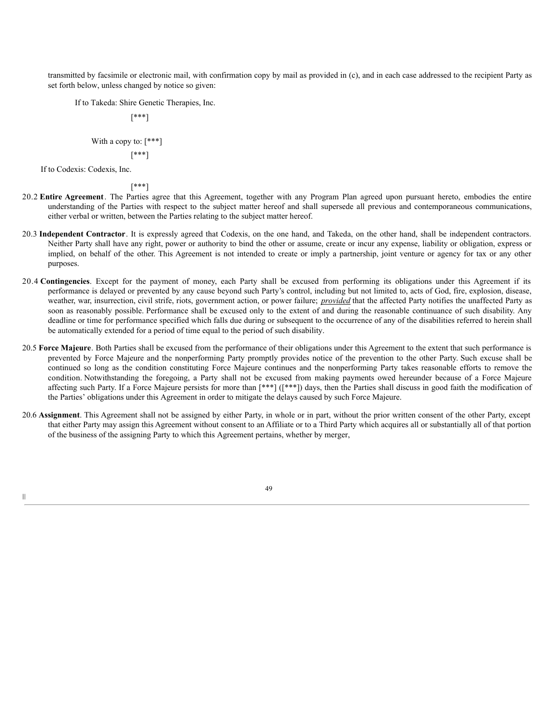transmitted by facsimile or electronic mail, with confirmation copy by mail as provided in (c), and in each case addressed to the recipient Party as set forth below, unless changed by notice so given:

If to Takeda: Shire Genetic Therapies, Inc.

[\*\*\*]

# With a copy to:  $[***]$

$$
[^{***}]
$$

If to Codexis: Codexis, Inc.

|||

[\*\*\*]

- 20.2 **Entire Agreement**. The Parties agree that this Agreement, together with any Program Plan agreed upon pursuant hereto, embodies the entire understanding of the Parties with respect to the subject matter hereof and shall supersede all previous and contemporaneous communications, either verbal or written, between the Parties relating to the subject matter hereof.
- 20.3 **Independent Contractor**. It is expressly agreed that Codexis, on the one hand, and Takeda, on the other hand, shall be independent contractors. Neither Party shall have any right, power or authority to bind the other or assume, create or incur any expense, liability or obligation, express or implied, on behalf of the other. This Agreement is not intended to create or imply a partnership, joint venture or agency for tax or any other purposes.
- 20.4 **Contingencies**. Except for the payment of money, each Party shall be excused from performing its obligations under this Agreement if its performance is delayed or prevented by any cause beyond such Party's control, including but not limited to, acts of God, fire, explosion, disease, weather, war, insurrection, civil strife, riots, government action, or power failure; *provided* that the affected Party notifies the unaffected Party as soon as reasonably possible. Performance shall be excused only to the extent of and during the reasonable continuance of such disability. Any deadline or time for performance specified which falls due during or subsequent to the occurrence of any of the disabilities referred to herein shall be automatically extended for a period of time equal to the period of such disability.
- 20.5 **Force Majeure**. Both Parties shall be excused from the performance of their obligations under this Agreement to the extent that such performance is prevented by Force Majeure and the nonperforming Party promptly provides notice of the prevention to the other Party. Such excuse shall be continued so long as the condition constituting Force Majeure continues and the nonperforming Party takes reasonable efforts to remove the condition. Notwithstanding the foregoing, a Party shall not be excused from making payments owed hereunder because of a Force Majeure affecting such Party. If a Force Majeure persists for more than [\*\*\*] ([\*\*\*]) days, then the Parties shall discuss in good faith the modification of the Parties' obligations under this Agreement in order to mitigate the delays caused by such Force Majeure.
- 20.6 **Assignment**. This Agreement shall not be assigned by either Party, in whole or in part, without the prior written consent of the other Party, except that either Party may assign this Agreement without consent to an Affiliate or to a Third Party which acquires all or substantially all of that portion of the business of the assigning Party to which this Agreement pertains, whether by merger,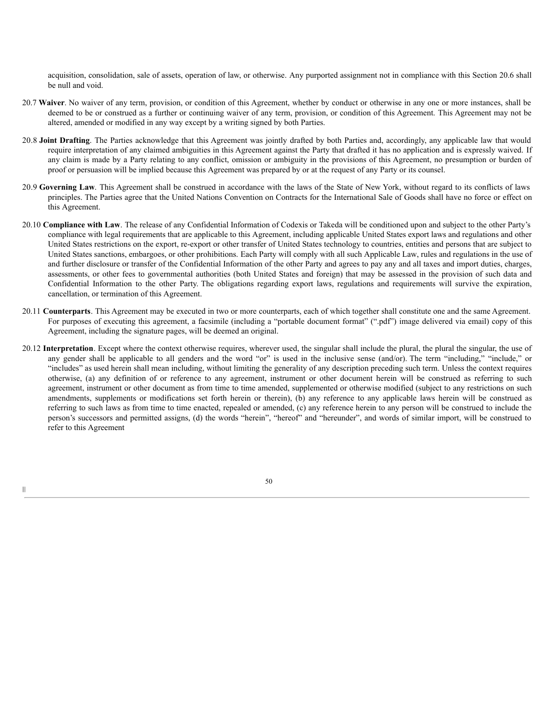acquisition, consolidation, sale of assets, operation of law, or otherwise. Any purported assignment not in compliance with this Section 20.6 shall be null and void.

- 20.7 **Waiver**. No waiver of any term, provision, or condition of this Agreement, whether by conduct or otherwise in any one or more instances, shall be deemed to be or construed as a further or continuing waiver of any term, provision, or condition of this Agreement. This Agreement may not be altered, amended or modified in any way except by a writing signed by both Parties.
- 20.8 **Joint Drafting**. The Parties acknowledge that this Agreement was jointly drafted by both Parties and, accordingly, any applicable law that would require interpretation of any claimed ambiguities in this Agreement against the Party that drafted it has no application and is expressly waived. If any claim is made by a Party relating to any conflict, omission or ambiguity in the provisions of this Agreement, no presumption or burden of proof or persuasion will be implied because this Agreement was prepared by or at the request of any Party or its counsel.
- 20.9 **Governing Law**. This Agreement shall be construed in accordance with the laws of the State of New York, without regard to its conflicts of laws principles. The Parties agree that the United Nations Convention on Contracts for the International Sale of Goods shall have no force or effect on this Agreement.
- 20.10 **Compliance with Law**. The release of any Confidential Information of Codexis or Takeda will be conditioned upon and subject to the other Party's compliance with legal requirements that are applicable to this Agreement, including applicable United States export laws and regulations and other United States restrictions on the export, re-export or other transfer of United States technology to countries, entities and persons that are subject to United States sanctions, embargoes, or other prohibitions. Each Party will comply with all such Applicable Law, rules and regulations in the use of and further disclosure or transfer of the Confidential Information of the other Party and agrees to pay any and all taxes and import duties, charges, assessments, or other fees to governmental authorities (both United States and foreign) that may be assessed in the provision of such data and Confidential Information to the other Party. The obligations regarding export laws, regulations and requirements will survive the expiration, cancellation, or termination of this Agreement.
- 20.11 **Counterparts**. This Agreement may be executed in two or more counterparts, each of which together shall constitute one and the same Agreement. For purposes of executing this agreement, a facsimile (including a "portable document format" (".pdf") image delivered via email) copy of this Agreement, including the signature pages, will be deemed an original.
- 20.12 **Interpretation**. Except where the context otherwise requires, wherever used, the singular shall include the plural, the plural the singular, the use of any gender shall be applicable to all genders and the word "or" is used in the inclusive sense (and/or). The term "including," "include," or "includes" as used herein shall mean including, without limiting the generality of any description preceding such term. Unless the context requires otherwise, (a) any definition of or reference to any agreement, instrument or other document herein will be construed as referring to such agreement, instrument or other document as from time to time amended, supplemented or otherwise modified (subject to any restrictions on such amendments, supplements or modifications set forth herein or therein), (b) any reference to any applicable laws herein will be construed as referring to such laws as from time to time enacted, repealed or amended, (c) any reference herein to any person will be construed to include the person's successors and permitted assigns, (d) the words "herein", "hereof" and "hereunder", and words of similar import, will be construed to refer to this Agreement

50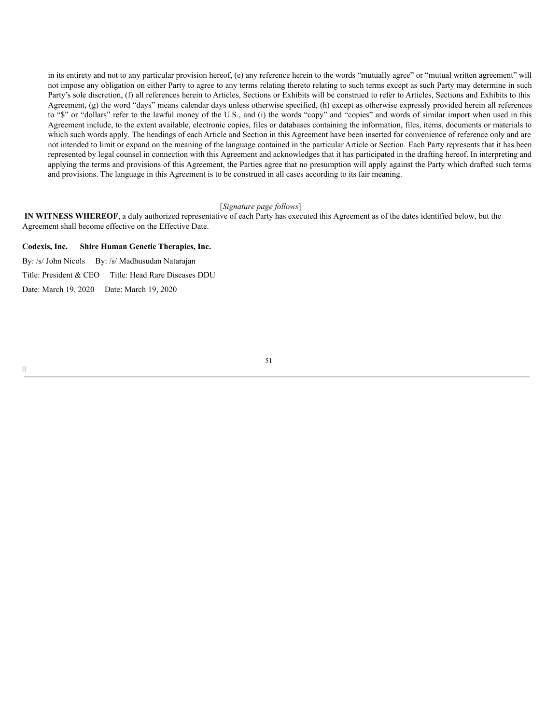in its entirety and not to any particular provision hereof, (e) any reference herein to the words "mutually agree" or "mutual written agreement" will not impose any obligation on either Party to agree to any terms relating thereto relating to such terms except as such Party may determine in such Party's sole discretion, (f) all references herein to Articles, Sections or Exhibits will be construed to refer to Articles, Sections and Exhibits to this Agreement, (g) the word "days" means calendar days unless otherwise specified, (h) except as otherwise expressly provided herein all references to "\$" or "dollars" refer to the lawful money of the U.S., and (i) the words "copy" and "copies" and words of similar import when used in this Agreement include, to the extent available, electronic copies, files or databases containing the information, files, items, documents or materials to which such words apply. The headings of each Article and Section in this Agreement have been inserted for convenience of reference only and are not intended to limit or expand on the meaning of the language contained in the particular Article or Section. Each Party represents that it has been represented by legal counsel in connection with this Agreement and acknowledges that it has participated in the drafting hereof. In interpreting and applying the terms and provisions of this Agreement, the Parties agree that no presumption will apply against the Party which drafted such terms and provisions. The language in this Agreement is to be construed in all cases according to its fair meaning.

#### [*Signature page follows*]

**IN WITNESS WHEREOF**, a duly authorized representative of each Party has executed this Agreement as of the dates identified below, but the Agreement shall become effective on the Effective Date.

## **Codexis, Inc. Shire Human Genetic Therapies, Inc.**

By: /s/ John Nicols By: /s/ Madhusudan Natarajan Title: President & CEO Title: Head Rare Diseases DDU

Date: March 19, 2020 Date: March 19, 2020

|||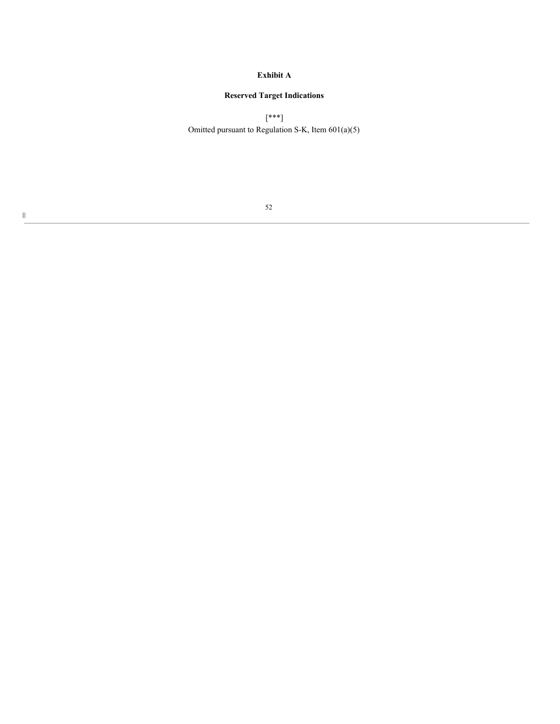# **Exhibit A**

# **Reserved Target Indications**

[\*\*\*] Omitted pursuant to Regulation S-K, Item 601(a)(5)

 $\| \|$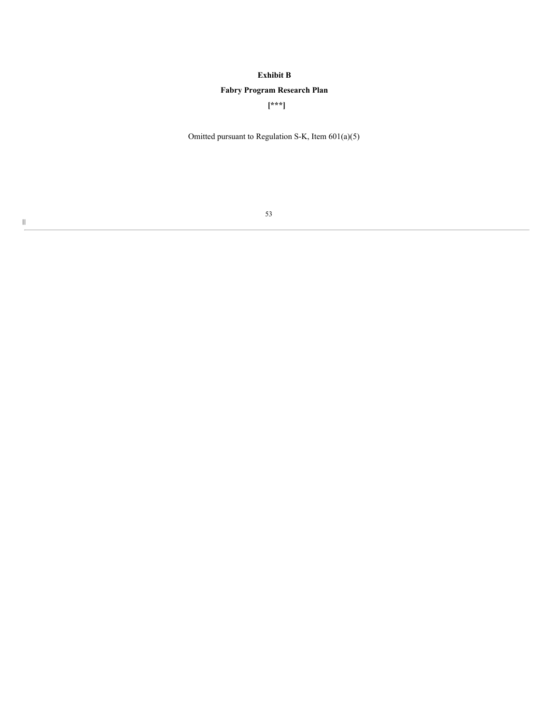# **Exhibit B**

# **Fabry Program Research Plan**

**[\*\*\*]**

Omitted pursuant to Regulation S-K, Item 601(a)(5)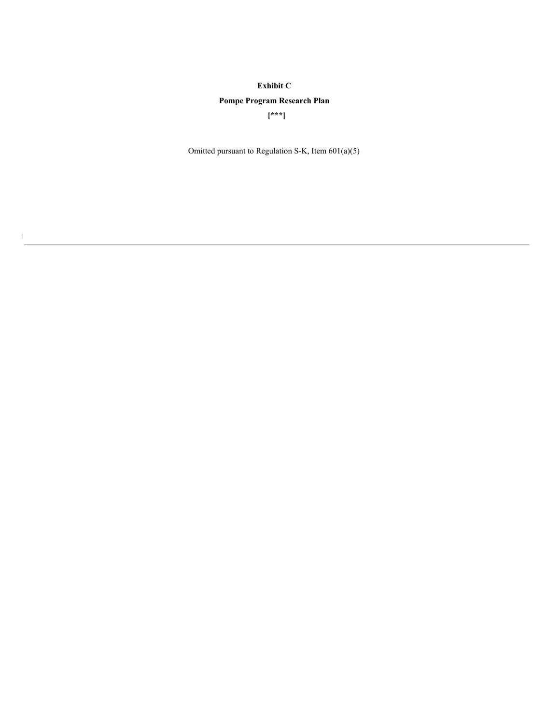# **Exhibit C**

# **Pompe Program Research Plan**

**[\*\*\*]**

Omitted pursuant to Regulation S-K, Item 601(a)(5)

 $\mathbf{I}$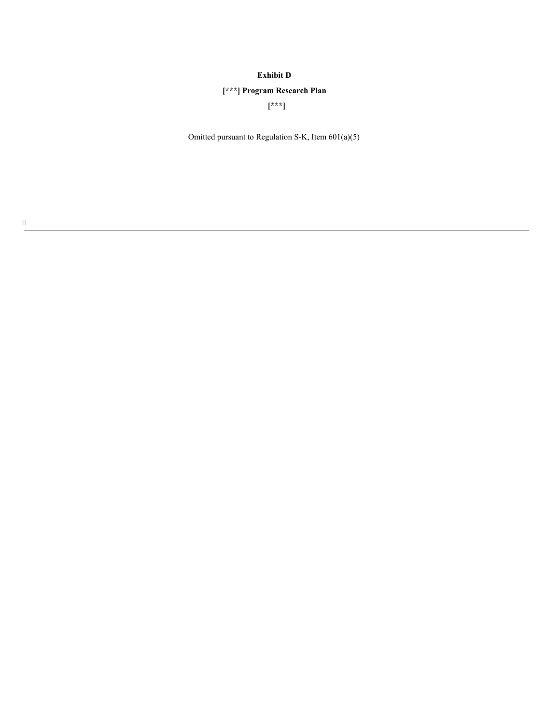## **Exhibit D**

# **[\*\*\*] Program Research Plan**

**[\*\*\*]**

Omitted pursuant to Regulation S-K, Item 601(a)(5)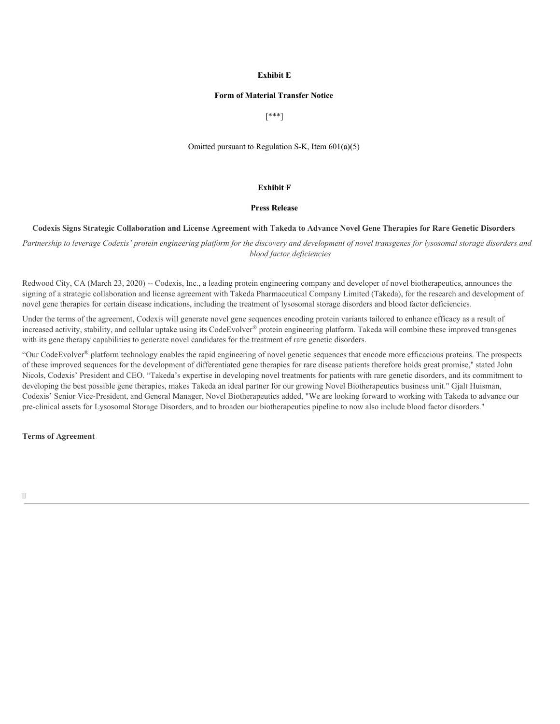## **Exhibit E**

### **Form of Material Transfer Notice**

[\*\*\*]

Omitted pursuant to Regulation S-K, Item 601(a)(5)

### **Exhibit F**

### **Press Release**

### Codexis Signs Strategic Collaboration and License Agreement with Takeda to Advance Novel Gene Therapies for Rare Genetic Disorders

Partnership to leverage Codexis' protein engineering platform for the discovery and development of novel transgenes for lysosomal storage disorders and *blood factor deficiencies*

Redwood City, CA (March 23, 2020) -- Codexis, Inc., a leading protein engineering company and developer of novel biotherapeutics, announces the signing of a strategic collaboration and license agreement with Takeda Pharmaceutical Company Limited (Takeda), for the research and development of novel gene therapies for certain disease indications, including the treatment of lysosomal storage disorders and blood factor deficiencies.

Under the terms of the agreement, Codexis will generate novel gene sequences encoding protein variants tailored to enhance efficacy as a result of increased activity, stability, and cellular uptake using its CodeEvolver® protein engineering platform. Takeda will combine these improved transgenes with its gene therapy capabilities to generate novel candidates for the treatment of rare genetic disorders.

"Our CodeEvolver® platform technology enables the rapid engineering of novel genetic sequences that encode more efficacious proteins. The prospects of these improved sequences for the development of differentiated gene therapies for rare disease patients therefore holds great promise," stated John Nicols, Codexis' President and CEO. "Takeda's expertise in developing novel treatments for patients with rare genetic disorders, and its commitment to developing the best possible gene therapies, makes Takeda an ideal partner for our growing Novel Biotherapeutics business unit." Gjalt Huisman, Codexis' Senior Vice-President, and General Manager, Novel Biotherapeutics added, "We are looking forward to working with Takeda to advance our pre-clinical assets for Lysosomal Storage Disorders, and to broaden our biotherapeutics pipeline to now also include blood factor disorders."

**Terms of Agreement**

|||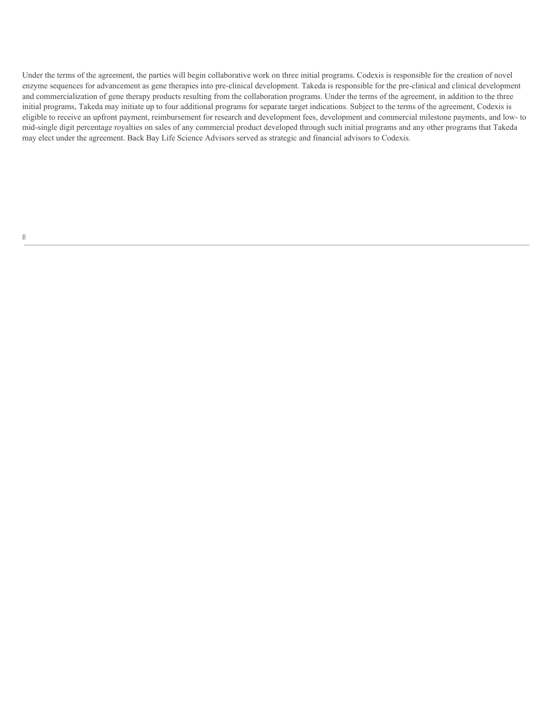Under the terms of the agreement, the parties will begin collaborative work on three initial programs. Codexis is responsible for the creation of novel enzyme sequences for advancement as gene therapies into pre-clinical development. Takeda is responsible for the pre-clinical and clinical development and commercialization of gene therapy products resulting from the collaboration programs. Under the terms of the agreement, in addition to the three initial programs, Takeda may initiate up to four additional programs for separate target indications. Subject to the terms of the agreement, Codexis is eligible to receive an upfront payment, reimbursement for research and development fees, development and commercial milestone payments, and low- to mid-single digit percentage royalties on sales of any commercial product developed through such initial programs and any other programs that Takeda may elect under the agreement. Back Bay Life Science Advisors served as strategic and financial advisors to Codexis.

 $\|$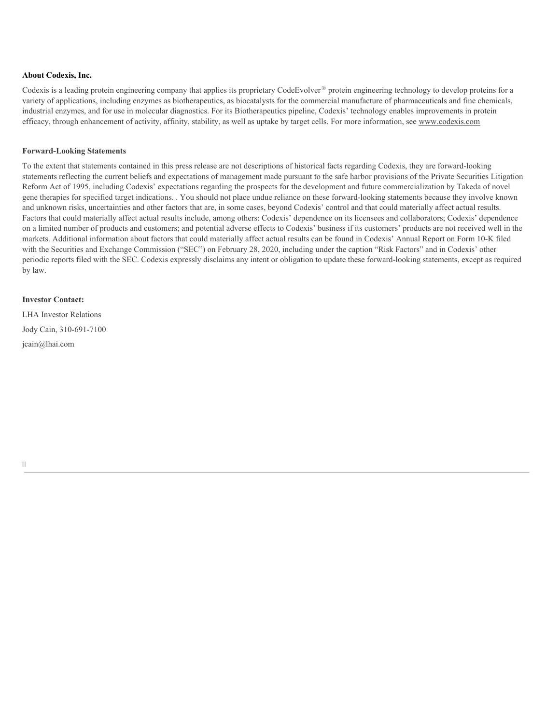## **About Codexis, Inc.**

Codexis is a leading protein engineering company that applies its proprietary CodeEvolver ® protein engineering technology to develop proteins for a variety of applications, including enzymes as biotherapeutics, as biocatalysts for the commercial manufacture of pharmaceuticals and fine chemicals, industrial enzymes, and for use in molecular diagnostics. For its Biotherapeutics pipeline, Codexis' technology enables improvements in protein efficacy, through enhancement of activity, affinity, stability, as well as uptake by target cells. For more information, see www.codexis.com

## **Forward-Looking Statements**

To the extent that statements contained in this press release are not descriptions of historical facts regarding Codexis, they are forward-looking statements reflecting the current beliefs and expectations of management made pursuant to the safe harbor provisions of the Private Securities Litigation Reform Act of 1995, including Codexis' expectations regarding the prospects for the development and future commercialization by Takeda of novel gene therapies for specified target indications. . You should not place undue reliance on these forward-looking statements because they involve known and unknown risks, uncertainties and other factors that are, in some cases, beyond Codexis' control and that could materially affect actual results. Factors that could materially affect actual results include, among others: Codexis' dependence on its licensees and collaborators; Codexis' dependence on a limited number of products and customers; and potential adverse effects to Codexis' business if its customers' products are not received well in the markets. Additional information about factors that could materially affect actual results can be found in Codexis' Annual Report on Form 10-K filed with the Securities and Exchange Commission ("SEC") on February 28, 2020, including under the caption "Risk Factors" and in Codexis' other periodic reports filed with the SEC. Codexis expressly disclaims any intent or obligation to update these forward-looking statements, except as required by law.

## **Investor Contact:**

LHA Investor Relations Jody Cain, 310-691-7100 jcain@lhai.com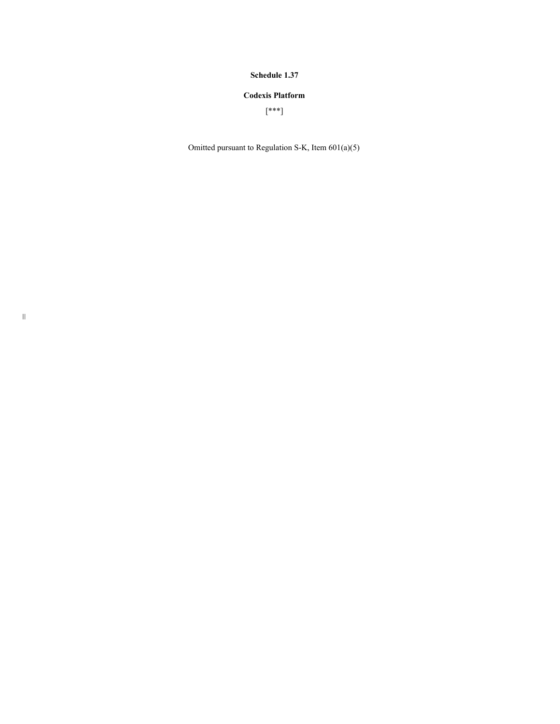## **Schedule 1.37**

## **Codexis Platform**

[\*\*\*]

Omitted pursuant to Regulation S-K, Item 601(a)(5)

 $|\|$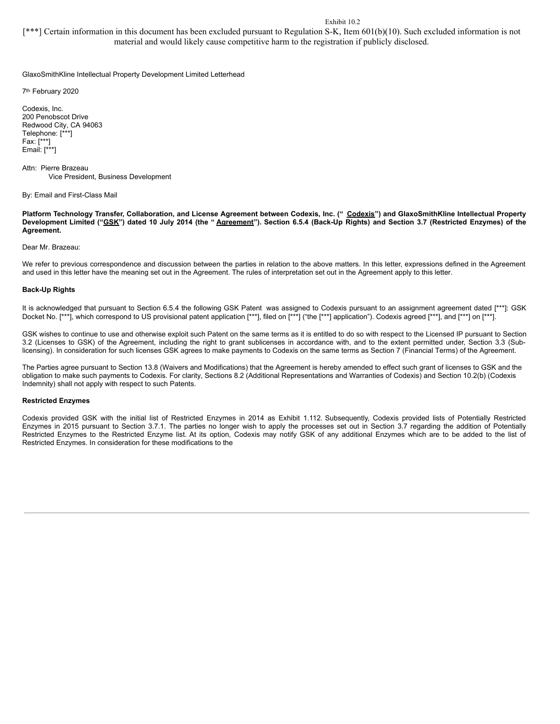### Exhibit 10.2

[\*\*\*] Certain information in this document has been excluded pursuant to Regulation S-K, Item 601(b)(10). Such excluded information is not material and would likely cause competitive harm to the registration if publicly disclosed.

GlaxoSmithKline Intellectual Property Development Limited Letterhead

7th February 2020

Codexis, Inc. 200 Penobscot Drive Redwood City, CA 94063 Telephone: [\*\*\*] Fax: [\*\*\*] Email: [\*\*\*]

Attn: Pierre Brazeau Vice President, Business Development

By: Email and First-Class Mail

Platform Technology Transfer, Collaboration, and License Agreement between Codexis, Inc. (" Codexis") and GlaxoSmithKline Intellectual Property Development Limited ("GSK") dated 10 July 2014 (the "Agreement"). Section 6.5.4 (Back-Up Rights) and Section 3.7 (Restricted Enzymes) of the **Agreement.**

#### Dear Mr. Brazeau:

We refer to previous correspondence and discussion between the parties in relation to the above matters. In this letter, expressions defined in the Agreement and used in this letter have the meaning set out in the Agreement. The rules of interpretation set out in the Agreement apply to this letter.

#### **Back-Up Rights**

It is acknowledged that pursuant to Section 6.5.4 the following GSK Patent was assigned to Codexis pursuant to an assignment agreement dated [\*\*\*]: GSK Docket No. [\*\*\*], which correspond to US provisional patent application [\*\*\*], filed on [\*\*\*] ("the [\*\*\*] application"). Codexis agreed [\*\*\*], and [\*\*\*] on [\*\*\*].

GSK wishes to continue to use and otherwise exploit such Patent on the same terms as it is entitled to do so with respect to the Licensed IP pursuant to Section 3.2 (Licenses to GSK) of the Agreement, including the right to grant sublicenses in accordance with, and to the extent permitted under, Section 3.3 (Sublicensing). In consideration for such licenses GSK agrees to make payments to Codexis on the same terms as Section 7 (Financial Terms) of the Agreement.

The Parties agree pursuant to Section 13.8 (Waivers and Modifications) that the Agreement is hereby amended to effect such grant of licenses to GSK and the obligation to make such payments to Codexis. For clarity, Sections 8.2 (Additional Representations and Warranties of Codexis) and Section 10.2(b) (Codexis Indemnity) shall not apply with respect to such Patents.

#### **Restricted Enzymes**

Codexis provided GSK with the initial list of Restricted Enzymes in 2014 as Exhibit 1.112. Subsequently, Codexis provided lists of Potentially Restricted Enzymes in 2015 pursuant to Section 3.7.1. The parties no longer wish to apply the processes set out in Section 3.7 regarding the addition of Potentially Restricted Enzymes to the Restricted Enzyme list. At its option, Codexis may notify GSK of any additional Enzymes which are to be added to the list of Restricted Enzymes. In consideration for these modifications to the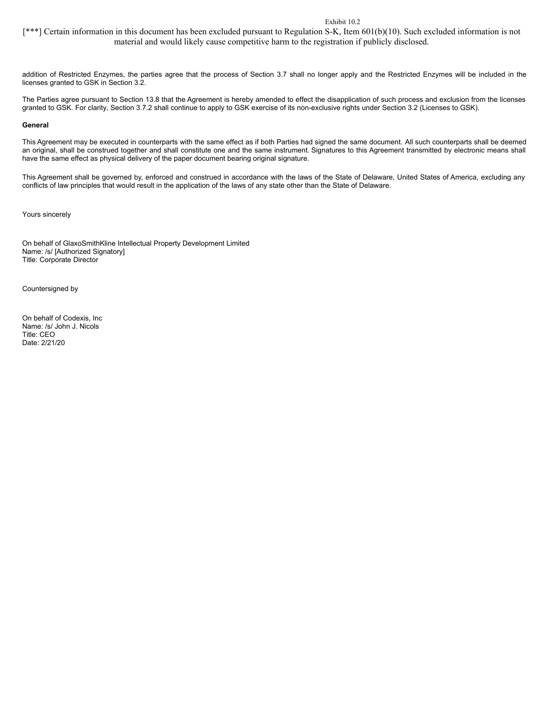### Exhibit 10.2

[\*\*\*] Certain information in this document has been excluded pursuant to Regulation S-K, Item 601(b)(10). Such excluded information is not material and would likely cause competitive harm to the registration if publicly disclosed.

addition of Restricted Enzymes, the parties agree that the process of Section 3.7 shall no longer apply and the Restricted Enzymes will be included in the licenses granted to GSK in Section 3.2.

The Parties agree pursuant to Section 13.8 that the Agreement is hereby amended to effect the disapplication of such process and exclusion from the licenses granted to GSK. For clarity, Section 3.7.2 shall continue to apply to GSK exercise of its non-exclusive rights under Section 3.2 (Licenses to GSK).

#### **General**

This Agreement may be executed in counterparts with the same effect as if both Parties had signed the same document. All such counterparts shall be deemed an original, shall be construed together and shall constitute one and the same instrument. Signatures to this Agreement transmitted by electronic means shall have the same effect as physical delivery of the paper document bearing original signature.

This Agreement shall be governed by, enforced and construed in accordance with the laws of the State of Delaware, United States of America, excluding any conflicts of law principles that would result in the application of the laws of any state other than the State of Delaware.

Yours sincerely

On behalf of GlaxoSmithKline Intellectual Property Development Limited Name: /s/ [Authorized Signatory] Title: Corporate Director

Countersigned by

On behalf of Codexis, Inc Name: /s/ John J. Nicols Title: CEO Date: 2/21/20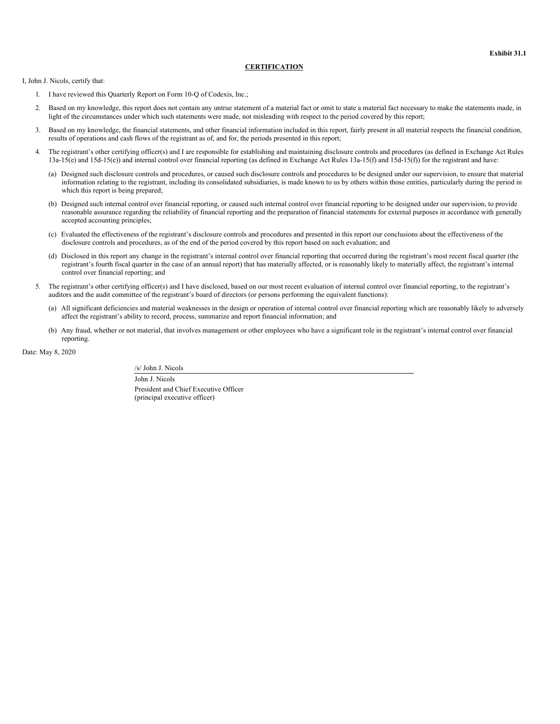### **CERTIFICATION**

I, John J. Nicols, certify that:

- 1. I have reviewed this Quarterly Report on Form 10-Q of Codexis, Inc.;
- 2. Based on my knowledge, this report does not contain any untrue statement of a material fact or omit to state a material fact necessary to make the statements made, in light of the circumstances under which such statements were made, not misleading with respect to the period covered by this report;
- 3. Based on my knowledge, the financial statements, and other financial information included in this report, fairly present in all material respects the financial condition, results of operations and cash flows of the registrant as of, and for, the periods presented in this report;
- 4. The registrant's other certifying officer(s) and I are responsible for establishing and maintaining disclosure controls and procedures (as defined in Exchange Act Rules 13a-15(e) and 15d-15(e)) and internal control over financial reporting (as defined in Exchange Act Rules 13a-15(f) and 15d-15(f)) for the registrant and have:
	- (a) Designed such disclosure controls and procedures, or caused such disclosure controls and procedures to be designed under our supervision, to ensure that material information relating to the registrant, including its consolidated subsidiaries, is made known to us by others within those entities, particularly during the period in which this report is being prepared;
	- (b) Designed such internal control over financial reporting, or caused such internal control over financial reporting to be designed under our supervision, to provide reasonable assurance regarding the reliability of financial reporting and the preparation of financial statements for external purposes in accordance with generally accepted accounting principles;
	- (c) Evaluated the effectiveness of the registrant's disclosure controls and procedures and presented in this report our conclusions about the effectiveness of the disclosure controls and procedures, as of the end of the period covered by this report based on such evaluation; and
	- (d) Disclosed in this report any change in the registrant's internal control over financial reporting that occurred during the registrant's most recent fiscal quarter (the registrant's fourth fiscal quarter in the case of an annual report) that has materially affected, or is reasonably likely to materially affect, the registrant's internal control over financial reporting; and
- 5. The registrant's other certifying officer(s) and I have disclosed, based on our most recent evaluation of internal control over financial reporting, to the registrant's auditors and the audit committee of the registrant's board of directors (or persons performing the equivalent functions):
	- (a) All significant deficiencies and material weaknesses in the design or operation of internal control over financial reporting which are reasonably likely to adversely affect the registrant's ability to record, process, summarize and report financial information; and
	- (b) Any fraud, whether or not material, that involves management or other employees who have a significant role in the registrant's internal control over financial reporting.

Date: May 8, 2020

/s/ John J. Nicols John J. Nicols

President and Chief Executive Officer (principal executive officer)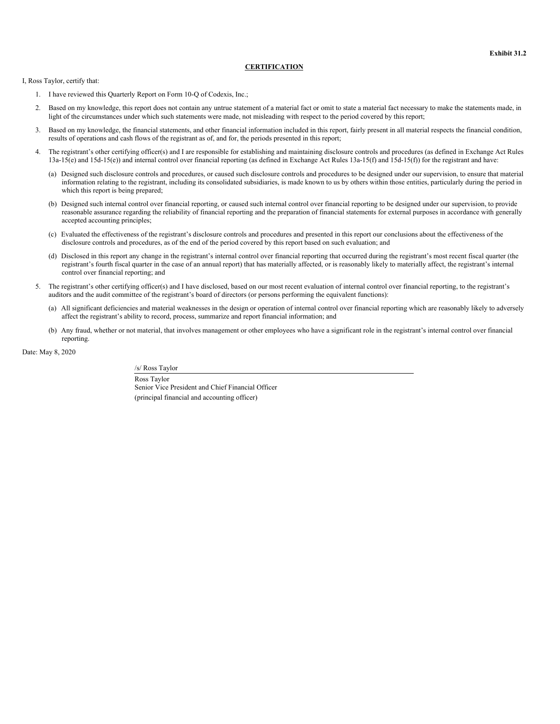### **CERTIFICATION**

I, Ross Taylor, certify that:

- 1. I have reviewed this Quarterly Report on Form 10-Q of Codexis, Inc.;
- 2. Based on my knowledge, this report does not contain any untrue statement of a material fact or omit to state a material fact necessary to make the statements made, in light of the circumstances under which such statements were made, not misleading with respect to the period covered by this report;
- 3. Based on my knowledge, the financial statements, and other financial information included in this report, fairly present in all material respects the financial condition, results of operations and cash flows of the registrant as of, and for, the periods presented in this report;
- 4. The registrant's other certifying officer(s) and I are responsible for establishing and maintaining disclosure controls and procedures (as defined in Exchange Act Rules 13a-15(e) and 15d-15(e)) and internal control over financial reporting (as defined in Exchange Act Rules 13a-15(f) and 15d-15(f)) for the registrant and have:
	- (a) Designed such disclosure controls and procedures, or caused such disclosure controls and procedures to be designed under our supervision, to ensure that material information relating to the registrant, including its consolidated subsidiaries, is made known to us by others within those entities, particularly during the period in which this report is being prepared;
	- (b) Designed such internal control over financial reporting, or caused such internal control over financial reporting to be designed under our supervision, to provide reasonable assurance regarding the reliability of financial reporting and the preparation of financial statements for external purposes in accordance with generally accepted accounting principles;
	- (c) Evaluated the effectiveness of the registrant's disclosure controls and procedures and presented in this report our conclusions about the effectiveness of the disclosure controls and procedures, as of the end of the period covered by this report based on such evaluation; and
	- (d) Disclosed in this report any change in the registrant's internal control over financial reporting that occurred during the registrant's most recent fiscal quarter (the registrant's fourth fiscal quarter in the case of an annual report) that has materially affected, or is reasonably likely to materially affect, the registrant's internal control over financial reporting; and
- 5. The registrant's other certifying officer(s) and I have disclosed, based on our most recent evaluation of internal control over financial reporting, to the registrant's auditors and the audit committee of the registrant's board of directors (or persons performing the equivalent functions):
	- (a) All significant deficiencies and material weaknesses in the design or operation of internal control over financial reporting which are reasonably likely to adversely affect the registrant's ability to record, process, summarize and report financial information; and
	- (b) Any fraud, whether or not material, that involves management or other employees who have a significant role in the registrant's internal control over financial reporting.

Date: May 8, 2020

/s/ Ross Taylor Ross Taylor Senior Vice President and Chief Financial Officer

(principal financial and accounting officer)